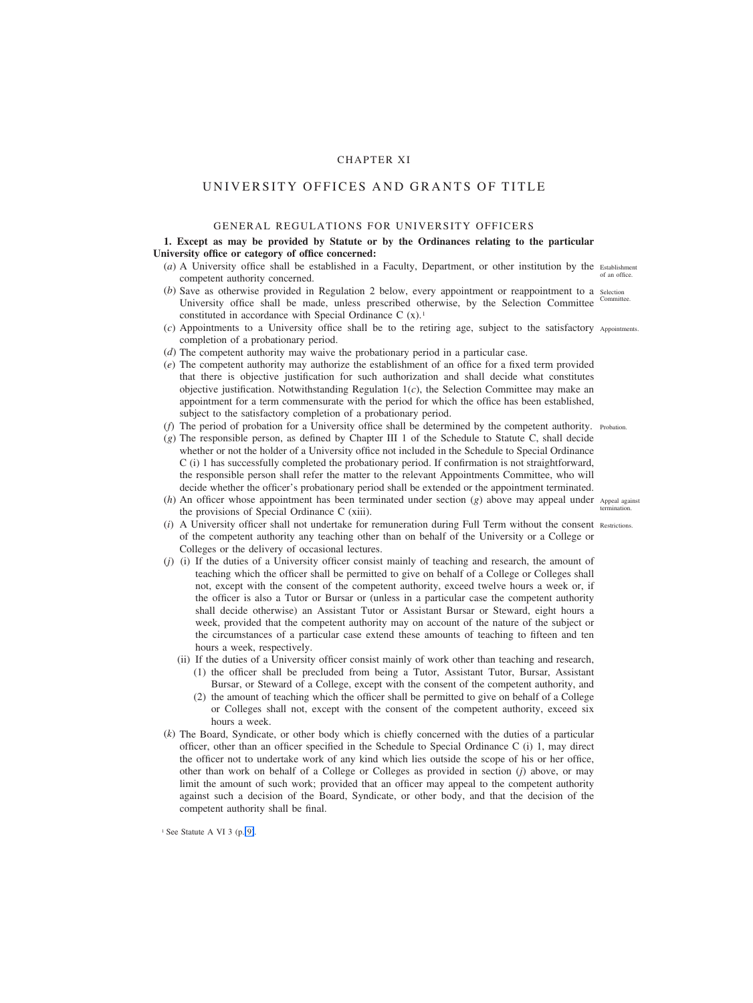# CHAPTER XI

# UNIVERSITY OFFICES AND GRANTS OF TITLE

# GENERAL REGULATIONS FOR UNIVERSITY OFFICERS

# **1. Except as may be provided by Statute or by the Ordinances relating to the particular University office or category of office concerned:**

- (*a*) A University office shall be established in a Faculty, Department, or other institution by the Establishment competent authority concerned.
- (b) Save as otherwise provided in Regulation 2 below, every appointment or reappointment to a selection University office shall be made, unless prescribed otherwise, by the Selection Committee Committee. constituted in accordance with Special Ordinance C  $(x)$ .<sup>1</sup>
- (*c*) Appointments to a University office shall be to the retiring age, subject to the satisfactory Appointments. completion of a probationary period.
- (*d*) The competent authority may waive the probationary period in a particular case.
- (*e*) The competent authority may authorize the establishment of an office for a fixed term provided that there is objective justification for such authorization and shall decide what constitutes objective justification. Notwithstanding Regulation  $1(c)$ , the Selection Committee may make an appointment for a term commensurate with the period for which the office has been established, subject to the satisfactory completion of a probationary period.
- (*f*) The period of probation for a University office shall be determined by the competent authority. Probation.
- (*g*) The responsible person, as defined by Chapter III 1 of the Schedule to Statute C, shall decide whether or not the holder of a University office not included in the Schedule to Special Ordinance C (i) 1 has successfully completed the probationary period. If confirmation is not straightforward, the responsible person shall refer the matter to the relevant Appointments Committee, who will decide whether the officer's probationary period shall be extended or the appointment terminated.
- (*h*) An officer whose appointment has been terminated under section (*g*) above may appeal under Appeal against the provisions of Special Ordinance C (xiii).
- (*i*) A University officer shall not undertake for remuneration during Full Term without the consent Restrictions.of the competent authority any teaching other than on behalf of the University or a College or Colleges or the delivery of occasional lectures.
- (*j*) (i) If the duties of a University officer consist mainly of teaching and research, the amount of teaching which the officer shall be permitted to give on behalf of a College or Colleges shall not, except with the consent of the competent authority, exceed twelve hours a week or, if the officer is also a Tutor or Bursar or (unless in a particular case the competent authority shall decide otherwise) an Assistant Tutor or Assistant Bursar or Steward, eight hours a week, provided that the competent authority may on account of the nature of the subject or the circumstances of a particular case extend these amounts of teaching to fifteen and ten hours a week, respectively.
	- (ii) If the duties of a University officer consist mainly of work other than teaching and research, (1) the officer shall be precluded from being a Tutor, Assistant Tutor, Bursar, Assistant Bursar, or Steward of a College, except with the consent of the competent authority, and
		- (2) the amount of teaching which the officer shall be permitted to give on behalf of a College or Colleges shall not, except with the consent of the competent authority, exceed six hours a week.
- (*k*) The Board, Syndicate, or other body which is chiefly concerned with the duties of a particular officer, other than an officer specified in the Schedule to Special Ordinance C (i) 1, may direct the officer not to undertake work of any kind which lies outside the scope of his or her office, other than work on behalf of a College or Colleges as provided in section (*j*) above, or may limit the amount of such work; provided that an officer may appeal to the competent authority against such a decision of the Board, Syndicate, or other body, and that the decision of the competent authority shall be final.

of an office.

termination.

 $1$  See Statute A VI 3 (p. 9).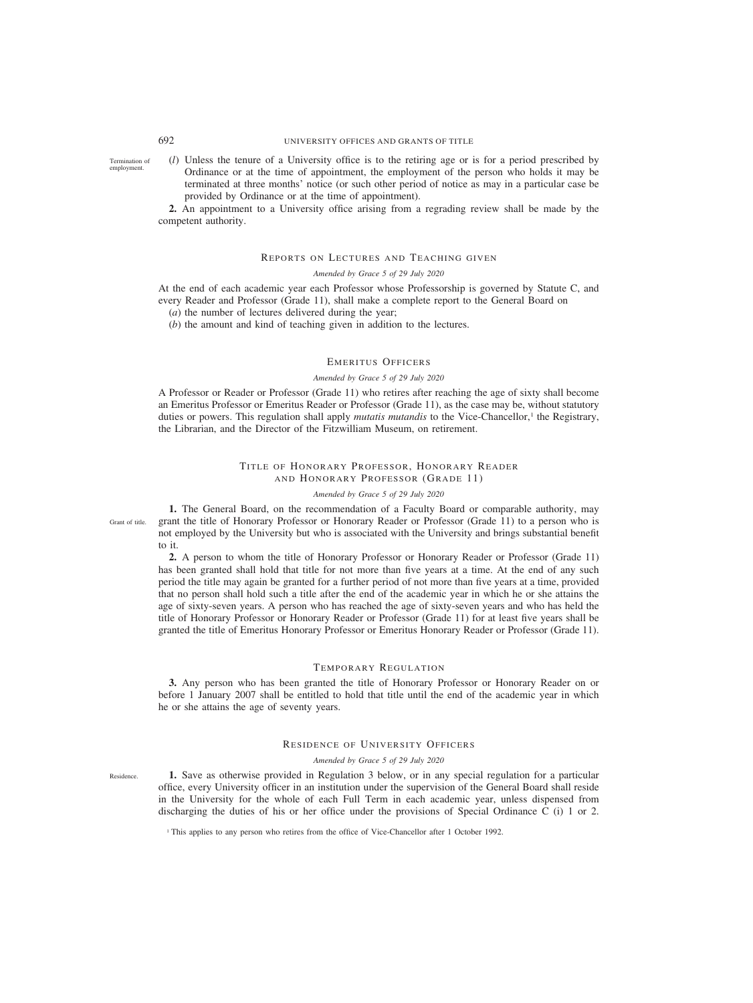(*l*) Unless the tenure of a University office is to the retiring age or is for a period prescribed by Ordinance or at the time of appointment, the employment of the person who holds it may be terminated at three months' notice (or such other period of notice as may in a particular case be provided by Ordinance or at the time of appointment). Termination of employment.

**2.** An appointment to a University office arising from a regrading review shall be made by the competent authority.

## REPORTS ON LECTURES AND TEACHING GIVEN

### *Amended by Grace 5 of 29 July 2020*

At the end of each academic year each Professor whose Professorship is governed by Statute C, and every Reader and Professor (Grade 11), shall make a complete report to the General Board on

(*a*) the number of lectures delivered during the year;

(*b*) the amount and kind of teaching given in addition to the lectures.

# EMERITUS OFFICERS

#### *Amended by Grace 5 of 29 July 2020*

A Professor or Reader or Professor (Grade 11) who retires after reaching the age of sixty shall become an Emeritus Professor or Emeritus Reader or Professor (Grade 11), as the case may be, without statutory duties or powers. This regulation shall apply *mutatis mutandis* to the Vice-Chancellor,<sup>1</sup> the Registrary, the Librarian, and the Director of the Fitzwilliam Museum, on retirement.

# TITLE OF HONORARY PROFESSOR, HONORARY READER AND HONORARY PROFESSOR (GRADE 11)

### *Amended by Grace 5 of 29 July 2020*

**1.** The General Board, on the recommendation of a Faculty Board or comparable authority, may grant the title of Honorary Professor or Honorary Reader or Professor (Grade 11) to a person who is not employed by the University but who is associated with the University and brings substantial benefit to it.

**2.** A person to whom the title of Honorary Professor or Honorary Reader or Professor (Grade 11) has been granted shall hold that title for not more than five years at a time. At the end of any such period the title may again be granted for a further period of not more than five years at a time, provided that no person shall hold such a title after the end of the academic year in which he or she attains the age of sixty-seven years. A person who has reached the age of sixty-seven years and who has held the title of Honorary Professor or Honorary Reader or Professor (Grade 11) for at least five years shall be granted the title of Emeritus Honorary Professor or Emeritus Honorary Reader or Professor (Grade 11).

### TEMPORARY REGULATION

**3.** Any person who has been granted the title of Honorary Professor or Honorary Reader on or before 1 January 2007 shall be entitled to hold that title until the end of the academic year in which he or she attains the age of seventy years.

# RESIDENCE OF UNIVERSITY OFFICERS

### *Amended by Grace 5 of 29 July 2020*

**1.** Save as otherwise provided in Regulation 3 below, or in any special regulation for a particular office, every University officer in an institution under the supervision of the General Board shall reside in the University for the whole of each Full Term in each academic year, unless dispensed from discharging the duties of his or her office under the provisions of Special Ordinance C (i) 1 or 2.

<sup>1</sup> This applies to any person who retires from the office of Vice-Chancellor after 1 October 1992.

Residence.

Grant of title.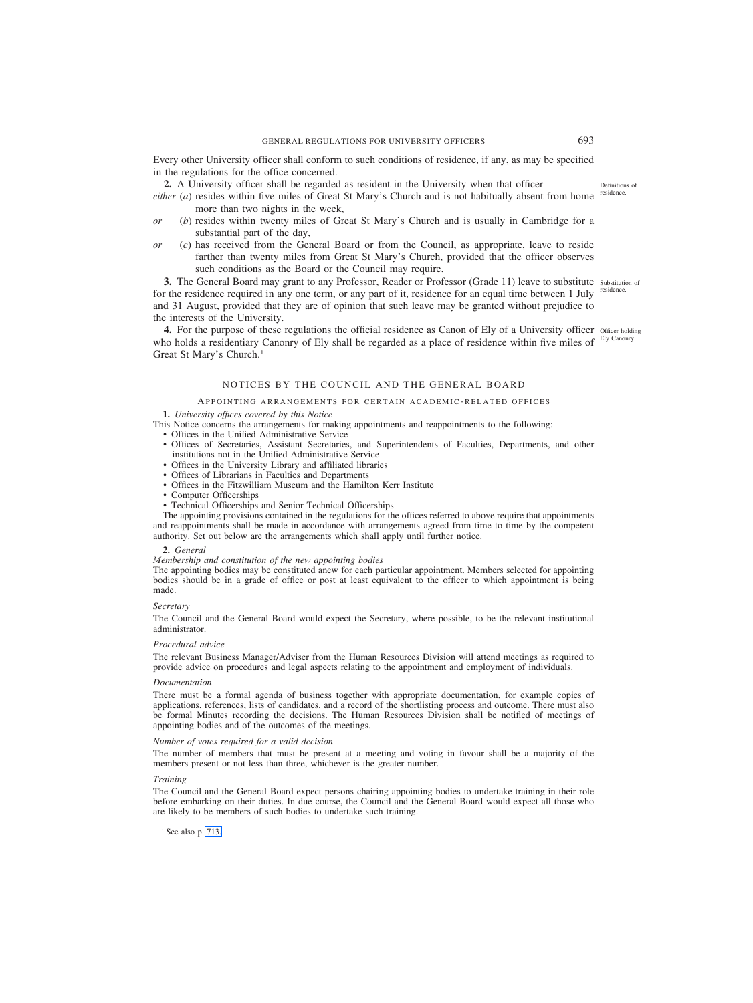<span id="page-2-0"></span>Every other University officer shall conform to such conditions of residence, if any, as may be specified in the regulations for the office concerned.

**2.** A University officer shall be regarded as resident in the University when that officer

either (a) resides within five miles of Great St Mary's Church and is not habitually absent from home <sup>residence.</sup> more than two nights in the week,

- *or* (*b*) resides within twenty miles of Great St Mary's Church and is usually in Cambridge for a substantial part of the day,
- *or* (*c*) has received from the General Board or from the Council, as appropriate, leave to reside farther than twenty miles from Great St Mary's Church, provided that the officer observes such conditions as the Board or the Council may require.

**3.** The General Board may grant to any Professor, Reader or Professor (Grade 11) leave to substitute substitution of for the residence required in any one term, or any part of it, residence for an equal time between 1 July residence. and 31 August, provided that they are of opinion that such leave may be granted without prejudice to the interests of the University.

4. For the purpose of these regulations the official residence as Canon of Ely of a University officer officer holding who holds a residentiary Canonry of Ely shall be regarded as a place of residence within five miles of <sup>Ely Canonry.</sup> Great St Mary's Church.1

# NOTICES BY THE COUNCIL AND THE GENERAL BOARD

### APPOINTING ARRANGEMENTS FOR CERTAIN ACADEMIC- RELATED OFFICES

**1.** *University offices covered by this Notice*

- This Notice concerns the arrangements for making appointments and reappointments to the following:
	- Offices in the Unified Administrative Service
	- Offices of Secretaries, Assistant Secretaries, and Superintendents of Faculties, Departments, and other institutions not in the Unified Administrative Service
	- Offices in the University Library and affiliated libraries
	- Offices of Librarians in Faculties and Departments
	- Offices in the Fitzwilliam Museum and the Hamilton Kerr Institute
	- Computer Officerships
	- Technical Officerships and Senior Technical Officerships

The appointing provisions contained in the regulations for the offices referred to above require that appointments and reappointments shall be made in accordance with arrangements agreed from time to time by the competent authority. Set out below are the arrangements which shall apply until further notice.

#### **2.** *General*

#### *Membership and constitution of the new appointing bodies*

The appointing bodies may be constituted anew for each particular appointment. Members selected for appointing bodies should be in a grade of office or post at least equivalent to the officer to which appointment is being made.

### *Secretary*

The Council and the General Board would expect the Secretary, where possible, to be the relevant institutional administrator.

#### *Procedural advice*

The relevant Business Manager/Adviser from the Human Resources Division will attend meetings as required to provide advice on procedures and legal aspects relating to the appointment and employment of individuals.

#### *Documentation*

There must be a formal agenda of business together with appropriate documentation, for example copies of applications, references, lists of candidates, and a record of the shortlisting process and outcome. There must also be formal Minutes recording the decisions. The Human Resources Division shall be notified of meetings of appointing bodies and of the outcomes of the meetings.

### *Number of votes required for a valid decision*

The number of members that must be present at a meeting and voting in favour shall be a majority of the members present or not less than three, whichever is the greater number.

### *Training*

The Council and the General Board expect persons chairing appointing bodies to undertake training in their role before embarking on their duties. In due course, the Council and the General Board would expect all those who are likely to be members of such bodies to undertake such training.

<sup>1</sup> See also p. [713.](#page-22-0)

Definitions of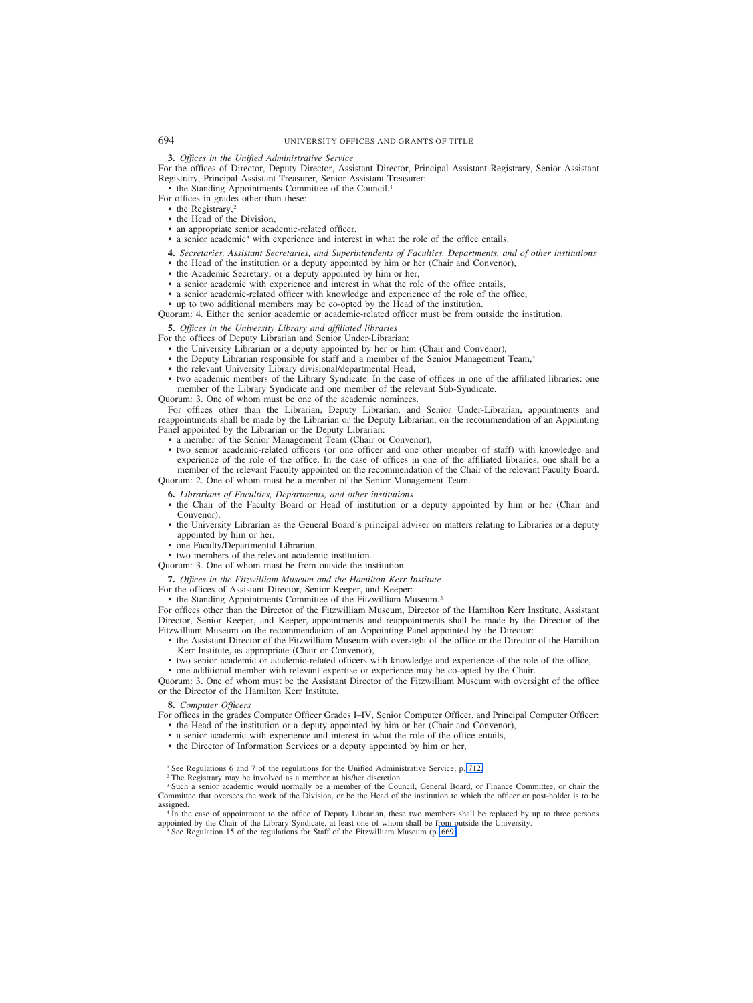### **3.** *Offices in the Unified Administrative Service*

For the offices of Director, Deputy Director, Assistant Director, Principal Assistant Registrary, Senior Assistant Registrary, Principal Assistant Treasurer, Senior Assistant Treasurer:

• the Standing Appointments Committee of the Council.1

- For offices in grades other than these:
	- the Registrary,<sup>2</sup>
	- the Head of the Division,
	- an appropriate senior academic-related officer,
	- a senior academic3 with experience and interest in what the role of the office entails.

**4.** *Secretaries, Assistant Secretaries, and Superintendents of Faculties, Departments, and of other institutions*

- the Head of the institution or a deputy appointed by him or her (Chair and Convenor),
- the Academic Secretary, or a deputy appointed by him or her,
- a senior academic with experience and interest in what the role of the office entails,
- a senior academic-related officer with knowledge and experience of the role of the office,
- up to two additional members may be co-opted by the Head of the institution.

Quorum: 4. Either the senior academic or academic-related officer must be from outside the institution.

**5.** *Offices in the University Library and affiliated libraries*

- For the offices of Deputy Librarian and Senior Under-Librarian:
	- the University Librarian or a deputy appointed by her or him (Chair and Convenor),
	- the Deputy Librarian responsible for staff and a member of the Senior Management Team,<sup>4</sup>
	- the relevant University Library divisional/departmental Head,
	- two academic members of the Library Syndicate. In the case of offices in one of the affiliated libraries: one member of the Library Syndicate and one member of the relevant Sub-Syndicate.

Quorum: 3. One of whom must be one of the academic nominees.

For offices other than the Librarian, Deputy Librarian, and Senior Under-Librarian, appointments and reappointments shall be made by the Librarian or the Deputy Librarian, on the recommendation of an Appointing Panel appointed by the Librarian or the Deputy Librarian:

- a member of the Senior Management Team (Chair or Convenor),
- two senior academic-related officers (or one officer and one other member of staff) with knowledge and experience of the role of the office. In the case of offices in one of the affiliated libraries, one shall be a member of the relevant Faculty appointed on the recommendation of the Chair of the relevant Faculty Board. Quorum: 2. One of whom must be a member of the Senior Management Team.

**6.** *Librarians of Faculties, Departments, and other institutions*

- the Chair of the Faculty Board or Head of institution or a deputy appointed by him or her (Chair and Convenor),
- the University Librarian as the General Board's principal adviser on matters relating to Libraries or a deputy appointed by him or her,
- one Faculty/Departmental Librarian,

• two members of the relevant academic institution.

Quorum: 3. One of whom must be from outside the institution.

**7.** *Offices in the Fitzwilliam Museum and the Hamilton Kerr Institute*

For the offices of Assistant Director, Senior Keeper, and Keeper:

• the Standing Appointments Committee of the Fitzwilliam Museum.<sup>5</sup>

For offices other than the Director of the Fitzwilliam Museum, Director of the Hamilton Kerr Institute, Assistant Director, Senior Keeper, and Keeper, appointments and reappointments shall be made by the Director of the Fitzwilliam Museum on the recommendation of an Appointing Panel appointed by the Director:

- the Assistant Director of the Fitzwilliam Museum with oversight of the office or the Director of the Hamilton Kerr Institute, as appropriate (Chair or Convenor),
- two senior academic or academic-related officers with knowledge and experience of the role of the office, • one additional member with relevant expertise or experience may be co-opted by the Chair.

Quorum: 3. One of whom must be the Assistant Director of the Fitzwilliam Museum with oversight of the office or the Director of the Hamilton Kerr Institute.

#### **8.** *Computer Officers*

For offices in the grades Computer Officer Grades I–IV, Senior Computer Officer, and Principal Computer Officer: • the Head of the institution or a deputy appointed by him or her (Chair and Convenor),

- a senior academic with experience and interest in what the role of the office entails,
- the Director of Information Services or a deputy appointed by him or her,
- <sup>1</sup> See Regulations 6 and 7 of the regulations for the Unified Administrative Service, p. [712.](#page-21-0)
- <sup>2</sup> The Registrary may be involved as a member at his/her discretion.

<sup>3</sup> Such a senior academic would normally be a member of the Council, General Board, or Finance Committee, or chair the Committee that oversees the work of the Division, or be the Head of the institution to which the officer or post-holder is to be assigned.

<sup>4</sup> In the case of appointment to the office of Deputy Librarian, these two members shall be replaced by up to three persons appointed by the Chair of the Library Syndicate, at least one of whom shall be from outside the University.

<sup>5</sup> See Regulation 15 of the regulations for Staff of the Fitzwilliam Museum (p. 669).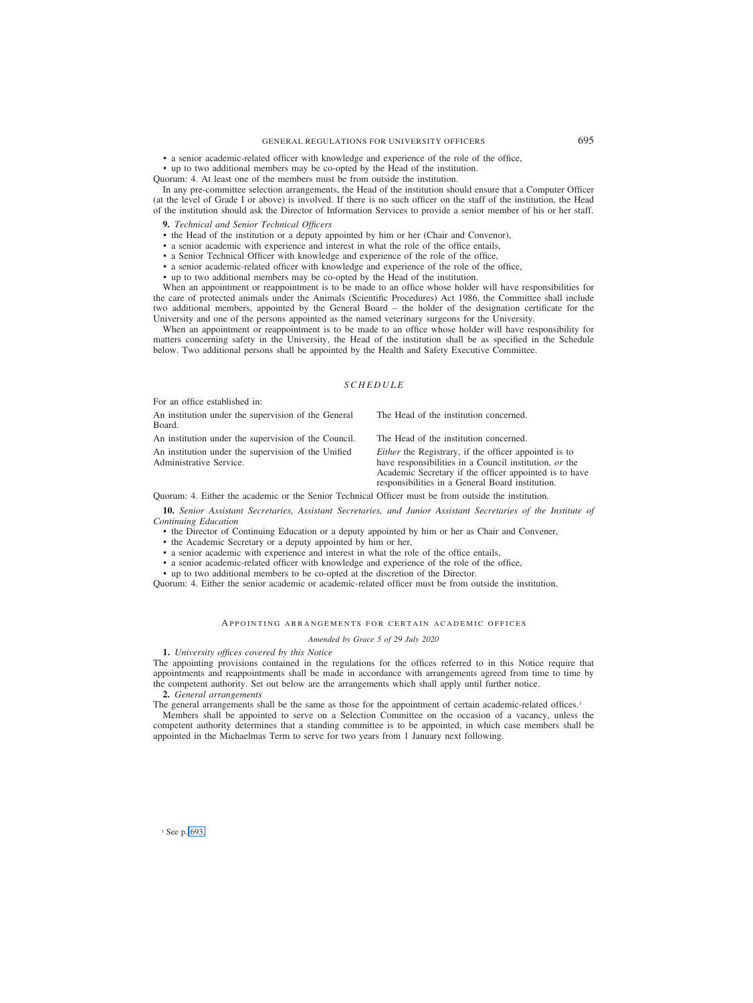# GENERAL REGULATIONS FOR UNIVERSITY OFFICERS 695

• a senior academic-related officer with knowledge and experience of the role of the office,

• up to two additional members may be co-opted by the Head of the institution.

Quorum: 4. At least one of the members must be from outside the institution.

In any pre-committee selection arrangements, the Head of the institution should ensure that a Computer Officer (at the level of Grade I or above) is involved. If there is no such officer on the staff of the institution, the Head of the institution should ask the Director of Information Services to provide a senior member of his or her staff.

#### **9.** *Technical and Senior Technical Officers*

- the Head of the institution or a deputy appointed by him or her (Chair and Convenor),
- a senior academic with experience and interest in what the role of the office entails,
- a Senior Technical Officer with knowledge and experience of the role of the office,
- a senior academic-related officer with knowledge and experience of the role of the office,
- up to two additional members may be co-opted by the Head of the institution.

When an appointment or reappointment is to be made to an office whose holder will have responsibilities for the care of protected animals under the Animals (Scientific Procedures) Act 1986, the Committee shall include two additional members, appointed by the General Board – the holder of the designation certificate for the University and one of the persons appointed as the named veterinary surgeons for the University.

When an appointment or reappointment is to be made to an office whose holder will have responsibility for matters concerning safety in the University, the Head of the institution shall be as specified in the Schedule below. Two additional persons shall be appointed by the Health and Safety Executive Committee.

### *SCHEDULE*

For an office established in:

An institution under the supervision of the General Board.

An institution under the supervision of the Council. The Head of the institution concerned. An institution under the supervision of the Unified Administrative Service.

The Head of the institution concerned.

*Either* the Registrary, if the officer appointed is to have responsibilities in a Council institution, *or* the Academic Secretary if the officer appointed is to have responsibilities in a General Board institution.

Quorum: 4. Either the academic or the Senior Technical Officer must be from outside the institution.

**10.** *Senior Assistant Secretaries, Assistant Secretaries, and Junior Assistant Secretaries of the Institute of Continuing Education*

- the Director of Continuing Education or a deputy appointed by him or her as Chair and Convener,
- the Academic Secretary or a deputy appointed by him or her,
- a senior academic with experience and interest in what the role of the office entails,
- a senior academic-related officer with knowledge and experience of the role of the office,
- up to two additional members to be co-opted at the discretion of the Director.

Quorum: 4. Either the senior academic or academic-related officer must be from outside the institution.

### APPOINTING ARRANGEMENTS FOR CERTAIN ACADEMIC OFFICES

#### *Amended by Grace 5 of 29 July 2020*

**1.** *University offices covered by this Notice*

The appointing provisions contained in the regulations for the offices referred to in this Notice require that appointments and reappointments shall be made in accordance with arrangements agreed from time to time by the competent authority. Set out below are the arrangements which shall apply until further notice.

### **2.** *General arrangements*

The general arrangements shall be the same as those for the appointment of certain academic-related offices.<sup>1</sup>

Members shall be appointed to serve on a Selection Committee on the occasion of a vacancy, unless the competent authority determines that a standing committee is to be appointed, in which case members shall be appointed in the Michaelmas Term to serve for two years from 1 January next following.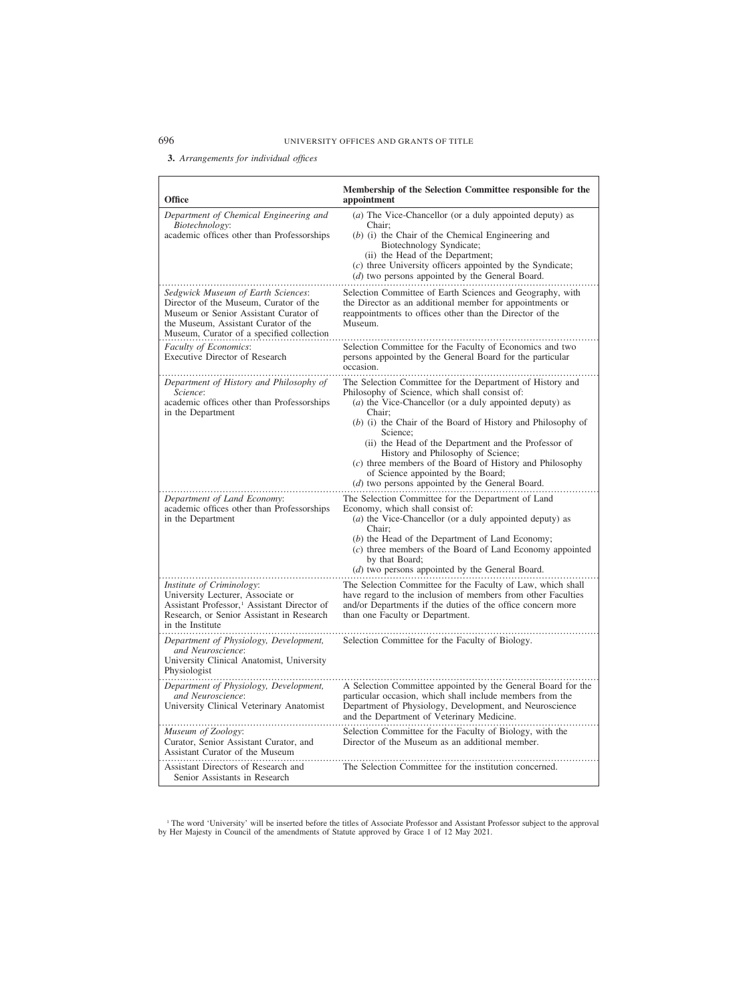# **3.** *Arrangements for individual offices*

| <b>Office</b>                                                                                                                                                                                              | Membership of the Selection Committee responsible for the<br>appointment                                                                                                                                                                                                                                                                                                                                                                                                                                       |
|------------------------------------------------------------------------------------------------------------------------------------------------------------------------------------------------------------|----------------------------------------------------------------------------------------------------------------------------------------------------------------------------------------------------------------------------------------------------------------------------------------------------------------------------------------------------------------------------------------------------------------------------------------------------------------------------------------------------------------|
| Department of Chemical Engineering and<br>Biotechnology:<br>academic offices other than Professorships                                                                                                     | (a) The Vice-Chancellor (or a duly appointed deputy) as<br>Chair;<br>$(b)$ (i) the Chair of the Chemical Engineering and<br>Biotechnology Syndicate;<br>(ii) the Head of the Department;<br>(c) three University officers appointed by the Syndicate;<br>(d) two persons appointed by the General Board.                                                                                                                                                                                                       |
| Sedgwick Museum of Earth Sciences:<br>Director of the Museum, Curator of the<br>Museum or Senior Assistant Curator of<br>the Museum, Assistant Curator of the<br>Museum, Curator of a specified collection | Selection Committee of Earth Sciences and Geography, with<br>the Director as an additional member for appointments or<br>reappointments to offices other than the Director of the<br>Museum.                                                                                                                                                                                                                                                                                                                   |
| Faculty of Economics:<br>Executive Director of Research                                                                                                                                                    | Selection Committee for the Faculty of Economics and two<br>persons appointed by the General Board for the particular<br>occasion.                                                                                                                                                                                                                                                                                                                                                                             |
| Department of History and Philosophy of<br>Science:<br>academic offices other than Professorships<br>in the Department                                                                                     | The Selection Committee for the Department of History and<br>Philosophy of Science, which shall consist of:<br>(a) the Vice-Chancellor (or a duly appointed deputy) as<br>Chair;<br>(b) (i) the Chair of the Board of History and Philosophy of<br>Science:<br>(ii) the Head of the Department and the Professor of<br>History and Philosophy of Science;<br>(c) three members of the Board of History and Philosophy<br>of Science appointed by the Board;<br>(d) two persons appointed by the General Board. |
| Department of Land Economy:<br>academic offices other than Professorships<br>in the Department                                                                                                             | The Selection Committee for the Department of Land<br>Economy, which shall consist of:<br>$(a)$ the Vice-Chancellor (or a duly appointed deputy) as<br>Chair;<br>(b) the Head of the Department of Land Economy;<br>(c) three members of the Board of Land Economy appointed<br>by that Board;<br>(d) two persons appointed by the General Board.                                                                                                                                                              |
| Institute of Criminology:<br>University Lecturer, Associate or<br>Assistant Professor, <sup>1</sup> Assistant Director of<br>Research, or Senior Assistant in Research<br>in the Institute                 | The Selection Committee for the Faculty of Law, which shall<br>have regard to the inclusion of members from other Faculties<br>and/or Departments if the duties of the office concern more<br>than one Faculty or Department.                                                                                                                                                                                                                                                                                  |
| Department of Physiology, Development,<br>and Neuroscience:<br>University Clinical Anatomist, University<br>Physiologist                                                                                   | Selection Committee for the Faculty of Biology.                                                                                                                                                                                                                                                                                                                                                                                                                                                                |
| Department of Physiology, Development,<br>and Neuroscience:<br>University Clinical Veterinary Anatomist                                                                                                    | A Selection Committee appointed by the General Board for the<br>particular occasion, which shall include members from the<br>Department of Physiology, Development, and Neuroscience<br>and the Department of Veterinary Medicine.                                                                                                                                                                                                                                                                             |
| Museum of Zoology:<br>Curator, Senior Assistant Curator, and<br>Assistant Curator of the Museum                                                                                                            | Selection Committee for the Faculty of Biology, with the<br>Director of the Museum as an additional member.                                                                                                                                                                                                                                                                                                                                                                                                    |
| Assistant Directors of Research and<br>Senior Assistants in Research                                                                                                                                       | The Selection Committee for the institution concerned.                                                                                                                                                                                                                                                                                                                                                                                                                                                         |

<sup>1</sup> The word 'University' will be inserted before the titles of Associate Professor and Assistant Professor subject to the approval by Her Majesty in Council of the amendments of Statute approved by Grace 1 of 12 May 2021.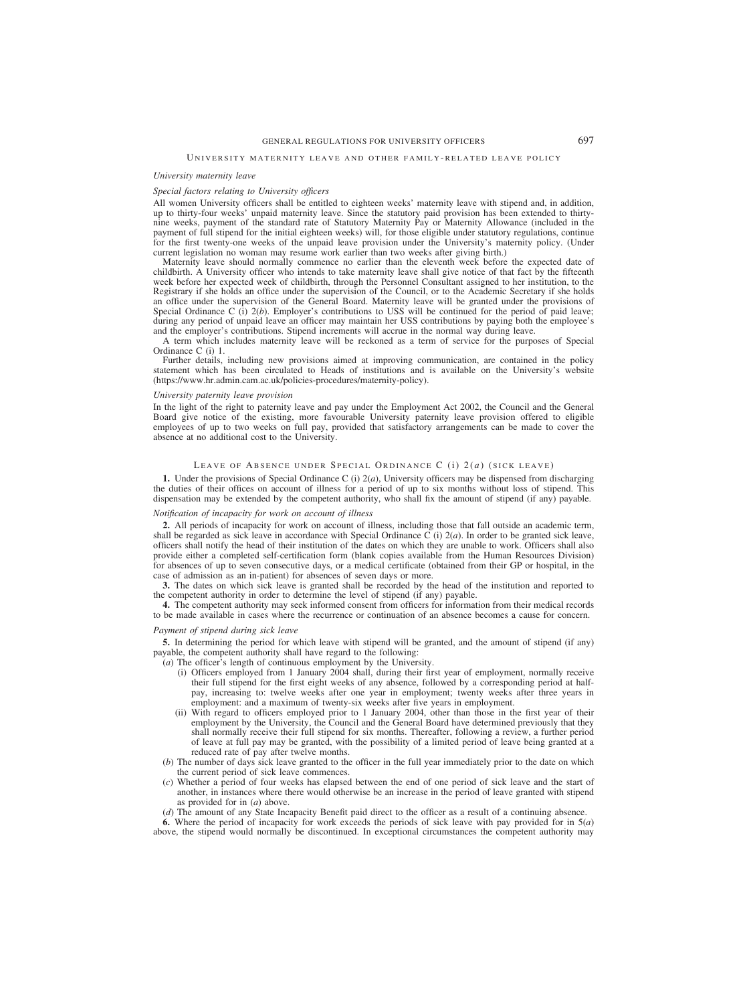# GENERAL REGULATIONS FOR UNIVERSITY OFFICERS 697

#### *University maternity leave*

### *Special factors relating to University officers*

All women University officers shall be entitled to eighteen weeks' maternity leave with stipend and, in addition, up to thirty-four weeks' unpaid maternity leave. Since the statutory paid provision has been extended to thirtynine weeks, payment of the standard rate of Statutory Maternity Pay or Maternity Allowance (included in the payment of full stipend for the initial eighteen weeks) will, for those eligible under statutory regulations, continue for the first twenty-one weeks of the unpaid leave provision under the University's maternity policy. (Under current legislation no woman may resume work earlier than two weeks after giving birth.)

Maternity leave should normally commence no earlier than the eleventh week before the expected date of childbirth. A University officer who intends to take maternity leave shall give notice of that fact by the fifteenth week before her expected week of childbirth, through the Personnel Consultant assigned to her institution, to the Registrary if she holds an office under the supervision of the Council, or to the Academic Secretary if she holds an office under the supervision of the General Board. Maternity leave will be granted under the provisions of Special Ordinance C (i) 2(*b*). Employer's contributions to USS will be continued for the period of paid leave; during any period of unpaid leave an officer may maintain her USS contributions by paying both the employee's and the employer's contributions. Stipend increments will accrue in the normal way during leave.

A term which includes maternity leave will be reckoned as a term of service for the purposes of Special Ordinance C (i) 1.

Further details, including new provisions aimed at improving communication, are contained in the policy statement which has been circulated to Heads of institutions and is available on the University's website (https://www.hr.admin.cam.ac.uk/policies-procedures/maternity-policy).

### *University paternity leave provision*

In the light of the right to paternity leave and pay under the Employment Act 2002, the Council and the General Board give notice of the existing, more favourable University paternity leave provision offered to eligible employees of up to two weeks on full pay, provided that satisfactory arrangements can be made to cover the absence at no additional cost to the University.

### LEAVE OF ABSENCE UNDER SPECIAL ORDINANCE C (i) 2(*a*) (SICK LEAVE)

**1.** Under the provisions of Special Ordinance C (i) 2(*a*), University officers may be dispensed from discharging the duties of their offices on account of illness for a period of up to six months without loss of stipend. This dispensation may be extended by the competent authority, who shall fix the amount of stipend (if any) payable.

### *Notification of incapacity for work on account of illness*

**2.** All periods of incapacity for work on account of illness, including those that fall outside an academic term, shall be regarded as sick leave in accordance with Special Ordinance  $\overline{C}$  (i)  $2(a)$ . In order to be granted sick leave, officers shall notify the head of their institution of the dates on which they are unable to work. Officers shall also provide either a completed self-certification form (blank copies available from the Human Resources Division) for absences of up to seven consecutive days, or a medical certificate (obtained from their GP or hospital, in the case of admission as an in-patient) for absences of seven days or more.

**3.** The dates on which sick leave is granted shall be recorded by the head of the institution and reported to the competent authority in order to determine the level of stipend (if any) payable.

**4.** The competent authority may seek informed consent from officers for information from their medical records to be made available in cases where the recurrence or continuation of an absence becomes a cause for concern.

### *Payment of stipend during sick leave*

**5.** In determining the period for which leave with stipend will be granted, and the amount of stipend (if any) payable, the competent authority shall have regard to the following:

(*a*) The officer's length of continuous employment by the University.

- (i) Officers employed from 1 January 2004 shall, during their first year of employment, normally receive their full stipend for the first eight weeks of any absence, followed by a corresponding period at halfpay, increasing to: twelve weeks after one year in employment; twenty weeks after three years in employment: and a maximum of twenty-six weeks after five years in employment.
- (ii) With regard to officers employed prior to 1 January 2004, other than those in the first year of their employment by the University, the Council and the General Board have determined previously that they shall normally receive their full stipend for six months. Thereafter, following a review, a further period of leave at full pay may be granted, with the possibility of a limited period of leave being granted at a reduced rate of pay after twelve months.
- (*b*) The number of days sick leave granted to the officer in the full year immediately prior to the date on which the current period of sick leave commences.
- (*c*) Whether a period of four weeks has elapsed between the end of one period of sick leave and the start of another, in instances where there would otherwise be an increase in the period of leave granted with stipend as provided for in (*a*) above.

(*d*) The amount of any State Incapacity Benefit paid direct to the officer as a result of a continuing absence.

**6.** Where the period of incapacity for work exceeds the periods of sick leave with pay provided for in 5(*a*) above, the stipend would normally be discontinued. In exceptional circumstances the competent authority may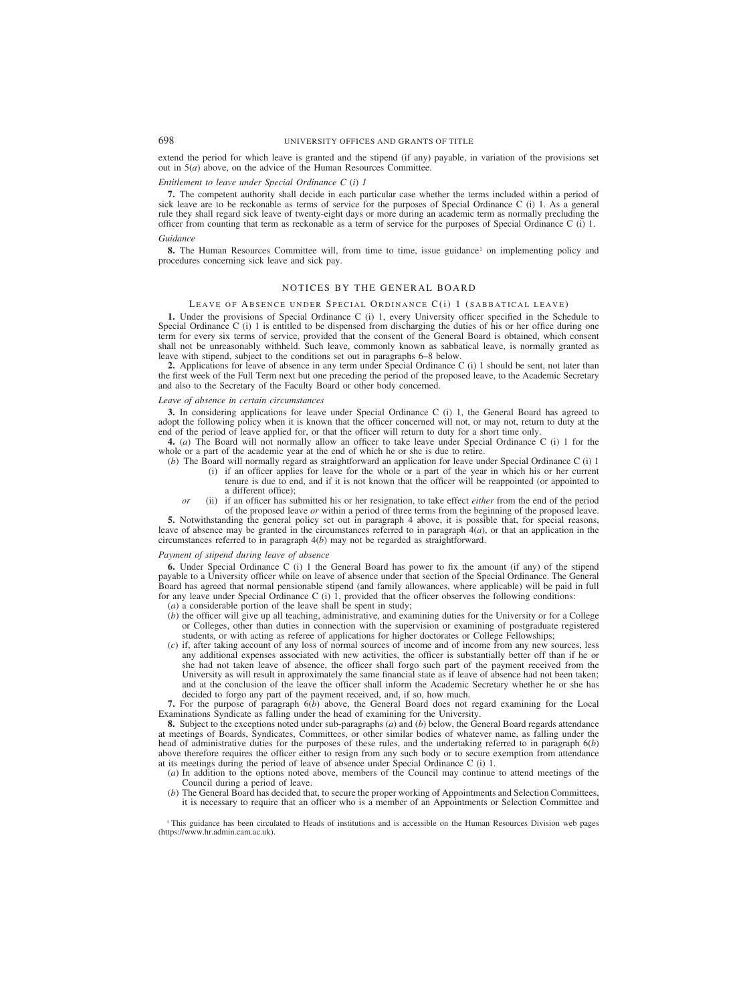extend the period for which leave is granted and the stipend (if any) payable, in variation of the provisions set out in 5(*a*) above, on the advice of the Human Resources Committee.

### *Entitlement to leave under Special Ordinance C (i) 1*

**7.** The competent authority shall decide in each particular case whether the terms included within a period of sick leave are to be reckonable as terms of service for the purposes of Special Ordinance C (i) 1. As a general rule they shall regard sick leave of twenty-eight days or more during an academic term as normally precluding the officer from counting that term as reckonable as a term of service for the purposes of Special Ordinance C (i) 1.

### *Guidance*

**8.** The Human Resources Committee will, from time to time, issue guidance<sup>1</sup> on implementing policy and procedures concerning sick leave and sick pay.

## NOTICES BY THE GENERAL BOARD

### LEAVE OF ABSENCE UNDER SPECIAL ORDINANCE C(i) 1 (SABBATICAL LEAVE)

**1.** Under the provisions of Special Ordinance C (i) 1, every University officer specified in the Schedule to Special Ordinance C (i) 1 is entitled to be dispensed from discharging the duties of his or her office during one term for every six terms of service, provided that the consent of the General Board is obtained, which consent shall not be unreasonably withheld. Such leave, commonly known as sabbatical leave, is normally granted as leave with stipend, subject to the conditions set out in paragraphs 6–8 below.

**2.** Applications for leave of absence in any term under Special Ordinance C (i) 1 should be sent, not later than the first week of the Full Term next but one preceding the period of the proposed leave, to the Academic Secretary and also to the Secretary of the Faculty Board or other body concerned.

#### *Leave of absence in certain circumstances*

**3.** In considering applications for leave under Special Ordinance C (i) 1, the General Board has agreed to adopt the following policy when it is known that the officer concerned will not, or may not, return to duty at the end of the period of leave applied for, or that the officer will return to duty for a short time only.

**4.** (*a*) The Board will not normally allow an officer to take leave under Special Ordinance C (i) 1 for the whole or a part of the academic year at the end of which he or she is due to retire.

- (*b*) The Board will normally regard as straightforward an application for leave under Special Ordinance C (i) 1 (i) if an officer applies for leave for the whole or a part of the year in which his or her current tenure is due to end, and if it is not known that the officer will be reappointed (or appointed to a different office);
	- *or* (ii) if an officer has submitted his or her resignation, to take effect *either* from the end of the period of the proposed leave *or* within a period of three terms from the beginning of the proposed leave.

**5.** Notwithstanding the general policy set out in paragraph 4 above, it is possible that, for special reasons, leave of absence may be granted in the circumstances referred to in paragraph 4(*a*), or that an application in the circumstances referred to in paragraph 4(*b*) may not be regarded as straightforward.

#### *Payment of stipend during leave of absence*

**6.** Under Special Ordinance C (i) 1 the General Board has power to fix the amount (if any) of the stipend payable to a University officer while on leave of absence under that section of the Special Ordinance. The General Board has agreed that normal pensionable stipend (and family allowances, where applicable) will be paid in full for any leave under Special Ordinance C (i)  $\hat{1}$ , provided that the officer observes the following conditions:

(*a*) a considerable portion of the leave shall be spent in study;

- (*b*) the officer will give up all teaching, administrative, and examining duties for the University or for a College or Colleges, other than duties in connection with the supervision or examining of postgraduate registered students, or with acting as referee of applications for higher doctorates or College Fellowships;
- (*c*) if, after taking account of any loss of normal sources of income and of income from any new sources, less any additional expenses associated with new activities, the officer is substantially better off than if he or she had not taken leave of absence, the officer shall forgo such part of the payment received from the University as will result in approximately the same financial state as if leave of absence had not been taken; and at the conclusion of the leave the officer shall inform the Academic Secretary whether he or she has decided to forgo any part of the payment received, and, if so, how much.

**7.** For the purpose of paragraph 6(*b*) above, the General Board does not regard examining for the Local Examinations Syndicate as falling under the head of examining for the University.

**8.** Subject to the exceptions noted under sub-paragraphs (*a*) and (*b*) below, the General Board regards attendance at meetings of Boards, Syndicates, Committees, or other similar bodies of whatever name, as falling under the head of administrative duties for the purposes of these rules, and the undertaking referred to in paragraph 6(*b*) above therefore requires the officer either to resign from any such body or to secure exemption from attendance at its meetings during the period of leave of absence under Special Ordinance C (i) 1.

- (*a*) In addition to the options noted above, members of the Council may continue to attend meetings of the Council during a period of leave.
- (*b*) The General Board has decided that, to secure the proper working of Appointments and Selection Committees, it is necessary to require that an officer who is a member of an Appointments or Selection Committee and

<sup>1</sup> This guidance has been circulated to Heads of institutions and is accessible on the Human Resources Division web pages (https://www.hr.admin.cam.ac.uk).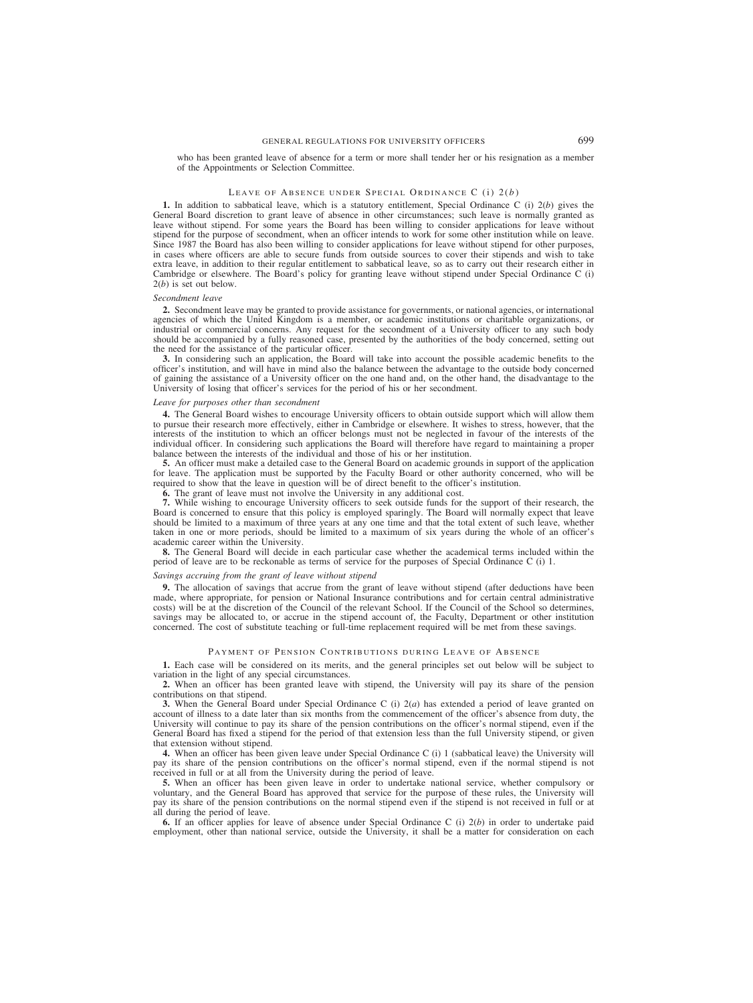who has been granted leave of absence for a term or more shall tender her or his resignation as a member of the Appointments or Selection Committee.

### LEAVE OF ABSENCE UNDER SPECIAL ORDINANCE C (i) 2(b)

**1.** In addition to sabbatical leave, which is a statutory entitlement, Special Ordinance C (i) 2(*b*) gives the General Board discretion to grant leave of absence in other circumstances; such leave is normally granted as leave without stipend. For some years the Board has been willing to consider applications for leave without stipend for the purpose of secondment, when an officer intends to work for some other institution while on leave. Since 1987 the Board has also been willing to consider applications for leave without stipend for other purposes, in cases where officers are able to secure funds from outside sources to cover their stipends and wish to take extra leave, in addition to their regular entitlement to sabbatical leave, so as to carry out their research either in Cambridge or elsewhere. The Board's policy for granting leave without stipend under Special Ordinance C (i) 2(*b*) is set out below.

#### *Secondment leave*

**2.** Secondment leave may be granted to provide assistance for governments, or national agencies, or international agencies of which the United Kingdom is a member, or academic institutions or charitable organizations, or industrial or commercial concerns. Any request for the secondment of a University officer to any such body should be accompanied by a fully reasoned case, presented by the authorities of the body concerned, setting out the need for the assistance of the particular officer.

**3.** In considering such an application, the Board will take into account the possible academic benefits to the officer's institution, and will have in mind also the balance between the advantage to the outside body concerned of gaining the assistance of a University officer on the one hand and, on the other hand, the disadvantage to the University of losing that officer's services for the period of his or her secondment.

#### *Leave for purposes other than secondment*

**4.** The General Board wishes to encourage University officers to obtain outside support which will allow them to pursue their research more effectively, either in Cambridge or elsewhere. It wishes to stress, however, that the interests of the institution to which an officer belongs must not be neglected in favour of the interests of the individual officer. In considering such applications the Board will therefore have regard to maintaining a proper balance between the interests of the individual and those of his or her institution.

**5.** An officer must make a detailed case to the General Board on academic grounds in support of the application for leave. The application must be supported by the Faculty Board or other authority concerned, who will be required to show that the leave in question will be of direct benefit to the officer's institution.

**6.** The grant of leave must not involve the University in any additional cost.

**7.** While wishing to encourage University officers to seek outside funds for the support of their research, the Board is concerned to ensure that this policy is employed sparingly. The Board will normally expect that leave should be limited to a maximum of three years at any one time and that the total extent of such leave, whether taken in one or more periods, should be limited to a maximum of six years during the whole of an officer's academic career within the University.

**8.** The General Board will decide in each particular case whether the academical terms included within the period of leave are to be reckonable as terms of service for the purposes of Special Ordinance C (i) 1.

#### *Savings accruing from the grant of leave without stipend*

**9.** The allocation of savings that accrue from the grant of leave without stipend (after deductions have been made, where appropriate, for pension or National Insurance contributions and for certain central administrative costs) will be at the discretion of the Council of the relevant School. If the Council of the School so determines, savings may be allocated to, or accrue in the stipend account of, the Faculty, Department or other institution concerned. The cost of substitute teaching or full-time replacement required will be met from these savings.

### PAYMENT OF PENSION CONTRIBUTIONS DURING LEAVE OF ABSENCE

**1.** Each case will be considered on its merits, and the general principles set out below will be subject to variation in the light of any special circumstances.

**2.** When an officer has been granted leave with stipend, the University will pay its share of the pension contributions on that stipend.

**3.** When the General Board under Special Ordinance C (i)  $2(a)$  has extended a period of leave granted on account of illness to a date later than six months from the commencement of the officer's absence from duty, the University will continue to pay its share of the pension contributions on the officer's normal stipend, even if the General Board has fixed a stipend for the period of that extension less than the full University stipend, or given that extension without stipend.

**4.** When an officer has been given leave under Special Ordinance C (i) 1 (sabbatical leave) the University will pay its share of the pension contributions on the officer's normal stipend, even if the normal stipend is not received in full or at all from the University during the period of leave.

**5.** When an officer has been given leave in order to undertake national service, whether compulsory or voluntary, and the General Board has approved that service for the purpose of these rules, the University will pay its share of the pension contributions on the normal stipend even if the stipend is not received in full or at all during the period of leave.

**6.** If an officer applies for leave of absence under Special Ordinance C (i) 2(*b*) in order to undertake paid employment, other than national service, outside the University, it shall be a matter for consideration on each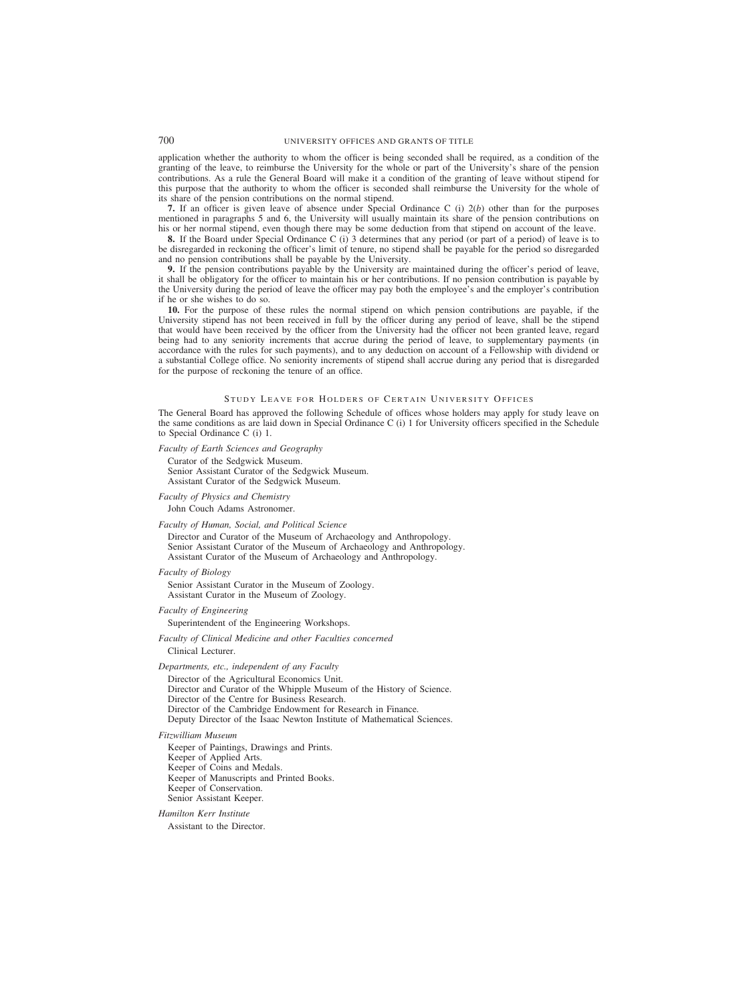application whether the authority to whom the officer is being seconded shall be required, as a condition of the granting of the leave, to reimburse the University for the whole or part of the University's share of the pension contributions. As a rule the General Board will make it a condition of the granting of leave without stipend for this purpose that the authority to whom the officer is seconded shall reimburse the University for the whole of its share of the pension contributions on the normal stipend.

**7.** If an officer is given leave of absence under Special Ordinance C (i) 2(*b*) other than for the purposes mentioned in paragraphs 5 and 6, the University will usually maintain its share of the pension contributions on his or her normal stipend, even though there may be some deduction from that stipend on account of the leave.

**8.** If the Board under Special Ordinance C (i) 3 determines that any period (or part of a period) of leave is to be disregarded in reckoning the officer's limit of tenure, no stipend shall be payable for the period so disregarded and no pension contributions shall be payable by the University.

**9.** If the pension contributions payable by the University are maintained during the officer's period of leave, it shall be obligatory for the officer to maintain his or her contributions. If no pension contribution is payable by the University during the period of leave the officer may pay both the employee's and the employer's contribution if he or she wishes to do so.

**10.** For the purpose of these rules the normal stipend on which pension contributions are payable, if the University stipend has not been received in full by the officer during any period of leave, shall be the stipend that would have been received by the officer from the University had the officer not been granted leave, regard being had to any seniority increments that accrue during the period of leave, to supplementary payments (in accordance with the rules for such payments), and to any deduction on account of a Fellowship with dividend or a substantial College office. No seniority increments of stipend shall accrue during any period that is disregarded for the purpose of reckoning the tenure of an office.

### S TUDY LEAVE FOR HOLDERS OF CERTAIN UNIVERSITY OFFICES

The General Board has approved the following Schedule of offices whose holders may apply for study leave on the same conditions as are laid down in Special Ordinance C (i) 1 for University officers specified in the Schedule to Special Ordinance C (i) 1.

*Faculty of Earth Sciences and Geography*

Curator of the Sedgwick Museum. Senior Assistant Curator of the Sedgwick Museum. Assistant Curator of the Sedgwick Museum.

### *Faculty of Physics and Chemistry*

John Couch Adams Astronomer.

#### *Faculty of Human, Social, and Political Science*

Director and Curator of the Museum of Archaeology and Anthropology. Senior Assistant Curator of the Museum of Archaeology and Anthropology. Assistant Curator of the Museum of Archaeology and Anthropology.

*Faculty of Biology*

Senior Assistant Curator in the Museum of Zoology. Assistant Curator in the Museum of Zoology.

### *Faculty of Engineering*

Superintendent of the Engineering Workshops.

*Faculty of Clinical Medicine and other Faculties concerned* Clinical Lecturer.

### *Departments, etc., independent of any Faculty*

Director of the Agricultural Economics Unit. Director and Curator of the Whipple Museum of the History of Science. Director of the Centre for Business Research. Director of the Cambridge Endowment for Research in Finance. Deputy Director of the Isaac Newton Institute of Mathematical Sciences.

### *Fitzwilliam Museum*

Keeper of Paintings, Drawings and Prints. Keeper of Applied Arts. Keeper of Coins and Medals. Keeper of Manuscripts and Printed Books. Keeper of Conservation. Senior Assistant Keeper.

#### *Hamilton Kerr Institute*

Assistant to the Director.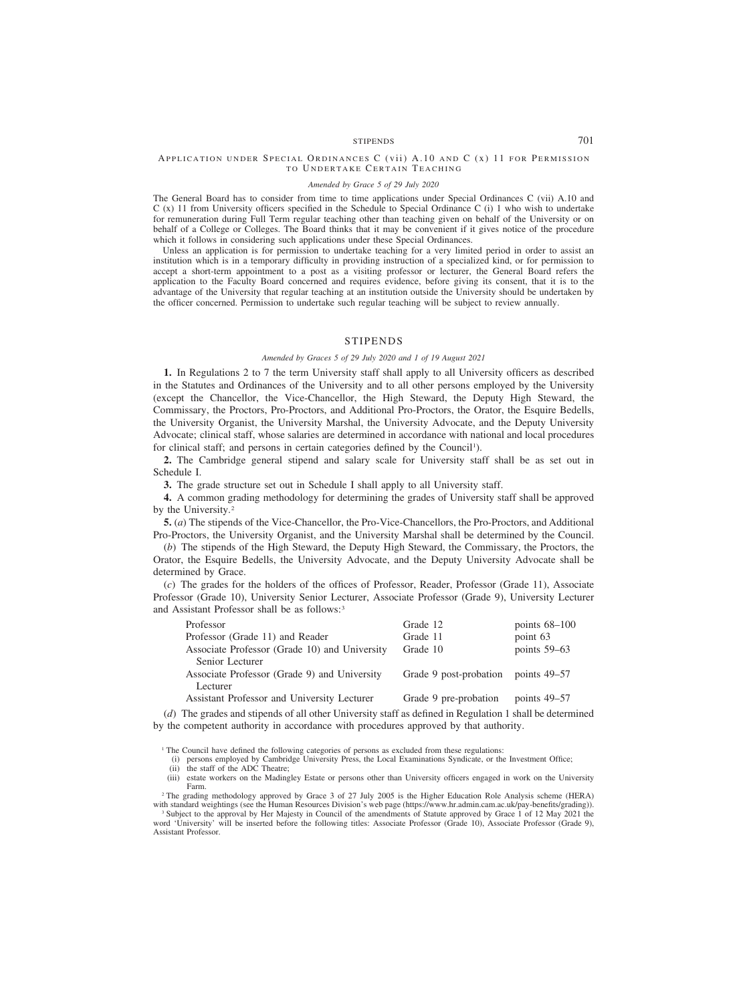# STIPENDS 701

### APPLICATION UNDER SPECIAL ORDINANCES C (vii) A.10 AND C (x) 11 FOR PERMISSION TO UNDERTAKE CERTAIN TEACHING

#### *Amended by Grace 5 of 29 July 2020*

The General Board has to consider from time to time applications under Special Ordinances C (vii) A.10 and C (x) 11 from University officers specified in the Schedule to Special Ordinance C (i) 1 who wish to undertake for remuneration during Full Term regular teaching other than teaching given on behalf of the University or on behalf of a College or Colleges. The Board thinks that it may be convenient if it gives notice of the procedure which it follows in considering such applications under these Special Ordinances.

Unless an application is for permission to undertake teaching for a very limited period in order to assist an institution which is in a temporary difficulty in providing instruction of a specialized kind, or for permission to accept a short-term appointment to a post as a visiting professor or lecturer, the General Board refers the application to the Faculty Board concerned and requires evidence, before giving its consent, that it is to the advantage of the University that regular teaching at an institution outside the University should be undertaken by the officer concerned. Permission to undertake such regular teaching will be subject to review annually.

## STIPENDS

#### *Amended by Graces 5 of 29 July 2020 and 1 of 19 August 2021*

**1.** In Regulations 2 to 7 the term University staff shall apply to all University officers as described in the Statutes and Ordinances of the University and to all other persons employed by the University (except the Chancellor, the Vice-Chancellor, the High Steward, the Deputy High Steward, the Commissary, the Proctors, Pro-Proctors, and Additional Pro-Proctors, the Orator, the Esquire Bedells, the University Organist, the University Marshal, the University Advocate, and the Deputy University Advocate; clinical staff, whose salaries are determined in accordance with national and local procedures for clinical staff; and persons in certain categories defined by the Council<sup>1</sup>).

**2.** The Cambridge general stipend and salary scale for University staff shall be as set out in Schedule I.

**3.** The grade structure set out in Schedule I shall apply to all University staff.

**4.** A common grading methodology for determining the grades of University staff shall be approved by the University.<sup>2</sup>

**5.** (*a*) The stipends of the Vice-Chancellor, the Pro-Vice-Chancellors, the Pro-Proctors, and Additional Pro-Proctors, the University Organist, and the University Marshal shall be determined by the Council.

(*b*) The stipends of the High Steward, the Deputy High Steward, the Commissary, the Proctors, the Orator, the Esquire Bedells, the University Advocate, and the Deputy University Advocate shall be determined by Grace.

(*c*) The grades for the holders of the offices of Professor, Reader, Professor (Grade 11), Associate Professor (Grade 10), University Senior Lecturer, Associate Professor (Grade 9), University Lecturer and Assistant Professor shall be as follows:<sup>3</sup>

| Professor                                                                                                                                                                                                                                                                                        | Grade 12               | points $68-100$ |
|--------------------------------------------------------------------------------------------------------------------------------------------------------------------------------------------------------------------------------------------------------------------------------------------------|------------------------|-----------------|
| Professor (Grade 11) and Reader                                                                                                                                                                                                                                                                  | Grade 11               | point 63        |
| Associate Professor (Grade 10) and University                                                                                                                                                                                                                                                    | Grade 10               | points 59–63    |
| Senior Lecturer                                                                                                                                                                                                                                                                                  |                        |                 |
| Associate Professor (Grade 9) and University                                                                                                                                                                                                                                                     | Grade 9 post-probation | points $49-57$  |
| Lecturer                                                                                                                                                                                                                                                                                         |                        |                 |
| Assistant Professor and University Lecturer                                                                                                                                                                                                                                                      | Grade 9 pre-probation  | points $49-57$  |
| $\mathbf{1}$ and $\mathbf{1}$ and $\mathbf{1}$ and $\mathbf{1}$ and $\mathbf{1}$ and $\mathbf{1}$ and $\mathbf{1}$ and $\mathbf{1}$ and $\mathbf{1}$ and $\mathbf{1}$ and $\mathbf{1}$ and $\mathbf{1}$ and $\mathbf{1}$ and $\mathbf{1}$ and $\mathbf{1}$ and $\mathbf{1}$ and $\mathbf{1}$ and |                        |                 |

(*d*) The grades and stipends of all other University staff as defined in Regulation 1 shall be determined by the competent authority in accordance with procedures approved by that authority.

<sup>1</sup> The Council have defined the following categories of persons as excluded from these regulations:

(i) persons employed by Cambridge University Press, the Local Examinations Syndicate, or the Investment Office; (ii) the staff of the ADC Theatre;

(iii) estate workers on the Madingley Estate or persons other than University officers engaged in work on the University Farm.

<sup>2</sup> The grading methodology approved by Grace 3 of 27 July 2005 is the Higher Education Role Analysis scheme (HERA) with standard weightings (see the Human Resources Division's web page (https://www.hr.admin.cam.ac.uk/pay-benefits/grading)).

<sup>3</sup> Subject to the approval by Her Majesty in Council of the amendments of Statute approved by Grace 1 of 12 May 2021 the word 'University' will be inserted before the following titles: Associate Professor (Grade 10), Associate Professor (Grade 9), Assistant Professor.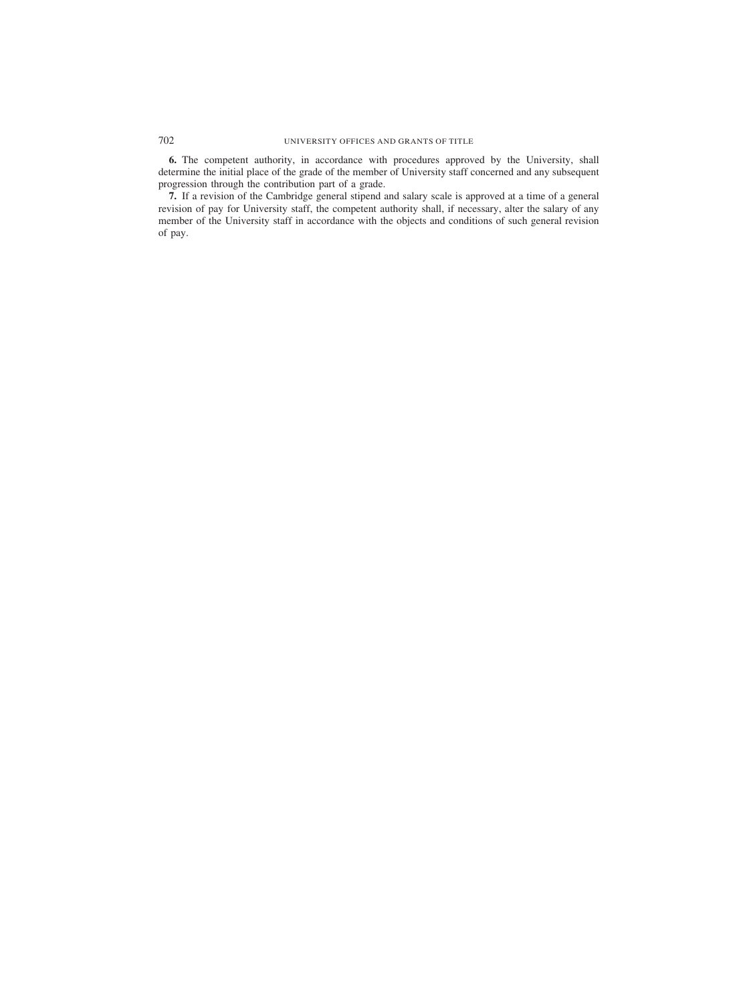**6.** The competent authority, in accordance with procedures approved by the University, shall determine the initial place of the grade of the member of University staff concerned and any subsequent progression through the contribution part of a grade.

**7.** If a revision of the Cambridge general stipend and salary scale is approved at a time of a general revision of pay for University staff, the competent authority shall, if necessary, alter the salary of any member of the University staff in accordance with the objects and conditions of such general revision of pay.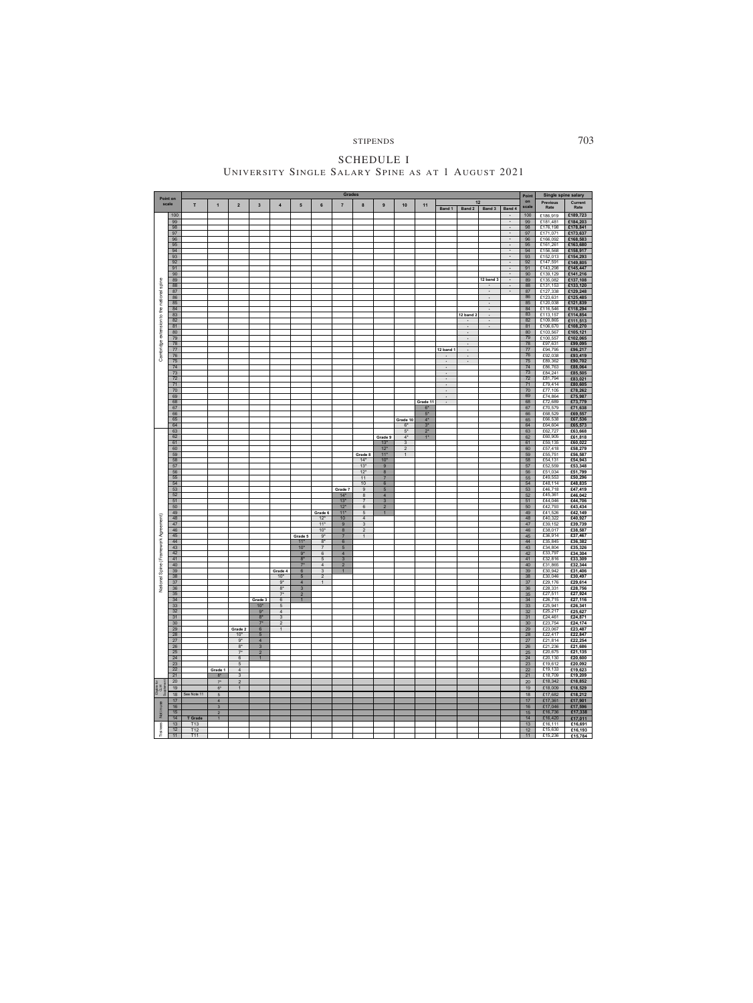STIPENDS 703

SCHEDULE I UNIVERSITY SINGLE SALARY SPINE AS AT 1 AUGUST 2021

|                                           |                      |             |                     |                                    |                      |                                  |                              |                                | <b>Grades</b>            |                       |                                   |                     |                  |                      |                                              |                        |                                            | Point        | Single spine salary  |                      |
|-------------------------------------------|----------------------|-------------|---------------------|------------------------------------|----------------------|----------------------------------|------------------------------|--------------------------------|--------------------------|-----------------------|-----------------------------------|---------------------|------------------|----------------------|----------------------------------------------|------------------------|--------------------------------------------|--------------|----------------------|----------------------|
|                                           | Point on<br>scale    | T           | $\mathbf{1}$        | $\mathbf 2$                        | 3                    | $\boldsymbol{4}$                 | 5                            | 6                              | $\overline{7}$           | $\bf 8$               | 9                                 | $10$                | 11               |                      | 12                                           |                        |                                            | $^{\sf on}$  | <b>Previous</b>      | Current              |
|                                           |                      |             |                     |                                    |                      |                                  |                              |                                |                          |                       |                                   |                     |                  | Band 1               | Band 2                                       | Band 3                 | Band 4                                     | scale        | Rate                 | Rate                 |
|                                           | 100                  |             |                     |                                    |                      |                                  |                              |                                |                          |                       |                                   |                     |                  |                      |                                              |                        | $\cdot$                                    | 100          | £186,919             | £189,723             |
|                                           | 99<br>98             |             |                     |                                    |                      |                                  |                              |                                |                          |                       |                                   |                     |                  |                      |                                              |                        | $\scriptstyle\star$<br>$\star$             | 99<br>98     | £181.481<br>£176,198 | £184,203<br>£178,841 |
|                                           | 97                   |             |                     |                                    |                      |                                  |                              |                                |                          |                       |                                   |                     |                  |                      |                                              |                        | $\;$                                       | 97           | £171,071             | £173,637             |
|                                           | 96                   |             |                     |                                    |                      |                                  |                              |                                |                          |                       |                                   |                     |                  |                      |                                              |                        | $\scriptstyle\star$                        | 96           | £166,092             | £168,583             |
|                                           | 95                   |             |                     |                                    |                      |                                  |                              |                                |                          |                       |                                   |                     |                  |                      |                                              |                        | $\hat{\phantom{a}}$<br>$\hat{\phantom{a}}$ | 95           | £161.261             | £163,680             |
|                                           | 94<br>93             |             |                     |                                    |                      |                                  |                              |                                |                          |                       |                                   |                     |                  |                      |                                              |                        | $\ddot{\phantom{0}}$                       | 94<br>93     | £156,568<br>£152,013 | £158,917<br>£154,293 |
|                                           | 92                   |             |                     |                                    |                      |                                  |                              |                                |                          |                       |                                   |                     |                  |                      |                                              |                        | $\bullet$                                  | 92           | £147,591             | £149,805             |
|                                           | 91                   |             |                     |                                    |                      |                                  |                              |                                |                          |                       |                                   |                     |                  |                      |                                              |                        | $\cdot$                                    | 91           | £143,298             | £145,447             |
|                                           | 90<br>89             |             |                     |                                    |                      |                                  |                              |                                |                          |                       |                                   |                     |                  |                      |                                              | 12 band 3              | $\cdot$<br>$\bullet$                       | 90<br>89     | £139,129<br>£135,082 | £141,216<br>£137,108 |
|                                           | 88                   |             |                     |                                    |                      |                                  |                              |                                |                          |                       |                                   |                     |                  |                      |                                              | $\ddot{\phantom{0}}$   | $\star$                                    | 88           | £131,153             | £133,120             |
|                                           | 87                   |             |                     |                                    |                      |                                  |                              |                                |                          |                       |                                   |                     |                  |                      |                                              | $\bullet$              | $\star$                                    | 87           | £127,338             | £129,248             |
|                                           | 86                   |             |                     |                                    |                      |                                  |                              |                                |                          |                       |                                   |                     |                  |                      |                                              | $\bullet$              |                                            | 86<br>85     | £123,631<br>£120,038 | £125,485             |
|                                           | 85<br>84             |             |                     |                                    |                      |                                  |                              |                                |                          |                       |                                   |                     |                  |                      |                                              | $\bullet$<br>$\bullet$ |                                            | 84           | £116,546             | £121,839<br>£118,294 |
|                                           | 83                   |             |                     |                                    |                      |                                  |                              |                                |                          |                       |                                   |                     |                  |                      | 12 band 2                                    | $\bullet$              |                                            | 83           | £113,157             | £114,854             |
|                                           | 82                   |             |                     |                                    |                      |                                  |                              |                                |                          |                       |                                   |                     |                  |                      |                                              |                        |                                            | 82           | £109,865             | £111,513             |
|                                           | 81<br>80             |             |                     |                                    |                      |                                  |                              |                                |                          |                       |                                   |                     |                  |                      | $\ddot{\phantom{a}}$<br>$\ddot{\phantom{a}}$ | $\bullet$              |                                            | 81<br>80     | £106,670<br>£103,567 | £108,270<br>£105,121 |
|                                           | 79                   |             |                     |                                    |                      |                                  |                              |                                |                          |                       |                                   |                     |                  |                      | $\ddot{\phantom{0}}$                         |                        |                                            | 79           | £100,557             | £102,065             |
| Cambridge extension to the national spine | 78                   |             |                     |                                    |                      |                                  |                              |                                |                          |                       |                                   |                     |                  |                      | $\ddot{\phantom{a}}$                         |                        |                                            | 78           | £97,631              | £99,095              |
|                                           | 77                   |             |                     |                                    |                      |                                  |                              |                                |                          |                       |                                   |                     |                  | <b>12 band 1</b>     | $\bullet$                                    |                        |                                            | 77<br>76     | £94,795<br>£92,038   | £96,217              |
|                                           | 76<br>75             |             |                     |                                    |                      |                                  |                              |                                |                          |                       |                                   |                     |                  | $\bullet$            | $\bullet$<br>$\bullet$                       |                        |                                            | $75\,$       | £89,362              | £93,419<br>£90,702   |
|                                           | 74                   |             |                     |                                    |                      |                                  |                              |                                |                          |                       |                                   |                     |                  | $\bullet$            |                                              |                        |                                            | 74           | £86,763              | £88,064              |
|                                           | 73                   |             |                     |                                    |                      |                                  |                              |                                |                          |                       |                                   |                     |                  |                      |                                              |                        |                                            | 73           | £84,241              | £85,505              |
|                                           | $72\,$<br>${\bf 71}$ |             |                     |                                    |                      |                                  |                              |                                |                          |                       |                                   |                     |                  | $\Delta$             |                                              |                        |                                            | 72<br>71     | £81,794<br>£79,414   | £83,021<br>£80,605   |
|                                           | 70                   |             |                     |                                    |                      |                                  |                              |                                |                          |                       |                                   |                     |                  | $\bullet$            |                                              |                        |                                            | 70           | £77,105              | £78,262              |
|                                           | 69                   |             |                     |                                    |                      |                                  |                              |                                |                          |                       |                                   |                     |                  | $\ddot{\phantom{a}}$ |                                              |                        |                                            | 69           | £74,864              | £75,987              |
|                                           | 68<br>67             |             |                     |                                    |                      |                                  |                              |                                |                          |                       |                                   |                     | Grade 11<br>$6*$ |                      |                                              |                        |                                            | 68<br>67     | £72,689<br>£70,579   | £73,779<br>£71,638   |
|                                           | 66                   |             |                     |                                    |                      |                                  |                              |                                |                          |                       |                                   |                     | $5^*$            |                      |                                              |                        |                                            | 66           | £68,529              | £69,557              |
|                                           | 65                   |             |                     |                                    |                      |                                  |                              |                                |                          |                       |                                   | Grade 10            | $4^*$            |                      |                                              |                        |                                            | 65           | £66,538              | £67,536              |
|                                           | 64<br>63             |             |                     |                                    |                      |                                  |                              |                                |                          |                       |                                   | $6*$                | $3^*$            |                      |                                              |                        |                                            | 64           | £64,604<br>£62,727   | £65,573<br>£63,668   |
|                                           | 62                   |             |                     |                                    |                      |                                  |                              |                                |                          |                       | Grade 9                           | $5^{\ast}$<br>$4^*$ | $2^*$<br>$1*$    |                      |                                              |                        |                                            | 63<br>62     | £60,905              | £61,818              |
|                                           | 61                   |             |                     |                                    |                      |                                  |                              |                                |                          |                       | 13"                               | 3                   |                  |                      |                                              |                        |                                            | 61           | £59,135              | £60,022              |
|                                           | 60                   |             |                     |                                    |                      |                                  |                              |                                |                          |                       | $12*$                             | $\overline{c}$      |                  |                      |                                              |                        |                                            | 60           | £57,418              | £58,279              |
|                                           | 59<br>58             |             |                     |                                    |                      |                                  |                              |                                |                          | Grade 8<br>$14*$      | $11*$<br>$10*$                    | $\mathbf{1}$        |                  |                      |                                              |                        |                                            | 59<br>58     | £55,751<br>£54,131   | £56,587<br>£54,943   |
|                                           | 57                   |             |                     |                                    |                      |                                  |                              |                                |                          | $13*$                 | 9                                 |                     |                  |                      |                                              |                        |                                            | 57           | £52,559              | £53,348              |
|                                           | 56                   |             |                     |                                    |                      |                                  |                              |                                |                          | $12*$                 | $\bf8$                            |                     |                  |                      |                                              |                        |                                            | 56           | £51,034              | £51,799              |
|                                           | 55<br>54             |             |                     |                                    |                      |                                  |                              |                                |                          | 11<br>10              | $\overline{7}$<br>$6\phantom{1}6$ |                     |                  |                      |                                              |                        |                                            | 55<br>54     | £49,553<br>£48,114   | £50,296<br>£48,835   |
|                                           | 53                   |             |                     |                                    |                      |                                  |                              |                                | Grade 7                  | $9\,$                 | $\overline{5}$                    |                     |                  |                      |                                              |                        |                                            | 53           | £46,718              | £47,419              |
|                                           | 52                   |             |                     |                                    |                      |                                  |                              |                                | $14*$                    | 8                     | $\overline{4}$                    |                     |                  |                      |                                              |                        |                                            | 52           | £45,361              | £46,042              |
|                                           | 51                   |             |                     |                                    |                      |                                  |                              |                                | $13*$                    | $\overline{7}$        | 3                                 |                     |                  |                      |                                              |                        |                                            | 51           | £44,046              | £44,706              |
|                                           | 50<br>49             |             |                     |                                    |                      |                                  |                              | Grade 6                        | $12*$<br>$11*$           | $\,6\,$<br>$\sqrt{5}$ | $\overline{2}$                    |                     |                  |                      |                                              |                        |                                            | 50<br>49     | £42,793<br>£41,526   | £43,434<br>£42,149   |
|                                           | 48                   |             |                     |                                    |                      |                                  |                              | $12*$                          | 10                       | $\overline{4}$        |                                   |                     |                  |                      |                                              |                        |                                            | 48           | £40,322              | £40,927              |
|                                           | 47                   |             |                     |                                    |                      |                                  |                              | $11*$                          | $\overline{9}$           | $\mathbf{3}$          |                                   |                     |                  |                      |                                              |                        |                                            | 47           | £39,152              | £39,739              |
|                                           | 46<br>45             |             |                     |                                    |                      |                                  | Grade 5                      | $10*$<br>$9*$                  | 8<br>$\overline{7}$      | $\overline{2}$<br>1   |                                   |                     |                  |                      |                                              |                        |                                            | 46<br>45     | £38,017<br>£36,914   | £38,587<br>£37,467   |
|                                           | 44                   |             |                     |                                    |                      |                                  | $11*$                        | $8^\star$                      | $\,6\,$                  |                       |                                   |                     |                  |                      |                                              |                        |                                            | 44           | £35,845              | £36,382              |
|                                           | 43                   |             |                     |                                    |                      |                                  | $10*$                        | $\overline{7}$                 | $\sqrt{5}$               |                       |                                   |                     |                  |                      |                                              |                        |                                            | 43           | £34,804              | £35,326              |
|                                           | 42<br>41             |             |                     |                                    |                      |                                  | $9*$<br>$8*$                 | $\,6\,$<br>5                   | $\sqrt{4}$<br>$\sqrt{3}$ |                       |                                   |                     |                  |                      |                                              |                        |                                            | 42<br>41     | £33,797<br>£32,816   | £34,304<br>£33,309   |
|                                           | 40                   |             |                     |                                    |                      |                                  | $7*$                         | $\overline{4}$                 | $\overline{2}$           |                       |                                   |                     |                  |                      |                                              |                        |                                            | 40           | £31,865              | £32,344              |
|                                           | 39                   |             |                     |                                    |                      | Grade 4                          | 6                            | 3                              |                          |                       |                                   |                     |                  |                      |                                              |                        |                                            | 39           | £30,942              | £31,406              |
|                                           | 38<br>$37\,$         |             |                     |                                    |                      | $10*$<br>$9*$                    | $\sqrt{5}$<br>$\overline{4}$ | $\overline{2}$<br>$\mathbf{1}$ |                          |                       |                                   |                     |                  |                      |                                              |                        |                                            | 38<br>$37\,$ | £30,046<br>£29,176   | £30,497<br>£29,614   |
| National Spine (Framework Agreement)      | 36                   |             |                     |                                    |                      | $8*$                             | $\overline{3}$               |                                |                          |                       |                                   |                     |                  |                      |                                              |                        |                                            | 36           | £28,331              | £28,756              |
|                                           | 35                   |             |                     |                                    |                      | $7*$                             | $\overline{2}$               |                                |                          |                       |                                   |                     |                  |                      |                                              |                        |                                            | 35           | £27,511              | £27,924              |
|                                           | 34                   |             |                     |                                    | Grade 3              | 6                                | $\mathbf{1}$                 |                                |                          |                       |                                   |                     |                  |                      |                                              |                        |                                            | 34           | £26,715              | £27,116              |
|                                           | 33<br>32             |             |                     |                                    | $10*$<br>$9^{\star}$ | $\overline{5}$<br>$\overline{4}$ |                              |                                |                          |                       |                                   |                     |                  |                      |                                              |                        |                                            | 33<br>32     | £25,941<br>£25,217   | £26,341<br>£25,627   |
|                                           | 31                   |             |                     |                                    | $8*$                 | $\mathbf{3}$                     |                              |                                |                          |                       |                                   |                     |                  |                      |                                              |                        |                                            | 31           | £24,461              | £24,871              |
|                                           | 30                   |             |                     |                                    | $7*$                 | $\overline{2}$                   |                              |                                |                          |                       |                                   |                     |                  |                      |                                              |                        |                                            | 30           | £23,754              | £24,174              |
|                                           | 29                   |             |                     | Grade 2                            | $\bf 6$              | $\mathbf{1}$                     |                              |                                |                          |                       |                                   |                     |                  |                      |                                              |                        |                                            | 29           | £23,067<br>£22,417   | £23,487              |
|                                           | 28<br>27             |             |                     | $10*$<br>$9^{\ast}$                | 5<br>$\overline{4}$  |                                  |                              |                                |                          |                       |                                   |                     |                  |                      |                                              |                        |                                            | 28<br>27     | £21,814              | £22,847<br>£22,254   |
|                                           | 26                   |             |                     | $8*$                               | $\overline{3}$       |                                  |                              |                                |                          |                       |                                   |                     |                  |                      |                                              |                        |                                            | 26           | £21,236              | £21,686              |
|                                           | 25                   |             |                     | $7^*$                              | $\overline{2}$       |                                  |                              |                                |                          |                       |                                   |                     |                  |                      |                                              |                        |                                            | 25           | £20,675              | £21,135              |
|                                           | 24<br>23             |             |                     | $6\overline{6}$<br>$5\phantom{.0}$ | $\mathbf{1}$         |                                  |                              |                                |                          |                       |                                   |                     |                  |                      |                                              |                        |                                            | 24<br>23     | £20,130<br>£19,612   | £20,600<br>£20,092   |
|                                           | 22                   |             | Grade 1             | $\overline{4}$                     |                      |                                  |                              |                                |                          |                       |                                   |                     |                  |                      |                                              |                        |                                            | 22           | £19,133              | £19,623              |
|                                           | 21                   |             | $8^{\star}$         | 3                                  |                      |                                  |                              |                                |                          |                       |                                   |                     |                  |                      |                                              |                        |                                            | 21           | £18,709              | £19,209              |
|                                           | 20                   |             | $7^\star$           | $\overline{2}$                     |                      |                                  |                              |                                |                          |                       |                                   |                     |                  |                      |                                              |                        |                                            | $20\,$       | £18,342              | £18,852              |
| igible                                    | 19<br>18             | See Note 11 | $6*$<br>$\,$ 5 $\,$ | $\mathbf{1}$                       |                      |                                  |                              |                                |                          |                       |                                   |                     |                  |                      |                                              |                        |                                            | 19<br>18     | £18,009<br>£17,682   | £18,529<br>£18,212   |
|                                           | 17                   |             | $\overline{4}$      |                                    |                      |                                  |                              |                                |                          |                       |                                   |                     |                  |                      |                                              |                        |                                            | 17           | £17,361              | £17,901              |
| in use                                    | 16                   |             | $\mathbf{3}$        |                                    |                      |                                  |                              |                                |                          |                       |                                   |                     |                  |                      |                                              |                        |                                            | 16           | £17,046              | £17,596              |
| İ                                         | 15<br>14             | T Grade     | $\overline{2}$      |                                    |                      |                                  |                              |                                |                          |                       |                                   |                     |                  |                      |                                              |                        |                                            | 15<br>14     | £16,736              | £17,338              |
|                                           | 13                   | T13         | $\mathbf{1}$        |                                    |                      |                                  |                              |                                |                          |                       |                                   |                     |                  |                      |                                              |                        |                                            | 13           | £16,420<br>£16,111   | £17,011<br>£16,691   |
| Trainees                                  | 12                   | T12         |                     |                                    |                      |                                  |                              |                                |                          |                       |                                   |                     |                  |                      |                                              |                        |                                            | 12           | £15,630              | £16,193              |
|                                           | 11                   | T11         |                     |                                    |                      |                                  |                              |                                |                          |                       |                                   |                     |                  |                      |                                              |                        |                                            | 11           | £15,236              | £15,784              |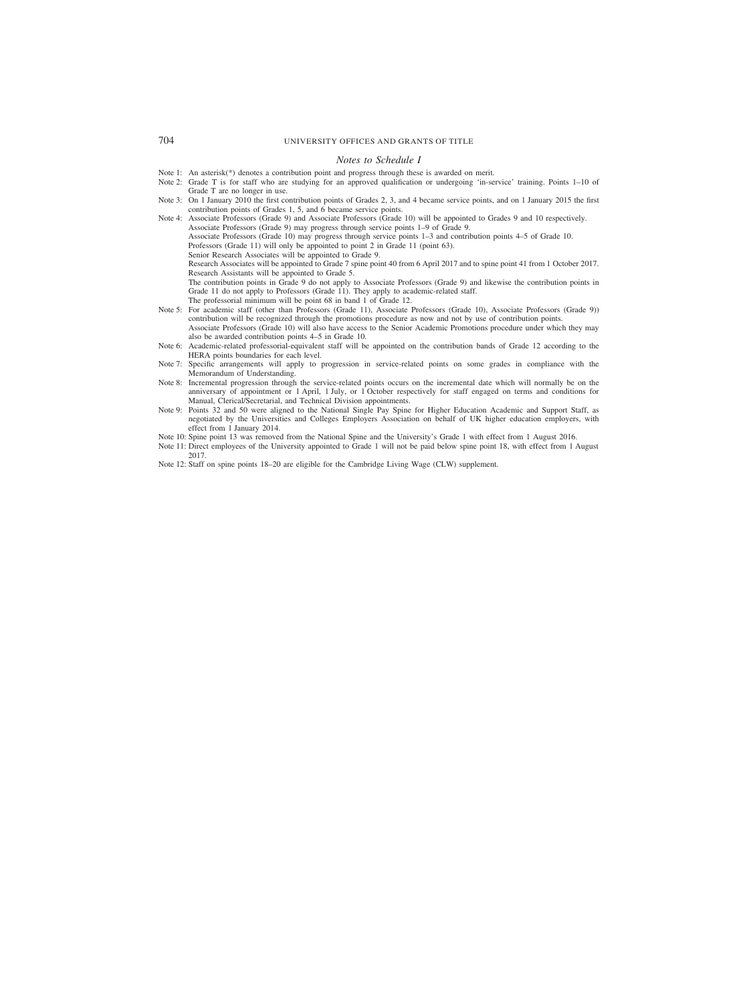#### *Notes to Schedule I*

- Note 1: An asterisk(\*) denotes a contribution point and progress through these is awarded on merit.
- Note 2: Grade T is for staff who are studying for an approved qualification or undergoing 'in-service' training. Points 1–10 of Grade T are no longer in use.
- Note 3: On 1 January 2010 the first contribution points of Grades 2, 3, and 4 became service points, and on 1 January 2015 the first contribution points of Grades 1, 5, and 6 became service points.

Note 4: Associate Professors (Grade 9) and Associate Professors (Grade 10) will be appointed to Grades 9 and 10 respectively. Associate Professors (Grade 9) may progress through service points 1–9 of Grade 9. Associate Professors (Grade 10) may progress through service points 1–3 and contribution points 4–5 of Grade 10. Professors (Grade 11) will only be appointed to point 2 in Grade 11 (point 63). Senior Research Associates will be appointed to Grade 9. Research Associates will be appointed to Grade 7 spine point 40 from 6 April 2017 and to spine point 41 from 1 October 2017.

Research Assistants will be appointed to Grade 5. The contribution points in Grade 9 do not apply to Associate Professors (Grade 9) and likewise the contribution points in Grade 11 do not apply to Professors (Grade 11). They apply to academic-related staff.

The professorial minimum will be point 68 in band 1 of Grade 12.

- Note 5: For academic staff (other than Professors (Grade 11), Associate Professors (Grade 10), Associate Professors (Grade 9)) contribution will be recognized through the promotions procedure as now and not by use of contribution points. Associate Professors (Grade 10) will also have access to the Senior Academic Promotions procedure under which they may also be awarded contribution points 4–5 in Grade 10.
- Note 6: Academic-related professorial-equivalent staff will be appointed on the contribution bands of Grade 12 according to the HERA points boundaries for each level.
- Note 7: Specific arrangements will apply to progression in service-related points on some grades in compliance with the Memorandum of Understanding.
- Note 8: Incremental progression through the service-related points occurs on the incremental date which will normally be on the anniversary of appointment or 1 April, 1 July, or 1 October respectively for staff engaged on terms and conditions for Manual, Clerical/Secretarial, and Technical Division appointments.
- Note 9: Points 32 and 50 were aligned to the National Single Pay Spine for Higher Education Academic and Support Staff, as negotiated by the Universities and Colleges Employers Association on behalf of UK higher education employers, with effect from 1 January 2014.
- Note 10: Spine point 13 was removed from the National Spine and the University's Grade 1 with effect from 1 August 2016.
- Note 11: Direct employees of the University appointed to Grade 1 will not be paid below spine point 18, with effect from 1 August 2017.
- Note 12: Staff on spine points 18–20 are eligible for the Cambridge Living Wage (CLW) supplement.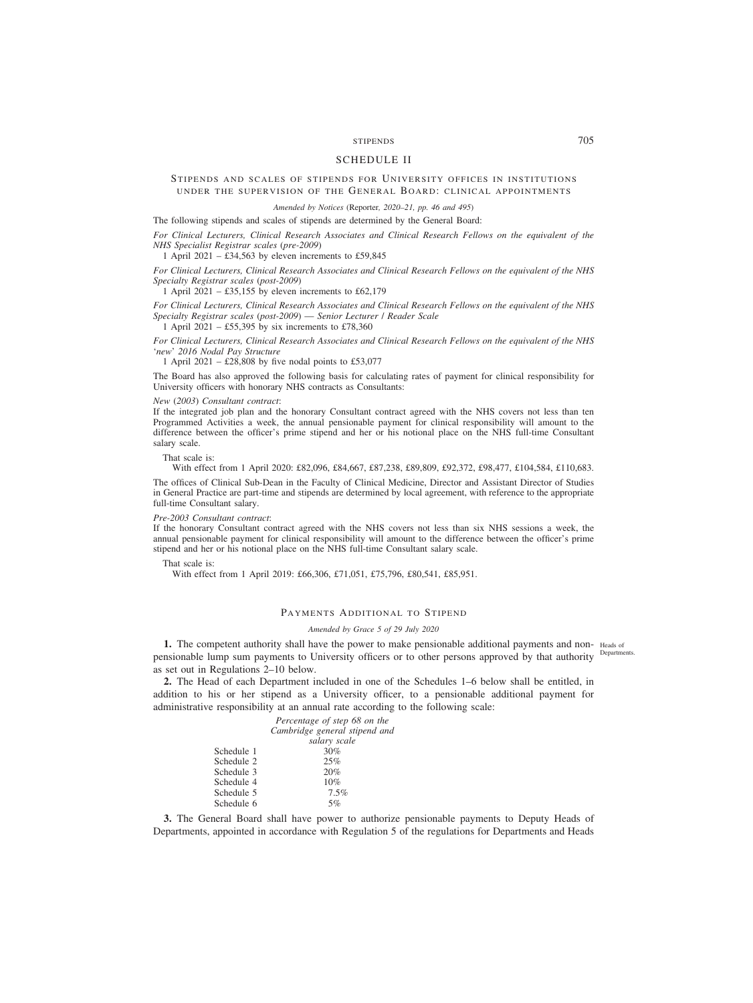# STIPENDS 705

# SCHEDULE II

# STIPENDS AND SCALES OF STIPENDS FOR UNIVERSITY OFFICES IN INSTITUTIONS UNDER THE SUPERVISION OF THE GENERAL BOARD: CLINICAL APPOINTMENTS

*Amended by Notices (*Reporter*, 2020–21, pp. 46 and 495)*

The following stipends and scales of stipends are determined by the General Board:

*For Clinical Lecturers, Clinical Research Associates and Clinical Research Fellows on the equivalent of the NHS Specialist Registrar scales* (*pre-2009*)

1 April 2021 –  $\text{\textsterling}34,563$  by eleven increments to £59,845

*For Clinical Lecturers, Clinical Research Associates and Clinical Research Fellows on the equivalent of the NHS Specialty Registrar scales* (*post-2009*)

1 April 2021 – £35,155 by eleven increments to £62,179

*For Clinical Lecturers, Clinical Research Associates and Clinical Research Fellows on the equivalent of the NHS Specialty Registrar scales* (*post-2009*) — *Senior Lecturer* / *Reader Scale*

1 April 2021 – £55,395 by six increments to £78,360

*For Clinical Lecturers, Clinical Research Associates and Clinical Research Fellows on the equivalent of the NHS* '*new*' *2016 Nodal Pay Structure*

1 April 2021 –  $\text{\pounds}28,808$  by five nodal points to £53,077

The Board has also approved the following basis for calculating rates of payment for clinical responsibility for University officers with honorary NHS contracts as Consultants:

#### *New* (*2003*) *Consultant contract*:

If the integrated job plan and the honorary Consultant contract agreed with the NHS covers not less than ten Programmed Activities a week, the annual pensionable payment for clinical responsibility will amount to the difference between the officer's prime stipend and her or his notional place on the NHS full-time Consultant salary scale.

That scale is:

With effect from 1 April 2020: £82,096, £84,667, £87,238, £89,809, £92,372, £98,477, £104,584, £110,683.

The offices of Clinical Sub-Dean in the Faculty of Clinical Medicine, Director and Assistant Director of Studies in General Practice are part-time and stipends are determined by local agreement, with reference to the appropriate full-time Consultant salary.

### *Pre-2003 Consultant contract*:

If the honorary Consultant contract agreed with the NHS covers not less than six NHS sessions a week, the annual pensionable payment for clinical responsibility will amount to the difference between the officer's prime stipend and her or his notional place on the NHS full-time Consultant salary scale.

### That scale is:

With effect from 1 April 2019: £66,306, £71,051, £75,796, £80,541, £85,951.

# PAYMENTS ADDITIONAL TO STIPEND

### *Amended by Grace 5 of 29 July 2020*

**1.** The competent authority shall have the power to make pensionable additional payments and non- Heads of pensionable lump sum payments to University officers or to other persons approved by that authority <sup>Departments.</sup> as set out in Regulations 2–10 below.

**2.** The Head of each Department included in one of the Schedules 1–6 below shall be entitled, in addition to his or her stipend as a University officer, to a pensionable additional payment for administrative responsibility at an annual rate according to the following scale:

|            | Percentage of step 68 on the  |
|------------|-------------------------------|
|            | Cambridge general stipend and |
|            | salary scale                  |
| Schedule 1 | 30%                           |
| Schedule 2 | 25%                           |
| Schedule 3 | 20%                           |
| Schedule 4 | 10%                           |
| Schedule 5 | 7.5%                          |
| Schedule 6 | 5%                            |

**3.** The General Board shall have power to authorize pensionable payments to Deputy Heads of Departments, appointed in accordance with Regulation 5 of the regulations for Departments and Heads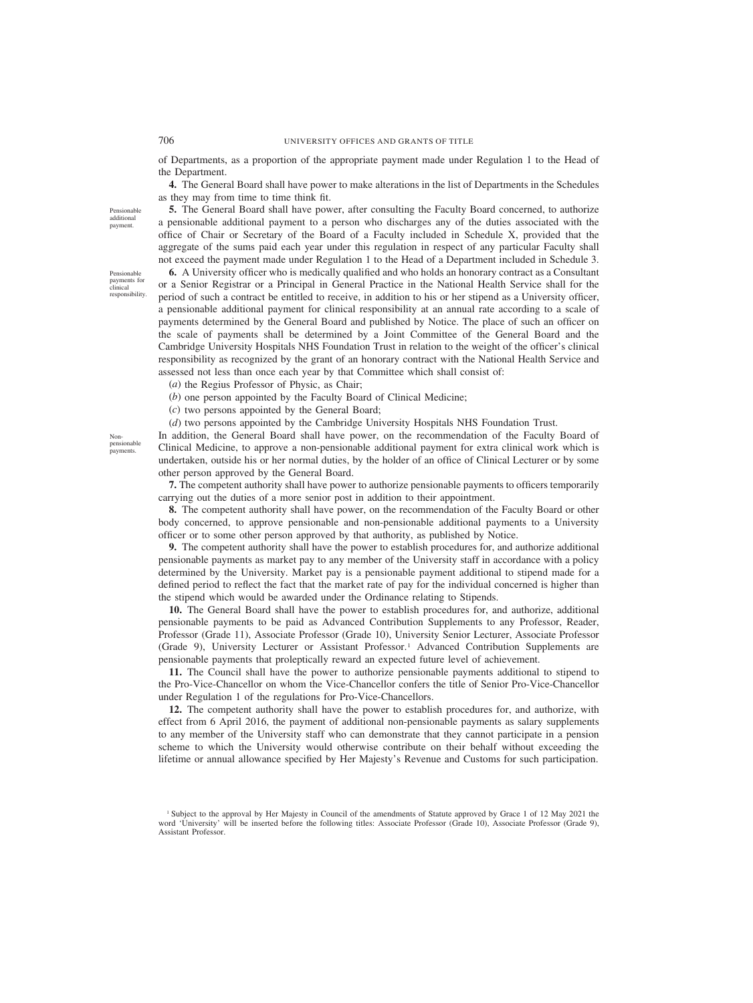of Departments, as a proportion of the appropriate payment made under Regulation 1 to the Head of the Department.

**4.** The General Board shall have power to make alterations in the list of Departments in the Schedules as they may from time to time think fit.

**5.** The General Board shall have power, after consulting the Faculty Board concerned, to authorize a pensionable additional payment to a person who discharges any of the duties associated with the office of Chair or Secretary of the Board of a Faculty included in Schedule X, provided that the aggregate of the sums paid each year under this regulation in respect of any particular Faculty shall not exceed the payment made under Regulation 1 to the Head of a Department included in Schedule 3.

**6.** A University officer who is medically qualified and who holds an honorary contract as a Consultant or a Senior Registrar or a Principal in General Practice in the National Health Service shall for the period of such a contract be entitled to receive, in addition to his or her stipend as a University officer, a pensionable additional payment for clinical responsibility at an annual rate according to a scale of payments determined by the General Board and published by Notice. The place of such an officer on the scale of payments shall be determined by a Joint Committee of the General Board and the Cambridge University Hospitals NHS Foundation Trust in relation to the weight of the officer's clinical responsibility as recognized by the grant of an honorary contract with the National Health Service and assessed not less than once each year by that Committee which shall consist of:

(*a*) the Regius Professor of Physic, as Chair;

(*b*) one person appointed by the Faculty Board of Clinical Medicine;

(*c*) two persons appointed by the General Board;

(*d*) two persons appointed by the Cambridge University Hospitals NHS Foundation Trust.

In addition, the General Board shall have power, on the recommendation of the Faculty Board of Clinical Medicine, to approve a non-pensionable additional payment for extra clinical work which is undertaken, outside his or her normal duties, by the holder of an office of Clinical Lecturer or by some other person approved by the General Board.

**7.** The competent authority shall have power to authorize pensionable payments to officers temporarily carrying out the duties of a more senior post in addition to their appointment.

**8.** The competent authority shall have power, on the recommendation of the Faculty Board or other body concerned, to approve pensionable and non-pensionable additional payments to a University officer or to some other person approved by that authority, as published by Notice.

**9.** The competent authority shall have the power to establish procedures for, and authorize additional pensionable payments as market pay to any member of the University staff in accordance with a policy determined by the University. Market pay is a pensionable payment additional to stipend made for a defined period to reflect the fact that the market rate of pay for the individual concerned is higher than the stipend which would be awarded under the Ordinance relating to Stipends.

**10.** The General Board shall have the power to establish procedures for, and authorize, additional pensionable payments to be paid as Advanced Contribution Supplements to any Professor, Reader, Professor (Grade 11), Associate Professor (Grade 10), University Senior Lecturer, Associate Professor (Grade 9), University Lecturer or Assistant Professor.1 Advanced Contribution Supplements are pensionable payments that proleptically reward an expected future level of achievement.

**11.** The Council shall have the power to authorize pensionable payments additional to stipend to the Pro-Vice-Chancellor on whom the Vice-Chancellor confers the title of Senior Pro-Vice-Chancellor under Regulation 1 of the regulations for Pro-Vice-Chancellors.

**12.** The competent authority shall have the power to establish procedures for, and authorize, with effect from 6 April 2016, the payment of additional non-pensionable payments as salary supplements to any member of the University staff who can demonstrate that they cannot participate in a pension scheme to which the University would otherwise contribute on their behalf without exceeding the lifetime or annual allowance specified by Her Majesty's Revenue and Customs for such participation.

Nonpensionable payments.

Pensionable additional payment.

Pensionable payments for clinical responsibility.

<sup>1</sup> Subject to the approval by Her Majesty in Council of the amendments of Statute approved by Grace 1 of 12 May 2021 the word 'University' will be inserted before the following titles: Associate Professor (Grade 10), Associate Professor (Grade 9), Assistant Professor.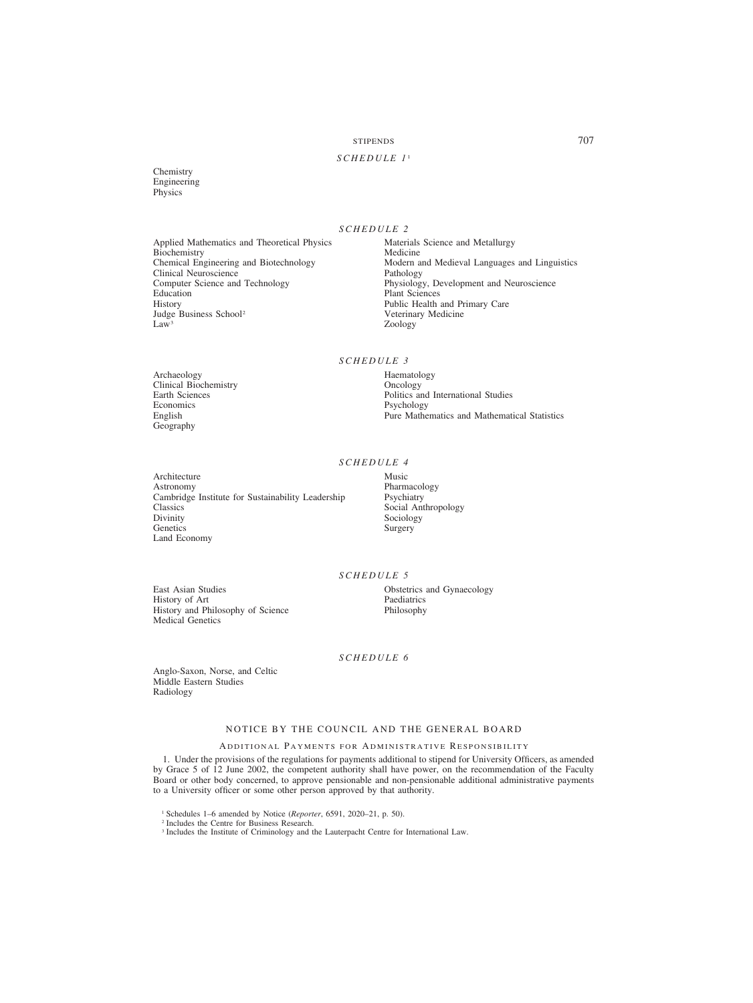# STIPENDS 707

# *SCHEDULE 1* <sup>1</sup>

**Chemistry** Engineering Physics

# *SCHEDULE 2*

Applied Mathematics and Theoretical Physics Materials Science and Metallurgy<br>Biochemistry Medicine Medicine Biochemistry<br>Chemical Engineering and Biotechnology Clinical Neuroscience<br>Computer Science and Technology Computer Science and Technology Physiology, Development and Neuroscience Education Plant Sciences<br>
History Public Health Judge Business School<sup>2</sup><br>Law<sup>3</sup>

Archaeology Haematology Haematology Haematology Haematology Haematology Haematology Clinical Biochemistry<br>Earth Sciences Economics Psychology<br>
English Pure Mathe

Geography

Modern and Medieval Languages and Linguistics<br>Pathology Public Health and Primary Care<br>Veterinary Medicine Zoology

*SCHEDULE 3*

Earth Sciences<br>
Economics<br>
Economics
Psychology
Psychology Pure Mathematics and Mathematical Statistics

# *SCHEDULE 4*

Architecture Music<br>Astronomy Pharm Cambridge Institute for Sustainability Leadership Classics Classics Social Anthropology<br>Divinity Sociology<br>Sociology Divinity Sociology<br>Genetics Surgery Land Economy

Pharmacology<br>Psychiatry Surgery

# *SCHEDULE 5*

East Asian Studies **Charles Containers** Obstetrics and Gynaecology History of Art History of Art Paediatrics<br>
History and Philosophy of Science Philosophy History and Philosophy of Science Medical Genetics

# *SCHEDULE 6*

Anglo-Saxon, Norse, and Celtic Middle Eastern Studies Radiology

# NOTICE BY THE COUNCIL AND THE GENERAL BOARD

# ADDITIONAL PAYMENTS FOR ADMINISTRATIVE RESPONSIBILITY

1. Under the provisions of the regulations for payments additional to stipend for University Officers, as amended by Grace 5 of 12 June 2002, the competent authority shall have power, on the recommendation of the Faculty Board or other body concerned, to approve pensionable and non-pensionable additional administrative payments to a University officer or some other person approved by that authority.

<sup>2</sup> Includes the Centre for Business Research.

<sup>3</sup> Includes the Institute of Criminology and the Lauterpacht Centre for International Law.

<sup>1</sup> Schedules 1–6 amended by Notice (*Reporter*, 6591, 2020–21, p. 50).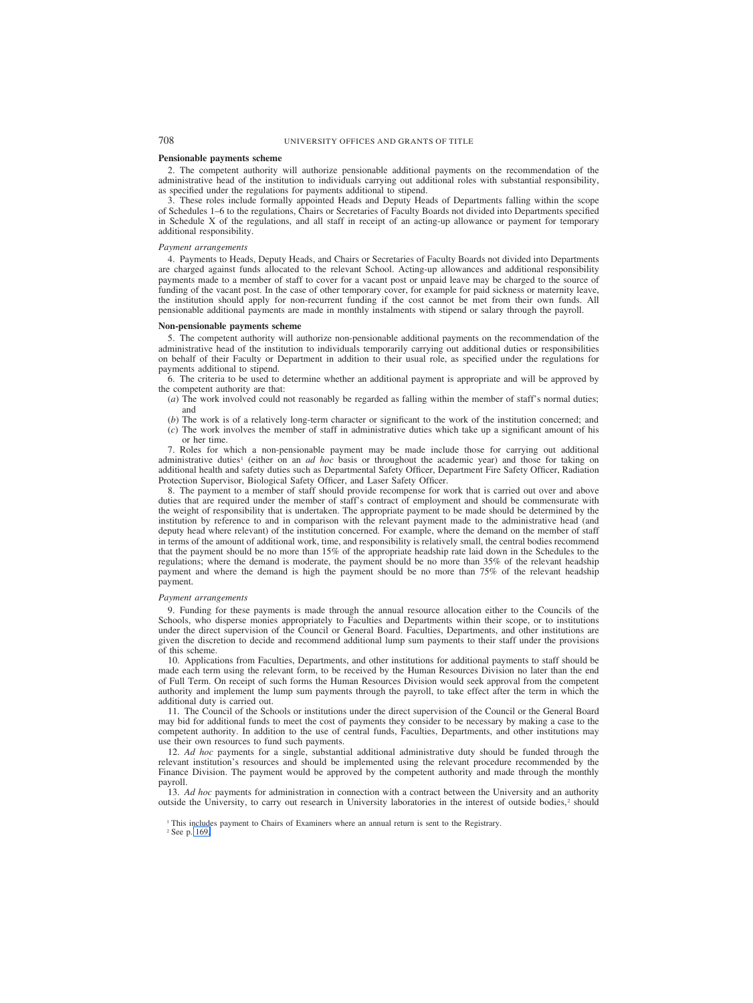#### **Pensionable payments scheme**

2. The competent authority will authorize pensionable additional payments on the recommendation of the administrative head of the institution to individuals carrying out additional roles with substantial responsibility, as specified under the regulations for payments additional to stipend.

3. These roles include formally appointed Heads and Deputy Heads of Departments falling within the scope of Schedules 1–6 to the regulations, Chairs or Secretaries of Faculty Boards not divided into Departments specified in Schedule X of the regulations, and all staff in receipt of an acting-up allowance or payment for temporary additional responsibility.

### *Payment arrangements*

4. Payments to Heads, Deputy Heads, and Chairs or Secretaries of Faculty Boards not divided into Departments are charged against funds allocated to the relevant School. Acting-up allowances and additional responsibility payments made to a member of staff to cover for a vacant post or unpaid leave may be charged to the source of funding of the vacant post. In the case of other temporary cover, for example for paid sickness or maternity leave, the institution should apply for non-recurrent funding if the cost cannot be met from their own funds. All pensionable additional payments are made in monthly instalments with stipend or salary through the payroll.

#### **Non-pensionable payments scheme**

5. The competent authority will authorize non-pensionable additional payments on the recommendation of the administrative head of the institution to individuals temporarily carrying out additional duties or responsibilities on behalf of their Faculty or Department in addition to their usual role, as specified under the regulations for payments additional to stipend.

6. The criteria to be used to determine whether an additional payment is appropriate and will be approved by the competent authority are that:

- (*a*) The work involved could not reasonably be regarded as falling within the member of staff's normal duties; and
- (*b*) The work is of a relatively long-term character or significant to the work of the institution concerned; and
- (*c*) The work involves the member of staff in administrative duties which take up a significant amount of his or her time.

7. Roles for which a non-pensionable payment may be made include those for carrying out additional administrative duties<sup>1</sup> (either on an *ad hoc* basis or throughout the academic year) and those for taking on additional health and safety duties such as Departmental Safety Officer, Department Fire Safety Officer, Radiation Protection Supervisor, Biological Safety Officer, and Laser Safety Officer.

8. The payment to a member of staff should provide recompense for work that is carried out over and above duties that are required under the member of staff's contract of employment and should be commensurate with the weight of responsibility that is undertaken. The appropriate payment to be made should be determined by the institution by reference to and in comparison with the relevant payment made to the administrative head (and deputy head where relevant) of the institution concerned. For example, where the demand on the member of staff in terms of the amount of additional work, time, and responsibility is relatively small, the central bodies recommend that the payment should be no more than 15% of the appropriate headship rate laid down in the Schedules to the regulations; where the demand is moderate, the payment should be no more than 35% of the relevant headship payment and where the demand is high the payment should be no more than 75% of the relevant headship payment.

### *Payment arrangements*

9. Funding for these payments is made through the annual resource allocation either to the Councils of the Schools, who disperse monies appropriately to Faculties and Departments within their scope, or to institutions under the direct supervision of the Council or General Board. Faculties, Departments, and other institutions are given the discretion to decide and recommend additional lump sum payments to their staff under the provisions of this scheme.

10. Applications from Faculties, Departments, and other institutions for additional payments to staff should be made each term using the relevant form, to be received by the Human Resources Division no later than the end of Full Term. On receipt of such forms the Human Resources Division would seek approval from the competent authority and implement the lump sum payments through the payroll, to take effect after the term in which the additional duty is carried out.

11. The Council of the Schools or institutions under the direct supervision of the Council or the General Board may bid for additional funds to meet the cost of payments they consider to be necessary by making a case to the competent authority. In addition to the use of central funds, Faculties, Departments, and other institutions may use their own resources to fund such payments.

12. *Ad hoc* payments for a single, substantial additional administrative duty should be funded through the relevant institution's resources and should be implemented using the relevant procedure recommended by the Finance Division. The payment would be approved by the competent authority and made through the monthly payroll.

13. *Ad hoc* payments for administration in connection with a contract between the University and an authority outside the University, to carry out research in University laboratories in the interest of outside bodies,<sup>2</sup> should

<sup>1</sup> This includes payment to Chairs of Examiners where an annual return is sent to the Registrary.

<sup>2</sup> See p. 169.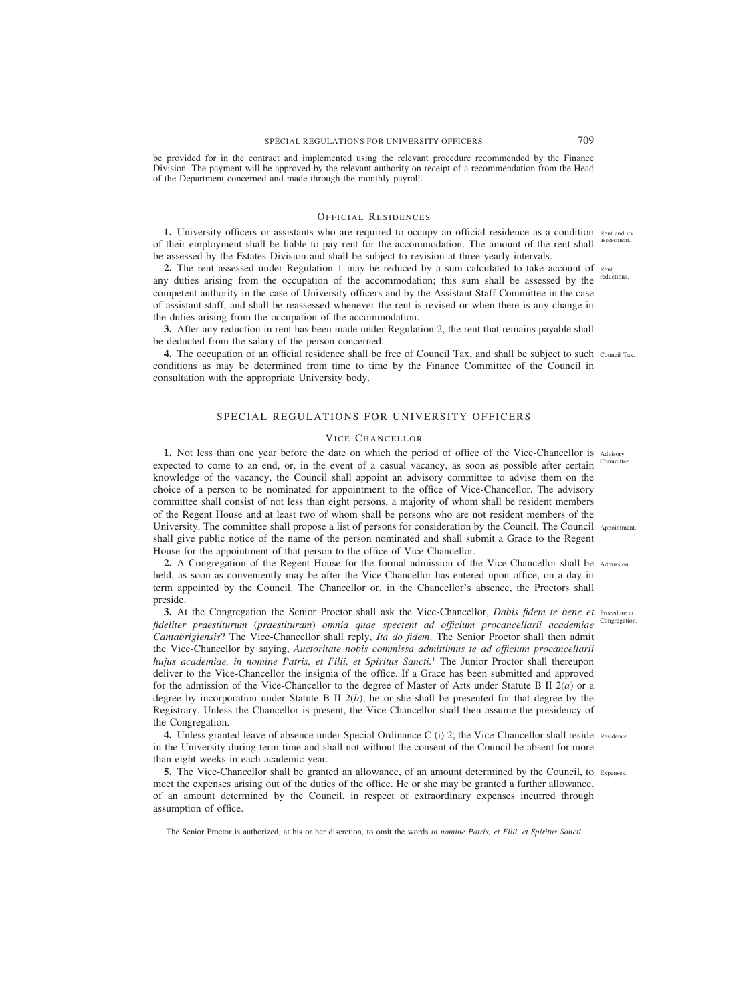be provided for in the contract and implemented using the relevant procedure recommended by the Finance Division. The payment will be approved by the relevant authority on receipt of a recommendation from the Head of the Department concerned and made through the monthly payroll.

# OFFICIAL RESIDENCES

**1.** University officers or assistants who are required to occupy an official residence as a condition Rent and its of their employment shall be liable to pay rent for the accommodation. The amount of the rent shall assessment. be assessed by the Estates Division and shall be subject to revision at three-yearly intervals.

**2.** The rent assessed under Regulation 1 may be reduced by a sum calculated to take account of Rent any duties arising from the occupation of the accommodation; this sum shall be assessed by the reductions. competent authority in the case of University officers and by the Assistant Staff Committee in the case of assistant staff, and shall be reassessed whenever the rent is revised or when there is any change in the duties arising from the occupation of the accommodation.

**3.** After any reduction in rent has been made under Regulation 2, the rent that remains payable shall be deducted from the salary of the person concerned.

**4.** The occupation of an official residence shall be free of Council Tax, and shall be subject to such Council Tax. conditions as may be determined from time to time by the Finance Committee of the Council in consultation with the appropriate University body.

# SPECIAL REGULATIONS FOR UNIVERSITY OFFICERS

### VICE-CHANCELLOR

**1.** Not less than one year before the date on which the period of office of the Vice-Chancellor is Advisory expected to come to an end, or, in the event of a casual vacancy, as soon as possible after certain knowledge of the vacancy, the Council shall appoint an advisory committee to advise them on the choice of a person to be nominated for appointment to the office of Vice-Chancellor. The advisory committee shall consist of not less than eight persons, a majority of whom shall be resident members of the Regent House and at least two of whom shall be persons who are not resident members of the University. The committee shall propose a list of persons for consideration by the Council. The Council Appointment. shall give public notice of the name of the person nominated and shall submit a Grace to the Regent House for the appointment of that person to the office of Vice-Chancellor. Committee.

**2.** A Congregation of the Regent House for the formal admission of the Vice-Chancellor shall be Admission. held, as soon as conveniently may be after the Vice-Chancellor has entered upon office, on a day in term appointed by the Council. The Chancellor or, in the Chancellor's absence, the Proctors shall preside.

**3.** At the Congregation the Senior Proctor shall ask the Vice-Chancellor, *Dabis fidem te bene et* Procedure at *fideliter praestiturum* (*praestituram*) *omnia quae spectent ad officium procancellarii academiae Cantabrigiensis*? The Vice-Chancellor shall reply, *Ita do fidem*. The Senior Proctor shall then admit the Vice-Chancellor by saying, *Auctoritate nobis commissa admittimus te ad officium procancellarii hujus academiae, in nomine Patris, et Filii, et Spiritus Sancti.*<sup>1</sup> The Junior Proctor shall thereupon deliver to the Vice-Chancellor the insignia of the office. If a Grace has been submitted and approved for the admission of the Vice-Chancellor to the degree of Master of Arts under Statute B II 2(*a*) or a degree by incorporation under Statute B II 2(*b*), he or she shall be presented for that degree by the Registrary. Unless the Chancellor is present, the Vice-Chancellor shall then assume the presidency of the Congregation. Congregation.

4. Unless granted leave of absence under Special Ordinance C (i) 2, the Vice-Chancellor shall reside Residence. in the University during term-time and shall not without the consent of the Council be absent for more than eight weeks in each academic year.

**5.** The Vice-Chancellor shall be granted an allowance, of an amount determined by the Council, to Expenses. meet the expenses arising out of the duties of the office. He or she may be granted a further allowance, of an amount determined by the Council, in respect of extraordinary expenses incurred through assumption of office.

<sup>1</sup> The Senior Proctor is authorized, at his or her discretion, to omit the words *in nomine Patris, et Filii, et Spiritus Sancti*.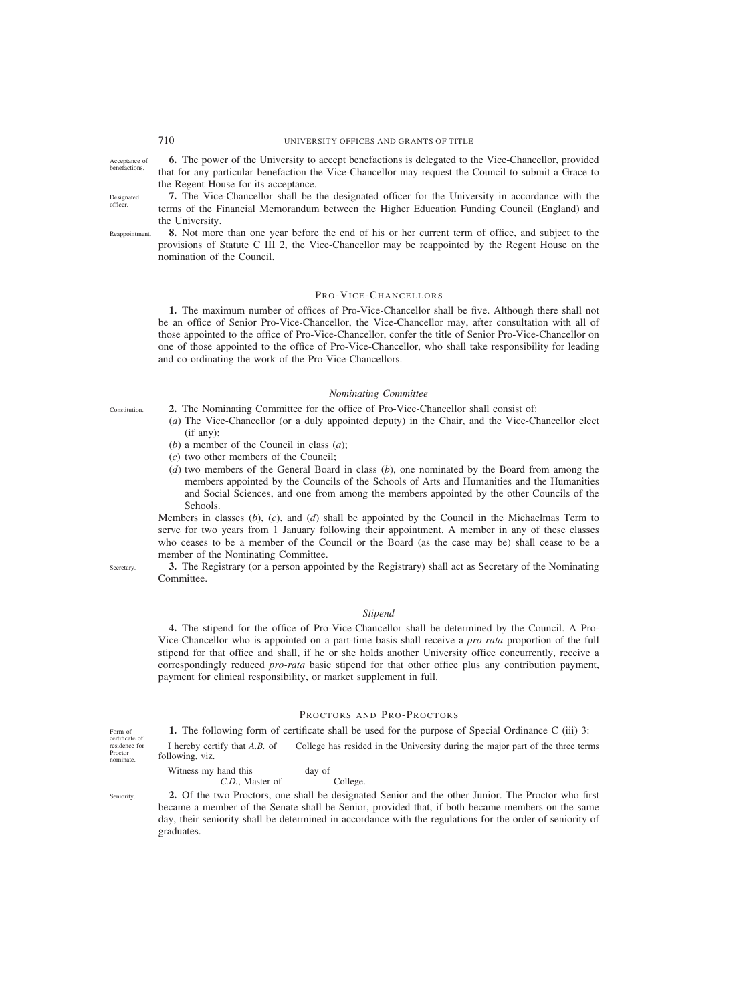Acceptance of benefactions.

Designated officer.

**Constitution** 

**Secretary** 

**6.** The power of the University to accept benefactions is delegated to the Vice-Chancellor, provided that for any particular benefaction the Vice-Chancellor may request the Council to submit a Grace to the Regent House for its acceptance.

**7.** The Vice-Chancellor shall be the designated officer for the University in accordance with the terms of the Financial Memorandum between the Higher Education Funding Council (England) and the University.

**8.** Not more than one year before the end of his or her current term of office, and subject to the provisions of Statute C III 2, the Vice-Chancellor may be reappointed by the Regent House on the nomination of the Council. Reappointment.

### PRO-VICE-CHANCELLORS

**1.** The maximum number of offices of Pro-Vice-Chancellor shall be five. Although there shall not be an office of Senior Pro-Vice-Chancellor, the Vice-Chancellor may, after consultation with all of those appointed to the office of Pro-Vice-Chancellor, confer the title of Senior Pro-Vice-Chancellor on one of those appointed to the office of Pro-Vice-Chancellor, who shall take responsibility for leading and co-ordinating the work of the Pro-Vice-Chancellors.

### *Nominating Committee*

- **2.** The Nominating Committee for the office of Pro-Vice-Chancellor shall consist of:
- (*a*) The Vice-Chancellor (or a duly appointed deputy) in the Chair, and the Vice-Chancellor elect (if any);
- (*b*) a member of the Council in class (*a*);
- (*c*) two other members of the Council;
- (*d*) two members of the General Board in class (*b*), one nominated by the Board from among the members appointed by the Councils of the Schools of Arts and Humanities and the Humanities and Social Sciences, and one from among the members appointed by the other Councils of the Schools.

Members in classes (*b*), (*c*), and (*d*) shall be appointed by the Council in the Michaelmas Term to serve for two years from 1 January following their appointment. A member in any of these classes who ceases to be a member of the Council or the Board (as the case may be) shall cease to be a member of the Nominating Committee.

**3.** The Registrary (or a person appointed by the Registrary) shall act as Secretary of the Nominating Committee.

# *Stipend*

**4.** The stipend for the office of Pro-Vice-Chancellor shall be determined by the Council. A Pro-Vice-Chancellor who is appointed on a part-time basis shall receive a *pro-rata* proportion of the full stipend for that office and shall, if he or she holds another University office concurrently, receive a correspondingly reduced *pro-rata* basic stipend for that other office plus any contribution payment, payment for clinical responsibility, or market supplement in full.

## PROCTORS AND PRO-PROCTORS

**1.** The following form of certificate shall be used for the purpose of Special Ordinance C (iii) 3:

I hereby certify that *A.B.* of College has resided in the University during the major part of the three terms following, viz.

Witness my hand this day of *C.D.*, Master of College.

**2.** Of the two Proctors, one shall be designated Senior and the other Junior. The Proctor who first became a member of the Senate shall be Senior, provided that, if both became members on the same day, their seniority shall be determined in accordance with the regulations for the order of seniority of graduates.

Form of certificate of residence for Proctor nominate.

Seniority.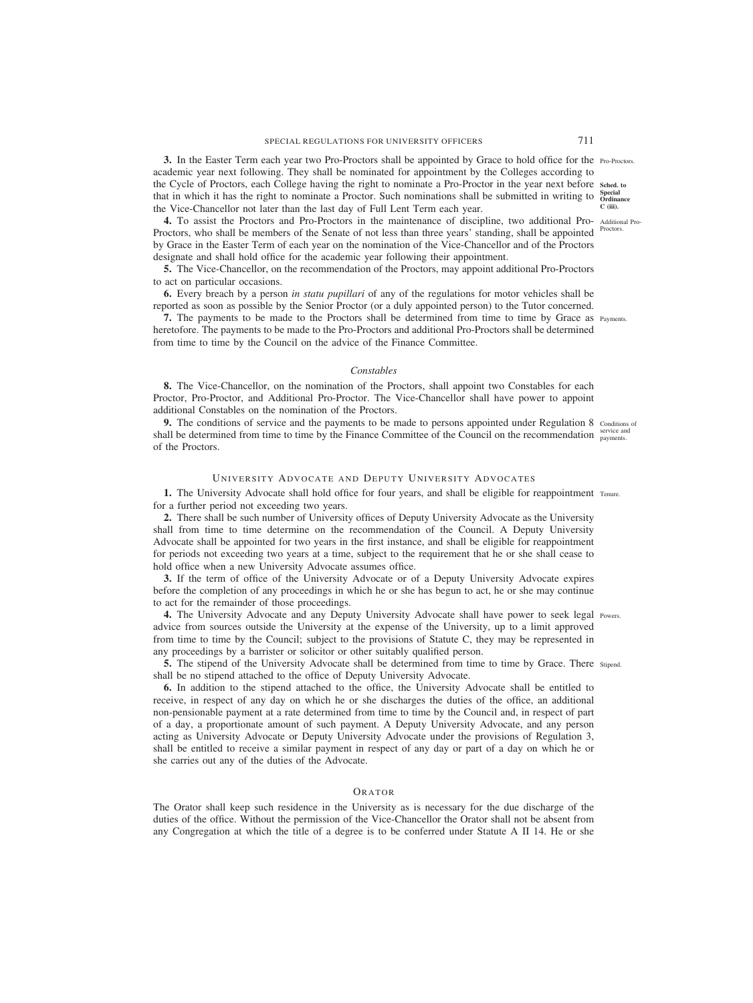**3.** In the Easter Term each year two Pro-Proctors shall be appointed by Grace to hold office for the Pro-Proctors. academic year next following. They shall be nominated for appointment by the Colleges according to the Cycle of Proctors, each College having the right to nominate a Pro-Proctor in the year next before **Sched. to** that in which it has the right to nominate a Proctor. Such nominations shall be submitted in writing to Special the Vice-Chancellor not later than the last day of Full Lent Term each year.

**4.** To assist the Proctors and Pro-Proctors in the maintenance of discipline, two additional Pro-Additional Pro-Proctors, who shall be members of the Senate of not less than three years' standing, shall be appointed by Grace in the Easter Term of each year on the nomination of the Vice-Chancellor and of the Proctors designate and shall hold office for the academic year following their appointment.

**5.** The Vice-Chancellor, on the recommendation of the Proctors, may appoint additional Pro-Proctors to act on particular occasions.

**6.** Every breach by a person *in statu pupillari* of any of the regulations for motor vehicles shall be reported as soon as possible by the Senior Proctor (or a duly appointed person) to the Tutor concerned.

**7.** The payments to be made to the Proctors shall be determined from time to time by Grace as Payments. heretofore. The payments to be made to the Pro-Proctors and additional Pro-Proctors shall be determined from time to time by the Council on the advice of the Finance Committee.

## *Constables*

**8.** The Vice-Chancellor, on the nomination of the Proctors, shall appoint two Constables for each Proctor, Pro-Proctor, and Additional Pro-Proctor. The Vice-Chancellor shall have power to appoint additional Constables on the nomination of the Proctors.

**9.** The conditions of service and the payments to be made to persons appointed under Regulation 8 conditions of shall be determined from time to time by the Finance Committee of the Council on the recommendation service and of the Proctors.

# UNIVERSITY ADVOCATE AND DEPUTY UNIVERSITY ADVOCATES

**1.** The University Advocate shall hold office for four years, and shall be eligible for reappointment Tenure. for a further period not exceeding two years.

**2.** There shall be such number of University offices of Deputy University Advocate as the University shall from time to time determine on the recommendation of the Council. A Deputy University Advocate shall be appointed for two years in the first instance, and shall be eligible for reappointment for periods not exceeding two years at a time, subject to the requirement that he or she shall cease to hold office when a new University Advocate assumes office.

**3.** If the term of office of the University Advocate or of a Deputy University Advocate expires before the completion of any proceedings in which he or she has begun to act, he or she may continue to act for the remainder of those proceedings.

**4.** The University Advocate and any Deputy University Advocate shall have power to seek legal Powers. advice from sources outside the University at the expense of the University, up to a limit approved from time to time by the Council; subject to the provisions of Statute C, they may be represented in any proceedings by a barrister or solicitor or other suitably qualified person.

**5.** The stipend of the University Advocate shall be determined from time to time by Grace. There stipend. shall be no stipend attached to the office of Deputy University Advocate.

**6.** In addition to the stipend attached to the office, the University Advocate shall be entitled to receive, in respect of any day on which he or she discharges the duties of the office, an additional non-pensionable payment at a rate determined from time to time by the Council and, in respect of part of a day, a proportionate amount of such payment. A Deputy University Advocate, and any person acting as University Advocate or Deputy University Advocate under the provisions of Regulation 3, shall be entitled to receive a similar payment in respect of any day or part of a day on which he or she carries out any of the duties of the Advocate.

## ORATOR

The Orator shall keep such residence in the University as is necessary for the due discharge of the duties of the office. Without the permission of the Vice-Chancellor the Orator shall not be absent from any Congregation at which the title of a degree is to be conferred under Statute A II 14. He or she

**C (iii).**

Proctors.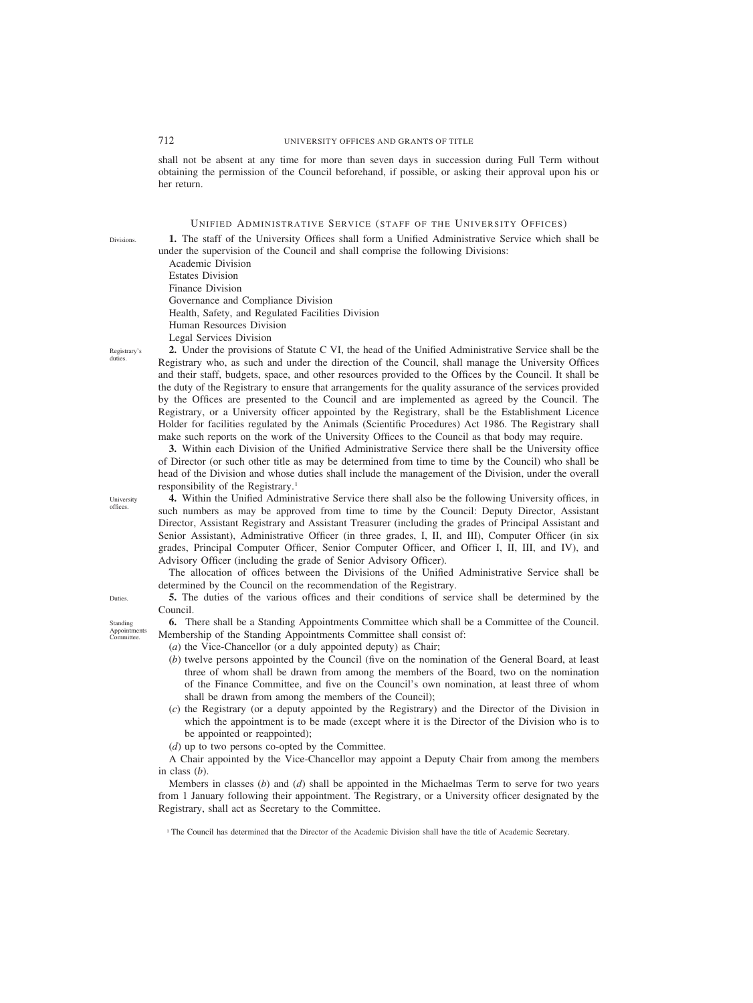<span id="page-21-0"></span>shall not be absent at any time for more than seven days in succession during Full Term without obtaining the permission of the Council beforehand, if possible, or asking their approval upon his or her return.

# UNIFIED ADMINISTRATIVE SERVICE (STAFF OF THE UNIVERSITY OFFICES)

**1.** The staff of the University Offices shall form a Unified Administrative Service which shall be under the supervision of the Council and shall comprise the following Divisions:

Academic Division Estates Division Finance Division Governance and Compliance Division Health, Safety, and Regulated Facilities Division Human Resources Division Legal Services Division

Registrary's duties.

Divisions.

**2.** Under the provisions of Statute C VI, the head of the Unified Administrative Service shall be the Registrary who, as such and under the direction of the Council, shall manage the University Offices and their staff, budgets, space, and other resources provided to the Offices by the Council. It shall be the duty of the Registrary to ensure that arrangements for the quality assurance of the services provided by the Offices are presented to the Council and are implemented as agreed by the Council. The Registrary, or a University officer appointed by the Registrary, shall be the Establishment Licence Holder for facilities regulated by the Animals (Scientific Procedures) Act 1986. The Registrary shall make such reports on the work of the University Offices to the Council as that body may require.

**3.** Within each Division of the Unified Administrative Service there shall be the University office of Director (or such other title as may be determined from time to time by the Council) who shall be head of the Division and whose duties shall include the management of the Division, under the overall responsibility of the Registrary.1

**4.** Within the Unified Administrative Service there shall also be the following University offices, in such numbers as may be approved from time to time by the Council: Deputy Director, Assistant Director, Assistant Registrary and Assistant Treasurer (including the grades of Principal Assistant and Senior Assistant), Administrative Officer (in three grades, I, II, and III), Computer Officer (in six grades, Principal Computer Officer, Senior Computer Officer, and Officer I, II, III, and IV), and Advisory Officer (including the grade of Senior Advisory Officer).

The allocation of offices between the Divisions of the Unified Administrative Service shall be determined by the Council on the recommendation of the Registrary.

**5.** The duties of the various offices and their conditions of service shall be determined by the Council.

**6.** There shall be a Standing Appointments Committee which shall be a Committee of the Council. Membership of the Standing Appointments Committee shall consist of:

- (*a*) the Vice-Chancellor (or a duly appointed deputy) as Chair;
- (*b*) twelve persons appointed by the Council (five on the nomination of the General Board, at least three of whom shall be drawn from among the members of the Board, two on the nomination of the Finance Committee, and five on the Council's own nomination, at least three of whom shall be drawn from among the members of the Council);
- (*c*) the Registrary (or a deputy appointed by the Registrary) and the Director of the Division in which the appointment is to be made (except where it is the Director of the Division who is to be appointed or reappointed);
- (*d*) up to two persons co-opted by the Committee.

A Chair appointed by the Vice-Chancellor may appoint a Deputy Chair from among the members in class (*b*).

Members in classes (*b*) and (*d*) shall be appointed in the Michaelmas Term to serve for two years from 1 January following their appointment. The Registrary, or a University officer designated by the Registrary, shall act as Secretary to the Committee.

<sup>1</sup> The Council has determined that the Director of the Academic Division shall have the title of Academic Secretary.

**Duties** 

University offices.

Standing Appointments Committee.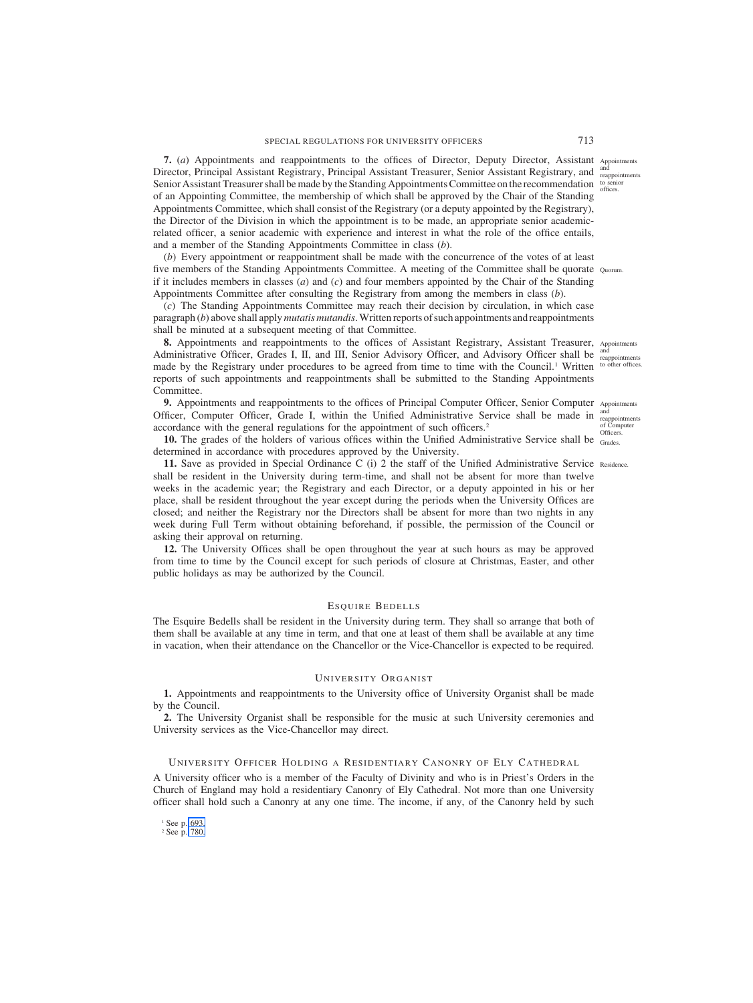<span id="page-22-0"></span>**7.** (*a*) Appointments and reappointments to the offices of Director, Deputy Director, Assistant Appointments Director, Principal Assistant Registrary, Principal Assistant Treasurer, Senior Assistant Registrary, and <sup>and</sup> reappointments Senior Assistant Treasurer shall be made by the Standing Appointments Committee on the recommendation to senior offices. of an Appointing Committee, the membership of which shall be approved by the Chair of the Standing Appointments Committee, which shall consist of the Registrary (or a deputy appointed by the Registrary), the Director of the Division in which the appointment is to be made, an appropriate senior academicrelated officer, a senior academic with experience and interest in what the role of the office entails, and a member of the Standing Appointments Committee in class (*b*).

(*b*) Every appointment or reappointment shall be made with the concurrence of the votes of at least five members of the Standing Appointments Committee. A meeting of the Committee shall be quorate Quorum. if it includes members in classes (*a*) and (*c*) and four members appointed by the Chair of the Standing Appointments Committee after consulting the Registrary from among the members in class (*b*).

(*c*) The Standing Appointments Committee may reach their decision by circulation, in which case paragraph (*b*) above shall apply *mutatis mutandis*.Written reports of such appointments and reappointments shall be minuted at a subsequent meeting of that Committee.

8. Appointments and reappointments to the offices of Assistant Registrary, Assistant Treasurer, Appointments Administrative Officer, Grades I, II, and III, Senior Advisory Officer, and Advisory Officer shall be <sup>and</sup> reappointments made by the Registrary under procedures to be agreed from time to time with the Council.<sup>1</sup> Written <sup>to other offices.</sup> reports of such appointments and reappointments shall be submitted to the Standing Appointments Committee.

**9.** Appointments and reappointments to the offices of Principal Computer Officer, Senior Computer Appointments Officer, Computer Officer, Grade I, within the Unified Administrative Service shall be made in accordance with the general regulations for the appointment of such officers.2

**10.** The grades of the holders of various offices within the Unified Administrative Service shall be Grades. determined in accordance with procedures approved by the University.

**11.** Save as provided in Special Ordinance C (i) 2 the staff of the Unified Administrative Service Residence. shall be resident in the University during term-time, and shall not be absent for more than twelve weeks in the academic year; the Registrary and each Director, or a deputy appointed in his or her place, shall be resident throughout the year except during the periods when the University Offices are closed; and neither the Registrary nor the Directors shall be absent for more than two nights in any week during Full Term without obtaining beforehand, if possible, the permission of the Council or asking their approval on returning.

**12.** The University Offices shall be open throughout the year at such hours as may be approved from time to time by the Council except for such periods of closure at Christmas, Easter, and other public holidays as may be authorized by the Council.

### ESQUIRE BEDELLS

The Esquire Bedells shall be resident in the University during term. They shall so arrange that both of them shall be available at any time in term, and that one at least of them shall be available at any time in vacation, when their attendance on the Chancellor or the Vice-Chancellor is expected to be required.

# UNIVERSITY ORGANIST

**1.** Appointments and reappointments to the University office of University Organist shall be made by the Council.

**2.** The University Organist shall be responsible for the music at such University ceremonies and University services as the Vice-Chancellor may direct.

### UNIVERSITY OFFICER HOLDING A RESIDENTIARY CANONRY OF ELY CATHEDRAL

A University officer who is a member of the Faculty of Divinity and who is in Priest's Orders in the Church of England may hold a residentiary Canonry of Ely Cathedral. Not more than one University officer shall hold such a Canonry at any one time. The income, if any, of the Canonry held by such

<sup>1</sup> See p. [693.](#page-2-0)

<sup>2</sup> See p. [780.](#page-89-0)

and reappointments of Computer Officers.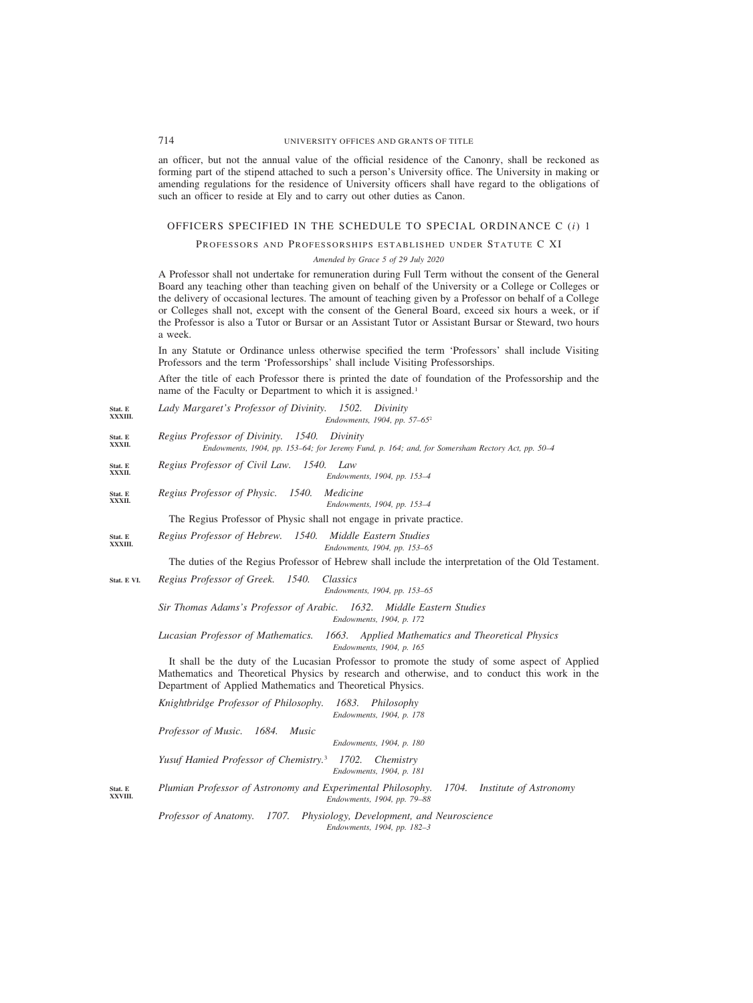an officer, but not the annual value of the official residence of the Canonry, shall be reckoned as forming part of the stipend attached to such a person's University office. The University in making or amending regulations for the residence of University officers shall have regard to the obligations of such an officer to reside at Ely and to carry out other duties as Canon.

### OFFICERS SPECIFIED IN THE SCHEDULE TO SPECIAL ORDINANCE C (*i*) 1

PROFESSORS AND PROFESSORSHIPS ESTABLISHED UNDER STATUTE C XI

*Amended by Grace 5 of 29 July 2020*

A Professor shall not undertake for remuneration during Full Term without the consent of the General Board any teaching other than teaching given on behalf of the University or a College or Colleges or the delivery of occasional lectures. The amount of teaching given by a Professor on behalf of a College or Colleges shall not, except with the consent of the General Board, exceed six hours a week, or if the Professor is also a Tutor or Bursar or an Assistant Tutor or Assistant Bursar or Steward, two hours a week.

In any Statute or Ordinance unless otherwise specified the term 'Professors' shall include Visiting Professors and the term 'Professorships' shall include Visiting Professorships.

After the title of each Professor there is printed the date of foundation of the Professorship and the name of the Faculty or Department to which it is assigned.<sup>1</sup>

*Lady Margaret's Professor of Divinity. 1502. Divinity Endowments, 1904, pp. 57–65*<sup>2</sup> **Stat. E XXXIII.**

- *Regius Professor of Divinity. 1540. Divinity Endowments, 1904, pp. 153–64; for Jeremy Fund, p. 164; and, for Somersham Rectory Act, pp. 50–4* **Stat. E XXXII.**
- *Regius Professor of Civil Law. 1540. Law* **Stat. E XXXII.**

*Endowments, 1904, pp. 153–4*

*Regius Professor of Physic. 1540. Medicine Endowments, 1904, pp. 153–4* **Stat. E XXXII.**

The Regius Professor of Physic shall not engage in private practice.

*Regius Professor of Hebrew. 1540. Middle Eastern Studies Endowments, 1904, pp. 153–65* **Stat. E XXXIII.**

The duties of the Regius Professor of Hebrew shall include the interpretation of the Old Testament.

*Regius Professor of Greek. 1540. Classics* **Stat. E VI.**

*Endowments, 1904, pp. 153–65*

*Sir Thomas Adams's Professor of Arabic. 1632. Middle Eastern Studies Endowments, 1904, p. 172*

*Lucasian Professor of Mathematics. 1663. Applied Mathematics and Theoretical Physics Endowments, 1904, p. 165*

It shall be the duty of the Lucasian Professor to promote the study of some aspect of Applied Mathematics and Theoretical Physics by research and otherwise, and to conduct this work in the Department of Applied Mathematics and Theoretical Physics.

|                    | 1683. Philosophy<br>Knightbridge Professor of Philosophy.<br>Endowments, 1904, p. 178                                   |
|--------------------|-------------------------------------------------------------------------------------------------------------------------|
|                    | <i>Professor of Music.</i> 1684.<br><i>Music</i><br>Endowments, 1904, p. 180                                            |
|                    | Yusuf Hamied Professor of Chemistry. <sup>3</sup> 1702. Chemistry<br>Endowments, 1904, p. 181                           |
| Stat. E<br>XXVIII. | Plumian Professor of Astronomy and Experimental Philosophy. 1704. Institute of Astronomy<br>Endowments, 1904, pp. 79–88 |
|                    | Professor of Anatomy. 1707. Physiology, Development, and Neuroscience                                                   |

*Endowments, 1904, pp. 182–3*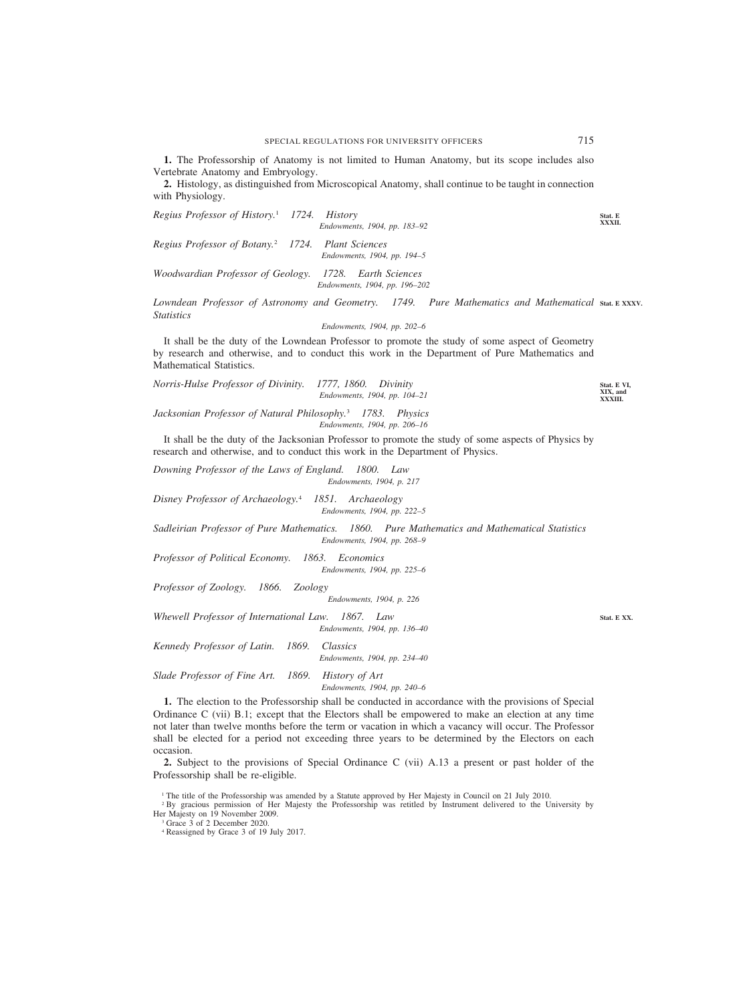**1.** The Professorship of Anatomy is not limited to Human Anatomy, but its scope includes also Vertebrate Anatomy and Embryology.

**2.** Histology, as distinguished from Microscopical Anatomy, shall continue to be taught in connection with Physiology.

*Endowments, 1904, pp. 183–92 Regius Professor of Botany.*<sup>2</sup> *1724. Plant Sciences Endowments, 1904, pp. 194–5*

*Regius Professor of History.*<sup>1</sup> *1724. History*

*Woodwardian Professor of Geology. 1728. Earth Sciences Endowments, 1904, pp. 196–202*

Lowndean Professor of Astronomy and Geometry. 1749. *Statistics* Pure Mathematics and Mathematical stat. E XXXV.

*Endowments, 1904, pp. 202–6*

It shall be the duty of the Lowndean Professor to promote the study of some aspect of Geometry by research and otherwise, and to conduct this work in the Department of Pure Mathematics and Mathematical Statistics.

*Norris-Hulse Professor of Divinity. 1777, 1860. Divinity Endowments, 1904, pp. 104–21* **Stat. E VI, XIX, and XXXIII.**

*Jacksonian Professor of Natural Philosophy.*<sup>3</sup> *1783. Physics Endowments, 1904, pp. 206–16*

It shall be the duty of the Jacksonian Professor to promote the study of some aspects of Physics by research and otherwise, and to conduct this work in the Department of Physics.

*Downing Professor of the Laws of England. 1800. Law Endowments, 1904, p. 217*

*Disney Professor of Archaeology.*<sup>4</sup> *1851. Archaeology Endowments, 1904, pp. 222–5*

*Sadleirian Professor of Pure Mathematics. 1860. Pure Mathematics and Mathematical Statistics Endowments, 1904, pp. 268–9*

*Professor of Political Economy. 1863. Economics Endowments, 1904, pp. 225–6*

*Professor of Zoology. 1866. Zoology*

*Endowments, 1904, p. 226*

*Whewell Professor of International Law. 1867. Law Endowments, 1904, pp. 136–40*

*Kennedy Professor of Latin. 1869. Classics Endowments, 1904, pp. 234–40*

*Slade Professor of Fine Art. 1869. History of Art*

*Endowments, 1904, pp. 240–6*

**1.** The election to the Professorship shall be conducted in accordance with the provisions of Special Ordinance C (vii) B.1; except that the Electors shall be empowered to make an election at any time not later than twelve months before the term or vacation in which a vacancy will occur. The Professor shall be elected for a period not exceeding three years to be determined by the Electors on each occasion.

**2.** Subject to the provisions of Special Ordinance C (vii) A.13 a present or past holder of the Professorship shall be re-eligible.

<sup>1</sup> The title of the Professorship was amended by a Statute approved by Her Majesty in Council on 21 July 2010.

<sup>2</sup> By gracious permission of Her Majesty the Professorship was retitled by Instrument delivered to the University by Her Majesty on 19 November 2009.

<sup>3</sup> Grace 3 of 2 December 2020.

**Stat. E XXXII.**

**Stat. E XX.**

<sup>4</sup> Reassigned by Grace 3 of 19 July 2017.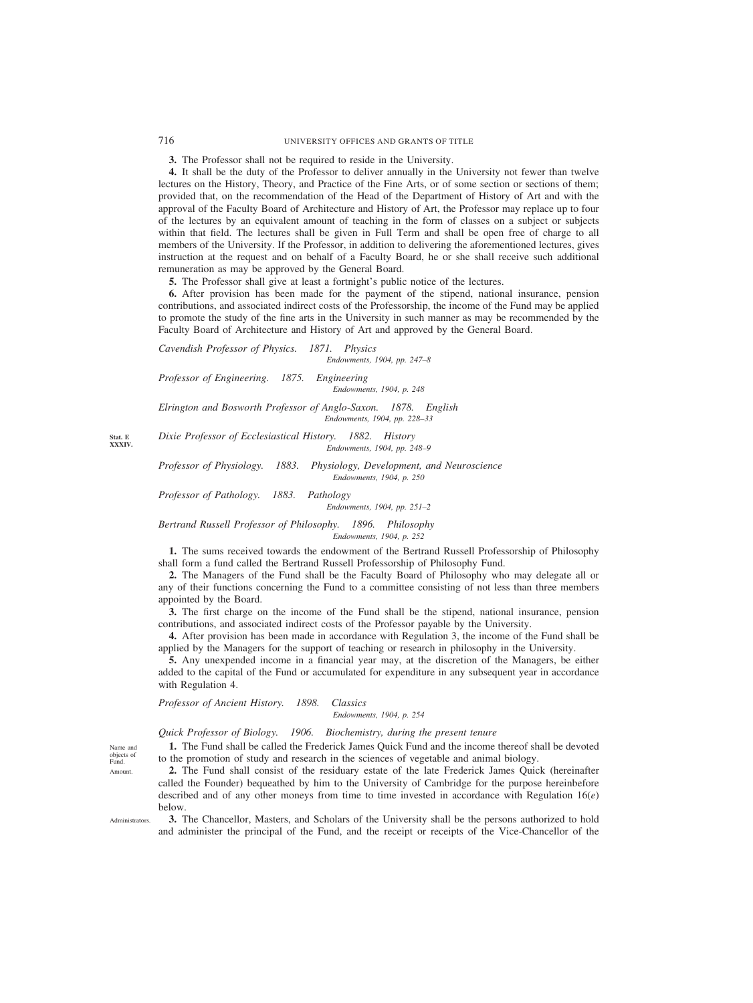**3.** The Professor shall not be required to reside in the University.

**4.** It shall be the duty of the Professor to deliver annually in the University not fewer than twelve lectures on the History, Theory, and Practice of the Fine Arts, or of some section or sections of them; provided that, on the recommendation of the Head of the Department of History of Art and with the approval of the Faculty Board of Architecture and History of Art, the Professor may replace up to four of the lectures by an equivalent amount of teaching in the form of classes on a subject or subjects within that field. The lectures shall be given in Full Term and shall be open free of charge to all members of the University. If the Professor, in addition to delivering the aforementioned lectures, gives instruction at the request and on behalf of a Faculty Board, he or she shall receive such additional remuneration as may be approved by the General Board.

**5.** The Professor shall give at least a fortnight's public notice of the lectures.

**6.** After provision has been made for the payment of the stipend, national insurance, pension contributions, and associated indirect costs of the Professorship, the income of the Fund may be applied to promote the study of the fine arts in the University in such manner as may be recommended by the Faculty Board of Architecture and History of Art and approved by the General Board.

*Cavendish Professor of Physics. 1871. Physics Endowments, 1904, pp. 247–8*

*Professor of Engineering. 1875. Engineering Endowments, 1904, p. 248*

*Elrington and Bosworth Professor of Anglo-Saxon. 1878. English Endowments, 1904, pp. 228–33*

*Dixie Professor of Ecclesiastical History. 1882. History Endowments, 1904, pp. 248–9*

*Professor of Physiology. 1883. Physiology, Development, and Neuroscience Endowments, 1904, p. 250*

*Professor of Pathology. 1883. Pathology*

*Endowments, 1904, pp. 251–2*

*Bertrand Russell Professor of Philosophy. 1896. Philosophy Endowments, 1904, p. 252*

**1.** The sums received towards the endowment of the Bertrand Russell Professorship of Philosophy shall form a fund called the Bertrand Russell Professorship of Philosophy Fund.

**2.** The Managers of the Fund shall be the Faculty Board of Philosophy who may delegate all or any of their functions concerning the Fund to a committee consisting of not less than three members appointed by the Board.

**3.** The first charge on the income of the Fund shall be the stipend, national insurance, pension contributions, and associated indirect costs of the Professor payable by the University.

**4.** After provision has been made in accordance with Regulation 3, the income of the Fund shall be applied by the Managers for the support of teaching or research in philosophy in the University.

**5.** Any unexpended income in a financial year may, at the discretion of the Managers, be either added to the capital of the Fund or accumulated for expenditure in any subsequent year in accordance with Regulation 4.

*Professor of Ancient History. 1898. Classics*

### *Endowments, 1904, p. 254*

*Quick Professor of Biology. 1906. Biochemistry, during the present tenure*

**1.** The Fund shall be called the Frederick James Quick Fund and the income thereof shall be devoted to the promotion of study and research in the sciences of vegetable and animal biology.

**2.** The Fund shall consist of the residuary estate of the late Frederick James Quick (hereinafter called the Founder) bequeathed by him to the University of Cambridge for the purpose hereinbefore described and of any other moneys from time to time invested in accordance with Regulation 16(*e*) below.

**3.** The Chancellor, Masters, and Scholars of the University shall be the persons authorized to hold and administer the principal of the Fund, and the receipt or receipts of the Vice-Chancellor of the

**Stat. E XXXIV.**

Name and objects of Fund. Amount.

Administrators.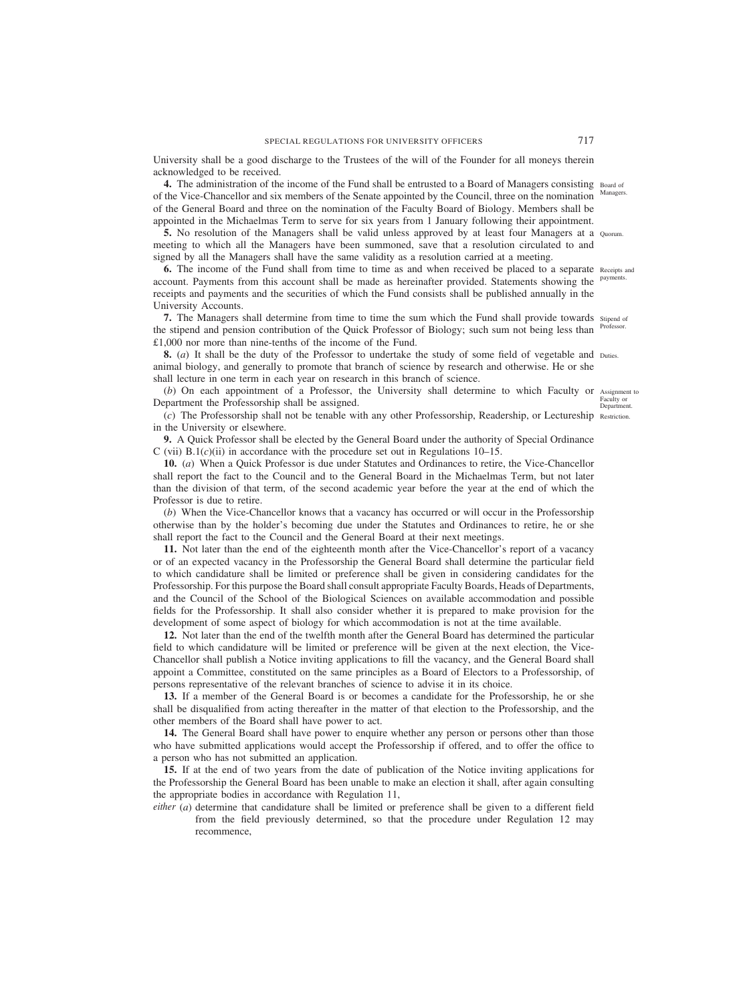University shall be a good discharge to the Trustees of the will of the Founder for all moneys therein acknowledged to be received.

**4.** The administration of the income of the Fund shall be entrusted to a Board of Managers consisting Board of of the Vice-Chancellor and six members of the Senate appointed by the Council, three on the nomination Managers. of the General Board and three on the nomination of the Faculty Board of Biology. Members shall be appointed in the Michaelmas Term to serve for six years from 1 January following their appointment.

**5.** No resolution of the Managers shall be valid unless approved by at least four Managers at a Quorum. meeting to which all the Managers have been summoned, save that a resolution circulated to and signed by all the Managers shall have the same validity as a resolution carried at a meeting.

**6.** The income of the Fund shall from time to time as and when received be placed to a separate Receipts and account. Payments from this account shall be made as hereinafter provided. Statements showing the <sup>payments.</sup> receipts and payments and the securities of which the Fund consists shall be published annually in the University Accounts.

**7.** The Managers shall determine from time to time the sum which the Fund shall provide towards supend of the stipend and pension contribution of the Quick Professor of Biology; such sum not being less than £1,000 nor more than nine-tenths of the income of the Fund. Professor.

**8.** (*a*) It shall be the duty of the Professor to undertake the study of some field of vegetable and Duties. animal biology, and generally to promote that branch of science by research and otherwise. He or she shall lecture in one term in each year on research in this branch of science.

(b) On each appointment of a Professor, the University shall determine to which Faculty or Assignment to Department the Professorship shall be assigned.

Faculty or Department.

(*c*) The Professorship shall not be tenable with any other Professorship, Readership, or Lectureship Restriction. in the University or elsewhere.

**9.** A Quick Professor shall be elected by the General Board under the authority of Special Ordinance C (vii)  $B(1(c)(ii))$  in accordance with the procedure set out in Regulations  $10-15$ .

**10.** (*a*) When a Quick Professor is due under Statutes and Ordinances to retire, the Vice-Chancellor shall report the fact to the Council and to the General Board in the Michaelmas Term, but not later than the division of that term, of the second academic year before the year at the end of which the Professor is due to retire.

(*b*) When the Vice-Chancellor knows that a vacancy has occurred or will occur in the Professorship otherwise than by the holder's becoming due under the Statutes and Ordinances to retire, he or she shall report the fact to the Council and the General Board at their next meetings.

**11.** Not later than the end of the eighteenth month after the Vice-Chancellor's report of a vacancy or of an expected vacancy in the Professorship the General Board shall determine the particular field to which candidature shall be limited or preference shall be given in considering candidates for the Professorship. For this purpose the Board shall consult appropriate Faculty Boards, Heads of Departments, and the Council of the School of the Biological Sciences on available accommodation and possible fields for the Professorship. It shall also consider whether it is prepared to make provision for the development of some aspect of biology for which accommodation is not at the time available.

**12.** Not later than the end of the twelfth month after the General Board has determined the particular field to which candidature will be limited or preference will be given at the next election, the Vice-Chancellor shall publish a Notice inviting applications to fill the vacancy, and the General Board shall appoint a Committee, constituted on the same principles as a Board of Electors to a Professorship, of persons representative of the relevant branches of science to advise it in its choice.

**13.** If a member of the General Board is or becomes a candidate for the Professorship, he or she shall be disqualified from acting thereafter in the matter of that election to the Professorship, and the other members of the Board shall have power to act.

**14.** The General Board shall have power to enquire whether any person or persons other than those who have submitted applications would accept the Professorship if offered, and to offer the office to a person who has not submitted an application.

**15.** If at the end of two years from the date of publication of the Notice inviting applications for the Professorship the General Board has been unable to make an election it shall, after again consulting the appropriate bodies in accordance with Regulation 11,

*either* (*a*) determine that candidature shall be limited or preference shall be given to a different field from the field previously determined, so that the procedure under Regulation 12 may recommence,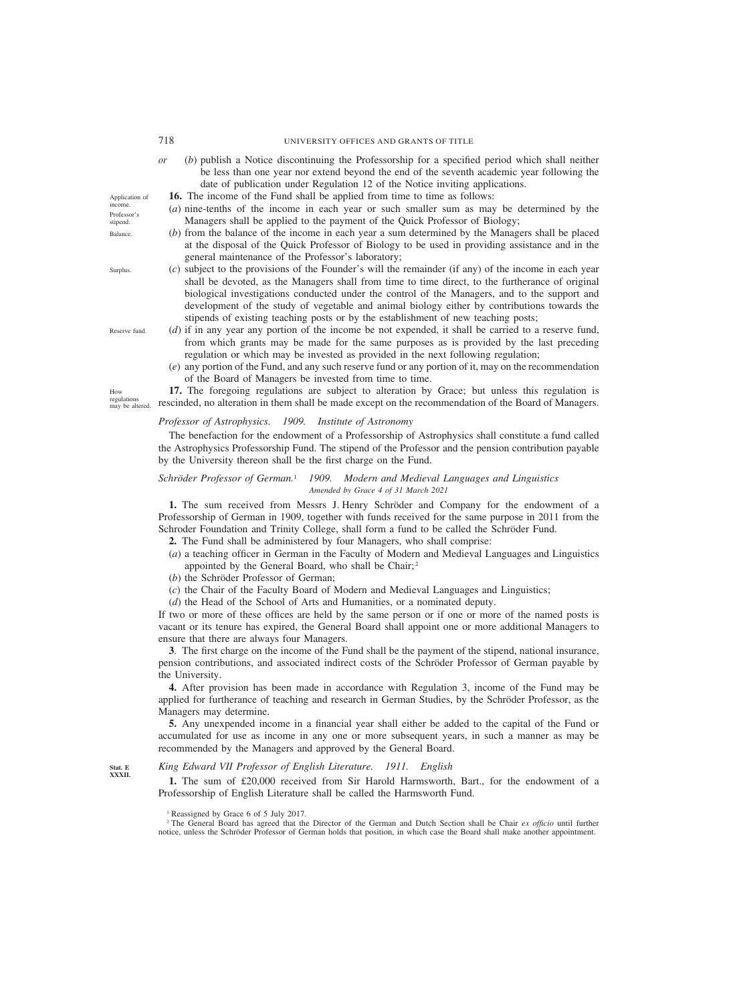- *or* (*b*) publish a Notice discontinuing the Professorship for a specified period which shall neither be less than one year nor extend beyond the end of the seventh academic year following the date of publication under Regulation 12 of the Notice inviting applications.
- **16.** The income of the Fund shall be applied from time to time as follows:
- (*a*) nine-tenths of the income in each year or such smaller sum as may be determined by the Managers shall be applied to the payment of the Quick Professor of Biology;
- (*b*) from the balance of the income in each year a sum determined by the Managers shall be placed at the disposal of the Quick Professor of Biology to be used in providing assistance and in the general maintenance of the Professor's laboratory;
- (*c*) subject to the provisions of the Founder's will the remainder (if any) of the income in each year shall be devoted, as the Managers shall from time to time direct, to the furtherance of original biological investigations conducted under the control of the Managers, and to the support and development of the study of vegetable and animal biology either by contributions towards the stipends of existing teaching posts or by the establishment of new teaching posts;
- (*d*) if in any year any portion of the income be not expended, it shall be carried to a reserve fund, from which grants may be made for the same purposes as is provided by the last preceding regulation or which may be invested as provided in the next following regulation;
	- (*e*) any portion of the Fund, and any such reserve fund or any portion of it, may on the recommendation of the Board of Managers be invested from time to time.

**17.** The foregoing regulations are subject to alteration by Grace; but unless this regulation is rescinded, no alteration in them shall be made except on the recommendation of the Board of Managers.

### *Professor of Astrophysics. 1909. Institute of Astronomy*

The benefaction for the endowment of a Professorship of Astrophysics shall constitute a fund called the Astrophysics Professorship Fund. The stipend of the Professor and the pension contribution payable by the University thereon shall be the first charge on the Fund.

### *Schro¨der Professor of German.*<sup>1</sup> *1909. Modern and Medieval Languages and Linguistics Amended by Grace 4 of 31 March 2021*

1. The sum received from Messrs J. Henry Schröder and Company for the endowment of a Professorship of German in 1909, together with funds received for the same purpose in 2011 from the Schroder Foundation and Trinity College, shall form a fund to be called the Schröder Fund.

- **2.** The Fund shall be administered by four Managers, who shall comprise:
- (*a*) a teaching officer in German in the Faculty of Modern and Medieval Languages and Linguistics appointed by the General Board, who shall be Chair; <sup>2</sup>
- (*b*) the Schröder Professor of German;
- (*c*) the Chair of the Faculty Board of Modern and Medieval Languages and Linguistics;
- (*d*) the Head of the School of Arts and Humanities, or a nominated deputy.

If two or more of these offices are held by the same person or if one or more of the named posts is vacant or its tenure has expired, the General Board shall appoint one or more additional Managers to ensure that there are always four Managers.

**3**. The first charge on the income of the Fund shall be the payment of the stipend, national insurance, pension contributions, and associated indirect costs of the Schröder Professor of German payable by the University.

**4.** After provision has been made in accordance with Regulation 3, income of the Fund may be applied for furtherance of teaching and research in German Studies, by the Schröder Professor, as the Managers may determine.

**5.** Any unexpended income in a financial year shall either be added to the capital of the Fund or accumulated for use as income in any one or more subsequent years, in such a manner as may be recommended by the Managers and approved by the General Board.

### *King Edward VII Professor of English Literature. 1911. English*

**1.** The sum of £20,000 received from Sir Harold Harmsworth, Bart., for the endowment of a Professorship of English Literature shall be called the Harmsworth Fund.

regulations may be altered.

How

Reserve fund.

Application of income. Professor's stipend. Balance.

Surplus.

**Stat. E XXXII.**

<sup>1</sup> Reassigned by Grace 6 of 5 July 2017.

<sup>2</sup> The General Board has agreed that the Director of the German and Dutch Section shall be Chair *ex officio* until further notice, unless the Schröder Professor of German holds that position, in which case the Board shall make another appointment.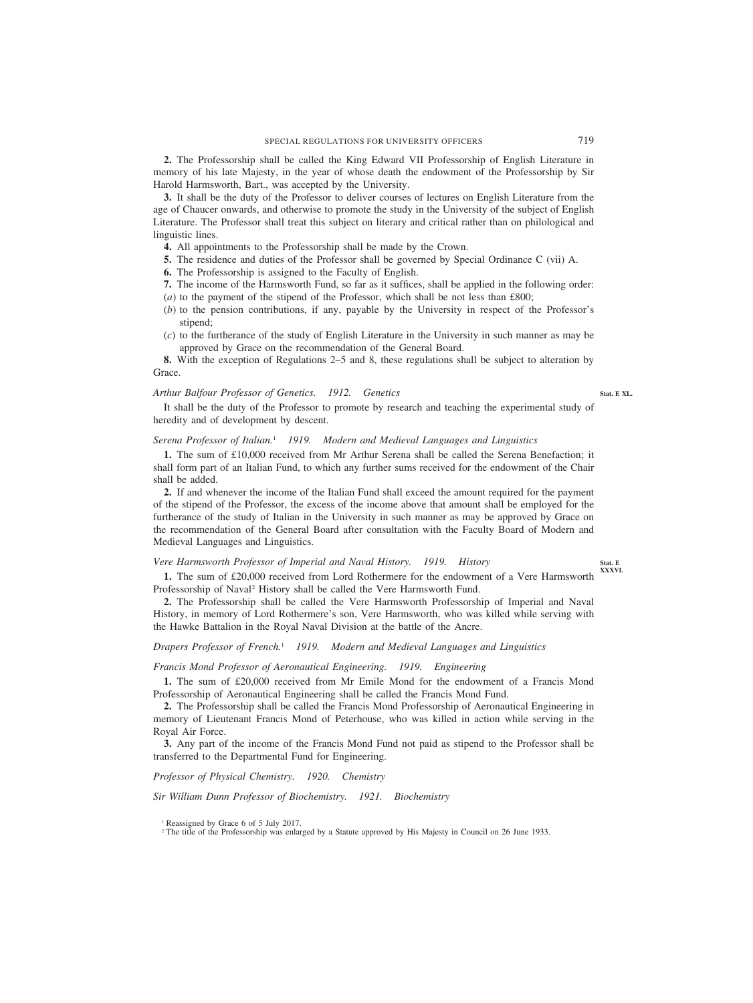**2.** The Professorship shall be called the King Edward VII Professorship of English Literature in memory of his late Majesty, in the year of whose death the endowment of the Professorship by Sir Harold Harmsworth, Bart., was accepted by the University.

**3.** It shall be the duty of the Professor to deliver courses of lectures on English Literature from the age of Chaucer onwards, and otherwise to promote the study in the University of the subject of English Literature. The Professor shall treat this subject on literary and critical rather than on philological and linguistic lines.

- **4.** All appointments to the Professorship shall be made by the Crown.
- **5.** The residence and duties of the Professor shall be governed by Special Ordinance C (vii) A.
- **6.** The Professorship is assigned to the Faculty of English.
- **7.** The income of the Harmsworth Fund, so far as it suffices, shall be applied in the following order:
- (*a*) to the payment of the stipend of the Professor, which shall be not less than £800;
- (*b*) to the pension contributions, if any, payable by the University in respect of the Professor's stipend;
- (*c*) to the furtherance of the study of English Literature in the University in such manner as may be approved by Grace on the recommendation of the General Board.

**8.** With the exception of Regulations 2–5 and 8, these regulations shall be subject to alteration by Grace.

# *Arthur Balfour Professor of Genetics. 1912. Genetics*

It shall be the duty of the Professor to promote by research and teaching the experimental study of heredity and of development by descent.

# *Serena Professor of Italian.*<sup>1</sup> *1919. Modern and Medieval Languages and Linguistics*

**1.** The sum of £10,000 received from Mr Arthur Serena shall be called the Serena Benefaction; it shall form part of an Italian Fund, to which any further sums received for the endowment of the Chair shall be added.

**2.** If and whenever the income of the Italian Fund shall exceed the amount required for the payment of the stipend of the Professor, the excess of the income above that amount shall be employed for the furtherance of the study of Italian in the University in such manner as may be approved by Grace on the recommendation of the General Board after consultation with the Faculty Board of Modern and Medieval Languages and Linguistics.

# *Vere Harmsworth Professor of Imperial and Naval History. 1919. History*

**1.** The sum of £20,000 received from Lord Rothermere for the endowment of a Vere Harmsworth Professorship of Naval2 History shall be called the Vere Harmsworth Fund.

**2.** The Professorship shall be called the Vere Harmsworth Professorship of Imperial and Naval History, in memory of Lord Rothermere's son, Vere Harmsworth, who was killed while serving with the Hawke Battalion in the Royal Naval Division at the battle of the Ancre.

# *Drapers Professor of French.*<sup>1</sup> *1919. Modern and Medieval Languages and Linguistics*

### *Francis Mond Professor of Aeronautical Engineering. 1919. Engineering*

**1.** The sum of £20,000 received from Mr Emile Mond for the endowment of a Francis Mond Professorship of Aeronautical Engineering shall be called the Francis Mond Fund.

**2.** The Professorship shall be called the Francis Mond Professorship of Aeronautical Engineering in memory of Lieutenant Francis Mond of Peterhouse, who was killed in action while serving in the Royal Air Force.

**3.** Any part of the income of the Francis Mond Fund not paid as stipend to the Professor shall be transferred to the Departmental Fund for Engineering.

*Professor of Physical Chemistry. 1920. Chemistry*

*Sir William Dunn Professor of Biochemistry. 1921. Biochemistry*

<sup>1</sup> Reassigned by Grace 6 of 5 July 2017.

<sup>2</sup> The title of the Professorship was enlarged by a Statute approved by His Majesty in Council on 26 June 1933.

**Stat. E XXXVI.**

**Stat. E XL.**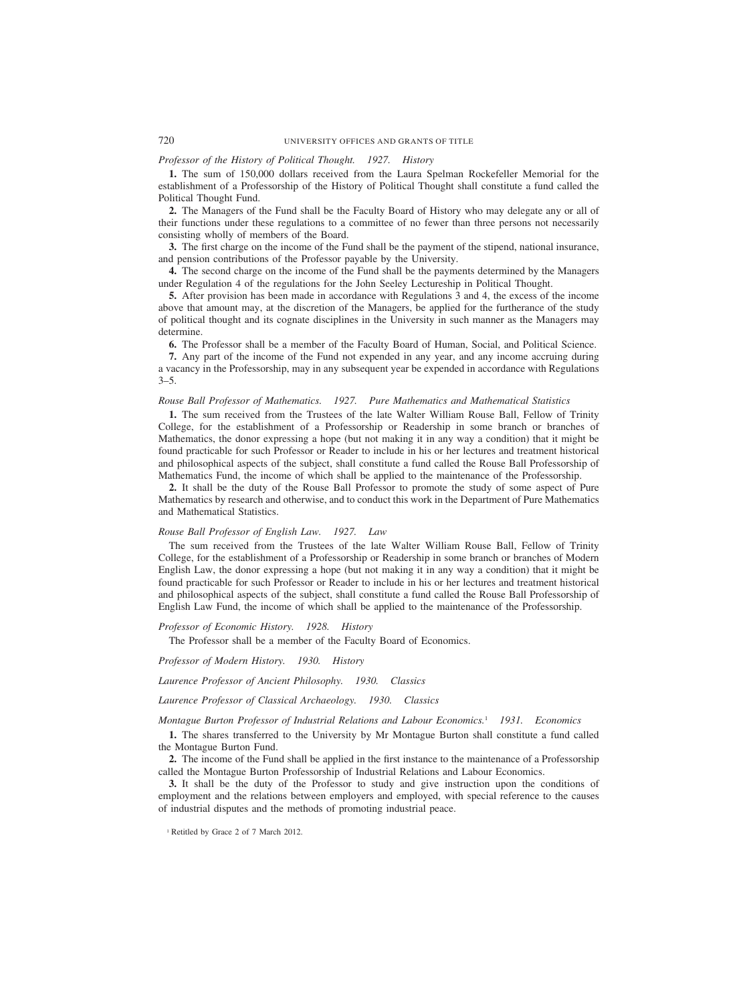# *Professor of the History of Political Thought. 1927. History*

**1.** The sum of 150,000 dollars received from the Laura Spelman Rockefeller Memorial for the establishment of a Professorship of the History of Political Thought shall constitute a fund called the Political Thought Fund.

**2.** The Managers of the Fund shall be the Faculty Board of History who may delegate any or all of their functions under these regulations to a committee of no fewer than three persons not necessarily consisting wholly of members of the Board.

**3.** The first charge on the income of the Fund shall be the payment of the stipend, national insurance, and pension contributions of the Professor payable by the University.

**4.** The second charge on the income of the Fund shall be the payments determined by the Managers under Regulation 4 of the regulations for the John Seeley Lectureship in Political Thought.

**5.** After provision has been made in accordance with Regulations 3 and 4, the excess of the income above that amount may, at the discretion of the Managers, be applied for the furtherance of the study of political thought and its cognate disciplines in the University in such manner as the Managers may determine.

**6.** The Professor shall be a member of the Faculty Board of Human, Social, and Political Science.

**7.** Any part of the income of the Fund not expended in any year, and any income accruing during a vacancy in the Professorship, may in any subsequent year be expended in accordance with Regulations  $3 - 5$ .

# *Rouse Ball Professor of Mathematics. 1927. Pure Mathematics and Mathematical Statistics*

**1.** The sum received from the Trustees of the late Walter William Rouse Ball, Fellow of Trinity College, for the establishment of a Professorship or Readership in some branch or branches of Mathematics, the donor expressing a hope (but not making it in any way a condition) that it might be found practicable for such Professor or Reader to include in his or her lectures and treatment historical and philosophical aspects of the subject, shall constitute a fund called the Rouse Ball Professorship of Mathematics Fund, the income of which shall be applied to the maintenance of the Professorship.

**2.** It shall be the duty of the Rouse Ball Professor to promote the study of some aspect of Pure Mathematics by research and otherwise, and to conduct this work in the Department of Pure Mathematics and Mathematical Statistics.

### *Rouse Ball Professor of English Law. 1927. Law*

The sum received from the Trustees of the late Walter William Rouse Ball, Fellow of Trinity College, for the establishment of a Professorship or Readership in some branch or branches of Modern English Law, the donor expressing a hope (but not making it in any way a condition) that it might be found practicable for such Professor or Reader to include in his or her lectures and treatment historical and philosophical aspects of the subject, shall constitute a fund called the Rouse Ball Professorship of English Law Fund, the income of which shall be applied to the maintenance of the Professorship.

*Professor of Economic History. 1928. History*

The Professor shall be a member of the Faculty Board of Economics.

*Professor of Modern History. 1930. History*

*Laurence Professor of Ancient Philosophy. 1930. Classics*

*Laurence Professor of Classical Archaeology. 1930. Classics*

*Montague Burton Professor of Industrial Relations and Labour Economics.*<sup>1</sup> *1931. Economics*

**1.** The shares transferred to the University by Mr Montague Burton shall constitute a fund called the Montague Burton Fund.

**2.** The income of the Fund shall be applied in the first instance to the maintenance of a Professorship called the Montague Burton Professorship of Industrial Relations and Labour Economics.

**3.** It shall be the duty of the Professor to study and give instruction upon the conditions of employment and the relations between employers and employed, with special reference to the causes of industrial disputes and the methods of promoting industrial peace.

<sup>1</sup> Retitled by Grace 2 of 7 March 2012.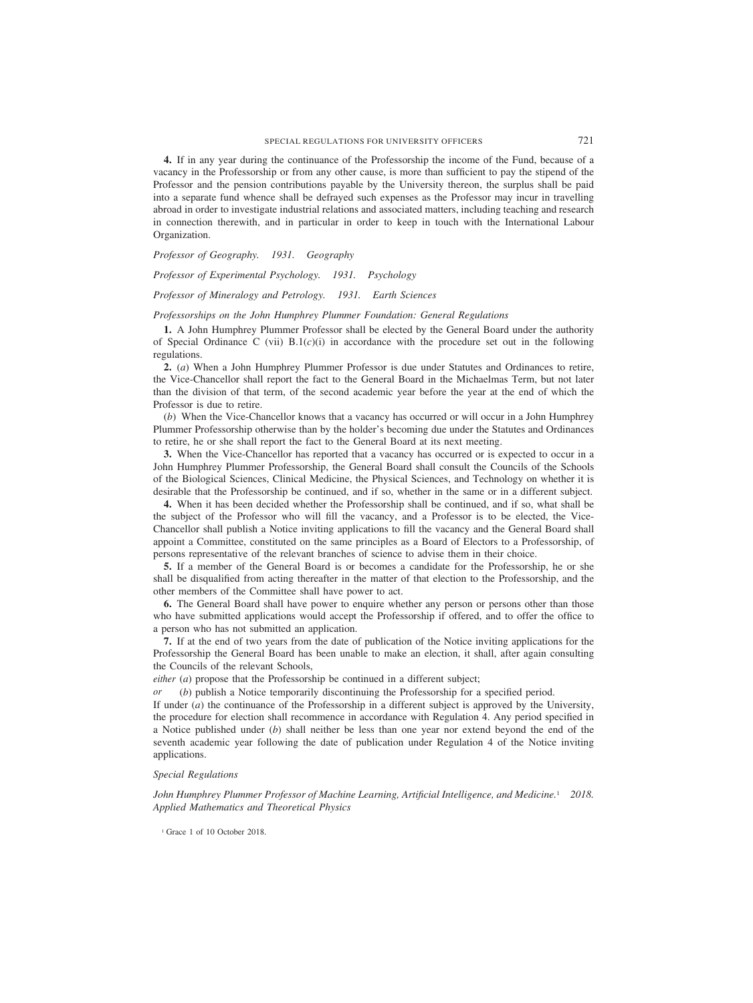**4.** If in any year during the continuance of the Professorship the income of the Fund, because of a vacancy in the Professorship or from any other cause, is more than sufficient to pay the stipend of the Professor and the pension contributions payable by the University thereon, the surplus shall be paid into a separate fund whence shall be defrayed such expenses as the Professor may incur in travelling abroad in order to investigate industrial relations and associated matters, including teaching and research in connection therewith, and in particular in order to keep in touch with the International Labour Organization.

*Professor of Geography. 1931. Geography*

*Professor of Experimental Psychology. 1931. Psychology*

# *Professor of Mineralogy and Petrology. 1931. Earth Sciences*

### *Professorships on the John Humphrey Plummer Foundation: General Regulations*

**1.** A John Humphrey Plummer Professor shall be elected by the General Board under the authority of Special Ordinance C (vii)  $B(1(c)(i))$  in accordance with the procedure set out in the following regulations.

**2.** (*a*) When a John Humphrey Plummer Professor is due under Statutes and Ordinances to retire, the Vice-Chancellor shall report the fact to the General Board in the Michaelmas Term, but not later than the division of that term, of the second academic year before the year at the end of which the Professor is due to retire.

(*b*) When the Vice-Chancellor knows that a vacancy has occurred or will occur in a John Humphrey Plummer Professorship otherwise than by the holder's becoming due under the Statutes and Ordinances to retire, he or she shall report the fact to the General Board at its next meeting.

**3.** When the Vice-Chancellor has reported that a vacancy has occurred or is expected to occur in a John Humphrey Plummer Professorship, the General Board shall consult the Councils of the Schools of the Biological Sciences, Clinical Medicine, the Physical Sciences, and Technology on whether it is desirable that the Professorship be continued, and if so, whether in the same or in a different subject.

**4.** When it has been decided whether the Professorship shall be continued, and if so, what shall be the subject of the Professor who will fill the vacancy, and a Professor is to be elected, the Vice-Chancellor shall publish a Notice inviting applications to fill the vacancy and the General Board shall appoint a Committee, constituted on the same principles as a Board of Electors to a Professorship, of persons representative of the relevant branches of science to advise them in their choice.

**5.** If a member of the General Board is or becomes a candidate for the Professorship, he or she shall be disqualified from acting thereafter in the matter of that election to the Professorship, and the other members of the Committee shall have power to act.

**6.** The General Board shall have power to enquire whether any person or persons other than those who have submitted applications would accept the Professorship if offered, and to offer the office to a person who has not submitted an application.

**7.** If at the end of two years from the date of publication of the Notice inviting applications for the Professorship the General Board has been unable to make an election, it shall, after again consulting the Councils of the relevant Schools,

*either* (*a*) propose that the Professorship be continued in a different subject;

*or* (*b*) publish a Notice temporarily discontinuing the Professorship for a specified period.

If under (*a*) the continuance of the Professorship in a different subject is approved by the University, the procedure for election shall recommence in accordance with Regulation 4. Any period specified in a Notice published under (*b*) shall neither be less than one year nor extend beyond the end of the seventh academic year following the date of publication under Regulation 4 of the Notice inviting applications.

### *Special Regulations*

*John Humphrey Plummer Professor of Machine Learning, Artificial Intelligence, and Medicine.*<sup>1</sup> *2018. Applied Mathematics and Theoretical Physics*

<sup>1</sup> Grace 1 of 10 October 2018.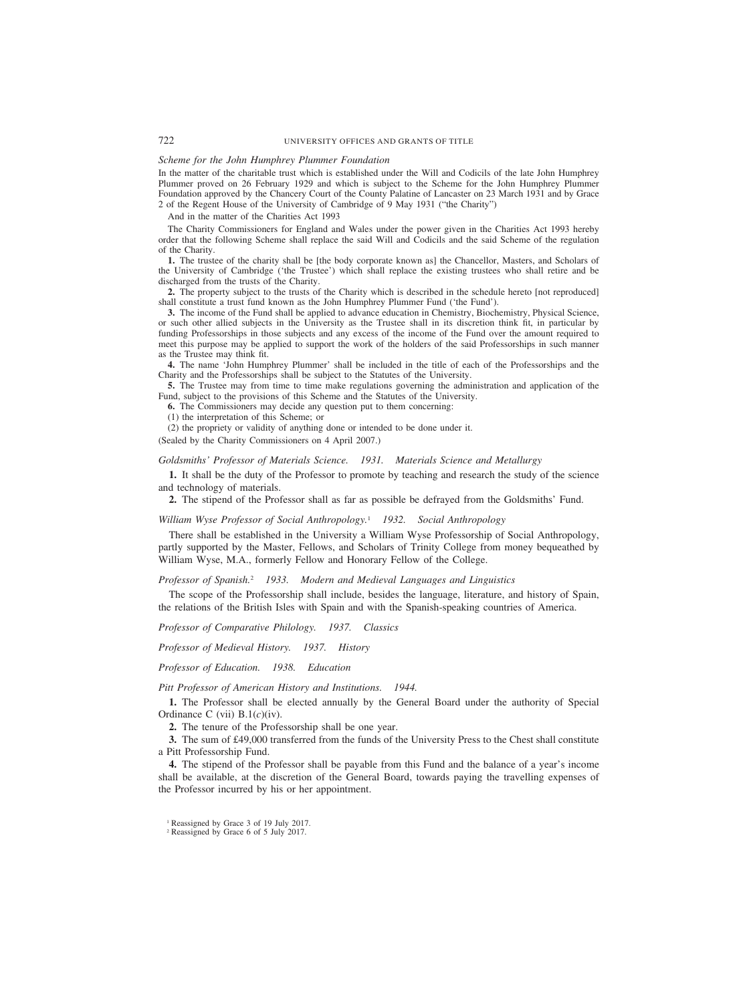# *Scheme for the John Humphrey Plummer Foundation*

In the matter of the charitable trust which is established under the Will and Codicils of the late John Humphrey Plummer proved on 26 February 1929 and which is subject to the Scheme for the John Humphrey Plummer Foundation approved by the Chancery Court of the County Palatine of Lancaster on 23 March 1931 and by Grace 2 of the Regent House of the University of Cambridge of 9 May 1931 ("the Charity")

And in the matter of the Charities Act 1993

The Charity Commissioners for England and Wales under the power given in the Charities Act 1993 hereby order that the following Scheme shall replace the said Will and Codicils and the said Scheme of the regulation of the Charity.

**1.** The trustee of the charity shall be [the body corporate known as] the Chancellor, Masters, and Scholars of the University of Cambridge ('the Trustee') which shall replace the existing trustees who shall retire and be discharged from the trusts of the Charity.

**2.** The property subject to the trusts of the Charity which is described in the schedule hereto [not reproduced] shall constitute a trust fund known as the John Humphrey Plummer Fund ('the Fund').

**3.** The income of the Fund shall be applied to advance education in Chemistry, Biochemistry, Physical Science, or such other allied subjects in the University as the Trustee shall in its discretion think fit, in particular by funding Professorships in those subjects and any excess of the income of the Fund over the amount required to meet this purpose may be applied to support the work of the holders of the said Professorships in such manner as the Trustee may think fit.

**4.** The name 'John Humphrey Plummer' shall be included in the title of each of the Professorships and the Charity and the Professorships shall be subject to the Statutes of the University.

**5.** The Trustee may from time to time make regulations governing the administration and application of the Fund, subject to the provisions of this Scheme and the Statutes of the University.

**6.** The Commissioners may decide any question put to them concerning:

(1) the interpretation of this Scheme; or

(2) the propriety or validity of anything done or intended to be done under it.

(Sealed by the Charity Commissioners on 4 April 2007.)

*Goldsmiths' Professor of Materials Science. 1931. Materials Science and Metallurgy*

**1.** It shall be the duty of the Professor to promote by teaching and research the study of the science and technology of materials.

**2.** The stipend of the Professor shall as far as possible be defrayed from the Goldsmiths' Fund.

*William Wyse Professor of Social Anthropology.*<sup>1</sup> *1932. Social Anthropology*

There shall be established in the University a William Wyse Professorship of Social Anthropology, partly supported by the Master, Fellows, and Scholars of Trinity College from money bequeathed by William Wyse, M.A., formerly Fellow and Honorary Fellow of the College.

*Professor of Spanish.*<sup>2</sup> *1933. Modern and Medieval Languages and Linguistics*

The scope of the Professorship shall include, besides the language, literature, and history of Spain, the relations of the British Isles with Spain and with the Spanish-speaking countries of America.

*Professor of Comparative Philology. 1937. Classics*

*Professor of Medieval History. 1937. History*

*Professor of Education. 1938. Education*

*Pitt Professor of American History and Institutions. 1944.*

**1.** The Professor shall be elected annually by the General Board under the authority of Special Ordinance C (vii) B.1(*c*)(iv).

**2.** The tenure of the Professorship shall be one year.

**3.** The sum of £49,000 transferred from the funds of the University Press to the Chest shall constitute a Pitt Professorship Fund.

**4.** The stipend of the Professor shall be payable from this Fund and the balance of a year's income shall be available, at the discretion of the General Board, towards paying the travelling expenses of the Professor incurred by his or her appointment.

<sup>&</sup>lt;sup>1</sup> Reassigned by Grace 3 of 19 July 2017.

<sup>2</sup> Reassigned by Grace 6 of 5 July 2017.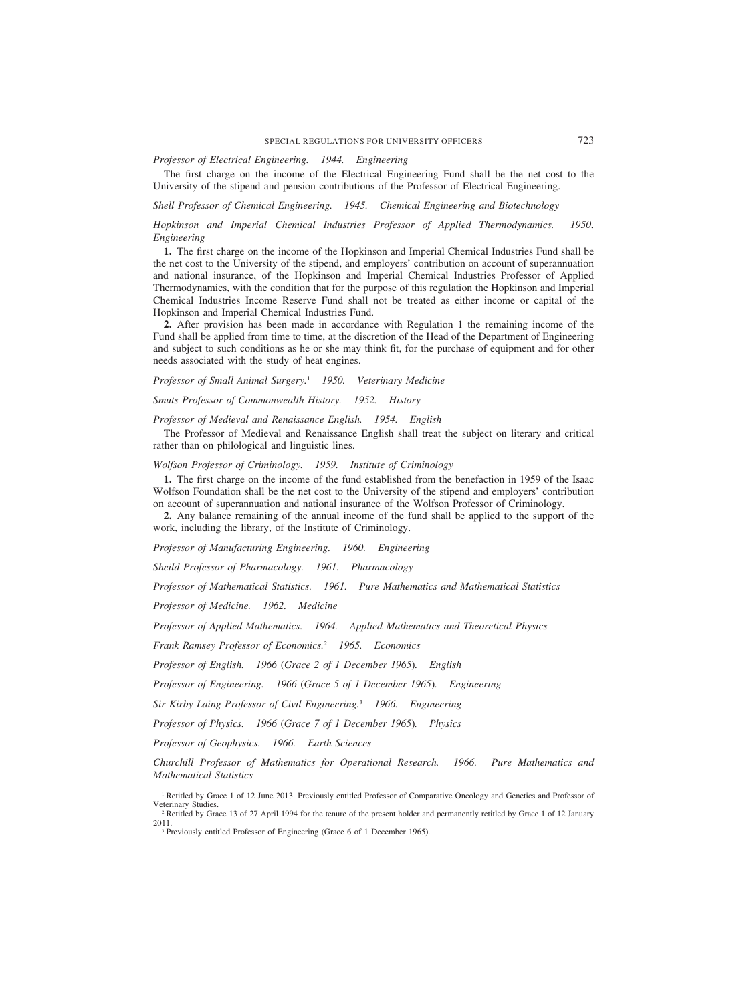# *Professor of Electrical Engineering. 1944. Engineering*

The first charge on the income of the Electrical Engineering Fund shall be the net cost to the University of the stipend and pension contributions of the Professor of Electrical Engineering.

*Shell Professor of Chemical Engineering. 1945. Chemical Engineering and Biotechnology*

# *Hopkinson and Imperial Chemical Industries Professor of Applied Thermodynamics. 1950. Engineering*

**1.** The first charge on the income of the Hopkinson and Imperial Chemical Industries Fund shall be the net cost to the University of the stipend, and employers' contribution on account of superannuation and national insurance, of the Hopkinson and Imperial Chemical Industries Professor of Applied Thermodynamics, with the condition that for the purpose of this regulation the Hopkinson and Imperial Chemical Industries Income Reserve Fund shall not be treated as either income or capital of the Hopkinson and Imperial Chemical Industries Fund.

**2.** After provision has been made in accordance with Regulation 1 the remaining income of the Fund shall be applied from time to time, at the discretion of the Head of the Department of Engineering and subject to such conditions as he or she may think fit, for the purchase of equipment and for other needs associated with the study of heat engines.

*Professor of Small Animal Surgery.*<sup>1</sup> *1950. Veterinary Medicine*

*Smuts Professor of Commonwealth History. 1952. History*

# *Professor of Medieval and Renaissance English. 1954. English*

The Professor of Medieval and Renaissance English shall treat the subject on literary and critical rather than on philological and linguistic lines.

*Wolfson Professor of Criminology. 1959. Institute of Criminology*

**1.** The first charge on the income of the fund established from the benefaction in 1959 of the Isaac Wolfson Foundation shall be the net cost to the University of the stipend and employers' contribution on account of superannuation and national insurance of the Wolfson Professor of Criminology.

**2.** Any balance remaining of the annual income of the fund shall be applied to the support of the work, including the library, of the Institute of Criminology.

*Professor of Manufacturing Engineering. 1960. Engineering*

*Sheild Professor of Pharmacology. 1961. Pharmacology*

*Professor of Mathematical Statistics. 1961. Pure Mathematics and Mathematical Statistics*

*Professor of Medicine. 1962. Medicine*

*Professor of Applied Mathematics. 1964. Applied Mathematics and Theoretical Physics*

*Frank Ramsey Professor of Economics.*<sup>2</sup> *1965. Economics*

*Professor of English. 1966 (Grace 2 of 1 December 1965). English*

*Professor of Engineering. 1966 (Grace 5 of 1 December 1965). Engineering*

*Sir Kirby Laing Professor of Civil Engineering.*<sup>3</sup> *1966. Engineering*

*Professor of Physics. 1966 (Grace 7 of 1 December 1965). Physics*

*Professor of Geophysics. 1966. Earth Sciences*

*Churchill Professor of Mathematics for Operational Research. 1966. Pure Mathematics and Mathematical Statistics*

<sup>3</sup> Previously entitled Professor of Engineering (Grace 6 of 1 December 1965).

<sup>&</sup>lt;sup>1</sup> Retitled by Grace 1 of 12 June 2013. Previously entitled Professor of Comparative Oncology and Genetics and Professor of Veterinary Studies.

<sup>&</sup>lt;sup>2</sup> Retitled by Grace 13 of 27 April 1994 for the tenure of the present holder and permanently retitled by Grace 1 of 12 January 2011.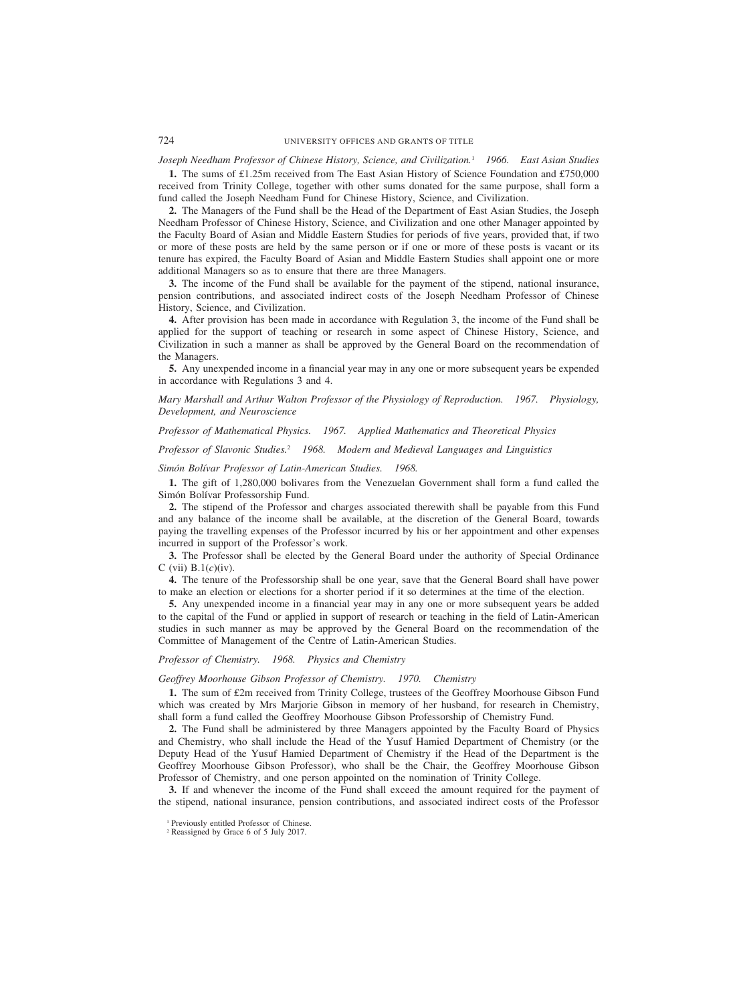# *Joseph Needham Professor of Chinese History, Science, and Civilization.*<sup>1</sup> *1966. East Asian Studies*

**1.** The sums of £1.25m received from The East Asian History of Science Foundation and £750,000 received from Trinity College, together with other sums donated for the same purpose, shall form a fund called the Joseph Needham Fund for Chinese History, Science, and Civilization.

**2.** The Managers of the Fund shall be the Head of the Department of East Asian Studies, the Joseph Needham Professor of Chinese History, Science, and Civilization and one other Manager appointed by the Faculty Board of Asian and Middle Eastern Studies for periods of five years, provided that, if two or more of these posts are held by the same person or if one or more of these posts is vacant or its tenure has expired, the Faculty Board of Asian and Middle Eastern Studies shall appoint one or more additional Managers so as to ensure that there are three Managers.

**3.** The income of the Fund shall be available for the payment of the stipend, national insurance, pension contributions, and associated indirect costs of the Joseph Needham Professor of Chinese History, Science, and Civilization.

**4.** After provision has been made in accordance with Regulation 3, the income of the Fund shall be applied for the support of teaching or research in some aspect of Chinese History, Science, and Civilization in such a manner as shall be approved by the General Board on the recommendation of the Managers.

**5.** Any unexpended income in a financial year may in any one or more subsequent years be expended in accordance with Regulations 3 and 4.

*Mary Marshall and Arthur Walton Professor of the Physiology of Reproduction. 1967. Physiology, Development, and Neuroscience*

*Professor of Mathematical Physics. 1967. Applied Mathematics and Theoretical Physics*

*Professor of Slavonic Studies.*<sup>2</sup> *1968. Modern and Medieval Languages and Linguistics*

### *Simo´n Bolı´var Professor of Latin-American Studies. 1968.*

**1.** The gift of 1,280,000 bolivares from the Venezuelan Government shall form a fund called the Simón Bolívar Professorship Fund.

**2.** The stipend of the Professor and charges associated therewith shall be payable from this Fund and any balance of the income shall be available, at the discretion of the General Board, towards paying the travelling expenses of the Professor incurred by his or her appointment and other expenses incurred in support of the Professor's work.

**3.** The Professor shall be elected by the General Board under the authority of Special Ordinance C (vii) B.1(*c*)(iv).

**4.** The tenure of the Professorship shall be one year, save that the General Board shall have power to make an election or elections for a shorter period if it so determines at the time of the election.

**5.** Any unexpended income in a financial year may in any one or more subsequent years be added to the capital of the Fund or applied in support of research or teaching in the field of Latin-American studies in such manner as may be approved by the General Board on the recommendation of the Committee of Management of the Centre of Latin-American Studies.

# *Professor of Chemistry. 1968. Physics and Chemistry*

### *Geoffrey Moorhouse Gibson Professor of Chemistry. 1970. Chemistry*

**1.** The sum of £2m received from Trinity College, trustees of the Geoffrey Moorhouse Gibson Fund which was created by Mrs Marjorie Gibson in memory of her husband, for research in Chemistry, shall form a fund called the Geoffrey Moorhouse Gibson Professorship of Chemistry Fund.

**2.** The Fund shall be administered by three Managers appointed by the Faculty Board of Physics and Chemistry, who shall include the Head of the Yusuf Hamied Department of Chemistry (or the Deputy Head of the Yusuf Hamied Department of Chemistry if the Head of the Department is the Geoffrey Moorhouse Gibson Professor), who shall be the Chair, the Geoffrey Moorhouse Gibson Professor of Chemistry, and one person appointed on the nomination of Trinity College.

**3.** If and whenever the income of the Fund shall exceed the amount required for the payment of the stipend, national insurance, pension contributions, and associated indirect costs of the Professor

<sup>1</sup> Previously entitled Professor of Chinese.

<sup>2</sup> Reassigned by Grace 6 of 5 July 2017.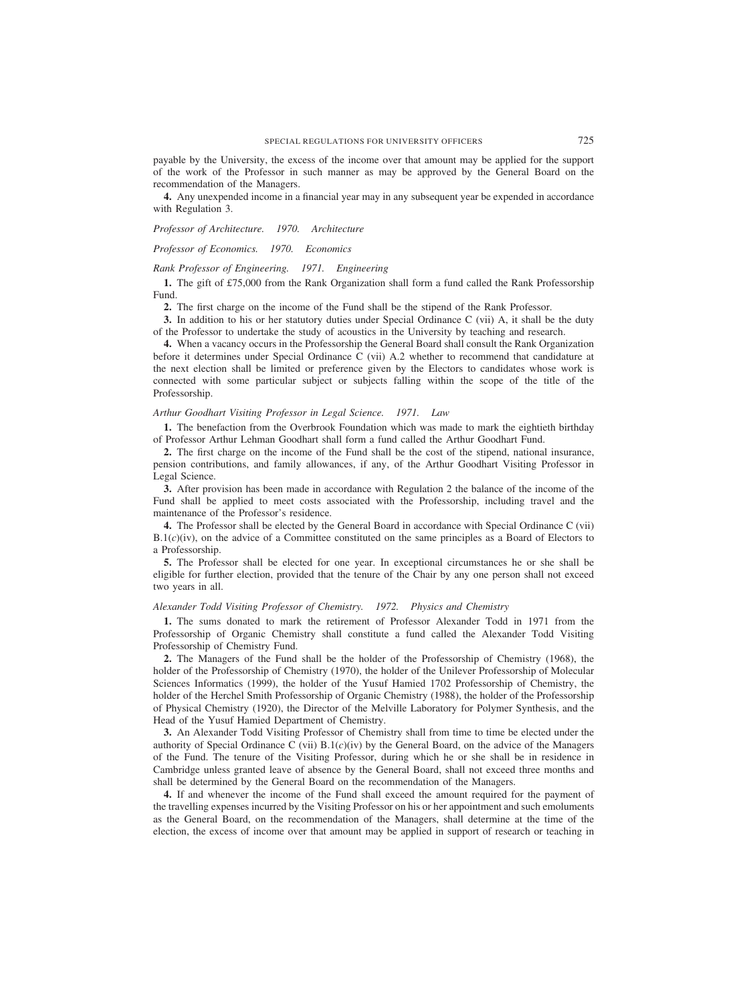payable by the University, the excess of the income over that amount may be applied for the support of the work of the Professor in such manner as may be approved by the General Board on the recommendation of the Managers.

**4.** Any unexpended income in a financial year may in any subsequent year be expended in accordance with Regulation 3.

# *Professor of Architecture. 1970. Architecture*

*Professor of Economics. 1970. Economics*

### *Rank Professor of Engineering. 1971. Engineering*

**1.** The gift of £75,000 from the Rank Organization shall form a fund called the Rank Professorship Fund.

**2.** The first charge on the income of the Fund shall be the stipend of the Rank Professor.

**3.** In addition to his or her statutory duties under Special Ordinance C (vii) A, it shall be the duty of the Professor to undertake the study of acoustics in the University by teaching and research.

**4.** When a vacancy occurs in the Professorship the General Board shall consult the Rank Organization before it determines under Special Ordinance C (vii) A.2 whether to recommend that candidature at the next election shall be limited or preference given by the Electors to candidates whose work is connected with some particular subject or subjects falling within the scope of the title of the Professorship.

### *Arthur Goodhart Visiting Professor in Legal Science. 1971. Law*

**1.** The benefaction from the Overbrook Foundation which was made to mark the eightieth birthday of Professor Arthur Lehman Goodhart shall form a fund called the Arthur Goodhart Fund.

**2.** The first charge on the income of the Fund shall be the cost of the stipend, national insurance, pension contributions, and family allowances, if any, of the Arthur Goodhart Visiting Professor in Legal Science.

**3.** After provision has been made in accordance with Regulation 2 the balance of the income of the Fund shall be applied to meet costs associated with the Professorship, including travel and the maintenance of the Professor's residence.

**4.** The Professor shall be elected by the General Board in accordance with Special Ordinance C (vii) B.1(*c*)(iv), on the advice of a Committee constituted on the same principles as a Board of Electors to a Professorship.

**5.** The Professor shall be elected for one year. In exceptional circumstances he or she shall be eligible for further election, provided that the tenure of the Chair by any one person shall not exceed two years in all.

### *Alexander Todd Visiting Professor of Chemistry. 1972. Physics and Chemistry*

**1.** The sums donated to mark the retirement of Professor Alexander Todd in 1971 from the Professorship of Organic Chemistry shall constitute a fund called the Alexander Todd Visiting Professorship of Chemistry Fund.

**2.** The Managers of the Fund shall be the holder of the Professorship of Chemistry (1968), the holder of the Professorship of Chemistry (1970), the holder of the Unilever Professorship of Molecular Sciences Informatics (1999), the holder of the Yusuf Hamied 1702 Professorship of Chemistry, the holder of the Herchel Smith Professorship of Organic Chemistry (1988), the holder of the Professorship of Physical Chemistry (1920), the Director of the Melville Laboratory for Polymer Synthesis, and the Head of the Yusuf Hamied Department of Chemistry.

**3.** An Alexander Todd Visiting Professor of Chemistry shall from time to time be elected under the authority of Special Ordinance C (vii) B.1(*c*)(iv) by the General Board, on the advice of the Managers of the Fund. The tenure of the Visiting Professor, during which he or she shall be in residence in Cambridge unless granted leave of absence by the General Board, shall not exceed three months and shall be determined by the General Board on the recommendation of the Managers.

**4.** If and whenever the income of the Fund shall exceed the amount required for the payment of the travelling expenses incurred by the Visiting Professor on his or her appointment and such emoluments as the General Board, on the recommendation of the Managers, shall determine at the time of the election, the excess of income over that amount may be applied in support of research or teaching in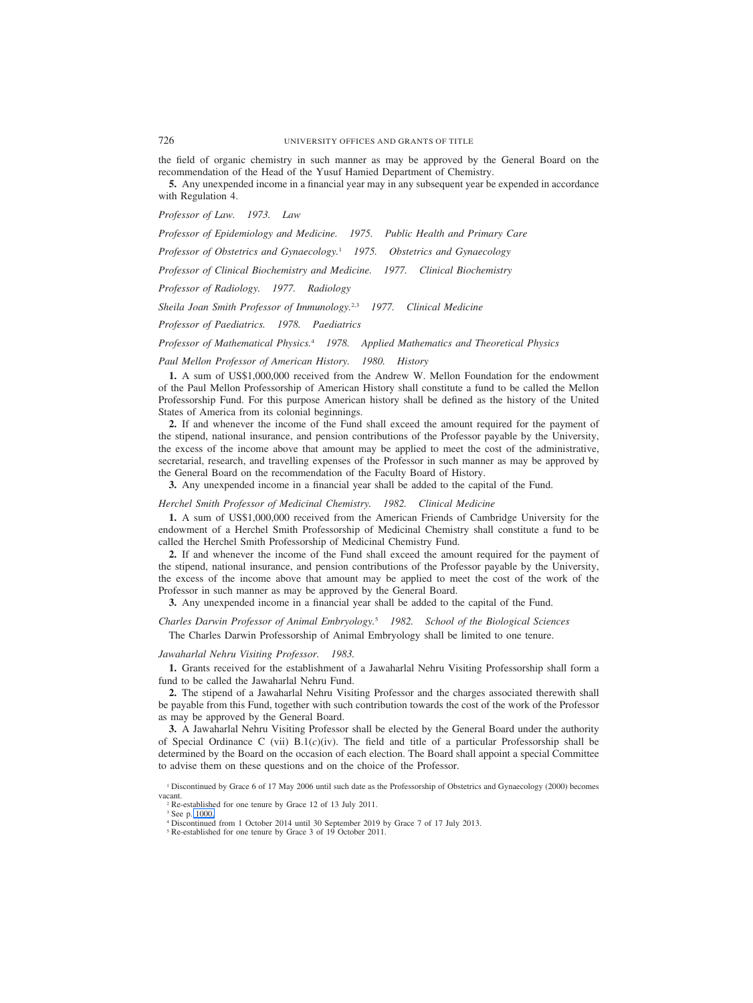the field of organic chemistry in such manner as may be approved by the General Board on the recommendation of the Head of the Yusuf Hamied Department of Chemistry.

**5.** Any unexpended income in a financial year may in any subsequent year be expended in accordance with Regulation 4.

*Professor of Law. 1973. Law*

*Professor of Epidemiology and Medicine. 1975. Public Health and Primary Care*

*Professor of Obstetrics and Gynaecology.*<sup>1</sup> *1975. Obstetrics and Gynaecology*

*Professor of Clinical Biochemistry and Medicine. 1977. Clinical Biochemistry*

*Professor of Radiology. 1977. Radiology*

*Sheila Joan Smith Professor of Immunology.*2,3 *1977. Clinical Medicine*

*Professor of Paediatrics. 1978. Paediatrics*

*Professor of Mathematical Physics.*<sup>4</sup> *1978. Applied Mathematics and Theoretical Physics*

*Paul Mellon Professor of American History. 1980. History*

**1.** A sum of US\$1,000,000 received from the Andrew W. Mellon Foundation for the endowment of the Paul Mellon Professorship of American History shall constitute a fund to be called the Mellon Professorship Fund. For this purpose American history shall be defined as the history of the United States of America from its colonial beginnings.

**2.** If and whenever the income of the Fund shall exceed the amount required for the payment of the stipend, national insurance, and pension contributions of the Professor payable by the University, the excess of the income above that amount may be applied to meet the cost of the administrative, secretarial, research, and travelling expenses of the Professor in such manner as may be approved by the General Board on the recommendation of the Faculty Board of History.

**3.** Any unexpended income in a financial year shall be added to the capital of the Fund.

# *Herchel Smith Professor of Medicinal Chemistry. 1982. Clinical Medicine*

**1.** A sum of US\$1,000,000 received from the American Friends of Cambridge University for the endowment of a Herchel Smith Professorship of Medicinal Chemistry shall constitute a fund to be called the Herchel Smith Professorship of Medicinal Chemistry Fund.

**2.** If and whenever the income of the Fund shall exceed the amount required for the payment of the stipend, national insurance, and pension contributions of the Professor payable by the University, the excess of the income above that amount may be applied to meet the cost of the work of the Professor in such manner as may be approved by the General Board.

**3.** Any unexpended income in a financial year shall be added to the capital of the Fund.

# *Charles Darwin Professor of Animal Embryology.*<sup>5</sup> *1982. School of the Biological Sciences*

The Charles Darwin Professorship of Animal Embryology shall be limited to one tenure.

### *Jawaharlal Nehru Visiting Professor. 1983.*

**1.** Grants received for the establishment of a Jawaharlal Nehru Visiting Professorship shall form a fund to be called the Jawaharlal Nehru Fund.

**2.** The stipend of a Jawaharlal Nehru Visiting Professor and the charges associated therewith shall be payable from this Fund, together with such contribution towards the cost of the work of the Professor as may be approved by the General Board.

**3.** A Jawaharlal Nehru Visiting Professor shall be elected by the General Board under the authority of Special Ordinance C (vii) B.1(*c*)(iv). The field and title of a particular Professorship shall be determined by the Board on the occasion of each election. The Board shall appoint a special Committee to advise them on these questions and on the choice of the Professor.

<sup>1</sup> Discontinued by Grace 6 of 17 May 2006 until such date as the Professorship of Obstetrics and Gynaecology (2000) becomes vacant.

<sup>2</sup> Re-established for one tenure by Grace 12 of 13 July 2011.

<sup>3</sup> See p. 1000.

<sup>4</sup> Discontinued from 1 October 2014 until 30 September 2019 by Grace 7 of 17 July 2013.

<sup>5</sup> Re-established for one tenure by Grace 3 of 19 October 2011.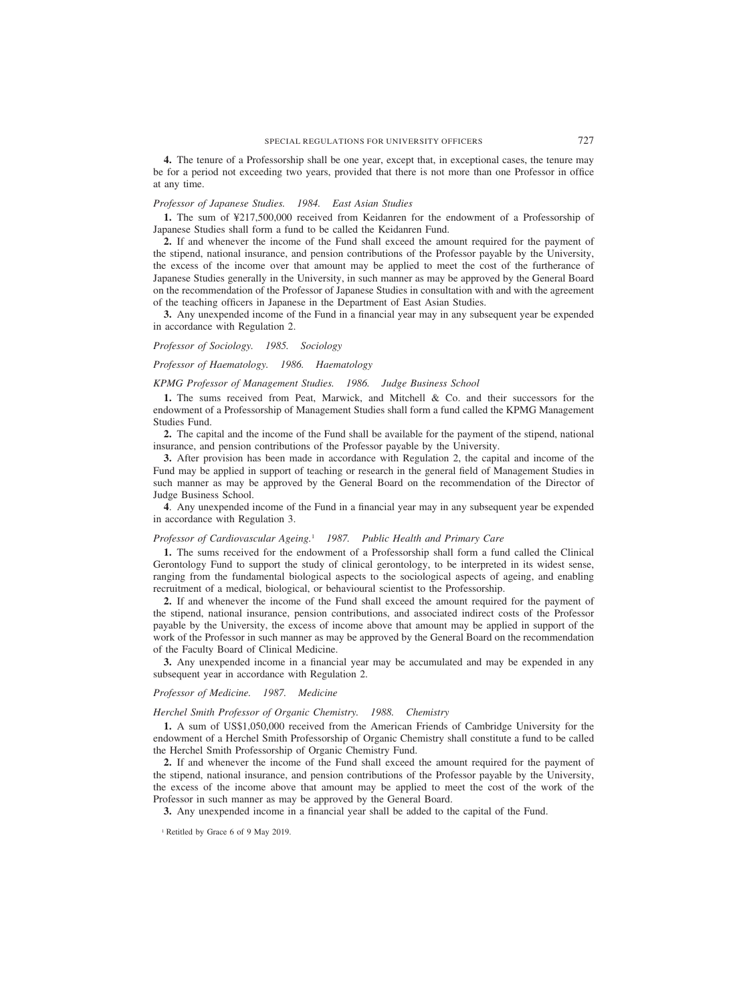# SPECIAL REGULATIONS FOR UNIVERSITY OFFICERS 727

**4.** The tenure of a Professorship shall be one year, except that, in exceptional cases, the tenure may be for a period not exceeding two years, provided that there is not more than one Professor in office at any time.

### *Professor of Japanese Studies. 1984. East Asian Studies*

**1.** The sum of ¥217,500,000 received from Keidanren for the endowment of a Professorship of Japanese Studies shall form a fund to be called the Keidanren Fund.

**2.** If and whenever the income of the Fund shall exceed the amount required for the payment of the stipend, national insurance, and pension contributions of the Professor payable by the University, the excess of the income over that amount may be applied to meet the cost of the furtherance of Japanese Studies generally in the University, in such manner as may be approved by the General Board on the recommendation of the Professor of Japanese Studies in consultation with and with the agreement of the teaching officers in Japanese in the Department of East Asian Studies.

**3.** Any unexpended income of the Fund in a financial year may in any subsequent year be expended in accordance with Regulation 2.

#### *Professor of Sociology. 1985. Sociology*

# *Professor of Haematology. 1986. Haematology*

*KPMG Professor of Management Studies. 1986. Judge Business School*

**1.** The sums received from Peat, Marwick, and Mitchell & Co. and their successors for the endowment of a Professorship of Management Studies shall form a fund called the KPMG Management Studies Fund.

**2.** The capital and the income of the Fund shall be available for the payment of the stipend, national insurance, and pension contributions of the Professor payable by the University.

**3.** After provision has been made in accordance with Regulation 2, the capital and income of the Fund may be applied in support of teaching or research in the general field of Management Studies in such manner as may be approved by the General Board on the recommendation of the Director of Judge Business School.

**4**. Any unexpended income of the Fund in a financial year may in any subsequent year be expended in accordance with Regulation 3.

#### *Professor of Cardiovascular Ageing.*<sup>1</sup> *1987. Public Health and Primary Care*

**1.** The sums received for the endowment of a Professorship shall form a fund called the Clinical Gerontology Fund to support the study of clinical gerontology, to be interpreted in its widest sense, ranging from the fundamental biological aspects to the sociological aspects of ageing, and enabling recruitment of a medical, biological, or behavioural scientist to the Professorship.

**2.** If and whenever the income of the Fund shall exceed the amount required for the payment of the stipend, national insurance, pension contributions, and associated indirect costs of the Professor payable by the University, the excess of income above that amount may be applied in support of the work of the Professor in such manner as may be approved by the General Board on the recommendation of the Faculty Board of Clinical Medicine.

**3.** Any unexpended income in a financial year may be accumulated and may be expended in any subsequent year in accordance with Regulation 2.

### *Professor of Medicine. 1987. Medicine*

#### *Herchel Smith Professor of Organic Chemistry. 1988. Chemistry*

**1.** A sum of US\$1,050,000 received from the American Friends of Cambridge University for the endowment of a Herchel Smith Professorship of Organic Chemistry shall constitute a fund to be called the Herchel Smith Professorship of Organic Chemistry Fund.

**2.** If and whenever the income of the Fund shall exceed the amount required for the payment of the stipend, national insurance, and pension contributions of the Professor payable by the University, the excess of the income above that amount may be applied to meet the cost of the work of the Professor in such manner as may be approved by the General Board.

**3.** Any unexpended income in a financial year shall be added to the capital of the Fund.

<sup>&</sup>lt;sup>1</sup> Retitled by Grace 6 of 9 May 2019.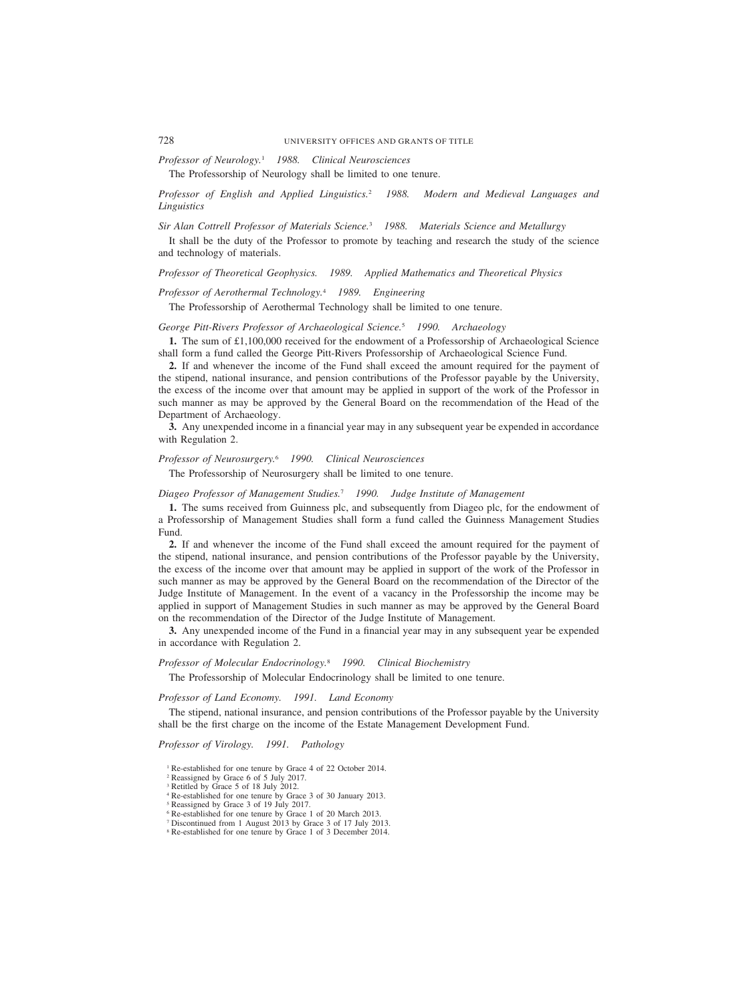*Professor of Neurology.*<sup>1</sup> *1988. Clinical Neurosciences*

The Professorship of Neurology shall be limited to one tenure.

# *Professor of English and Applied Linguistics.*<sup>2</sup> *1988. Modern and Medieval Languages and Linguistics*

*Sir Alan Cottrell Professor of Materials Science.*<sup>3</sup> *1988. Materials Science and Metallurgy*

It shall be the duty of the Professor to promote by teaching and research the study of the science and technology of materials.

*Professor of Theoretical Geophysics. 1989. Applied Mathematics and Theoretical Physics*

*Professor of Aerothermal Technology.*<sup>4</sup> *1989. Engineering*

The Professorship of Aerothermal Technology shall be limited to one tenure.

# *George Pitt-Rivers Professor of Archaeological Science.*<sup>5</sup> *1990. Archaeology*

**1.** The sum of £1,100,000 received for the endowment of a Professorship of Archaeological Science shall form a fund called the George Pitt-Rivers Professorship of Archaeological Science Fund.

**2.** If and whenever the income of the Fund shall exceed the amount required for the payment of the stipend, national insurance, and pension contributions of the Professor payable by the University, the excess of the income over that amount may be applied in support of the work of the Professor in such manner as may be approved by the General Board on the recommendation of the Head of the Department of Archaeology.

**3.** Any unexpended income in a financial year may in any subsequent year be expended in accordance with Regulation 2.

# *Professor of Neurosurgery.*<sup>6</sup> *1990. Clinical Neurosciences*

The Professorship of Neurosurgery shall be limited to one tenure.

#### *Diageo Professor of Management Studies.*<sup>7</sup> *1990. Judge Institute of Management*

**1.** The sums received from Guinness plc, and subsequently from Diageo plc, for the endowment of a Professorship of Management Studies shall form a fund called the Guinness Management Studies Fund.

**2.** If and whenever the income of the Fund shall exceed the amount required for the payment of the stipend, national insurance, and pension contributions of the Professor payable by the University, the excess of the income over that amount may be applied in support of the work of the Professor in such manner as may be approved by the General Board on the recommendation of the Director of the Judge Institute of Management. In the event of a vacancy in the Professorship the income may be applied in support of Management Studies in such manner as may be approved by the General Board on the recommendation of the Director of the Judge Institute of Management.

**3.** Any unexpended income of the Fund in a financial year may in any subsequent year be expended in accordance with Regulation 2.

# *Professor of Molecular Endocrinology.*<sup>8</sup> *1990. Clinical Biochemistry*

The Professorship of Molecular Endocrinology shall be limited to one tenure.

*Professor of Land Economy. 1991. Land Economy*

The stipend, national insurance, and pension contributions of the Professor payable by the University shall be the first charge on the income of the Estate Management Development Fund.

*Professor of Virology. 1991. Pathology*

- <sup>1</sup> Re-established for one tenure by Grace 4 of 22 October 2014.
- <sup>2</sup> Reassigned by Grace 6 of 5 July 2017.
- <sup>3</sup> Retitled by Grace 5 of 18 July 2012.
- <sup>4</sup> Re-established for one tenure by Grace 3 of 30 January 2013.
- <sup>5</sup> Reassigned by Grace 3 of 19 July 2017.
- <sup>6</sup> Re-established for one tenure by Grace 1 of 20 March 2013.
- <sup>7</sup> Discontinued from 1 August 2013 by Grace 3 of 17 July 2013.
- <sup>8</sup> Re-established for one tenure by Grace 1 of 3 December 2014.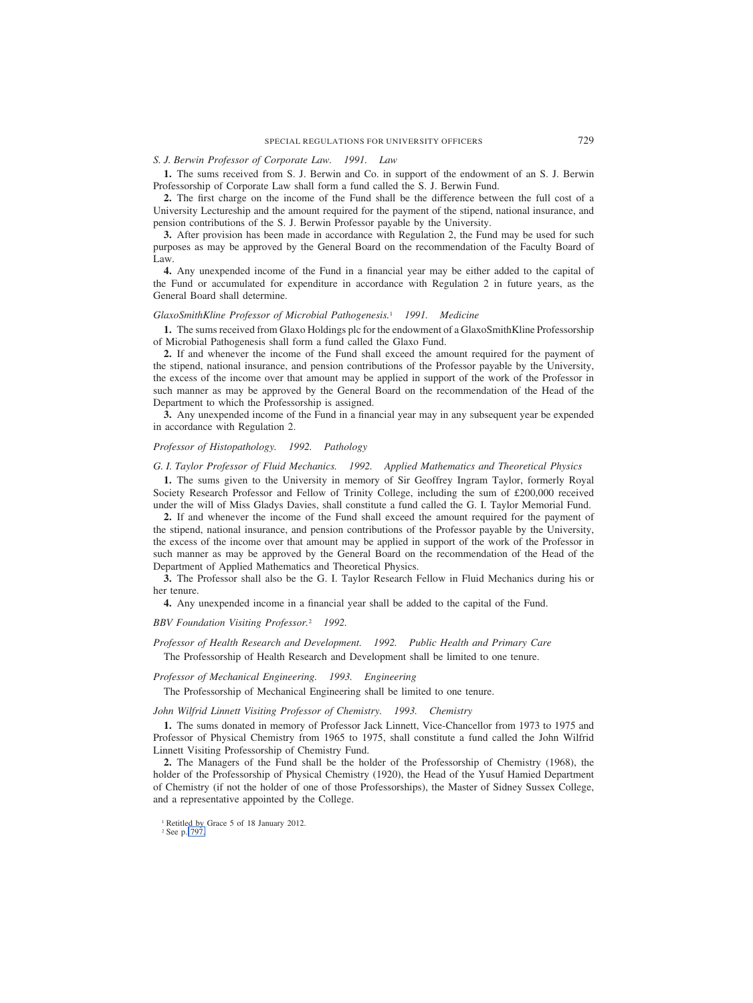# *S. J. Berwin Professor of Corporate Law. 1991. Law*

**1.** The sums received from S. J. Berwin and Co. in support of the endowment of an S. J. Berwin Professorship of Corporate Law shall form a fund called the S. J. Berwin Fund.

**2.** The first charge on the income of the Fund shall be the difference between the full cost of a University Lectureship and the amount required for the payment of the stipend, national insurance, and pension contributions of the S. J. Berwin Professor payable by the University.

**3.** After provision has been made in accordance with Regulation 2, the Fund may be used for such purposes as may be approved by the General Board on the recommendation of the Faculty Board of Law.

**4.** Any unexpended income of the Fund in a financial year may be either added to the capital of the Fund or accumulated for expenditure in accordance with Regulation 2 in future years, as the General Board shall determine.

#### *GlaxoSmithKline Professor of Microbial Pathogenesis.*<sup>1</sup> *1991. Medicine*

**1.** The sums received from Glaxo Holdings plc for the endowment of a GlaxoSmithKline Professorship of Microbial Pathogenesis shall form a fund called the Glaxo Fund.

**2.** If and whenever the income of the Fund shall exceed the amount required for the payment of the stipend, national insurance, and pension contributions of the Professor payable by the University, the excess of the income over that amount may be applied in support of the work of the Professor in such manner as may be approved by the General Board on the recommendation of the Head of the Department to which the Professorship is assigned.

**3.** Any unexpended income of the Fund in a financial year may in any subsequent year be expended in accordance with Regulation 2.

#### *Professor of Histopathology. 1992. Pathology*

#### *G. I. Taylor Professor of Fluid Mechanics. 1992. Applied Mathematics and Theoretical Physics*

**1.** The sums given to the University in memory of Sir Geoffrey Ingram Taylor, formerly Royal Society Research Professor and Fellow of Trinity College, including the sum of £200,000 received under the will of Miss Gladys Davies, shall constitute a fund called the G. I. Taylor Memorial Fund.

**2.** If and whenever the income of the Fund shall exceed the amount required for the payment of the stipend, national insurance, and pension contributions of the Professor payable by the University, the excess of the income over that amount may be applied in support of the work of the Professor in such manner as may be approved by the General Board on the recommendation of the Head of the Department of Applied Mathematics and Theoretical Physics.

**3.** The Professor shall also be the G. I. Taylor Research Fellow in Fluid Mechanics during his or her tenure.

**4.** Any unexpended income in a financial year shall be added to the capital of the Fund.

*BBV Foundation Visiting Professor.*<sup>2</sup> *1992.*

*Professor of Health Research and Development. 1992. Public Health and Primary Care*

The Professorship of Health Research and Development shall be limited to one tenure.

*Professor of Mechanical Engineering. 1993. Engineering*

The Professorship of Mechanical Engineering shall be limited to one tenure.

*John Wilfrid Linnett Visiting Professor of Chemistry. 1993. Chemistry*

**1.** The sums donated in memory of Professor Jack Linnett, Vice-Chancellor from 1973 to 1975 and Professor of Physical Chemistry from 1965 to 1975, shall constitute a fund called the John Wilfrid Linnett Visiting Professorship of Chemistry Fund.

**2.** The Managers of the Fund shall be the holder of the Professorship of Chemistry (1968), the holder of the Professorship of Physical Chemistry (1920), the Head of the Yusuf Hamied Department of Chemistry (if not the holder of one of those Professorships), the Master of Sidney Sussex College, and a representative appointed by the College.

<sup>2</sup> See p. 797.

<sup>1</sup> Retitled by Grace 5 of 18 January 2012.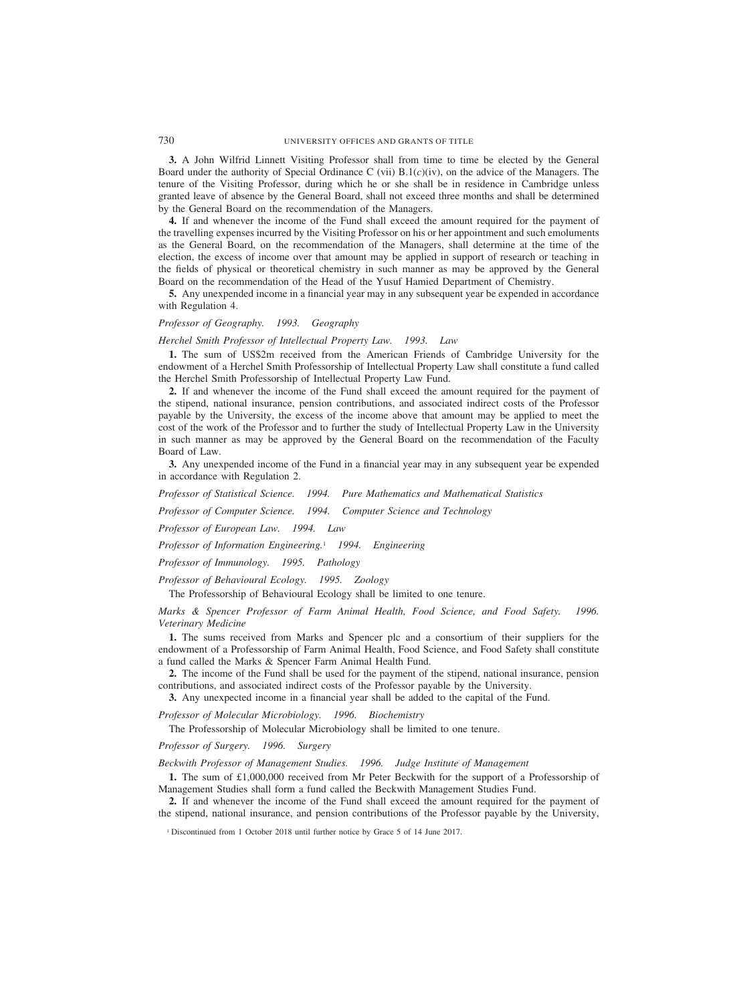**3.** A John Wilfrid Linnett Visiting Professor shall from time to time be elected by the General Board under the authority of Special Ordinance C (vii) B.1(*c*)(iv), on the advice of the Managers. The tenure of the Visiting Professor, during which he or she shall be in residence in Cambridge unless granted leave of absence by the General Board, shall not exceed three months and shall be determined by the General Board on the recommendation of the Managers.

**4.** If and whenever the income of the Fund shall exceed the amount required for the payment of the travelling expenses incurred by the Visiting Professor on his or her appointment and such emoluments as the General Board, on the recommendation of the Managers, shall determine at the time of the election, the excess of income over that amount may be applied in support of research or teaching in the fields of physical or theoretical chemistry in such manner as may be approved by the General Board on the recommendation of the Head of the Yusuf Hamied Department of Chemistry.

**5.** Any unexpended income in a financial year may in any subsequent year be expended in accordance with Regulation 4.

# *Professor of Geography. 1993. Geography*

*Herchel Smith Professor of Intellectual Property Law. 1993. Law*

**1.** The sum of US\$2m received from the American Friends of Cambridge University for the endowment of a Herchel Smith Professorship of Intellectual Property Law shall constitute a fund called the Herchel Smith Professorship of Intellectual Property Law Fund.

**2.** If and whenever the income of the Fund shall exceed the amount required for the payment of the stipend, national insurance, pension contributions, and associated indirect costs of the Professor payable by the University, the excess of the income above that amount may be applied to meet the cost of the work of the Professor and to further the study of Intellectual Property Law in the University in such manner as may be approved by the General Board on the recommendation of the Faculty Board of Law.

**3.** Any unexpended income of the Fund in a financial year may in any subsequent year be expended in accordance with Regulation 2.

*Professor of Statistical Science. 1994. Pure Mathematics and Mathematical Statistics*

*Professor of Computer Science. 1994. Computer Science and Technology*

*Professor of European Law. 1994. Law*

*Professor of Information Engineering.*<sup>1</sup> *1994. Engineering*

*Professor of Immunology. 1995. Pathology*

*Professor of Behavioural Ecology. 1995. Zoology*

The Professorship of Behavioural Ecology shall be limited to one tenure.

*Marks & Spencer Professor of Farm Animal Health, Food Science, and Food Safety. 1996. Veterinary Medicine*

**1.** The sums received from Marks and Spencer plc and a consortium of their suppliers for the endowment of a Professorship of Farm Animal Health, Food Science, and Food Safety shall constitute a fund called the Marks & Spencer Farm Animal Health Fund.

**2.** The income of the Fund shall be used for the payment of the stipend, national insurance, pension contributions, and associated indirect costs of the Professor payable by the University.

**3.** Any unexpected income in a financial year shall be added to the capital of the Fund.

*Professor of Molecular Microbiology. 1996. Biochemistry*

The Professorship of Molecular Microbiology shall be limited to one tenure.

*Professor of Surgery. 1996. Surgery*

*Beckwith Professor of Management Studies. 1996. Judge Institute of Management*

**1.** The sum of £1,000,000 received from Mr Peter Beckwith for the support of a Professorship of Management Studies shall form a fund called the Beckwith Management Studies Fund.

**2.** If and whenever the income of the Fund shall exceed the amount required for the payment of the stipend, national insurance, and pension contributions of the Professor payable by the University,

<sup>&</sup>lt;sup>1</sup> Discontinued from 1 October 2018 until further notice by Grace 5 of 14 June 2017.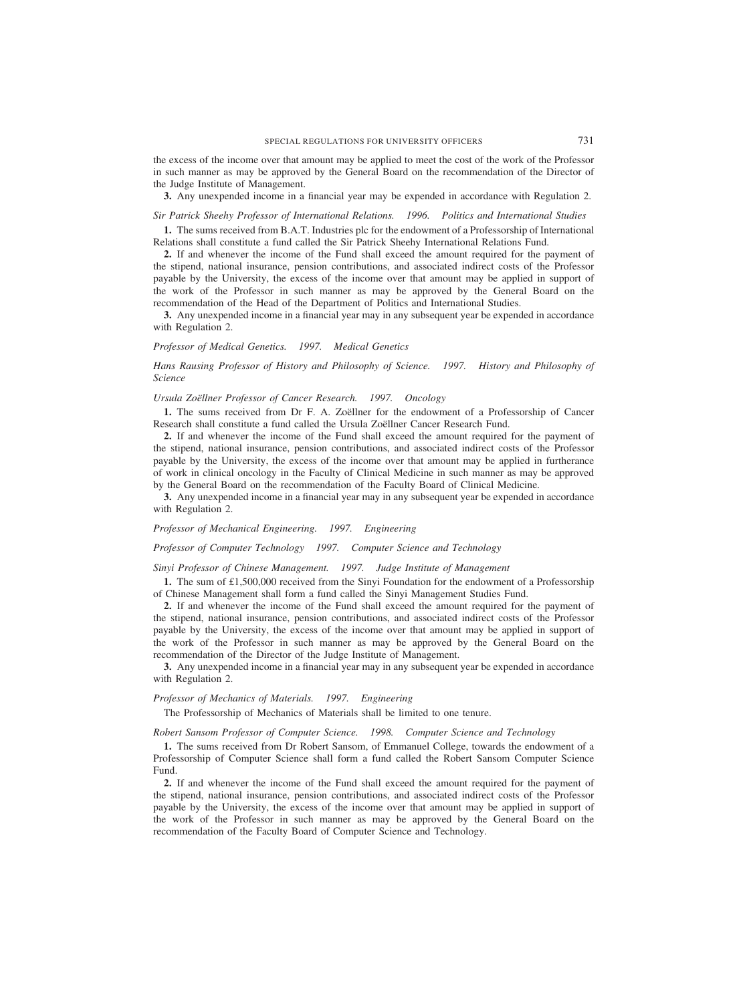the excess of the income over that amount may be applied to meet the cost of the work of the Professor in such manner as may be approved by the General Board on the recommendation of the Director of the Judge Institute of Management.

**3.** Any unexpended income in a financial year may be expended in accordance with Regulation 2.

# *Sir Patrick Sheehy Professor of International Relations. 1996. Politics and International Studies*

**1.** The sums received from B.A.T. Industries plc for the endowment of a Professorship of International Relations shall constitute a fund called the Sir Patrick Sheehy International Relations Fund.

**2.** If and whenever the income of the Fund shall exceed the amount required for the payment of the stipend, national insurance, pension contributions, and associated indirect costs of the Professor payable by the University, the excess of the income over that amount may be applied in support of the work of the Professor in such manner as may be approved by the General Board on the recommendation of the Head of the Department of Politics and International Studies.

**3.** Any unexpended income in a financial year may in any subsequent year be expended in accordance with Regulation 2.

#### *Professor of Medical Genetics. 1997. Medical Genetics*

*Hans Rausing Professor of History and Philosophy of Science. 1997. History and Philosophy of Science*

# *Ursula Zoe¨llner Professor of Cancer Research. 1997. Oncology*

1. The sums received from Dr F. A. Zoëllner for the endowment of a Professorship of Cancer Research shall constitute a fund called the Ursula Zoëllner Cancer Research Fund.

**2.** If and whenever the income of the Fund shall exceed the amount required for the payment of the stipend, national insurance, pension contributions, and associated indirect costs of the Professor payable by the University, the excess of the income over that amount may be applied in furtherance of work in clinical oncology in the Faculty of Clinical Medicine in such manner as may be approved by the General Board on the recommendation of the Faculty Board of Clinical Medicine.

**3.** Any unexpended income in a financial year may in any subsequent year be expended in accordance with Regulation 2.

#### *Professor of Mechanical Engineering. 1997. Engineering*

*Professor of Computer Technology 1997. Computer Science and Technology*

#### *Sinyi Professor of Chinese Management. 1997. Judge Institute of Management*

**1.** The sum of £1,500,000 received from the Sinyi Foundation for the endowment of a Professorship of Chinese Management shall form a fund called the Sinyi Management Studies Fund.

**2.** If and whenever the income of the Fund shall exceed the amount required for the payment of the stipend, national insurance, pension contributions, and associated indirect costs of the Professor payable by the University, the excess of the income over that amount may be applied in support of the work of the Professor in such manner as may be approved by the General Board on the recommendation of the Director of the Judge Institute of Management.

**3.** Any unexpended income in a financial year may in any subsequent year be expended in accordance with Regulation 2.

# *Professor of Mechanics of Materials. 1997. Engineering*

The Professorship of Mechanics of Materials shall be limited to one tenure.

*Robert Sansom Professor of Computer Science. 1998. Computer Science and Technology*

**1.** The sums received from Dr Robert Sansom, of Emmanuel College, towards the endowment of a Professorship of Computer Science shall form a fund called the Robert Sansom Computer Science Fund.

**2.** If and whenever the income of the Fund shall exceed the amount required for the payment of the stipend, national insurance, pension contributions, and associated indirect costs of the Professor payable by the University, the excess of the income over that amount may be applied in support of the work of the Professor in such manner as may be approved by the General Board on the recommendation of the Faculty Board of Computer Science and Technology.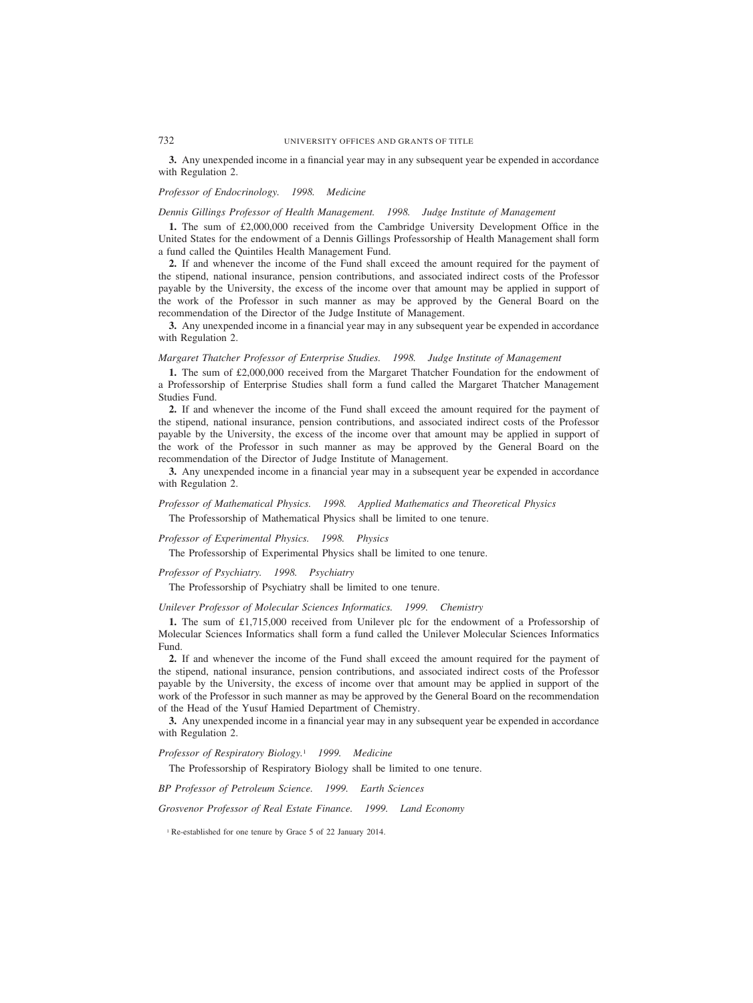# 732 UNIVERSITY OFFICES AND GRANTS OF TITLE

**3.** Any unexpended income in a financial year may in any subsequent year be expended in accordance with Regulation 2.

# *Professor of Endocrinology. 1998. Medicine*

#### *Dennis Gillings Professor of Health Management. 1998. Judge Institute of Management*

**1.** The sum of £2,000,000 received from the Cambridge University Development Office in the United States for the endowment of a Dennis Gillings Professorship of Health Management shall form a fund called the Quintiles Health Management Fund.

**2.** If and whenever the income of the Fund shall exceed the amount required for the payment of the stipend, national insurance, pension contributions, and associated indirect costs of the Professor payable by the University, the excess of the income over that amount may be applied in support of the work of the Professor in such manner as may be approved by the General Board on the recommendation of the Director of the Judge Institute of Management.

**3.** Any unexpended income in a financial year may in any subsequent year be expended in accordance with Regulation 2.

*Margaret Thatcher Professor of Enterprise Studies. 1998. Judge Institute of Management*

**1.** The sum of £2,000,000 received from the Margaret Thatcher Foundation for the endowment of a Professorship of Enterprise Studies shall form a fund called the Margaret Thatcher Management Studies Fund.

**2.** If and whenever the income of the Fund shall exceed the amount required for the payment of the stipend, national insurance, pension contributions, and associated indirect costs of the Professor payable by the University, the excess of the income over that amount may be applied in support of the work of the Professor in such manner as may be approved by the General Board on the recommendation of the Director of Judge Institute of Management.

**3.** Any unexpended income in a financial year may in a subsequent year be expended in accordance with Regulation 2.

# *Professor of Mathematical Physics. 1998. Applied Mathematics and Theoretical Physics* The Professorship of Mathematical Physics shall be limited to one tenure.

*Professor of Experimental Physics. 1998. Physics*

The Professorship of Experimental Physics shall be limited to one tenure.

# *Professor of Psychiatry. 1998. Psychiatry*

The Professorship of Psychiatry shall be limited to one tenure.

*Unilever Professor of Molecular Sciences Informatics. 1999. Chemistry*

**1.** The sum of £1,715,000 received from Unilever plc for the endowment of a Professorship of Molecular Sciences Informatics shall form a fund called the Unilever Molecular Sciences Informatics Fund.

**2.** If and whenever the income of the Fund shall exceed the amount required for the payment of the stipend, national insurance, pension contributions, and associated indirect costs of the Professor payable by the University, the excess of income over that amount may be applied in support of the work of the Professor in such manner as may be approved by the General Board on the recommendation of the Head of the Yusuf Hamied Department of Chemistry.

**3.** Any unexpended income in a financial year may in any subsequent year be expended in accordance with Regulation 2.

*Professor of Respiratory Biology.*<sup>1</sup> *1999. Medicine*

The Professorship of Respiratory Biology shall be limited to one tenure.

*BP Professor of Petroleum Science. 1999. Earth Sciences*

*Grosvenor Professor of Real Estate Finance. 1999. Land Economy*

<sup>1</sup> Re-established for one tenure by Grace 5 of 22 January 2014.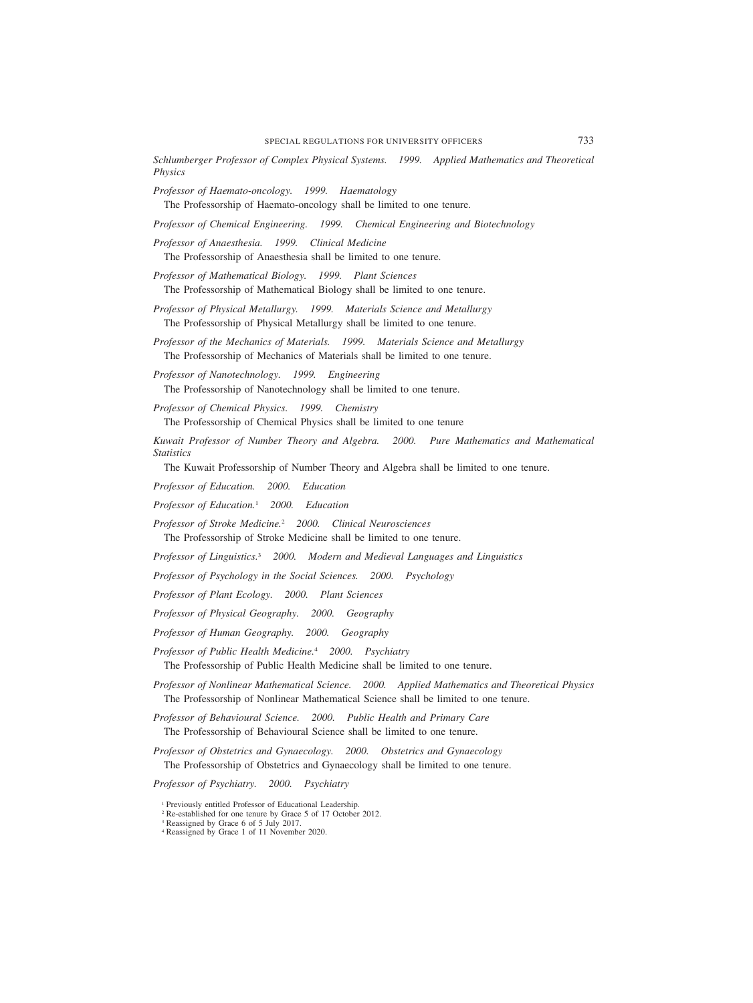*Schlumberger Professor of Complex Physical Systems. 1999. Applied Mathematics and Theoretical Physics*

*Professor of Haemato-oncology. 1999. Haematology*

The Professorship of Haemato-oncology shall be limited to one tenure.

*Professor of Chemical Engineering. 1999. Chemical Engineering and Biotechnology*

*Professor of Anaesthesia. 1999. Clinical Medicine*

The Professorship of Anaesthesia shall be limited to one tenure.

*Professor of Mathematical Biology. 1999. Plant Sciences* The Professorship of Mathematical Biology shall be limited to one tenure.

*Professor of Physical Metallurgy. 1999. Materials Science and Metallurgy* The Professorship of Physical Metallurgy shall be limited to one tenure.

*Professor of the Mechanics of Materials. 1999. Materials Science and Metallurgy* The Professorship of Mechanics of Materials shall be limited to one tenure.

*Professor of Nanotechnology. 1999. Engineering* The Professorship of Nanotechnology shall be limited to one tenure.

*Professor of Chemical Physics. 1999. Chemistry* The Professorship of Chemical Physics shall be limited to one tenure

*Kuwait Professor of Number Theory and Algebra. 2000. Pure Mathematics and Mathematical Statistics*

The Kuwait Professorship of Number Theory and Algebra shall be limited to one tenure.

*Professor of Education. 2000. Education*

*Professor of Education.*<sup>1</sup> *2000. Education*

*Professor of Stroke Medicine.*<sup>2</sup> *2000. Clinical Neurosciences* The Professorship of Stroke Medicine shall be limited to one tenure.

*Professor of Linguistics.*<sup>3</sup> *2000. Modern and Medieval Languages and Linguistics*

*Professor of Psychology in the Social Sciences. 2000. Psychology*

*Professor of Plant Ecology. 2000. Plant Sciences*

*Professor of Physical Geography. 2000. Geography*

*Professor of Human Geography. 2000. Geography*

*Professor of Public Health Medicine.*<sup>4</sup> *2000. Psychiatry*

The Professorship of Public Health Medicine shall be limited to one tenure.

*Professor of Nonlinear Mathematical Science. 2000. Applied Mathematics and Theoretical Physics* The Professorship of Nonlinear Mathematical Science shall be limited to one tenure.

*Professor of Behavioural Science. 2000. Public Health and Primary Care* The Professorship of Behavioural Science shall be limited to one tenure.

*Professor of Obstetrics and Gynaecology. 2000. Obstetrics and Gynaecology* The Professorship of Obstetrics and Gynaecology shall be limited to one tenure.

*Professor of Psychiatry. 2000. Psychiatry*

<sup>1</sup> Previously entitled Professor of Educational Leadership.

<sup>2</sup> Re-established for one tenure by Grace 5 of 17 October 2012.

<sup>3</sup> Reassigned by Grace 6 of 5 July 2017.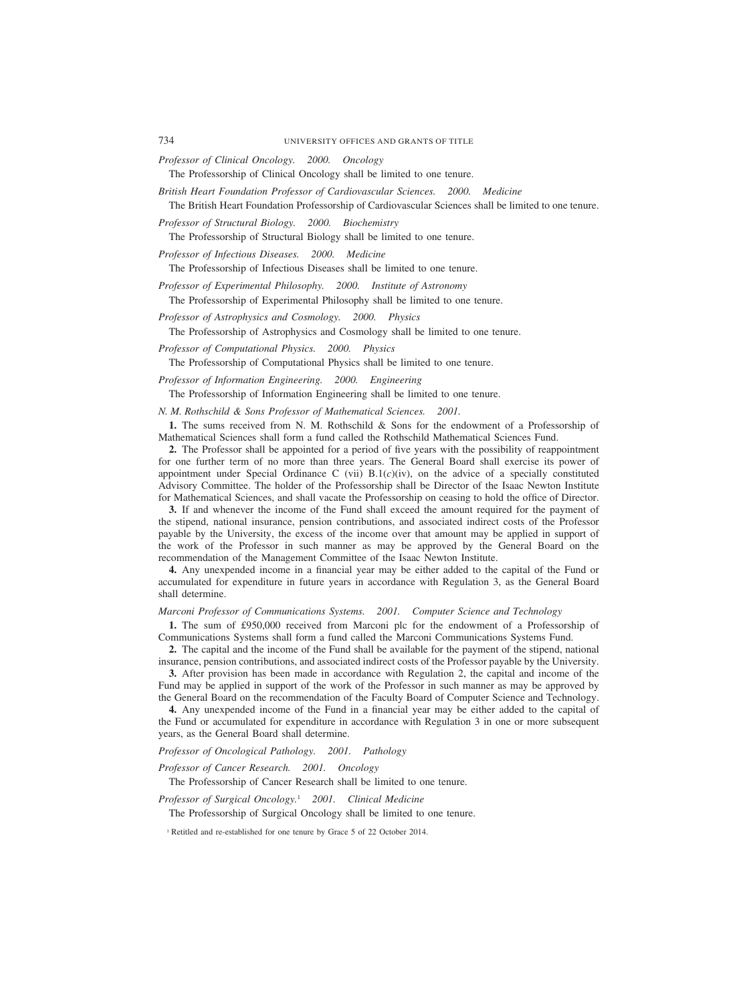*Professor of Clinical Oncology. 2000. Oncology*

The Professorship of Clinical Oncology shall be limited to one tenure.

*British Heart Foundation Professor of Cardiovascular Sciences. 2000. Medicine* The British Heart Foundation Professorship of Cardiovascular Sciences shall be limited to one tenure.

*Professor of Structural Biology. 2000. Biochemistry*

The Professorship of Structural Biology shall be limited to one tenure.

*Professor of Infectious Diseases. 2000. Medicine*

The Professorship of Infectious Diseases shall be limited to one tenure.

*Professor of Experimental Philosophy. 2000. Institute of Astronomy*

The Professorship of Experimental Philosophy shall be limited to one tenure.

*Professor of Astrophysics and Cosmology. 2000. Physics*

The Professorship of Astrophysics and Cosmology shall be limited to one tenure.

*Professor of Computational Physics. 2000. Physics*

The Professorship of Computational Physics shall be limited to one tenure.

*Professor of Information Engineering. 2000. Engineering*

The Professorship of Information Engineering shall be limited to one tenure.

*N. M. Rothschild & Sons Professor of Mathematical Sciences. 2001.*

**1.** The sums received from N. M. Rothschild & Sons for the endowment of a Professorship of Mathematical Sciences shall form a fund called the Rothschild Mathematical Sciences Fund.

**2.** The Professor shall be appointed for a period of five years with the possibility of reappointment for one further term of no more than three years. The General Board shall exercise its power of appointment under Special Ordinance C (vii) B.1(*c*)(iv), on the advice of a specially constituted Advisory Committee. The holder of the Professorship shall be Director of the Isaac Newton Institute for Mathematical Sciences, and shall vacate the Professorship on ceasing to hold the office of Director.

**3.** If and whenever the income of the Fund shall exceed the amount required for the payment of the stipend, national insurance, pension contributions, and associated indirect costs of the Professor payable by the University, the excess of the income over that amount may be applied in support of the work of the Professor in such manner as may be approved by the General Board on the recommendation of the Management Committee of the Isaac Newton Institute.

**4.** Any unexpended income in a financial year may be either added to the capital of the Fund or accumulated for expenditure in future years in accordance with Regulation 3, as the General Board shall determine.

#### *Marconi Professor of Communications Systems. 2001. Computer Science and Technology*

**1.** The sum of £950,000 received from Marconi plc for the endowment of a Professorship of Communications Systems shall form a fund called the Marconi Communications Systems Fund.

**2.** The capital and the income of the Fund shall be available for the payment of the stipend, national insurance, pension contributions, and associated indirect costs of the Professor payable by the University.

**3.** After provision has been made in accordance with Regulation 2, the capital and income of the Fund may be applied in support of the work of the Professor in such manner as may be approved by the General Board on the recommendation of the Faculty Board of Computer Science and Technology.

**4.** Any unexpended income of the Fund in a financial year may be either added to the capital of the Fund or accumulated for expenditure in accordance with Regulation 3 in one or more subsequent years, as the General Board shall determine.

#### *Professor of Oncological Pathology. 2001. Pathology*

*Professor of Cancer Research. 2001. Oncology*

The Professorship of Cancer Research shall be limited to one tenure.

*Professor of Surgical Oncology.*<sup>1</sup> *2001. Clinical Medicine*

The Professorship of Surgical Oncology shall be limited to one tenure.

<sup>1</sup> Retitled and re-established for one tenure by Grace 5 of 22 October 2014.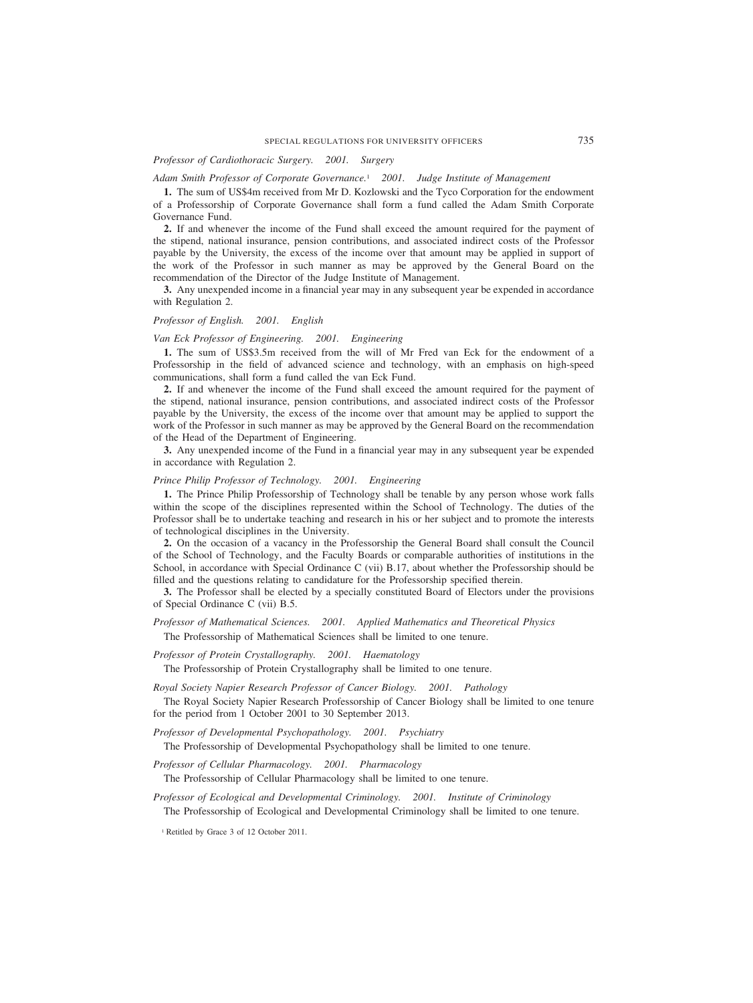# *Professor of Cardiothoracic Surgery. 2001. Surgery*

#### *Adam Smith Professor of Corporate Governance.*<sup>1</sup> *2001. Judge Institute of Management*

**1.** The sum of US\$4m received from Mr D. Kozlowski and the Tyco Corporation for the endowment of a Professorship of Corporate Governance shall form a fund called the Adam Smith Corporate Governance Fund.

**2.** If and whenever the income of the Fund shall exceed the amount required for the payment of the stipend, national insurance, pension contributions, and associated indirect costs of the Professor payable by the University, the excess of the income over that amount may be applied in support of the work of the Professor in such manner as may be approved by the General Board on the recommendation of the Director of the Judge Institute of Management.

**3.** Any unexpended income in a financial year may in any subsequent year be expended in accordance with Regulation 2.

# *Professor of English. 2001. English*

#### *Van Eck Professor of Engineering. 2001. Engineering*

**1.** The sum of US\$3.5m received from the will of Mr Fred van Eck for the endowment of a Professorship in the field of advanced science and technology, with an emphasis on high-speed communications, shall form a fund called the van Eck Fund.

**2.** If and whenever the income of the Fund shall exceed the amount required for the payment of the stipend, national insurance, pension contributions, and associated indirect costs of the Professor payable by the University, the excess of the income over that amount may be applied to support the work of the Professor in such manner as may be approved by the General Board on the recommendation of the Head of the Department of Engineering.

**3.** Any unexpended income of the Fund in a financial year may in any subsequent year be expended in accordance with Regulation 2.

#### *Prince Philip Professor of Technology. 2001. Engineering*

**1.** The Prince Philip Professorship of Technology shall be tenable by any person whose work falls within the scope of the disciplines represented within the School of Technology. The duties of the Professor shall be to undertake teaching and research in his or her subject and to promote the interests of technological disciplines in the University.

**2.** On the occasion of a vacancy in the Professorship the General Board shall consult the Council of the School of Technology, and the Faculty Boards or comparable authorities of institutions in the School, in accordance with Special Ordinance C (vii) B.17, about whether the Professorship should be filled and the questions relating to candidature for the Professorship specified therein.

**3.** The Professor shall be elected by a specially constituted Board of Electors under the provisions of Special Ordinance C (vii) B.5.

# *Professor of Mathematical Sciences. 2001. Applied Mathematics and Theoretical Physics*

The Professorship of Mathematical Sciences shall be limited to one tenure.

*Professor of Protein Crystallography. 2001. Haematology*

The Professorship of Protein Crystallography shall be limited to one tenure.

*Royal Society Napier Research Professor of Cancer Biology. 2001. Pathology*

The Royal Society Napier Research Professorship of Cancer Biology shall be limited to one tenure for the period from 1 October 2001 to 30 September 2013.

*Professor of Developmental Psychopathology. 2001. Psychiatry*

The Professorship of Developmental Psychopathology shall be limited to one tenure.

*Professor of Cellular Pharmacology. 2001. Pharmacology*

The Professorship of Cellular Pharmacology shall be limited to one tenure.

*Professor of Ecological and Developmental Criminology. 2001. Institute of Criminology* The Professorship of Ecological and Developmental Criminology shall be limited to one tenure.

<sup>1</sup> Retitled by Grace 3 of 12 October 2011.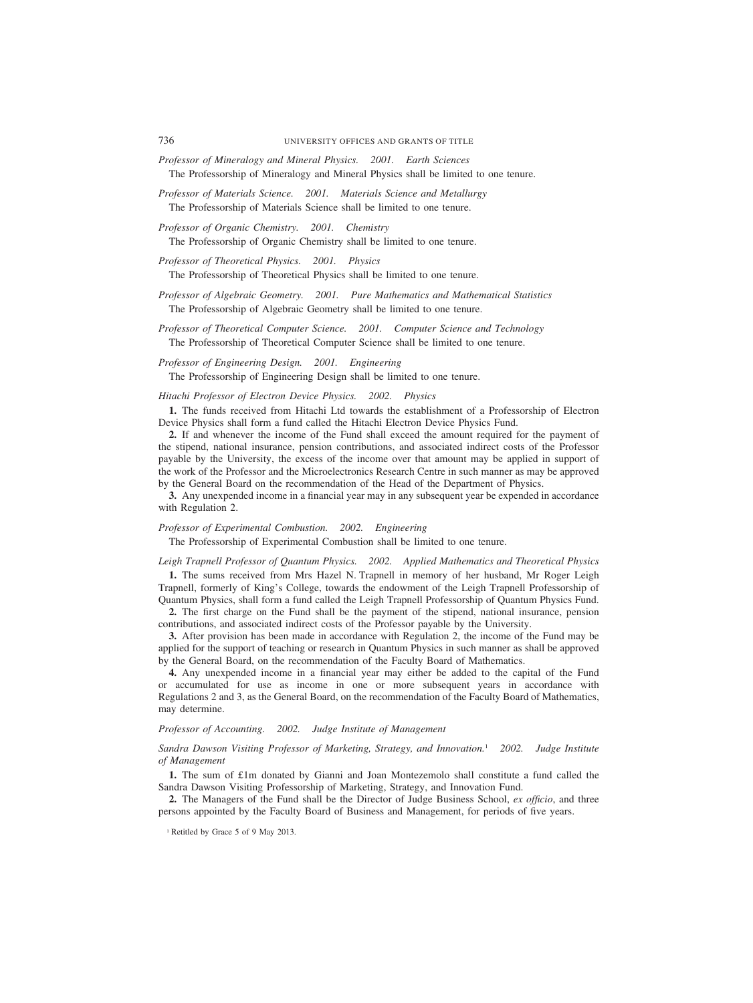- *Professor of Mineralogy and Mineral Physics. 2001. Earth Sciences* The Professorship of Mineralogy and Mineral Physics shall be limited to one tenure.
- *Professor of Materials Science. 2001. Materials Science and Metallurgy* The Professorship of Materials Science shall be limited to one tenure.
- *Professor of Organic Chemistry. 2001. Chemistry* The Professorship of Organic Chemistry shall be limited to one tenure.
- *Professor of Theoretical Physics. 2001. Physics* The Professorship of Theoretical Physics shall be limited to one tenure.
- *Professor of Algebraic Geometry. 2001. Pure Mathematics and Mathematical Statistics* The Professorship of Algebraic Geometry shall be limited to one tenure.
- *Professor of Theoretical Computer Science. 2001. Computer Science and Technology* The Professorship of Theoretical Computer Science shall be limited to one tenure.

*Professor of Engineering Design. 2001. Engineering*

The Professorship of Engineering Design shall be limited to one tenure.

#### *Hitachi Professor of Electron Device Physics. 2002. Physics*

**1.** The funds received from Hitachi Ltd towards the establishment of a Professorship of Electron Device Physics shall form a fund called the Hitachi Electron Device Physics Fund.

**2.** If and whenever the income of the Fund shall exceed the amount required for the payment of the stipend, national insurance, pension contributions, and associated indirect costs of the Professor payable by the University, the excess of the income over that amount may be applied in support of the work of the Professor and the Microelectronics Research Centre in such manner as may be approved by the General Board on the recommendation of the Head of the Department of Physics.

**3.** Any unexpended income in a financial year may in any subsequent year be expended in accordance with Regulation 2.

#### *Professor of Experimental Combustion. 2002. Engineering*

The Professorship of Experimental Combustion shall be limited to one tenure.

#### *Leigh Trapnell Professor of Quantum Physics. 2002. Applied Mathematics and Theoretical Physics*

**1.** The sums received from Mrs Hazel N. Trapnell in memory of her husband, Mr Roger Leigh Trapnell, formerly of King's College, towards the endowment of the Leigh Trapnell Professorship of Quantum Physics, shall form a fund called the Leigh Trapnell Professorship of Quantum Physics Fund.

**2.** The first charge on the Fund shall be the payment of the stipend, national insurance, pension contributions, and associated indirect costs of the Professor payable by the University.

**3.** After provision has been made in accordance with Regulation 2, the income of the Fund may be applied for the support of teaching or research in Quantum Physics in such manner as shall be approved by the General Board, on the recommendation of the Faculty Board of Mathematics.

**4.** Any unexpended income in a financial year may either be added to the capital of the Fund or accumulated for use as income in one or more subsequent years in accordance with Regulations 2 and 3, as the General Board, on the recommendation of the Faculty Board of Mathematics, may determine.

# *Professor of Accounting. 2002. Judge Institute of Management*

# *Sandra Dawson Visiting Professor of Marketing, Strategy, and Innovation.*<sup>1</sup> *2002. Judge Institute of Management*

**1.** The sum of £1m donated by Gianni and Joan Montezemolo shall constitute a fund called the Sandra Dawson Visiting Professorship of Marketing, Strategy, and Innovation Fund.

**2.** The Managers of the Fund shall be the Director of Judge Business School, *ex officio*, and three persons appointed by the Faculty Board of Business and Management, for periods of five years.

<sup>1</sup> Retitled by Grace 5 of 9 May 2013.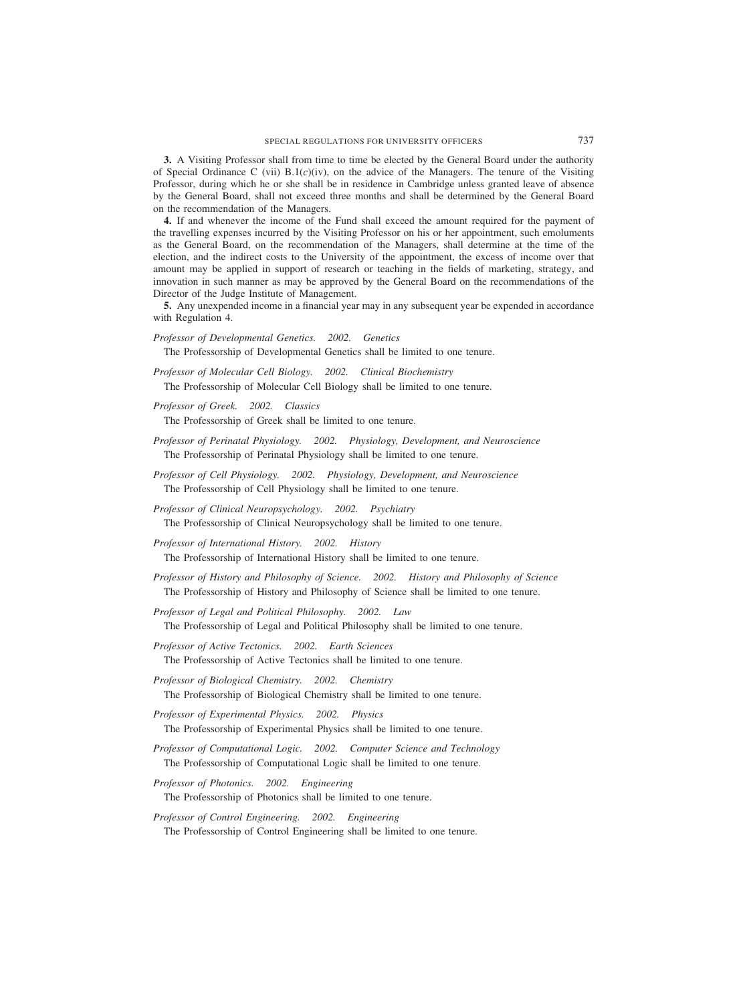**3.** A Visiting Professor shall from time to time be elected by the General Board under the authority of Special Ordinance C (vii)  $B(1(c)(iv))$ , on the advice of the Managers. The tenure of the Visiting Professor, during which he or she shall be in residence in Cambridge unless granted leave of absence by the General Board, shall not exceed three months and shall be determined by the General Board on the recommendation of the Managers.

**4.** If and whenever the income of the Fund shall exceed the amount required for the payment of the travelling expenses incurred by the Visiting Professor on his or her appointment, such emoluments as the General Board, on the recommendation of the Managers, shall determine at the time of the election, and the indirect costs to the University of the appointment, the excess of income over that amount may be applied in support of research or teaching in the fields of marketing, strategy, and innovation in such manner as may be approved by the General Board on the recommendations of the Director of the Judge Institute of Management.

**5.** Any unexpended income in a financial year may in any subsequent year be expended in accordance with Regulation 4.

*Professor of Developmental Genetics. 2002. Genetics*

The Professorship of Developmental Genetics shall be limited to one tenure.

*Professor of Molecular Cell Biology. 2002. Clinical Biochemistry* The Professorship of Molecular Cell Biology shall be limited to one tenure.

*Professor of Greek. 2002. Classics*

The Professorship of Greek shall be limited to one tenure.

- *Professor of Perinatal Physiology. 2002. Physiology, Development, and Neuroscience* The Professorship of Perinatal Physiology shall be limited to one tenure.
- *Professor of Cell Physiology. 2002. Physiology, Development, and Neuroscience* The Professorship of Cell Physiology shall be limited to one tenure.
- *Professor of Clinical Neuropsychology. 2002. Psychiatry* The Professorship of Clinical Neuropsychology shall be limited to one tenure.

*Professor of International History. 2002. History* The Professorship of International History shall be limited to one tenure.

- *Professor of History and Philosophy of Science. 2002. History and Philosophy of Science* The Professorship of History and Philosophy of Science shall be limited to one tenure.
- *Professor of Legal and Political Philosophy. 2002. Law* The Professorship of Legal and Political Philosophy shall be limited to one tenure.

*Professor of Active Tectonics. 2002. Earth Sciences* The Professorship of Active Tectonics shall be limited to one tenure.

*Professor of Biological Chemistry. 2002. Chemistry* The Professorship of Biological Chemistry shall be limited to one tenure.

- *Professor of Experimental Physics. 2002. Physics* The Professorship of Experimental Physics shall be limited to one tenure.
- *Professor of Computational Logic. 2002. Computer Science and Technology* The Professorship of Computational Logic shall be limited to one tenure.

*Professor of Photonics. 2002. Engineering*

The Professorship of Photonics shall be limited to one tenure.

*Professor of Control Engineering. 2002. Engineering* The Professorship of Control Engineering shall be limited to one tenure.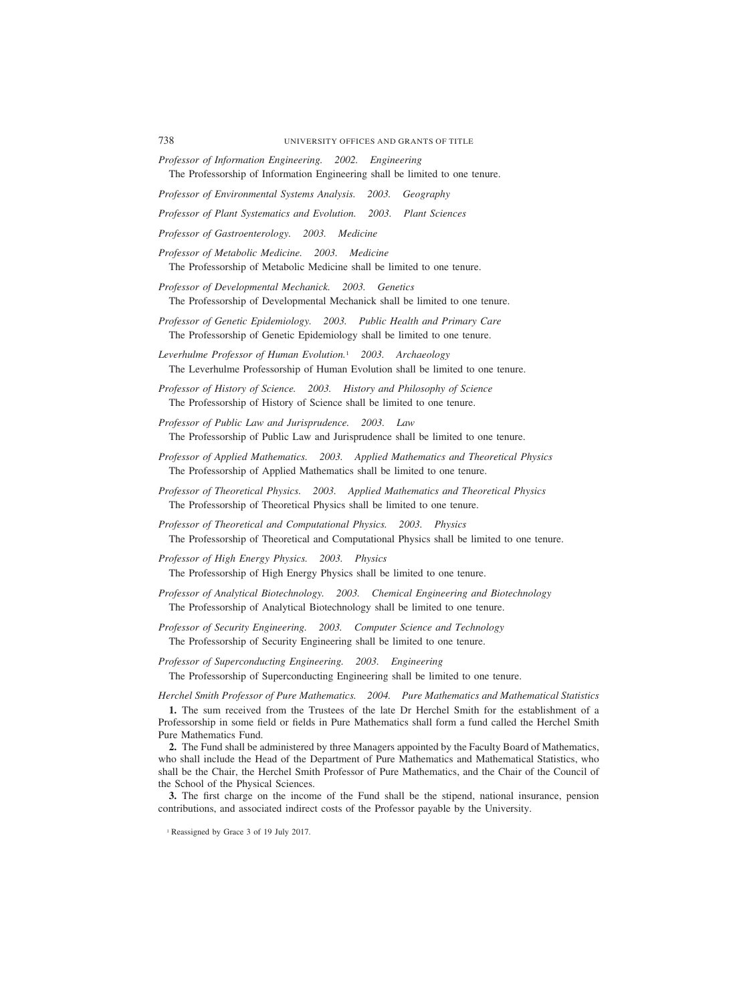*Professor of Information Engineering. 2002. Engineering* The Professorship of Information Engineering shall be limited to one tenure.

*Professor of Environmental Systems Analysis. 2003. Geography*

*Professor of Plant Systematics and Evolution. 2003. Plant Sciences*

*Professor of Gastroenterology. 2003. Medicine*

*Professor of Metabolic Medicine. 2003. Medicine* The Professorship of Metabolic Medicine shall be limited to one tenure.

- *Professor of Developmental Mechanick. 2003. Genetics* The Professorship of Developmental Mechanick shall be limited to one tenure.
- *Professor of Genetic Epidemiology. 2003. Public Health and Primary Care* The Professorship of Genetic Epidemiology shall be limited to one tenure.
- *Leverhulme Professor of Human Evolution.*<sup>1</sup> *2003. Archaeology* The Leverhulme Professorship of Human Evolution shall be limited to one tenure.
- *Professor of History of Science. 2003. History and Philosophy of Science* The Professorship of History of Science shall be limited to one tenure.
- *Professor of Public Law and Jurisprudence. 2003. Law* The Professorship of Public Law and Jurisprudence shall be limited to one tenure.
- *Professor of Applied Mathematics. 2003. Applied Mathematics and Theoretical Physics* The Professorship of Applied Mathematics shall be limited to one tenure.
- *Professor of Theoretical Physics. 2003. Applied Mathematics and Theoretical Physics* The Professorship of Theoretical Physics shall be limited to one tenure.
- *Professor of Theoretical and Computational Physics. 2003. Physics* The Professorship of Theoretical and Computational Physics shall be limited to one tenure.
- *Professor of High Energy Physics. 2003. Physics* The Professorship of High Energy Physics shall be limited to one tenure.
- *Professor of Analytical Biotechnology. 2003. Chemical Engineering and Biotechnology* The Professorship of Analytical Biotechnology shall be limited to one tenure.
- *Professor of Security Engineering. 2003. Computer Science and Technology* The Professorship of Security Engineering shall be limited to one tenure.
- *Professor of Superconducting Engineering. 2003. Engineering* The Professorship of Superconducting Engineering shall be limited to one tenure.

*Herchel Smith Professor of Pure Mathematics. 2004. Pure Mathematics and Mathematical Statistics*

**1.** The sum received from the Trustees of the late Dr Herchel Smith for the establishment of a Professorship in some field or fields in Pure Mathematics shall form a fund called the Herchel Smith Pure Mathematics Fund.

**2.** The Fund shall be administered by three Managers appointed by the Faculty Board of Mathematics, who shall include the Head of the Department of Pure Mathematics and Mathematical Statistics, who shall be the Chair, the Herchel Smith Professor of Pure Mathematics, and the Chair of the Council of the School of the Physical Sciences.

**3.** The first charge on the income of the Fund shall be the stipend, national insurance, pension contributions, and associated indirect costs of the Professor payable by the University.

<sup>&</sup>lt;sup>1</sup> Reassigned by Grace 3 of 19 July 2017.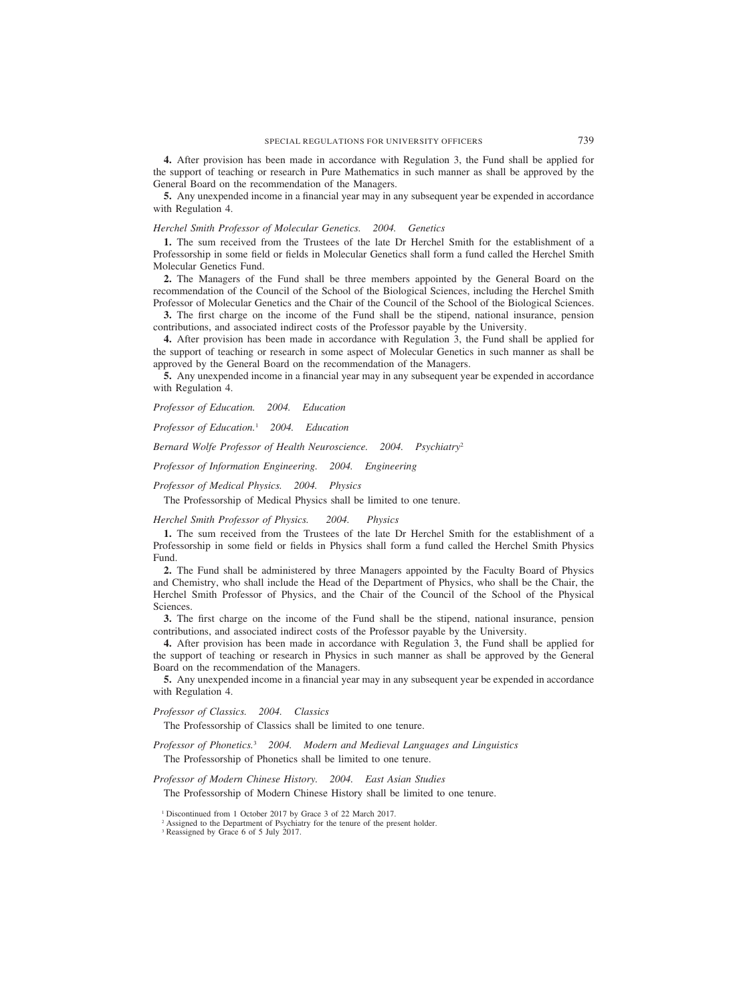**4.** After provision has been made in accordance with Regulation 3, the Fund shall be applied for the support of teaching or research in Pure Mathematics in such manner as shall be approved by the General Board on the recommendation of the Managers.

**5.** Any unexpended income in a financial year may in any subsequent year be expended in accordance with Regulation 4.

# *Herchel Smith Professor of Molecular Genetics. 2004. Genetics*

**1.** The sum received from the Trustees of the late Dr Herchel Smith for the establishment of a Professorship in some field or fields in Molecular Genetics shall form a fund called the Herchel Smith Molecular Genetics Fund.

**2.** The Managers of the Fund shall be three members appointed by the General Board on the recommendation of the Council of the School of the Biological Sciences, including the Herchel Smith Professor of Molecular Genetics and the Chair of the Council of the School of the Biological Sciences.

**3.** The first charge on the income of the Fund shall be the stipend, national insurance, pension contributions, and associated indirect costs of the Professor payable by the University.

**4.** After provision has been made in accordance with Regulation 3, the Fund shall be applied for the support of teaching or research in some aspect of Molecular Genetics in such manner as shall be approved by the General Board on the recommendation of the Managers.

**5.** Any unexpended income in a financial year may in any subsequent year be expended in accordance with Regulation 4.

*Professor of Education. 2004. Education*

*Professor of Education.*<sup>1</sup> *2004. Education*

*Bernard Wolfe Professor of Health Neuroscience. 2004. Psychiatry*<sup>2</sup>

*Professor of Information Engineering. 2004. Engineering*

*Professor of Medical Physics. 2004. Physics*

The Professorship of Medical Physics shall be limited to one tenure.

*Herchel Smith Professor of Physics. 2004. Physics*

**1.** The sum received from the Trustees of the late Dr Herchel Smith for the establishment of a Professorship in some field or fields in Physics shall form a fund called the Herchel Smith Physics Fund.

**2.** The Fund shall be administered by three Managers appointed by the Faculty Board of Physics and Chemistry, who shall include the Head of the Department of Physics, who shall be the Chair, the Herchel Smith Professor of Physics, and the Chair of the Council of the School of the Physical Sciences.

**3.** The first charge on the income of the Fund shall be the stipend, national insurance, pension contributions, and associated indirect costs of the Professor payable by the University.

**4.** After provision has been made in accordance with Regulation 3, the Fund shall be applied for the support of teaching or research in Physics in such manner as shall be approved by the General Board on the recommendation of the Managers.

**5.** Any unexpended income in a financial year may in any subsequent year be expended in accordance with Regulation 4.

*Professor of Classics. 2004. Classics*

The Professorship of Classics shall be limited to one tenure.

*Professor of Phonetics.*<sup>3</sup> *2004. Modern and Medieval Languages and Linguistics*

The Professorship of Phonetics shall be limited to one tenure.

*Professor of Modern Chinese History. 2004. East Asian Studies*

The Professorship of Modern Chinese History shall be limited to one tenure.

<sup>3</sup> Reassigned by Grace 6 of 5 July 2017.

<sup>1</sup> Discontinued from 1 October 2017 by Grace 3 of 22 March 2017.

<sup>&</sup>lt;sup>2</sup> Assigned to the Department of Psychiatry for the tenure of the present holder.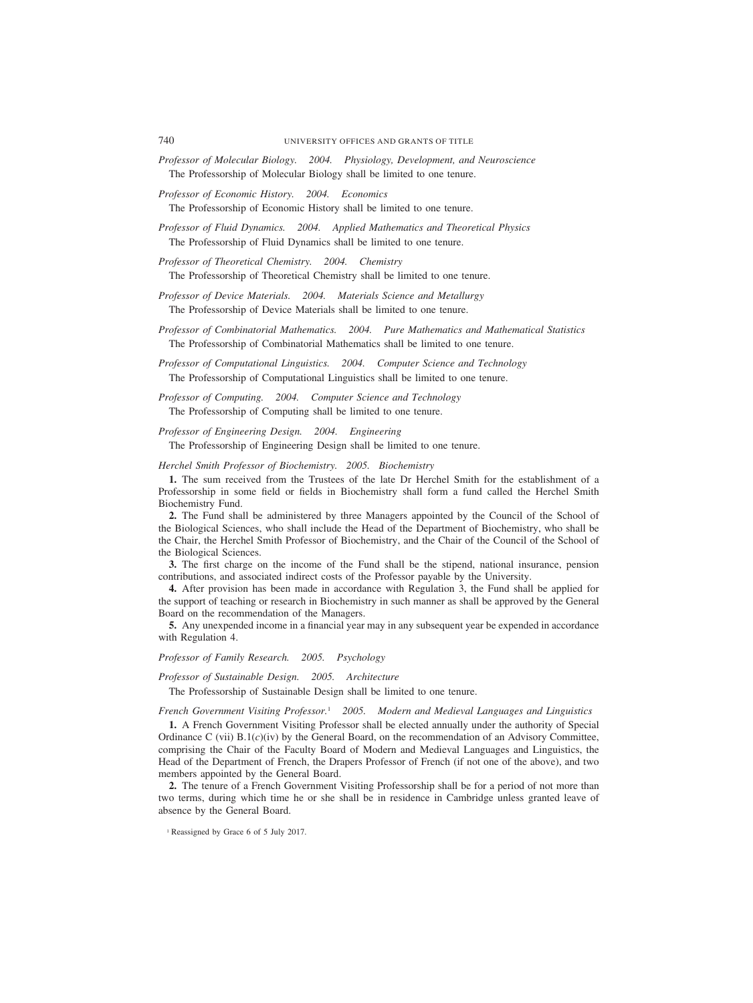- *Professor of Molecular Biology. 2004. Physiology, Development, and Neuroscience* The Professorship of Molecular Biology shall be limited to one tenure.
- *Professor of Economic History. 2004. Economics* The Professorship of Economic History shall be limited to one tenure.

*Professor of Fluid Dynamics. 2004. Applied Mathematics and Theoretical Physics* The Professorship of Fluid Dynamics shall be limited to one tenure.

*Professor of Theoretical Chemistry. 2004. Chemistry* The Professorship of Theoretical Chemistry shall be limited to one tenure.

*Professor of Device Materials. 2004. Materials Science and Metallurgy* The Professorship of Device Materials shall be limited to one tenure.

*Professor of Combinatorial Mathematics. 2004. Pure Mathematics and Mathematical Statistics* The Professorship of Combinatorial Mathematics shall be limited to one tenure.

*Professor of Computational Linguistics. 2004. Computer Science and Technology* The Professorship of Computational Linguistics shall be limited to one tenure.

*Professor of Computing. 2004. Computer Science and Technology* The Professorship of Computing shall be limited to one tenure.

*Professor of Engineering Design. 2004. Engineering* The Professorship of Engineering Design shall be limited to one tenure.

*Herchel Smith Professor of Biochemistry. 2005. Biochemistry*

**1.** The sum received from the Trustees of the late Dr Herchel Smith for the establishment of a Professorship in some field or fields in Biochemistry shall form a fund called the Herchel Smith Biochemistry Fund.

**2.** The Fund shall be administered by three Managers appointed by the Council of the School of the Biological Sciences, who shall include the Head of the Department of Biochemistry, who shall be the Chair, the Herchel Smith Professor of Biochemistry, and the Chair of the Council of the School of the Biological Sciences.

**3.** The first charge on the income of the Fund shall be the stipend, national insurance, pension contributions, and associated indirect costs of the Professor payable by the University.

**4.** After provision has been made in accordance with Regulation 3, the Fund shall be applied for the support of teaching or research in Biochemistry in such manner as shall be approved by the General Board on the recommendation of the Managers.

**5.** Any unexpended income in a financial year may in any subsequent year be expended in accordance with Regulation 4.

*Professor of Family Research. 2005. Psychology*

*Professor of Sustainable Design. 2005. Architecture*

The Professorship of Sustainable Design shall be limited to one tenure.

*French Government Visiting Professor.*<sup>1</sup> *2005. Modern and Medieval Languages and Linguistics*

**1.** A French Government Visiting Professor shall be elected annually under the authority of Special Ordinance C (vii)  $B.1(c)(iv)$  by the General Board, on the recommendation of an Advisory Committee, comprising the Chair of the Faculty Board of Modern and Medieval Languages and Linguistics, the Head of the Department of French, the Drapers Professor of French (if not one of the above), and two members appointed by the General Board.

**2.** The tenure of a French Government Visiting Professorship shall be for a period of not more than two terms, during which time he or she shall be in residence in Cambridge unless granted leave of absence by the General Board.

<sup>&</sup>lt;sup>1</sup> Reassigned by Grace 6 of 5 July 2017.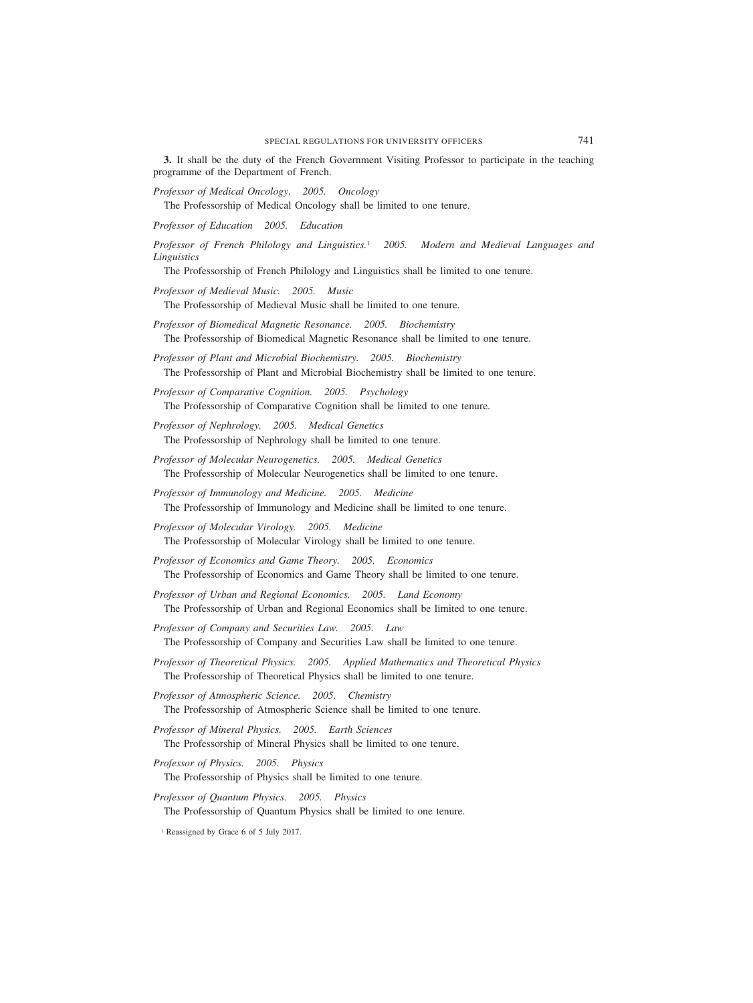**3.** It shall be the duty of the French Government Visiting Professor to participate in the teaching programme of the Department of French.

*Professor of Medical Oncology. 2005. Oncology*

The Professorship of Medical Oncology shall be limited to one tenure.

*Professor of Education 2005. Education*

*Professor of French Philology and Linguistics.*<sup>1</sup> *2005. Modern and Medieval Languages and Linguistics*

The Professorship of French Philology and Linguistics shall be limited to one tenure.

*Professor of Medieval Music. 2005. Music*

The Professorship of Medieval Music shall be limited to one tenure.

*Professor of Biomedical Magnetic Resonance. 2005. Biochemistry* The Professorship of Biomedical Magnetic Resonance shall be limited to one tenure.

*Professor of Plant and Microbial Biochemistry. 2005. Biochemistry* The Professorship of Plant and Microbial Biochemistry shall be limited to one tenure.

*Professor of Comparative Cognition. 2005. Psychology* The Professorship of Comparative Cognition shall be limited to one tenure.

- *Professor of Nephrology. 2005. Medical Genetics* The Professorship of Nephrology shall be limited to one tenure.
- *Professor of Molecular Neurogenetics. 2005. Medical Genetics* The Professorship of Molecular Neurogenetics shall be limited to one tenure.
- *Professor of Immunology and Medicine. 2005. Medicine* The Professorship of Immunology and Medicine shall be limited to one tenure.

*Professor of Molecular Virology. 2005. Medicine* The Professorship of Molecular Virology shall be limited to one tenure.

*Professor of Economics and Game Theory. 2005. Economics* The Professorship of Economics and Game Theory shall be limited to one tenure.

*Professor of Urban and Regional Economics. 2005. Land Economy* The Professorship of Urban and Regional Economics shall be limited to one tenure.

*Professor of Company and Securities Law. 2005. Law* The Professorship of Company and Securities Law shall be limited to one tenure.

*Professor of Theoretical Physics. 2005. Applied Mathematics and Theoretical Physics* The Professorship of Theoretical Physics shall be limited to one tenure.

*Professor of Atmospheric Science. 2005. Chemistry*

The Professorship of Atmospheric Science shall be limited to one tenure.

*Professor of Mineral Physics. 2005. Earth Sciences* The Professorship of Mineral Physics shall be limited to one tenure.

*Professor of Physics. 2005. Physics*

The Professorship of Physics shall be limited to one tenure.

*Professor of Quantum Physics. 2005. Physics* The Professorship of Quantum Physics shall be limited to one tenure.

<sup>1</sup> Reassigned by Grace 6 of 5 July 2017.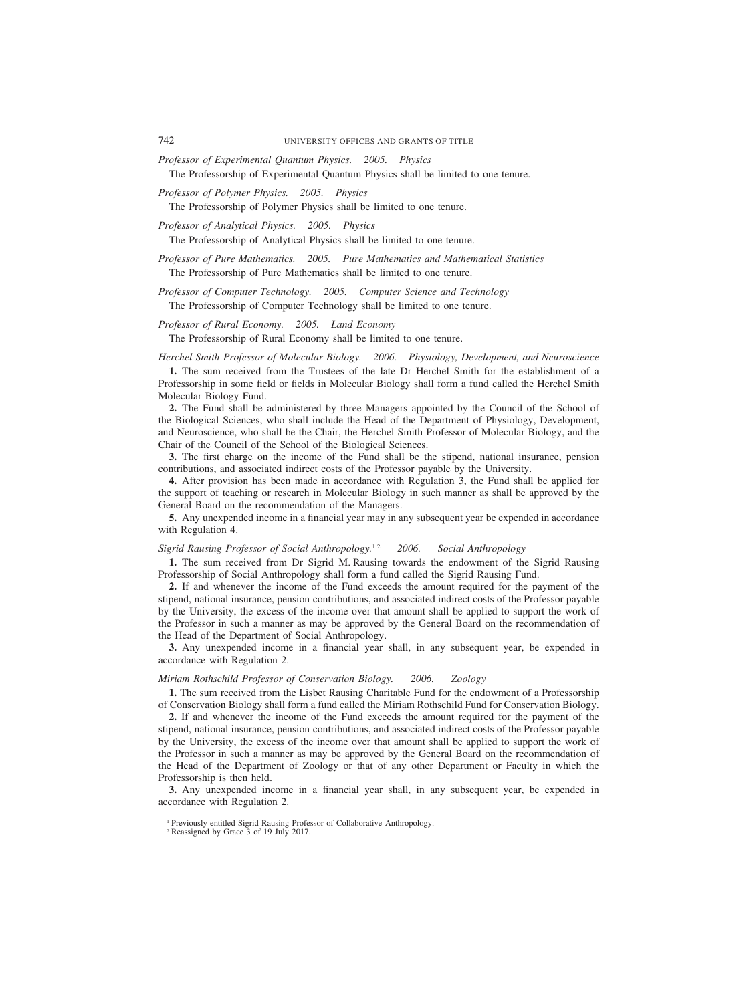- *Professor of Experimental Quantum Physics. 2005. Physics* The Professorship of Experimental Quantum Physics shall be limited to one tenure.
- *Professor of Polymer Physics. 2005. Physics*

The Professorship of Polymer Physics shall be limited to one tenure.

*Professor of Analytical Physics. 2005. Physics*

The Professorship of Analytical Physics shall be limited to one tenure.

*Professor of Pure Mathematics. 2005. Pure Mathematics and Mathematical Statistics* The Professorship of Pure Mathematics shall be limited to one tenure.

*Professor of Computer Technology. 2005. Computer Science and Technology* The Professorship of Computer Technology shall be limited to one tenure.

#### *Professor of Rural Economy. 2005. Land Economy*

The Professorship of Rural Economy shall be limited to one tenure.

*Herchel Smith Professor of Molecular Biology. 2006. Physiology, Development, and Neuroscience* **1.** The sum received from the Trustees of the late Dr Herchel Smith for the establishment of a Professorship in some field or fields in Molecular Biology shall form a fund called the Herchel Smith Molecular Biology Fund.

**2.** The Fund shall be administered by three Managers appointed by the Council of the School of the Biological Sciences, who shall include the Head of the Department of Physiology, Development, and Neuroscience, who shall be the Chair, the Herchel Smith Professor of Molecular Biology, and the Chair of the Council of the School of the Biological Sciences.

**3.** The first charge on the income of the Fund shall be the stipend, national insurance, pension contributions, and associated indirect costs of the Professor payable by the University.

**4.** After provision has been made in accordance with Regulation 3, the Fund shall be applied for the support of teaching or research in Molecular Biology in such manner as shall be approved by the General Board on the recommendation of the Managers.

**5.** Any unexpended income in a financial year may in any subsequent year be expended in accordance with Regulation 4.

#### *Sigrid Rausing Professor of Social Anthropology.*1,2 *2006. Social Anthropology*

**1.** The sum received from Dr Sigrid M. Rausing towards the endowment of the Sigrid Rausing Professorship of Social Anthropology shall form a fund called the Sigrid Rausing Fund.

**2.** If and whenever the income of the Fund exceeds the amount required for the payment of the stipend, national insurance, pension contributions, and associated indirect costs of the Professor payable by the University, the excess of the income over that amount shall be applied to support the work of the Professor in such a manner as may be approved by the General Board on the recommendation of the Head of the Department of Social Anthropology.

**3.** Any unexpended income in a financial year shall, in any subsequent year, be expended in accordance with Regulation 2.

# *Miriam Rothschild Professor of Conservation Biology. 2006. Zoology*

**1.** The sum received from the Lisbet Rausing Charitable Fund for the endowment of a Professorship of Conservation Biology shall form a fund called the Miriam Rothschild Fund for Conservation Biology.

**2.** If and whenever the income of the Fund exceeds the amount required for the payment of the stipend, national insurance, pension contributions, and associated indirect costs of the Professor payable by the University, the excess of the income over that amount shall be applied to support the work of the Professor in such a manner as may be approved by the General Board on the recommendation of the Head of the Department of Zoology or that of any other Department or Faculty in which the Professorship is then held.

**3.** Any unexpended income in a financial year shall, in any subsequent year, be expended in accordance with Regulation 2.

<sup>&</sup>lt;sup>1</sup> Previously entitled Sigrid Rausing Professor of Collaborative Anthropology.

<sup>2</sup> Reassigned by Grace 3 of 19 July 2017.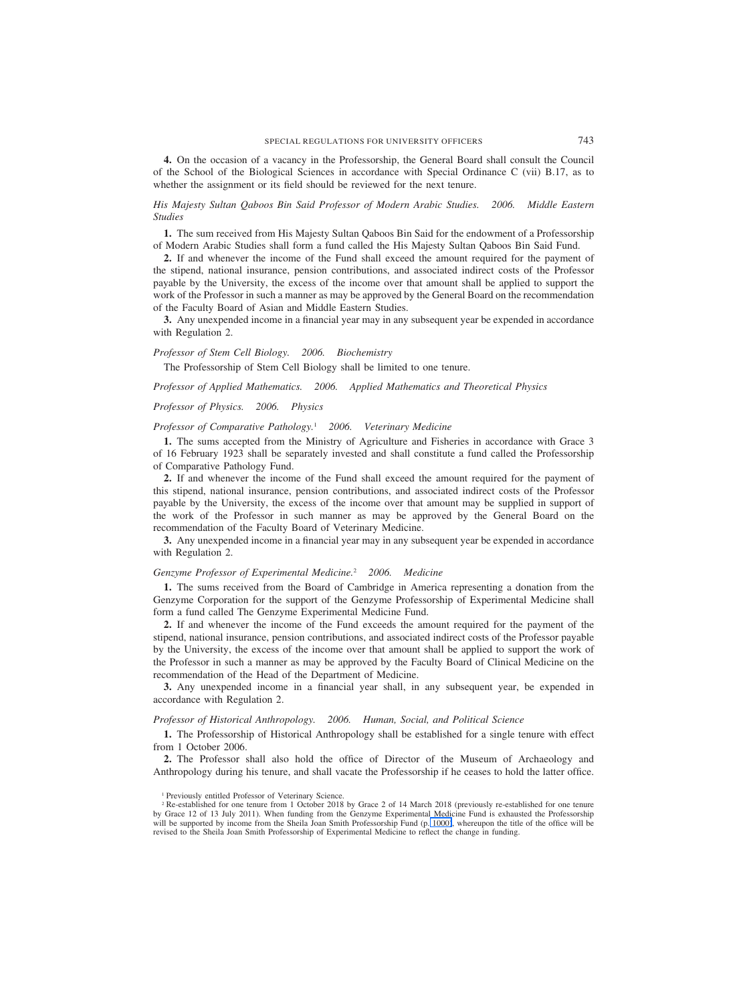**4.** On the occasion of a vacancy in the Professorship, the General Board shall consult the Council of the School of the Biological Sciences in accordance with Special Ordinance C (vii) B.17, as to whether the assignment or its field should be reviewed for the next tenure.

*His Majesty Sultan Qaboos Bin Said Professor of Modern Arabic Studies. 2006. Middle Eastern Studies*

**1.** The sum received from His Majesty Sultan Qaboos Bin Said for the endowment of a Professorship of Modern Arabic Studies shall form a fund called the His Majesty Sultan Qaboos Bin Said Fund.

**2.** If and whenever the income of the Fund shall exceed the amount required for the payment of the stipend, national insurance, pension contributions, and associated indirect costs of the Professor payable by the University, the excess of the income over that amount shall be applied to support the work of the Professor in such a manner as may be approved by the General Board on the recommendation of the Faculty Board of Asian and Middle Eastern Studies.

**3.** Any unexpended income in a financial year may in any subsequent year be expended in accordance with Regulation 2.

*Professor of Stem Cell Biology. 2006. Biochemistry*

The Professorship of Stem Cell Biology shall be limited to one tenure.

*Professor of Applied Mathematics. 2006. Applied Mathematics and Theoretical Physics*

#### *Professor of Physics. 2006. Physics*

#### *Professor of Comparative Pathology.*<sup>1</sup> *2006. Veterinary Medicine*

**1.** The sums accepted from the Ministry of Agriculture and Fisheries in accordance with Grace 3 of 16 February 1923 shall be separately invested and shall constitute a fund called the Professorship of Comparative Pathology Fund.

**2.** If and whenever the income of the Fund shall exceed the amount required for the payment of this stipend, national insurance, pension contributions, and associated indirect costs of the Professor payable by the University, the excess of the income over that amount may be supplied in support of the work of the Professor in such manner as may be approved by the General Board on the recommendation of the Faculty Board of Veterinary Medicine.

**3.** Any unexpended income in a financial year may in any subsequent year be expended in accordance with Regulation 2.

#### *Genzyme Professor of Experimental Medicine.*<sup>2</sup> *2006. Medicine*

**1.** The sums received from the Board of Cambridge in America representing a donation from the Genzyme Corporation for the support of the Genzyme Professorship of Experimental Medicine shall form a fund called The Genzyme Experimental Medicine Fund.

**2.** If and whenever the income of the Fund exceeds the amount required for the payment of the stipend, national insurance, pension contributions, and associated indirect costs of the Professor payable by the University, the excess of the income over that amount shall be applied to support the work of the Professor in such a manner as may be approved by the Faculty Board of Clinical Medicine on the recommendation of the Head of the Department of Medicine.

**3.** Any unexpended income in a financial year shall, in any subsequent year, be expended in accordance with Regulation 2.

#### *Professor of Historical Anthropology. 2006. Human, Social, and Political Science*

**1.** The Professorship of Historical Anthropology shall be established for a single tenure with effect from 1 October 2006.

**2.** The Professor shall also hold the office of Director of the Museum of Archaeology and Anthropology during his tenure, and shall vacate the Professorship if he ceases to hold the latter office.

<sup>1</sup> Previously entitled Professor of Veterinary Science.

<sup>&</sup>lt;sup>2</sup> Re-established for one tenure from 1 October 2018 by Grace 2 of 14 March 2018 (previously re-established for one tenure by Grace 12 of 13 July 2011). When funding from the Genzyme Experimental Medicine Fund is exhausted the Professorship will be supported by income from the Sheila Joan Smith Professorship Fund (p. 1000), whereupon the title of the office will be revised to the Sheila Joan Smith Professorship of Experimental Medicine to reflect the change in funding.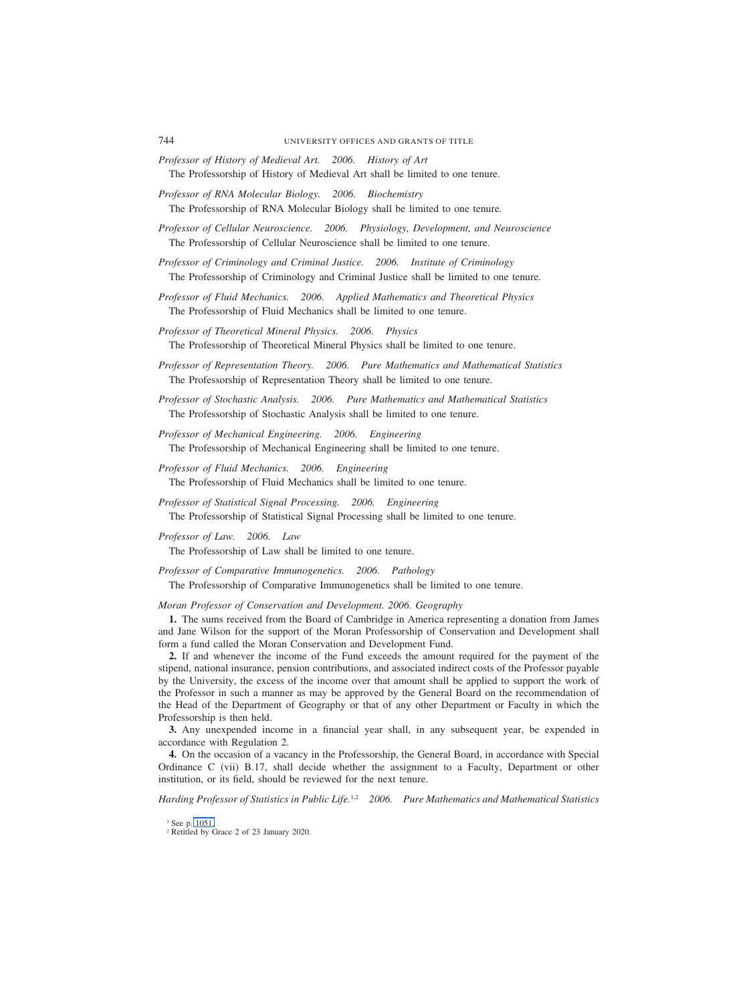- *Professor of History of Medieval Art. 2006. History of Art* The Professorship of History of Medieval Art shall be limited to one tenure.
- *Professor of RNA Molecular Biology. 2006. Biochemistry* The Professorship of RNA Molecular Biology shall be limited to one tenure.
- *Professor of Cellular Neuroscience. 2006. Physiology, Development, and Neuroscience* The Professorship of Cellular Neuroscience shall be limited to one tenure.
- *Professor of Criminology and Criminal Justice. 2006. Institute of Criminology* The Professorship of Criminology and Criminal Justice shall be limited to one tenure.
- *Professor of Fluid Mechanics. 2006. Applied Mathematics and Theoretical Physics* The Professorship of Fluid Mechanics shall be limited to one tenure.
- *Professor of Theoretical Mineral Physics. 2006. Physics* The Professorship of Theoretical Mineral Physics shall be limited to one tenure.
- *Professor of Representation Theory. 2006. Pure Mathematics and Mathematical Statistics* The Professorship of Representation Theory shall be limited to one tenure.
- *Professor of Stochastic Analysis. 2006. Pure Mathematics and Mathematical Statistics* The Professorship of Stochastic Analysis shall be limited to one tenure.
- *Professor of Mechanical Engineering. 2006. Engineering* The Professorship of Mechanical Engineering shall be limited to one tenure.
- *Professor of Fluid Mechanics. 2006. Engineering* The Professorship of Fluid Mechanics shall be limited to one tenure.
- *Professor of Statistical Signal Processing. 2006. Engineering* The Professorship of Statistical Signal Processing shall be limited to one tenure.
- *Professor of Law. 2006. Law* The Professorship of Law shall be limited to one tenure.
- *Professor of Comparative Immunogenetics. 2006. Pathology*
	- The Professorship of Comparative Immunogenetics shall be limited to one tenure.

# *Moran Professor of Conservation and Development. 2006. Geography*

**1.** The sums received from the Board of Cambridge in America representing a donation from James and Jane Wilson for the support of the Moran Professorship of Conservation and Development shall form a fund called the Moran Conservation and Development Fund.

**2.** If and whenever the income of the Fund exceeds the amount required for the payment of the stipend, national insurance, pension contributions, and associated indirect costs of the Professor payable by the University, the excess of the income over that amount shall be applied to support the work of the Professor in such a manner as may be approved by the General Board on the recommendation of the Head of the Department of Geography or that of any other Department or Faculty in which the Professorship is then held.

**3.** Any unexpended income in a financial year shall, in any subsequent year, be expended in accordance with Regulation 2.

**4.** On the occasion of a vacancy in the Professorship, the General Board, in accordance with Special Ordinance C (vii) B.17, shall decide whether the assignment to a Faculty, Department or other institution, or its field, should be reviewed for the next tenure.

*Harding Professor of Statistics in Public Life.*1,2 *2006. Pure Mathematics and Mathematical Statistics*

<sup>1</sup> See p. 1051.

<sup>2</sup> Retitled by Grace 2 of 23 January 2020.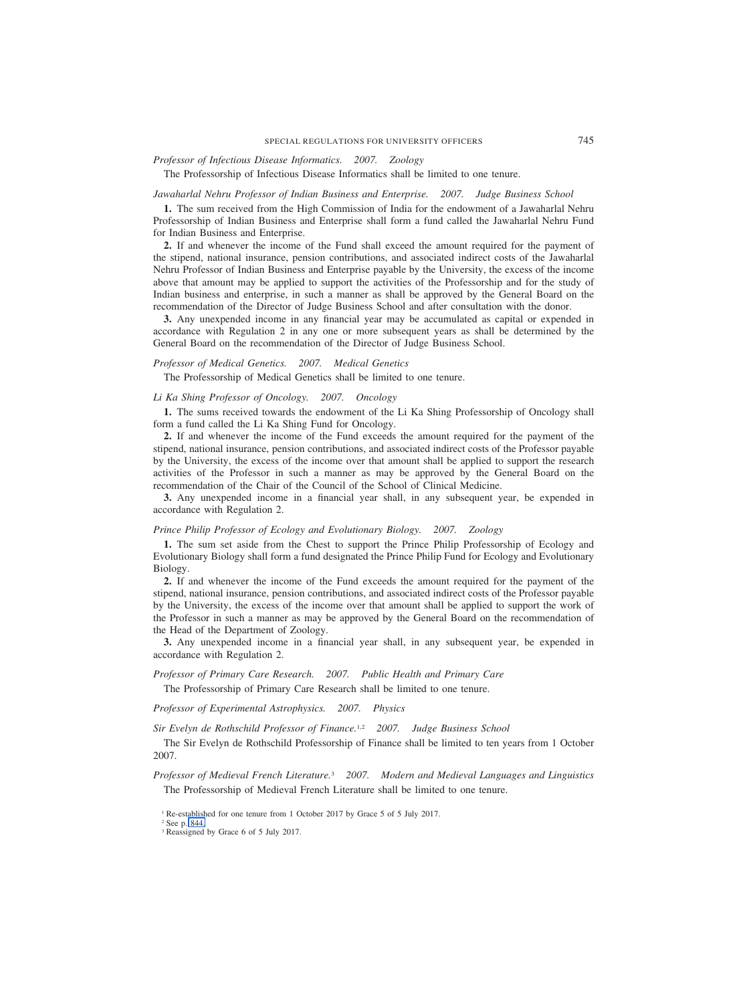# *Professor of Infectious Disease Informatics. 2007. Zoology*

The Professorship of Infectious Disease Informatics shall be limited to one tenure.

#### *Jawaharlal Nehru Professor of Indian Business and Enterprise. 2007. Judge Business School*

**1.** The sum received from the High Commission of India for the endowment of a Jawaharlal Nehru Professorship of Indian Business and Enterprise shall form a fund called the Jawaharlal Nehru Fund for Indian Business and Enterprise.

**2.** If and whenever the income of the Fund shall exceed the amount required for the payment of the stipend, national insurance, pension contributions, and associated indirect costs of the Jawaharlal Nehru Professor of Indian Business and Enterprise payable by the University, the excess of the income above that amount may be applied to support the activities of the Professorship and for the study of Indian business and enterprise, in such a manner as shall be approved by the General Board on the recommendation of the Director of Judge Business School and after consultation with the donor.

**3.** Any unexpended income in any financial year may be accumulated as capital or expended in accordance with Regulation 2 in any one or more subsequent years as shall be determined by the General Board on the recommendation of the Director of Judge Business School.

# *Professor of Medical Genetics. 2007. Medical Genetics*

The Professorship of Medical Genetics shall be limited to one tenure.

#### *Li Ka Shing Professor of Oncology. 2007. Oncology*

**1.** The sums received towards the endowment of the Li Ka Shing Professorship of Oncology shall form a fund called the Li Ka Shing Fund for Oncology.

**2.** If and whenever the income of the Fund exceeds the amount required for the payment of the stipend, national insurance, pension contributions, and associated indirect costs of the Professor payable by the University, the excess of the income over that amount shall be applied to support the research activities of the Professor in such a manner as may be approved by the General Board on the recommendation of the Chair of the Council of the School of Clinical Medicine.

**3.** Any unexpended income in a financial year shall, in any subsequent year, be expended in accordance with Regulation 2.

#### *Prince Philip Professor of Ecology and Evolutionary Biology. 2007. Zoology*

**1.** The sum set aside from the Chest to support the Prince Philip Professorship of Ecology and Evolutionary Biology shall form a fund designated the Prince Philip Fund for Ecology and Evolutionary Biology.

**2.** If and whenever the income of the Fund exceeds the amount required for the payment of the stipend, national insurance, pension contributions, and associated indirect costs of the Professor payable by the University, the excess of the income over that amount shall be applied to support the work of the Professor in such a manner as may be approved by the General Board on the recommendation of the Head of the Department of Zoology.

**3.** Any unexpended income in a financial year shall, in any subsequent year, be expended in accordance with Regulation 2.

# *Professor of Primary Care Research. 2007. Public Health and Primary Care*

The Professorship of Primary Care Research shall be limited to one tenure.

*Professor of Experimental Astrophysics. 2007. Physics*

*Sir Evelyn de Rothschild Professor of Finance.*1,2 *2007. Judge Business School*

The Sir Evelyn de Rothschild Professorship of Finance shall be limited to ten years from 1 October 2007.

*Professor of Medieval French Literature.*<sup>3</sup> *2007. Modern and Medieval Languages and Linguistics* The Professorship of Medieval French Literature shall be limited to one tenure.

<sup>&</sup>lt;sup>1</sup> Re-established for one tenure from 1 October 2017 by Grace 5 of 5 July 2017.

<sup>2</sup> See p. 844.

<sup>&</sup>lt;sup>3</sup> Reassigned by Grace 6 of 5 July 2017.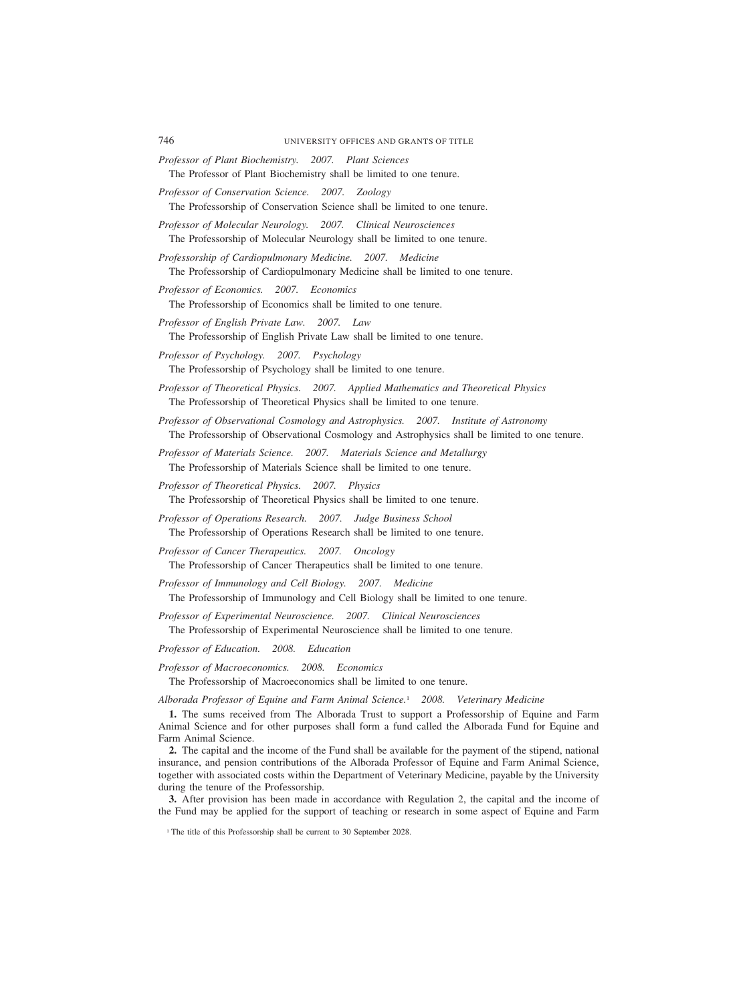- *Professor of Plant Biochemistry. 2007. Plant Sciences* The Professor of Plant Biochemistry shall be limited to one tenure.
- *Professor of Conservation Science. 2007. Zoology* The Professorship of Conservation Science shall be limited to one tenure.
- *Professor of Molecular Neurology. 2007. Clinical Neurosciences* The Professorship of Molecular Neurology shall be limited to one tenure.
- *Professorship of Cardiopulmonary Medicine. 2007. Medicine* The Professorship of Cardiopulmonary Medicine shall be limited to one tenure.
- *Professor of Economics. 2007. Economics* The Professorship of Economics shall be limited to one tenure.
- *Professor of English Private Law. 2007. Law* The Professorship of English Private Law shall be limited to one tenure.
- *Professor of Psychology. 2007. Psychology* The Professorship of Psychology shall be limited to one tenure.
- *Professor of Theoretical Physics. 2007. Applied Mathematics and Theoretical Physics* The Professorship of Theoretical Physics shall be limited to one tenure.
- *Professor of Observational Cosmology and Astrophysics. 2007. Institute of Astronomy* The Professorship of Observational Cosmology and Astrophysics shall be limited to one tenure.
- *Professor of Materials Science. 2007. Materials Science and Metallurgy* The Professorship of Materials Science shall be limited to one tenure.
- *Professor of Theoretical Physics. 2007. Physics* The Professorship of Theoretical Physics shall be limited to one tenure.
- *Professor of Operations Research. 2007. Judge Business School* The Professorship of Operations Research shall be limited to one tenure.
- *Professor of Cancer Therapeutics. 2007. Oncology* The Professorship of Cancer Therapeutics shall be limited to one tenure.
- *Professor of Immunology and Cell Biology. 2007. Medicine* The Professorship of Immunology and Cell Biology shall be limited to one tenure.
- *Professor of Experimental Neuroscience. 2007. Clinical Neurosciences* The Professorship of Experimental Neuroscience shall be limited to one tenure.

*Professor of Education. 2008. Education*

*Professor of Macroeconomics. 2008. Economics*

The Professorship of Macroeconomics shall be limited to one tenure.

*Alborada Professor of Equine and Farm Animal Science.*<sup>1</sup> *2008. Veterinary Medicine*

**1.** The sums received from The Alborada Trust to support a Professorship of Equine and Farm Animal Science and for other purposes shall form a fund called the Alborada Fund for Equine and Farm Animal Science.

**2.** The capital and the income of the Fund shall be available for the payment of the stipend, national insurance, and pension contributions of the Alborada Professor of Equine and Farm Animal Science, together with associated costs within the Department of Veterinary Medicine, payable by the University during the tenure of the Professorship.

**3.** After provision has been made in accordance with Regulation 2, the capital and the income of the Fund may be applied for the support of teaching or research in some aspect of Equine and Farm

<sup>&</sup>lt;sup>1</sup> The title of this Professorship shall be current to 30 September 2028.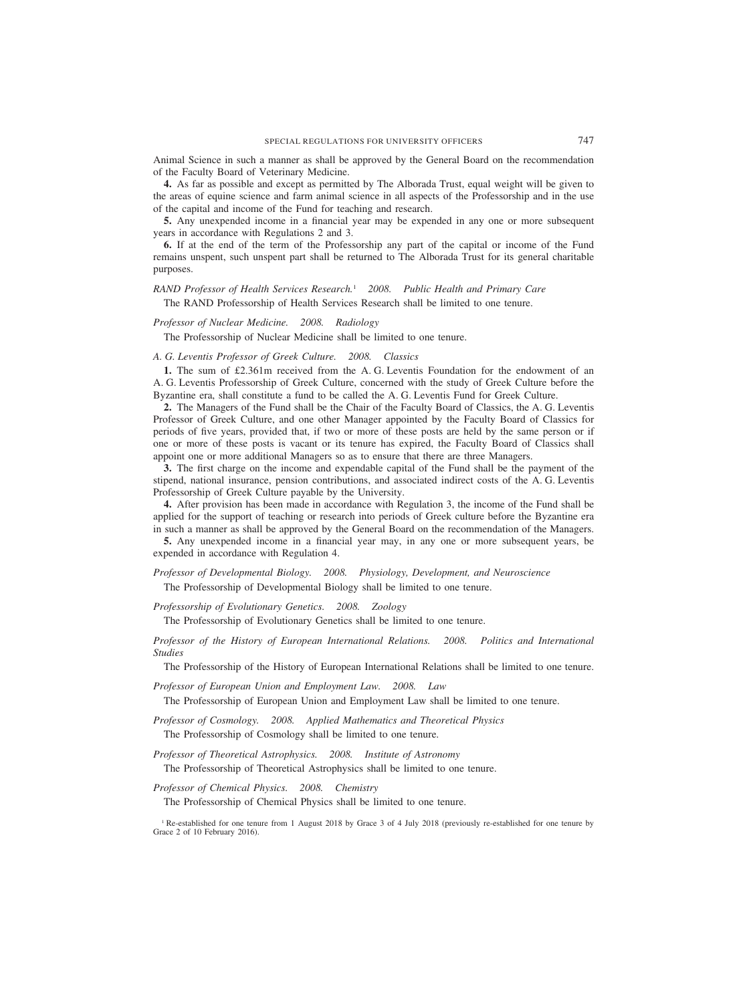Animal Science in such a manner as shall be approved by the General Board on the recommendation of the Faculty Board of Veterinary Medicine.

**4.** As far as possible and except as permitted by The Alborada Trust, equal weight will be given to the areas of equine science and farm animal science in all aspects of the Professorship and in the use of the capital and income of the Fund for teaching and research.

**5.** Any unexpended income in a financial year may be expended in any one or more subsequent years in accordance with Regulations 2 and 3.

**6.** If at the end of the term of the Professorship any part of the capital or income of the Fund remains unspent, such unspent part shall be returned to The Alborada Trust for its general charitable purposes.

*RAND Professor of Health Services Research.*<sup>1</sup> *2008. Public Health and Primary Care* The RAND Professorship of Health Services Research shall be limited to one tenure.

*Professor of Nuclear Medicine. 2008. Radiology*

The Professorship of Nuclear Medicine shall be limited to one tenure.

*A. G. Leventis Professor of Greek Culture. 2008. Classics*

**1.** The sum of £2.361m received from the A. G. Leventis Foundation for the endowment of an A. G. Leventis Professorship of Greek Culture, concerned with the study of Greek Culture before the Byzantine era, shall constitute a fund to be called the A. G. Leventis Fund for Greek Culture.

**2.** The Managers of the Fund shall be the Chair of the Faculty Board of Classics, the A. G. Leventis Professor of Greek Culture, and one other Manager appointed by the Faculty Board of Classics for periods of five years, provided that, if two or more of these posts are held by the same person or if one or more of these posts is vacant or its tenure has expired, the Faculty Board of Classics shall appoint one or more additional Managers so as to ensure that there are three Managers.

**3.** The first charge on the income and expendable capital of the Fund shall be the payment of the stipend, national insurance, pension contributions, and associated indirect costs of the A. G. Leventis Professorship of Greek Culture payable by the University.

**4.** After provision has been made in accordance with Regulation 3, the income of the Fund shall be applied for the support of teaching or research into periods of Greek culture before the Byzantine era in such a manner as shall be approved by the General Board on the recommendation of the Managers.

**5.** Any unexpended income in a financial year may, in any one or more subsequent years, be expended in accordance with Regulation 4.

*Professor of Developmental Biology. 2008. Physiology, Development, and Neuroscience* The Professorship of Developmental Biology shall be limited to one tenure.

*Professorship of Evolutionary Genetics. 2008. Zoology*

The Professorship of Evolutionary Genetics shall be limited to one tenure.

*Professor of the History of European International Relations. 2008. Politics and International Studies*

The Professorship of the History of European International Relations shall be limited to one tenure.

*Professor of European Union and Employment Law. 2008. Law*

The Professorship of European Union and Employment Law shall be limited to one tenure.

*Professor of Cosmology. 2008. Applied Mathematics and Theoretical Physics* The Professorship of Cosmology shall be limited to one tenure.

*Professor of Theoretical Astrophysics. 2008. Institute of Astronomy* The Professorship of Theoretical Astrophysics shall be limited to one tenure.

*Professor of Chemical Physics. 2008. Chemistry*

The Professorship of Chemical Physics shall be limited to one tenure.

<sup>1</sup> Re-established for one tenure from 1 August 2018 by Grace 3 of 4 July 2018 (previously re-established for one tenure by Grace 2 of 10 February 2016).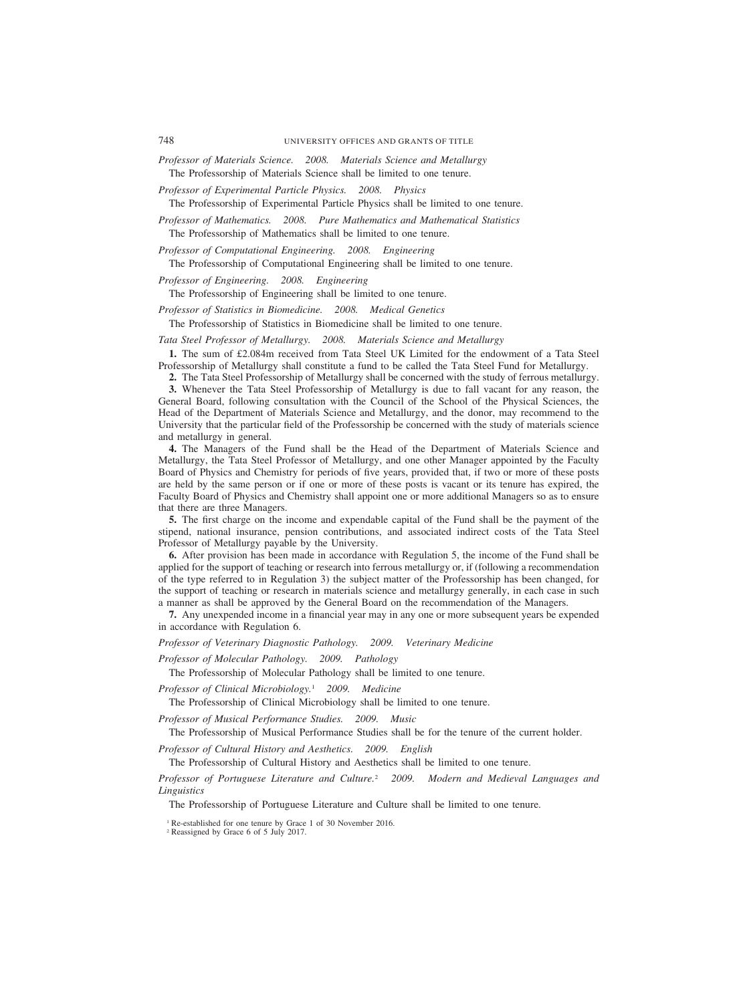*Professor of Materials Science. 2008. Materials Science and Metallurgy* The Professorship of Materials Science shall be limited to one tenure.

*Professor of Experimental Particle Physics. 2008. Physics*

The Professorship of Experimental Particle Physics shall be limited to one tenure.

*Professor of Mathematics. 2008. Pure Mathematics and Mathematical Statistics* The Professorship of Mathematics shall be limited to one tenure.

*Professor of Computational Engineering. 2008. Engineering*

The Professorship of Computational Engineering shall be limited to one tenure.

*Professor of Engineering. 2008. Engineering*

The Professorship of Engineering shall be limited to one tenure.

*Professor of Statistics in Biomedicine. 2008. Medical Genetics*

The Professorship of Statistics in Biomedicine shall be limited to one tenure.

*Tata Steel Professor of Metallurgy. 2008. Materials Science and Metallurgy*

**1.** The sum of £2.084m received from Tata Steel UK Limited for the endowment of a Tata Steel Professorship of Metallurgy shall constitute a fund to be called the Tata Steel Fund for Metallurgy.

**2.** The Tata Steel Professorship of Metallurgy shall be concerned with the study of ferrous metallurgy.

**3.** Whenever the Tata Steel Professorship of Metallurgy is due to fall vacant for any reason, the

General Board, following consultation with the Council of the School of the Physical Sciences, the Head of the Department of Materials Science and Metallurgy, and the donor, may recommend to the University that the particular field of the Professorship be concerned with the study of materials science and metallurgy in general.

**4.** The Managers of the Fund shall be the Head of the Department of Materials Science and Metallurgy, the Tata Steel Professor of Metallurgy, and one other Manager appointed by the Faculty Board of Physics and Chemistry for periods of five years, provided that, if two or more of these posts are held by the same person or if one or more of these posts is vacant or its tenure has expired, the Faculty Board of Physics and Chemistry shall appoint one or more additional Managers so as to ensure that there are three Managers.

**5.** The first charge on the income and expendable capital of the Fund shall be the payment of the stipend, national insurance, pension contributions, and associated indirect costs of the Tata Steel Professor of Metallurgy payable by the University.

**6.** After provision has been made in accordance with Regulation 5, the income of the Fund shall be applied for the support of teaching or research into ferrous metallurgy or, if (following a recommendation of the type referred to in Regulation 3) the subject matter of the Professorship has been changed, for the support of teaching or research in materials science and metallurgy generally, in each case in such a manner as shall be approved by the General Board on the recommendation of the Managers.

**7.** Any unexpended income in a financial year may in any one or more subsequent years be expended in accordance with Regulation 6.

*Professor of Veterinary Diagnostic Pathology. 2009. Veterinary Medicine*

*Professor of Molecular Pathology. 2009. Pathology*

The Professorship of Molecular Pathology shall be limited to one tenure.

*Professor of Clinical Microbiology.*<sup>1</sup> *2009. Medicine*

The Professorship of Clinical Microbiology shall be limited to one tenure.

*Professor of Musical Performance Studies. 2009. Music*

The Professorship of Musical Performance Studies shall be for the tenure of the current holder.

*Professor of Cultural History and Aesthetics. 2009. English*

The Professorship of Cultural History and Aesthetics shall be limited to one tenure.

*Professor of Portuguese Literature and Culture.*<sup>2</sup> *2009. Modern and Medieval Languages and Linguistics*

The Professorship of Portuguese Literature and Culture shall be limited to one tenure.

<sup>1</sup> Re-established for one tenure by Grace 1 of 30 November 2016.

<sup>2</sup> Reassigned by Grace 6 of 5 July 2017.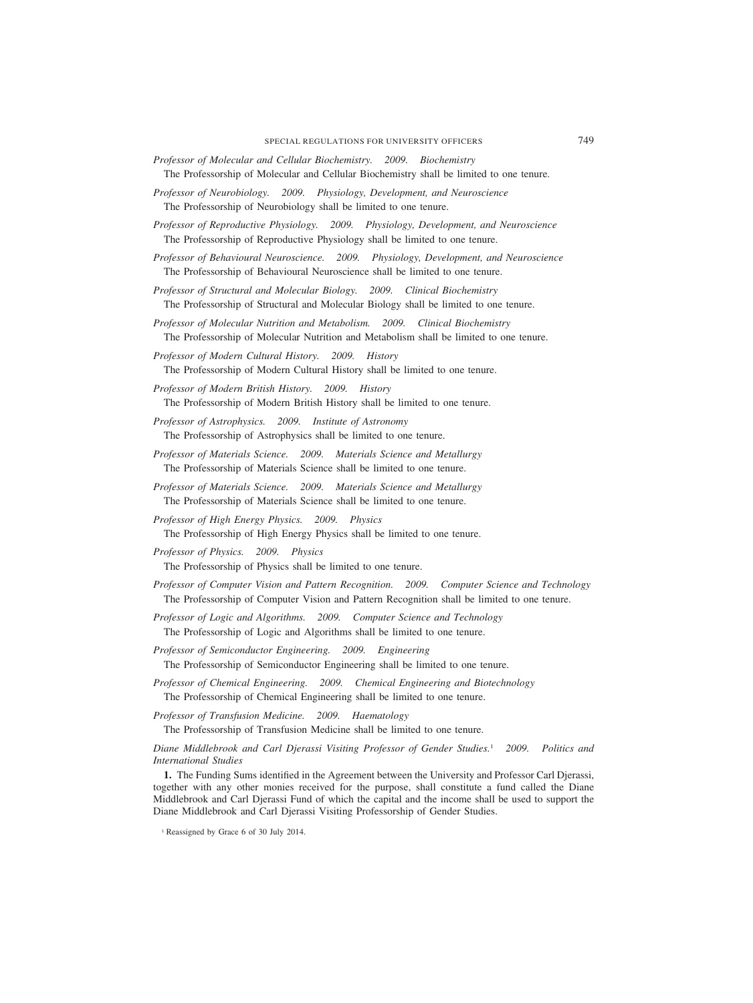- *Professor of Molecular and Cellular Biochemistry. 2009. Biochemistry* The Professorship of Molecular and Cellular Biochemistry shall be limited to one tenure.
- *Professor of Neurobiology. 2009. Physiology, Development, and Neuroscience* The Professorship of Neurobiology shall be limited to one tenure.
- *Professor of Reproductive Physiology. 2009. Physiology, Development, and Neuroscience* The Professorship of Reproductive Physiology shall be limited to one tenure.
- *Professor of Behavioural Neuroscience. 2009. Physiology, Development, and Neuroscience* The Professorship of Behavioural Neuroscience shall be limited to one tenure.
- *Professor of Structural and Molecular Biology. 2009. Clinical Biochemistry* The Professorship of Structural and Molecular Biology shall be limited to one tenure.
- *Professor of Molecular Nutrition and Metabolism. 2009. Clinical Biochemistry* The Professorship of Molecular Nutrition and Metabolism shall be limited to one tenure.
- *Professor of Modern Cultural History. 2009. History* The Professorship of Modern Cultural History shall be limited to one tenure.
- *Professor of Modern British History. 2009. History*

The Professorship of Modern British History shall be limited to one tenure.

*Professor of Astrophysics. 2009. Institute of Astronomy*

The Professorship of Astrophysics shall be limited to one tenure.

- *Professor of Materials Science. 2009. Materials Science and Metallurgy* The Professorship of Materials Science shall be limited to one tenure.
- *Professor of Materials Science. 2009. Materials Science and Metallurgy* The Professorship of Materials Science shall be limited to one tenure.
- *Professor of High Energy Physics. 2009. Physics* The Professorship of High Energy Physics shall be limited to one tenure.

*Professor of Physics. 2009. Physics*

The Professorship of Physics shall be limited to one tenure.

- *Professor of Computer Vision and Pattern Recognition. 2009. Computer Science and Technology* The Professorship of Computer Vision and Pattern Recognition shall be limited to one tenure.
- *Professor of Logic and Algorithms. 2009. Computer Science and Technology* The Professorship of Logic and Algorithms shall be limited to one tenure.
- *Professor of Semiconductor Engineering. 2009. Engineering* The Professorship of Semiconductor Engineering shall be limited to one tenure.
- *Professor of Chemical Engineering. 2009. Chemical Engineering and Biotechnology* The Professorship of Chemical Engineering shall be limited to one tenure.
- *Professor of Transfusion Medicine. 2009. Haematology* The Professorship of Transfusion Medicine shall be limited to one tenure.

*Diane Middlebrook and Carl Djerassi Visiting Professor of Gender Studies.*<sup>1</sup> *2009. Politics and International Studies*

**1.** The Funding Sums identified in the Agreement between the University and Professor Carl Djerassi, together with any other monies received for the purpose, shall constitute a fund called the Diane Middlebrook and Carl Djerassi Fund of which the capital and the income shall be used to support the Diane Middlebrook and Carl Djerassi Visiting Professorship of Gender Studies.

<sup>&</sup>lt;sup>1</sup> Reassigned by Grace 6 of 30 July 2014.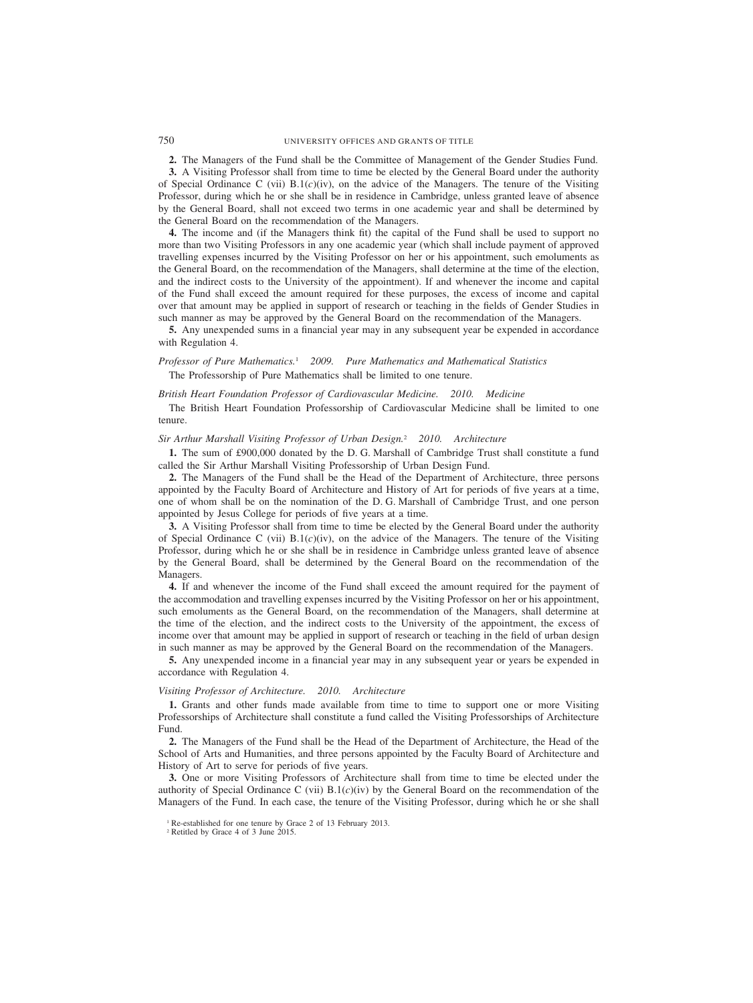**2.** The Managers of the Fund shall be the Committee of Management of the Gender Studies Fund.

**3.** A Visiting Professor shall from time to time be elected by the General Board under the authority of Special Ordinance C (vii)  $B(1(c)(iv))$ , on the advice of the Managers. The tenure of the Visiting Professor, during which he or she shall be in residence in Cambridge, unless granted leave of absence by the General Board, shall not exceed two terms in one academic year and shall be determined by the General Board on the recommendation of the Managers.

**4.** The income and (if the Managers think fit) the capital of the Fund shall be used to support no more than two Visiting Professors in any one academic year (which shall include payment of approved travelling expenses incurred by the Visiting Professor on her or his appointment, such emoluments as the General Board, on the recommendation of the Managers, shall determine at the time of the election, and the indirect costs to the University of the appointment). If and whenever the income and capital of the Fund shall exceed the amount required for these purposes, the excess of income and capital over that amount may be applied in support of research or teaching in the fields of Gender Studies in such manner as may be approved by the General Board on the recommendation of the Managers.

**5.** Any unexpended sums in a financial year may in any subsequent year be expended in accordance with Regulation 4.

*Professor of Pure Mathematics.*<sup>1</sup> *2009. Pure Mathematics and Mathematical Statistics* The Professorship of Pure Mathematics shall be limited to one tenure.

#### *British Heart Foundation Professor of Cardiovascular Medicine. 2010. Medicine*

The British Heart Foundation Professorship of Cardiovascular Medicine shall be limited to one tenure.

# *Sir Arthur Marshall Visiting Professor of Urban Design.*<sup>2</sup> *2010. Architecture*

**1.** The sum of £900,000 donated by the D. G. Marshall of Cambridge Trust shall constitute a fund called the Sir Arthur Marshall Visiting Professorship of Urban Design Fund.

**2.** The Managers of the Fund shall be the Head of the Department of Architecture, three persons appointed by the Faculty Board of Architecture and History of Art for periods of five years at a time, one of whom shall be on the nomination of the D. G. Marshall of Cambridge Trust, and one person appointed by Jesus College for periods of five years at a time.

**3.** A Visiting Professor shall from time to time be elected by the General Board under the authority of Special Ordinance C (vii)  $B(1(c)(iv))$ , on the advice of the Managers. The tenure of the Visiting Professor, during which he or she shall be in residence in Cambridge unless granted leave of absence by the General Board, shall be determined by the General Board on the recommendation of the Managers.

**4.** If and whenever the income of the Fund shall exceed the amount required for the payment of the accommodation and travelling expenses incurred by the Visiting Professor on her or his appointment, such emoluments as the General Board, on the recommendation of the Managers, shall determine at the time of the election, and the indirect costs to the University of the appointment, the excess of income over that amount may be applied in support of research or teaching in the field of urban design in such manner as may be approved by the General Board on the recommendation of the Managers.

**5.** Any unexpended income in a financial year may in any subsequent year or years be expended in accordance with Regulation 4.

#### *Visiting Professor of Architecture. 2010. Architecture*

**1.** Grants and other funds made available from time to time to support one or more Visiting Professorships of Architecture shall constitute a fund called the Visiting Professorships of Architecture Fund.

**2.** The Managers of the Fund shall be the Head of the Department of Architecture, the Head of the School of Arts and Humanities, and three persons appointed by the Faculty Board of Architecture and History of Art to serve for periods of five years.

**3.** One or more Visiting Professors of Architecture shall from time to time be elected under the authority of Special Ordinance C (vii) B.1(*c*)(iv) by the General Board on the recommendation of the Managers of the Fund. In each case, the tenure of the Visiting Professor, during which he or she shall

<sup>&</sup>lt;sup>1</sup> Re-established for one tenure by Grace 2 of 13 February 2013.

<sup>2</sup> Retitled by Grace 4 of 3 June 2015.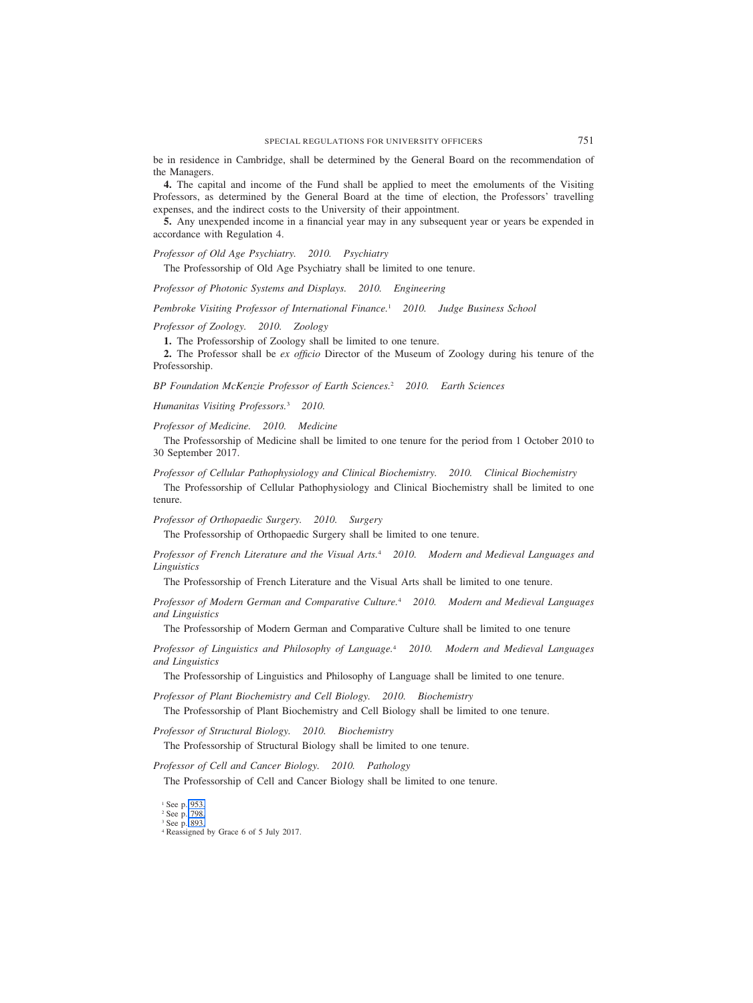be in residence in Cambridge, shall be determined by the General Board on the recommendation of the Managers.

**4.** The capital and income of the Fund shall be applied to meet the emoluments of the Visiting Professors, as determined by the General Board at the time of election, the Professors' travelling expenses, and the indirect costs to the University of their appointment.

**5.** Any unexpended income in a financial year may in any subsequent year or years be expended in accordance with Regulation 4.

*Professor of Old Age Psychiatry. 2010. Psychiatry*

The Professorship of Old Age Psychiatry shall be limited to one tenure.

*Professor of Photonic Systems and Displays. 2010. Engineering*

*Pembroke Visiting Professor of International Finance.*<sup>1</sup> *2010. Judge Business School*

*Professor of Zoology. 2010. Zoology*

**1.** The Professorship of Zoology shall be limited to one tenure.

**2.** The Professor shall be *ex officio* Director of the Museum of Zoology during his tenure of the Professorship.

*BP Foundation McKenzie Professor of Earth Sciences.*<sup>2</sup> *2010. Earth Sciences*

*Humanitas Visiting Professors.*<sup>3</sup> *2010.*

*Professor of Medicine. 2010. Medicine*

The Professorship of Medicine shall be limited to one tenure for the period from 1 October 2010 to 30 September 2017.

*Professor of Cellular Pathophysiology and Clinical Biochemistry. 2010. Clinical Biochemistry*

The Professorship of Cellular Pathophysiology and Clinical Biochemistry shall be limited to one tenure.

*Professor of Orthopaedic Surgery. 2010. Surgery*

The Professorship of Orthopaedic Surgery shall be limited to one tenure.

*Professor of French Literature and the Visual Arts.*<sup>4</sup> *2010. Modern and Medieval Languages and Linguistics*

The Professorship of French Literature and the Visual Arts shall be limited to one tenure.

*Professor of Modern German and Comparative Culture.*<sup>4</sup> *2010. Modern and Medieval Languages and Linguistics*

The Professorship of Modern German and Comparative Culture shall be limited to one tenure

*Professor of Linguistics and Philosophy of Language.*<sup>4</sup> *2010. Modern and Medieval Languages and Linguistics*

The Professorship of Linguistics and Philosophy of Language shall be limited to one tenure.

*Professor of Plant Biochemistry and Cell Biology. 2010. Biochemistry*

The Professorship of Plant Biochemistry and Cell Biology shall be limited to one tenure.

*Professor of Structural Biology. 2010. Biochemistry*

The Professorship of Structural Biology shall be limited to one tenure.

*Professor of Cell and Cancer Biology. 2010. Pathology*

The Professorship of Cell and Cancer Biology shall be limited to one tenure.

<sup>&</sup>lt;sup>1</sup> See p. 953.

<sup>2</sup> See p. 798.

<sup>3</sup> See p. 893.

<sup>4</sup> Reassigned by Grace 6 of 5 July 2017.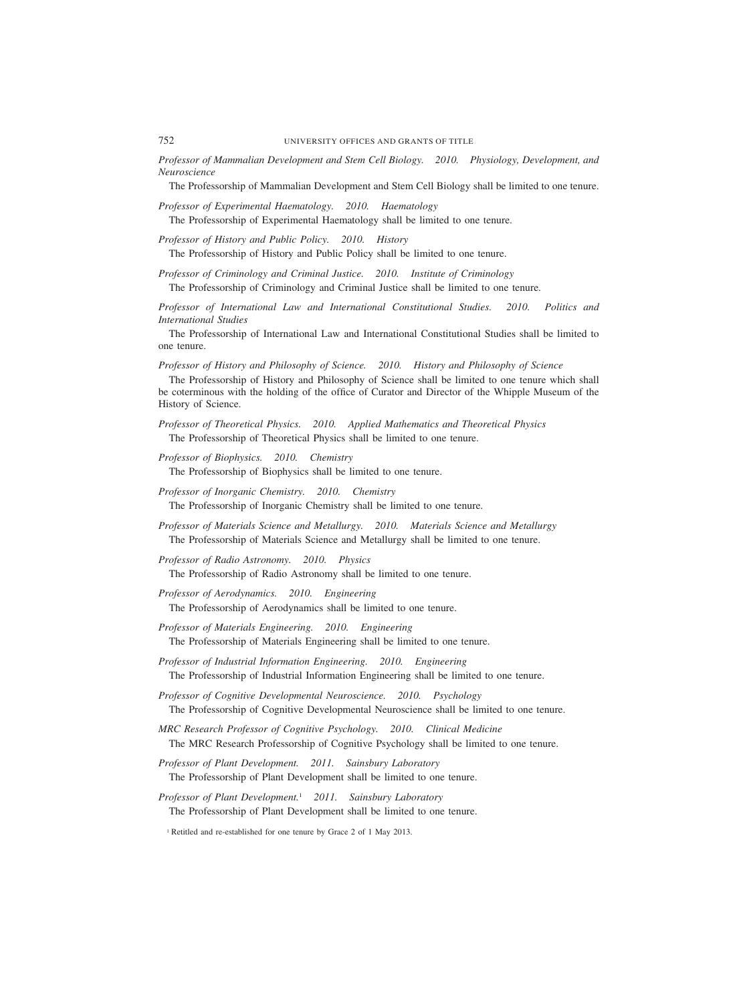752 UNIVERSITY OFFICES AND GRANTS OF TITLE

*Professor of Mammalian Development and Stem Cell Biology. 2010. Physiology, Development, and Neuroscience*

The Professorship of Mammalian Development and Stem Cell Biology shall be limited to one tenure.

*Professor of Experimental Haematology. 2010. Haematology*

The Professorship of Experimental Haematology shall be limited to one tenure.

*Professor of History and Public Policy. 2010. History*

The Professorship of History and Public Policy shall be limited to one tenure.

*Professor of Criminology and Criminal Justice. 2010. Institute of Criminology* The Professorship of Criminology and Criminal Justice shall be limited to one tenure.

*Professor of International Law and International Constitutional Studies. 2010. Politics and International Studies*

The Professorship of International Law and International Constitutional Studies shall be limited to one tenure.

*Professor of History and Philosophy of Science. 2010. History and Philosophy of Science*

The Professorship of History and Philosophy of Science shall be limited to one tenure which shall be coterminous with the holding of the office of Curator and Director of the Whipple Museum of the History of Science.

*Professor of Theoretical Physics. 2010. Applied Mathematics and Theoretical Physics* The Professorship of Theoretical Physics shall be limited to one tenure.

*Professor of Biophysics. 2010. Chemistry*

The Professorship of Biophysics shall be limited to one tenure.

- *Professor of Inorganic Chemistry. 2010. Chemistry* The Professorship of Inorganic Chemistry shall be limited to one tenure.
- *Professor of Materials Science and Metallurgy. 2010. Materials Science and Metallurgy* The Professorship of Materials Science and Metallurgy shall be limited to one tenure.
- *Professor of Radio Astronomy. 2010. Physics* The Professorship of Radio Astronomy shall be limited to one tenure.
- *Professor of Aerodynamics. 2010. Engineering* The Professorship of Aerodynamics shall be limited to one tenure.
- *Professor of Materials Engineering. 2010. Engineering* The Professorship of Materials Engineering shall be limited to one tenure.

*Professor of Industrial Information Engineering. 2010. Engineering* The Professorship of Industrial Information Engineering shall be limited to one tenure.

*Professor of Cognitive Developmental Neuroscience. 2010. Psychology* The Professorship of Cognitive Developmental Neuroscience shall be limited to one tenure.

- *MRC Research Professor of Cognitive Psychology. 2010. Clinical Medicine* The MRC Research Professorship of Cognitive Psychology shall be limited to one tenure.
- *Professor of Plant Development. 2011. Sainsbury Laboratory* The Professorship of Plant Development shall be limited to one tenure.
- *Professor of Plant Development.*<sup>1</sup> *2011. Sainsbury Laboratory* The Professorship of Plant Development shall be limited to one tenure.

<sup>&</sup>lt;sup>1</sup> Retitled and re-established for one tenure by Grace 2 of 1 May 2013.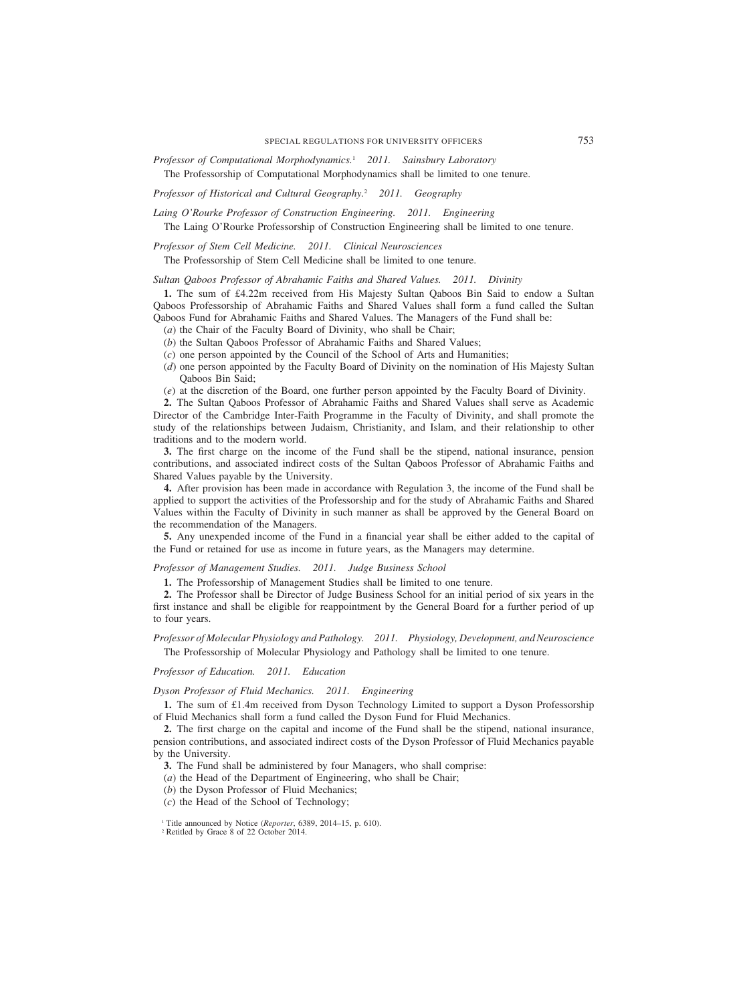*Professor of Computational Morphodynamics.*<sup>1</sup> *2011. Sainsbury Laboratory*

The Professorship of Computational Morphodynamics shall be limited to one tenure.

*Professor of Historical and Cultural Geography.*<sup>2</sup> *2011. Geography*

*Laing O'Rourke Professor of Construction Engineering. 2011. Engineering*

The Laing O'Rourke Professorship of Construction Engineering shall be limited to one tenure.

*Professor of Stem Cell Medicine. 2011. Clinical Neurosciences*

The Professorship of Stem Cell Medicine shall be limited to one tenure.

*Sultan Qaboos Professor of Abrahamic Faiths and Shared Values. 2011. Divinity*

**1.** The sum of £4.22m received from His Majesty Sultan Qaboos Bin Said to endow a Sultan Qaboos Professorship of Abrahamic Faiths and Shared Values shall form a fund called the Sultan Qaboos Fund for Abrahamic Faiths and Shared Values. The Managers of the Fund shall be:

(*a*) the Chair of the Faculty Board of Divinity, who shall be Chair;

- (*b*) the Sultan Qaboos Professor of Abrahamic Faiths and Shared Values;
- (*c*) one person appointed by the Council of the School of Arts and Humanities;
- (*d*) one person appointed by the Faculty Board of Divinity on the nomination of His Majesty Sultan Qaboos Bin Said;
- (*e*) at the discretion of the Board, one further person appointed by the Faculty Board of Divinity.

**2.** The Sultan Qaboos Professor of Abrahamic Faiths and Shared Values shall serve as Academic Director of the Cambridge Inter-Faith Programme in the Faculty of Divinity, and shall promote the study of the relationships between Judaism, Christianity, and Islam, and their relationship to other traditions and to the modern world.

**3.** The first charge on the income of the Fund shall be the stipend, national insurance, pension contributions, and associated indirect costs of the Sultan Qaboos Professor of Abrahamic Faiths and Shared Values payable by the University.

**4.** After provision has been made in accordance with Regulation 3, the income of the Fund shall be applied to support the activities of the Professorship and for the study of Abrahamic Faiths and Shared Values within the Faculty of Divinity in such manner as shall be approved by the General Board on the recommendation of the Managers.

**5.** Any unexpended income of the Fund in a financial year shall be either added to the capital of the Fund or retained for use as income in future years, as the Managers may determine.

*Professor of Management Studies. 2011. Judge Business School*

**1.** The Professorship of Management Studies shall be limited to one tenure.

**2.** The Professor shall be Director of Judge Business School for an initial period of six years in the first instance and shall be eligible for reappointment by the General Board for a further period of up to four years.

# *Professor of Molecular Physiology and Pathology. 2011. Physiology, Development, and Neuroscience* The Professorship of Molecular Physiology and Pathology shall be limited to one tenure.

*Professor of Education. 2011. Education*

# *Dyson Professor of Fluid Mechanics. 2011. Engineering*

**1.** The sum of £1.4m received from Dyson Technology Limited to support a Dyson Professorship of Fluid Mechanics shall form a fund called the Dyson Fund for Fluid Mechanics.

**2.** The first charge on the capital and income of the Fund shall be the stipend, national insurance, pension contributions, and associated indirect costs of the Dyson Professor of Fluid Mechanics payable by the University.

**3.** The Fund shall be administered by four Managers, who shall comprise:

(*a*) the Head of the Department of Engineering, who shall be Chair;

- (*b*) the Dyson Professor of Fluid Mechanics;
- (*c*) the Head of the School of Technology;

<sup>1</sup> Title announced by Notice (*Reporter*, 6389, 2014–15, p. 610).

<sup>2</sup> Retitled by Grace 8 of 22 October 2014.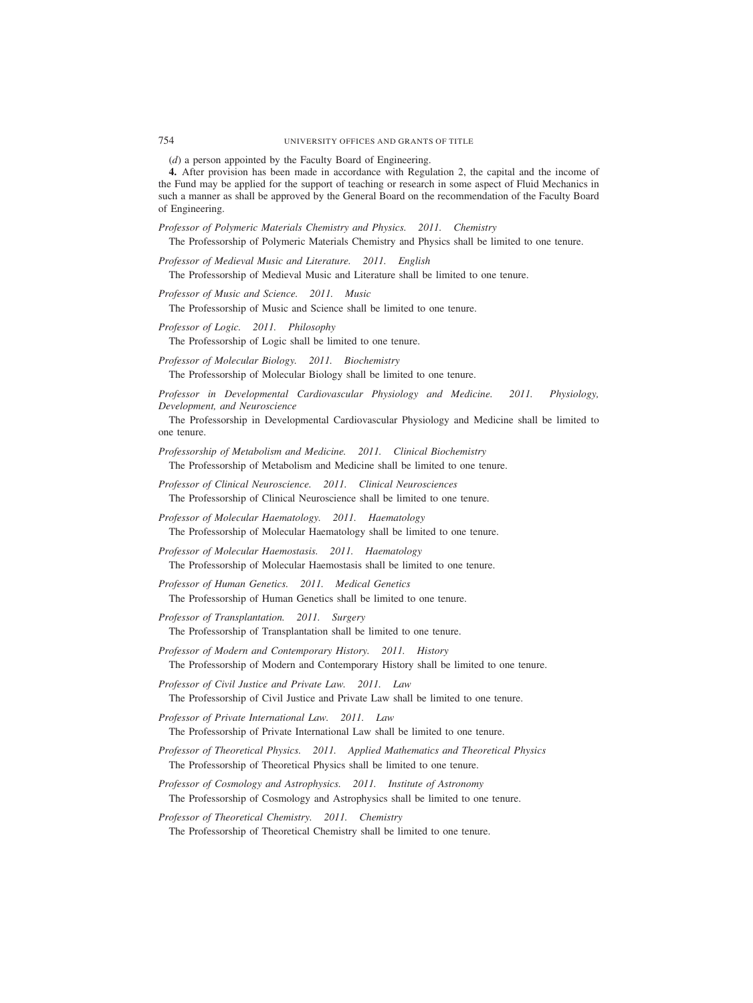754 UNIVERSITY OFFICES AND GRANTS OF TITLE

(*d*) a person appointed by the Faculty Board of Engineering.

**4.** After provision has been made in accordance with Regulation 2, the capital and the income of the Fund may be applied for the support of teaching or research in some aspect of Fluid Mechanics in such a manner as shall be approved by the General Board on the recommendation of the Faculty Board of Engineering.

*Professor of Polymeric Materials Chemistry and Physics. 2011. Chemistry*

The Professorship of Polymeric Materials Chemistry and Physics shall be limited to one tenure.

*Professor of Medieval Music and Literature. 2011. English* The Professorship of Medieval Music and Literature shall be limited to one tenure.

*Professor of Music and Science. 2011. Music*

The Professorship of Music and Science shall be limited to one tenure.

*Professor of Logic. 2011. Philosophy*

The Professorship of Logic shall be limited to one tenure.

*Professor of Molecular Biology. 2011. Biochemistry* The Professorship of Molecular Biology shall be limited to one tenure.

*Professor in Developmental Cardiovascular Physiology and Medicine. 2011. Physiology, Development, and Neuroscience*

The Professorship in Developmental Cardiovascular Physiology and Medicine shall be limited to one tenure.

*Professorship of Metabolism and Medicine. 2011. Clinical Biochemistry* The Professorship of Metabolism and Medicine shall be limited to one tenure.

*Professor of Clinical Neuroscience. 2011. Clinical Neurosciences* The Professorship of Clinical Neuroscience shall be limited to one tenure.

*Professor of Molecular Haematology. 2011. Haematology* The Professorship of Molecular Haematology shall be limited to one tenure.

*Professor of Molecular Haemostasis. 2011. Haematology* The Professorship of Molecular Haemostasis shall be limited to one tenure.

*Professor of Human Genetics. 2011. Medical Genetics* The Professorship of Human Genetics shall be limited to one tenure.

*Professor of Transplantation. 2011. Surgery* The Professorship of Transplantation shall be limited to one tenure.

*Professor of Modern and Contemporary History. 2011. History* The Professorship of Modern and Contemporary History shall be limited to one tenure.

*Professor of Civil Justice and Private Law. 2011. Law* The Professorship of Civil Justice and Private Law shall be limited to one tenure.

*Professor of Private International Law. 2011. Law* The Professorship of Private International Law shall be limited to one tenure.

- *Professor of Theoretical Physics. 2011. Applied Mathematics and Theoretical Physics* The Professorship of Theoretical Physics shall be limited to one tenure.
- *Professor of Cosmology and Astrophysics. 2011. Institute of Astronomy* The Professorship of Cosmology and Astrophysics shall be limited to one tenure.

*Professor of Theoretical Chemistry. 2011. Chemistry* The Professorship of Theoretical Chemistry shall be limited to one tenure.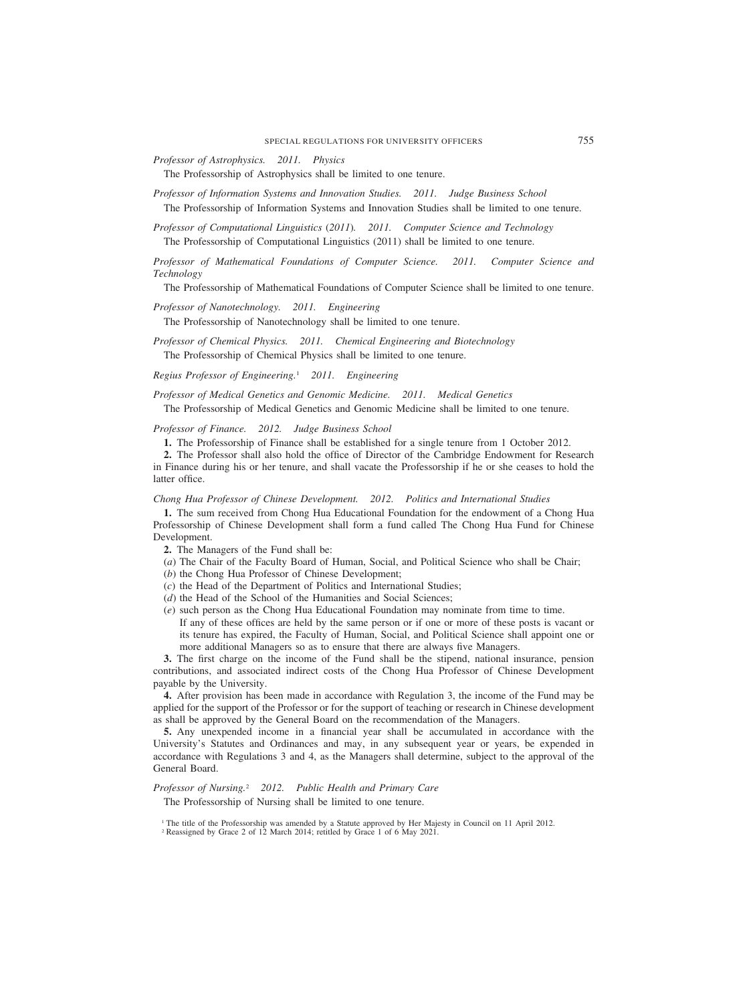*Professor of Astrophysics. 2011. Physics*

The Professorship of Astrophysics shall be limited to one tenure.

- *Professor of Information Systems and Innovation Studies. 2011. Judge Business School* The Professorship of Information Systems and Innovation Studies shall be limited to one tenure.
- *Professor of Computational Linguistics (2011). 2011. Computer Science and Technology* The Professorship of Computational Linguistics (2011) shall be limited to one tenure.

*Professor of Mathematical Foundations of Computer Science. 2011. Computer Science and Technology*

The Professorship of Mathematical Foundations of Computer Science shall be limited to one tenure.

*Professor of Nanotechnology. 2011. Engineering*

The Professorship of Nanotechnology shall be limited to one tenure.

*Professor of Chemical Physics. 2011. Chemical Engineering and Biotechnology* The Professorship of Chemical Physics shall be limited to one tenure.

*Regius Professor of Engineering.*<sup>1</sup> *2011. Engineering*

*Professor of Medical Genetics and Genomic Medicine. 2011. Medical Genetics*

The Professorship of Medical Genetics and Genomic Medicine shall be limited to one tenure.

*Professor of Finance. 2012. Judge Business School*

**1.** The Professorship of Finance shall be established for a single tenure from 1 October 2012.

**2.** The Professor shall also hold the office of Director of the Cambridge Endowment for Research in Finance during his or her tenure, and shall vacate the Professorship if he or she ceases to hold the latter office.

*Chong Hua Professor of Chinese Development. 2012. Politics and International Studies*

**1.** The sum received from Chong Hua Educational Foundation for the endowment of a Chong Hua Professorship of Chinese Development shall form a fund called The Chong Hua Fund for Chinese Development.

**2.** The Managers of the Fund shall be:

- (*a*) The Chair of the Faculty Board of Human, Social, and Political Science who shall be Chair;
- (*b*) the Chong Hua Professor of Chinese Development;
- (*c*) the Head of the Department of Politics and International Studies;
- (*d*) the Head of the School of the Humanities and Social Sciences;
- (*e*) such person as the Chong Hua Educational Foundation may nominate from time to time. If any of these offices are held by the same person or if one or more of these posts is vacant or its tenure has expired, the Faculty of Human, Social, and Political Science shall appoint one or more additional Managers so as to ensure that there are always five Managers.

**3.** The first charge on the income of the Fund shall be the stipend, national insurance, pension contributions, and associated indirect costs of the Chong Hua Professor of Chinese Development payable by the University.

**4.** After provision has been made in accordance with Regulation 3, the income of the Fund may be applied for the support of the Professor or for the support of teaching or research in Chinese development as shall be approved by the General Board on the recommendation of the Managers.

**5.** Any unexpended income in a financial year shall be accumulated in accordance with the University's Statutes and Ordinances and may, in any subsequent year or years, be expended in accordance with Regulations 3 and 4, as the Managers shall determine, subject to the approval of the General Board.

*Professor of Nursing.*<sup>2</sup> *2012. Public Health and Primary Care*

The Professorship of Nursing shall be limited to one tenure.

<sup>1</sup> The title of the Professorship was amended by a Statute approved by Her Majesty in Council on 11 April 2012.

<sup>&</sup>lt;sup>2</sup> Reassigned by Grace 2 of 12 March 2014; retitled by Grace 1 of 6 May 2021.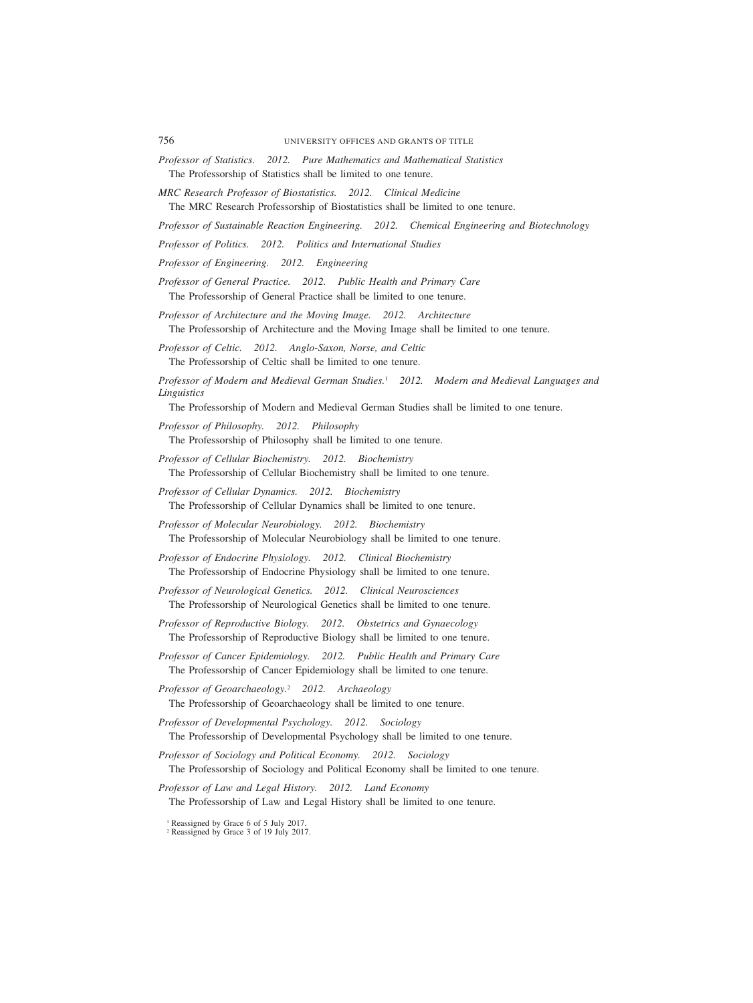- *Professor of Statistics. 2012. Pure Mathematics and Mathematical Statistics* The Professorship of Statistics shall be limited to one tenure.
- *MRC Research Professor of Biostatistics. 2012. Clinical Medicine* The MRC Research Professorship of Biostatistics shall be limited to one tenure.
- *Professor of Sustainable Reaction Engineering. 2012. Chemical Engineering and Biotechnology*
- *Professor of Politics. 2012. Politics and International Studies*
- *Professor of Engineering. 2012. Engineering*
- *Professor of General Practice. 2012. Public Health and Primary Care* The Professorship of General Practice shall be limited to one tenure.
- *Professor of Architecture and the Moving Image. 2012. Architecture* The Professorship of Architecture and the Moving Image shall be limited to one tenure.
- *Professor of Celtic. 2012. Anglo-Saxon, Norse, and Celtic* The Professorship of Celtic shall be limited to one tenure.
- *Professor of Modern and Medieval German Studies.*<sup>1</sup> *2012. Modern and Medieval Languages and Linguistics*

The Professorship of Modern and Medieval German Studies shall be limited to one tenure.

- *Professor of Philosophy. 2012. Philosophy*
	- The Professorship of Philosophy shall be limited to one tenure.
- *Professor of Cellular Biochemistry. 2012. Biochemistry* The Professorship of Cellular Biochemistry shall be limited to one tenure.
- *Professor of Cellular Dynamics. 2012. Biochemistry* The Professorship of Cellular Dynamics shall be limited to one tenure.
- *Professor of Molecular Neurobiology. 2012. Biochemistry* The Professorship of Molecular Neurobiology shall be limited to one tenure.
- *Professor of Endocrine Physiology. 2012. Clinical Biochemistry* The Professorship of Endocrine Physiology shall be limited to one tenure.
- *Professor of Neurological Genetics. 2012. Clinical Neurosciences* The Professorship of Neurological Genetics shall be limited to one tenure.
- *Professor of Reproductive Biology. 2012. Obstetrics and Gynaecology* The Professorship of Reproductive Biology shall be limited to one tenure.
- *Professor of Cancer Epidemiology. 2012. Public Health and Primary Care* The Professorship of Cancer Epidemiology shall be limited to one tenure.
- *Professor of Geoarchaeology.*<sup>2</sup> *2012. Archaeology* The Professorship of Geoarchaeology shall be limited to one tenure.
- *Professor of Developmental Psychology. 2012. Sociology* The Professorship of Developmental Psychology shall be limited to one tenure.
- *Professor of Sociology and Political Economy. 2012. Sociology* The Professorship of Sociology and Political Economy shall be limited to one tenure.
- *Professor of Law and Legal History. 2012. Land Economy* The Professorship of Law and Legal History shall be limited to one tenure.
	- <sup>1</sup> Reassigned by Grace 6 of 5 July 2017.
	- <sup>2</sup> Reassigned by Grace 3 of 19 July 2017.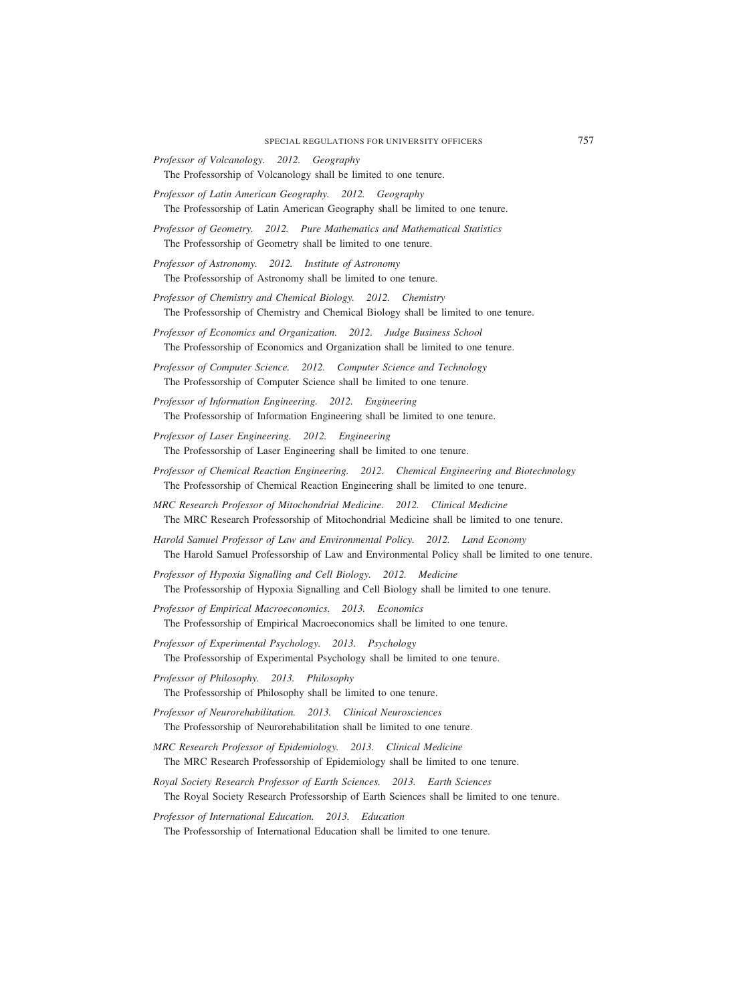- *Professor of Volcanology. 2012. Geography* The Professorship of Volcanology shall be limited to one tenure.
- *Professor of Latin American Geography. 2012. Geography* The Professorship of Latin American Geography shall be limited to one tenure.
- *Professor of Geometry. 2012. Pure Mathematics and Mathematical Statistics* The Professorship of Geometry shall be limited to one tenure.

*Professor of Astronomy. 2012. Institute of Astronomy* The Professorship of Astronomy shall be limited to one tenure.

- *Professor of Chemistry and Chemical Biology. 2012. Chemistry* The Professorship of Chemistry and Chemical Biology shall be limited to one tenure.
- *Professor of Economics and Organization. 2012. Judge Business School* The Professorship of Economics and Organization shall be limited to one tenure.

*Professor of Computer Science. 2012. Computer Science and Technology* The Professorship of Computer Science shall be limited to one tenure.

*Professor of Information Engineering. 2012. Engineering* The Professorship of Information Engineering shall be limited to one tenure.

- *Professor of Laser Engineering. 2012. Engineering* The Professorship of Laser Engineering shall be limited to one tenure.
- *Professor of Chemical Reaction Engineering. 2012. Chemical Engineering and Biotechnology* The Professorship of Chemical Reaction Engineering shall be limited to one tenure.
- *MRC Research Professor of Mitochondrial Medicine. 2012. Clinical Medicine* The MRC Research Professorship of Mitochondrial Medicine shall be limited to one tenure.
- *Harold Samuel Professor of Law and Environmental Policy. 2012. Land Economy* The Harold Samuel Professorship of Law and Environmental Policy shall be limited to one tenure.
- *Professor of Hypoxia Signalling and Cell Biology. 2012. Medicine* The Professorship of Hypoxia Signalling and Cell Biology shall be limited to one tenure.
- *Professor of Empirical Macroeconomics. 2013. Economics* The Professorship of Empirical Macroeconomics shall be limited to one tenure.
- *Professor of Experimental Psychology. 2013. Psychology* The Professorship of Experimental Psychology shall be limited to one tenure.
- *Professor of Philosophy. 2013. Philosophy* The Professorship of Philosophy shall be limited to one tenure.
- *Professor of Neurorehabilitation. 2013. Clinical Neurosciences* The Professorship of Neurorehabilitation shall be limited to one tenure.
- *MRC Research Professor of Epidemiology. 2013. Clinical Medicine* The MRC Research Professorship of Epidemiology shall be limited to one tenure.
- *Royal Society Research Professor of Earth Sciences. 2013. Earth Sciences* The Royal Society Research Professorship of Earth Sciences shall be limited to one tenure.

*Professor of International Education. 2013. Education*

The Professorship of International Education shall be limited to one tenure.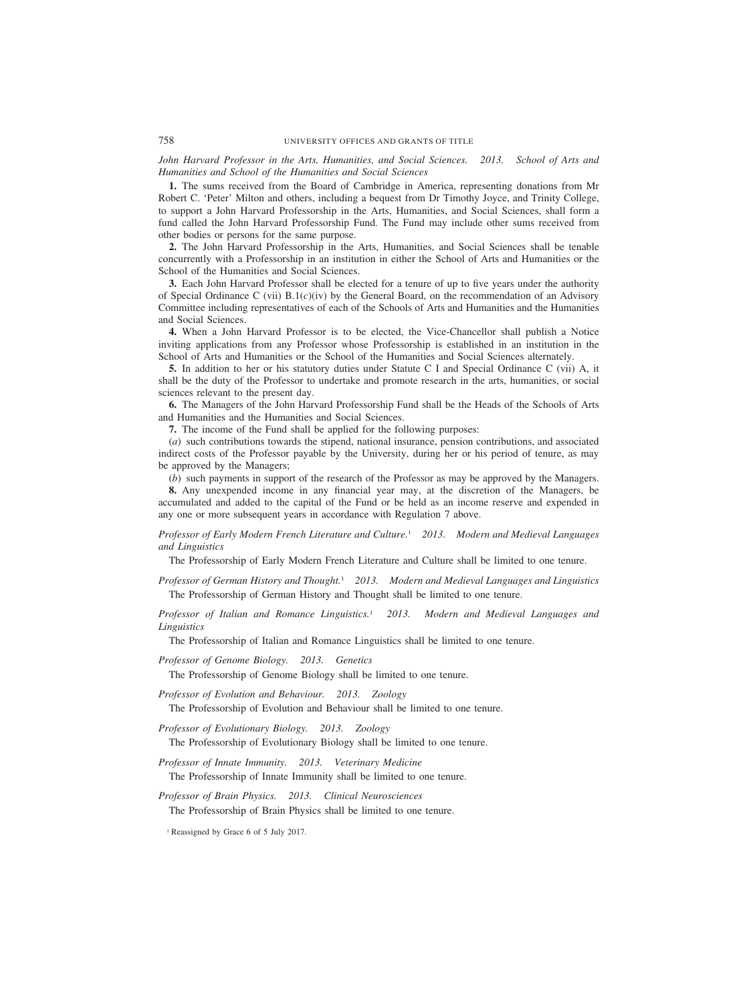*John Harvard Professor in the Arts, Humanities, and Social Sciences. 2013. School of Arts and Humanities and School of the Humanities and Social Sciences*

**1.** The sums received from the Board of Cambridge in America, representing donations from Mr Robert C. 'Peter' Milton and others, including a bequest from Dr Timothy Joyce, and Trinity College, to support a John Harvard Professorship in the Arts, Humanities, and Social Sciences, shall form a fund called the John Harvard Professorship Fund. The Fund may include other sums received from other bodies or persons for the same purpose.

**2.** The John Harvard Professorship in the Arts, Humanities, and Social Sciences shall be tenable concurrently with a Professorship in an institution in either the School of Arts and Humanities or the School of the Humanities and Social Sciences.

**3.** Each John Harvard Professor shall be elected for a tenure of up to five years under the authority of Special Ordinance C (vii) B.1(*c*)(iv) by the General Board, on the recommendation of an Advisory Committee including representatives of each of the Schools of Arts and Humanities and the Humanities and Social Sciences.

**4.** When a John Harvard Professor is to be elected, the Vice-Chancellor shall publish a Notice inviting applications from any Professor whose Professorship is established in an institution in the School of Arts and Humanities or the School of the Humanities and Social Sciences alternately.

**5.** In addition to her or his statutory duties under Statute C I and Special Ordinance C (vii) A, it shall be the duty of the Professor to undertake and promote research in the arts, humanities, or social sciences relevant to the present day.

**6.** The Managers of the John Harvard Professorship Fund shall be the Heads of the Schools of Arts and Humanities and the Humanities and Social Sciences.

**7.** The income of the Fund shall be applied for the following purposes:

(*a*) such contributions towards the stipend, national insurance, pension contributions, and associated indirect costs of the Professor payable by the University, during her or his period of tenure, as may be approved by the Managers;

(*b*) such payments in support of the research of the Professor as may be approved by the Managers.

**8.** Any unexpended income in any financial year may, at the discretion of the Managers, be accumulated and added to the capital of the Fund or be held as an income reserve and expended in any one or more subsequent years in accordance with Regulation 7 above.

*Professor of Early Modern French Literature and Culture.*<sup>1</sup> *2013. Modern and Medieval Languages and Linguistics*

The Professorship of Early Modern French Literature and Culture shall be limited to one tenure.

*Professor of German History and Thought.*<sup>1</sup> *2013. Modern and Medieval Languages and Linguistics* The Professorship of German History and Thought shall be limited to one tenure.

*Professor of Italian and Romance Linguistics.*<sup>1</sup> *2013. Modern and Medieval Languages and Linguistics*

The Professorship of Italian and Romance Linguistics shall be limited to one tenure.

*Professor of Genome Biology. 2013. Genetics*

The Professorship of Genome Biology shall be limited to one tenure.

*Professor of Evolution and Behaviour. 2013. Zoology*

The Professorship of Evolution and Behaviour shall be limited to one tenure.

*Professor of Evolutionary Biology. 2013. Zoology*

The Professorship of Evolutionary Biology shall be limited to one tenure.

*Professor of Innate Immunity. 2013. Veterinary Medicine* The Professorship of Innate Immunity shall be limited to one tenure.

*Professor of Brain Physics. 2013. Clinical Neurosciences*

The Professorship of Brain Physics shall be limited to one tenure.

<sup>1</sup> Reassigned by Grace 6 of 5 July 2017.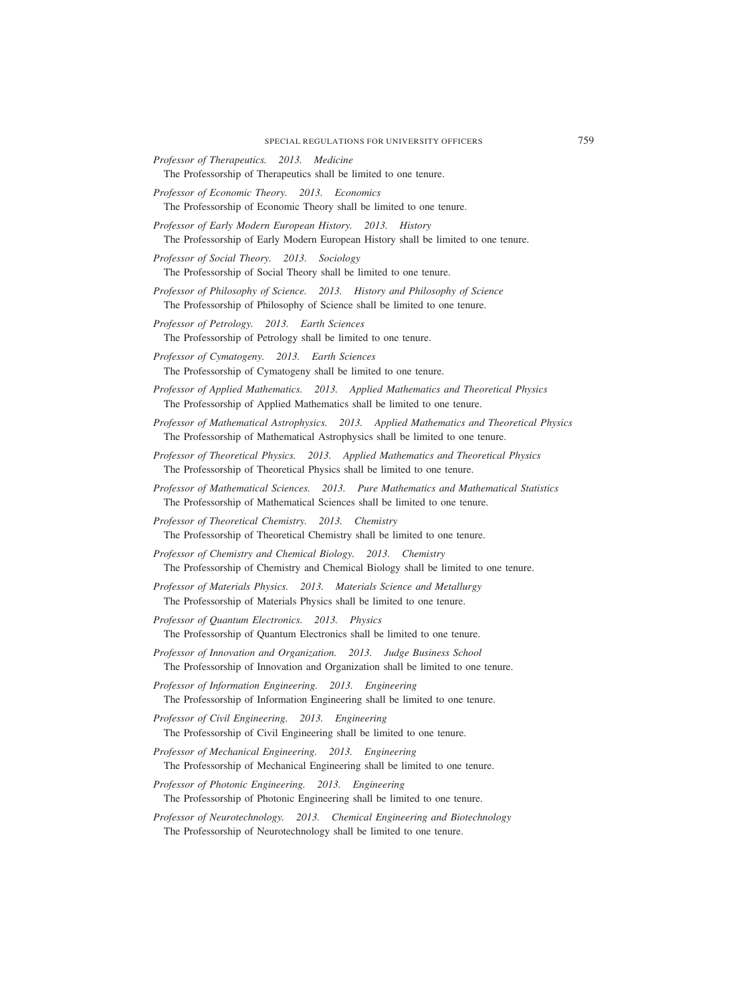*Professor of Therapeutics. 2013. Medicine*

The Professorship of Therapeutics shall be limited to one tenure.

*Professor of Economic Theory. 2013. Economics*

The Professorship of Economic Theory shall be limited to one tenure.

- *Professor of Early Modern European History. 2013. History* The Professorship of Early Modern European History shall be limited to one tenure.
- *Professor of Social Theory. 2013. Sociology* The Professorship of Social Theory shall be limited to one tenure.
- *Professor of Philosophy of Science. 2013. History and Philosophy of Science* The Professorship of Philosophy of Science shall be limited to one tenure.
- *Professor of Petrology. 2013. Earth Sciences* The Professorship of Petrology shall be limited to one tenure.
- *Professor of Cymatogeny. 2013. Earth Sciences* The Professorship of Cymatogeny shall be limited to one tenure.
- *Professor of Applied Mathematics. 2013. Applied Mathematics and Theoretical Physics* The Professorship of Applied Mathematics shall be limited to one tenure.
- *Professor of Mathematical Astrophysics. 2013. Applied Mathematics and Theoretical Physics* The Professorship of Mathematical Astrophysics shall be limited to one tenure.
- *Professor of Theoretical Physics. 2013. Applied Mathematics and Theoretical Physics* The Professorship of Theoretical Physics shall be limited to one tenure.
- *Professor of Mathematical Sciences. 2013. Pure Mathematics and Mathematical Statistics* The Professorship of Mathematical Sciences shall be limited to one tenure.
- *Professor of Theoretical Chemistry. 2013. Chemistry* The Professorship of Theoretical Chemistry shall be limited to one tenure.
- *Professor of Chemistry and Chemical Biology. 2013. Chemistry* The Professorship of Chemistry and Chemical Biology shall be limited to one tenure.
- *Professor of Materials Physics. 2013. Materials Science and Metallurgy* The Professorship of Materials Physics shall be limited to one tenure.
- *Professor of Quantum Electronics. 2013. Physics* The Professorship of Quantum Electronics shall be limited to one tenure.
- *Professor of Innovation and Organization. 2013. Judge Business School* The Professorship of Innovation and Organization shall be limited to one tenure.
- *Professor of Information Engineering. 2013. Engineering* The Professorship of Information Engineering shall be limited to one tenure.
- *Professor of Civil Engineering. 2013. Engineering* The Professorship of Civil Engineering shall be limited to one tenure.
- *Professor of Mechanical Engineering. 2013. Engineering* The Professorship of Mechanical Engineering shall be limited to one tenure.
- *Professor of Photonic Engineering. 2013. Engineering*

The Professorship of Photonic Engineering shall be limited to one tenure.

*Professor of Neurotechnology. 2013. Chemical Engineering and Biotechnology* The Professorship of Neurotechnology shall be limited to one tenure.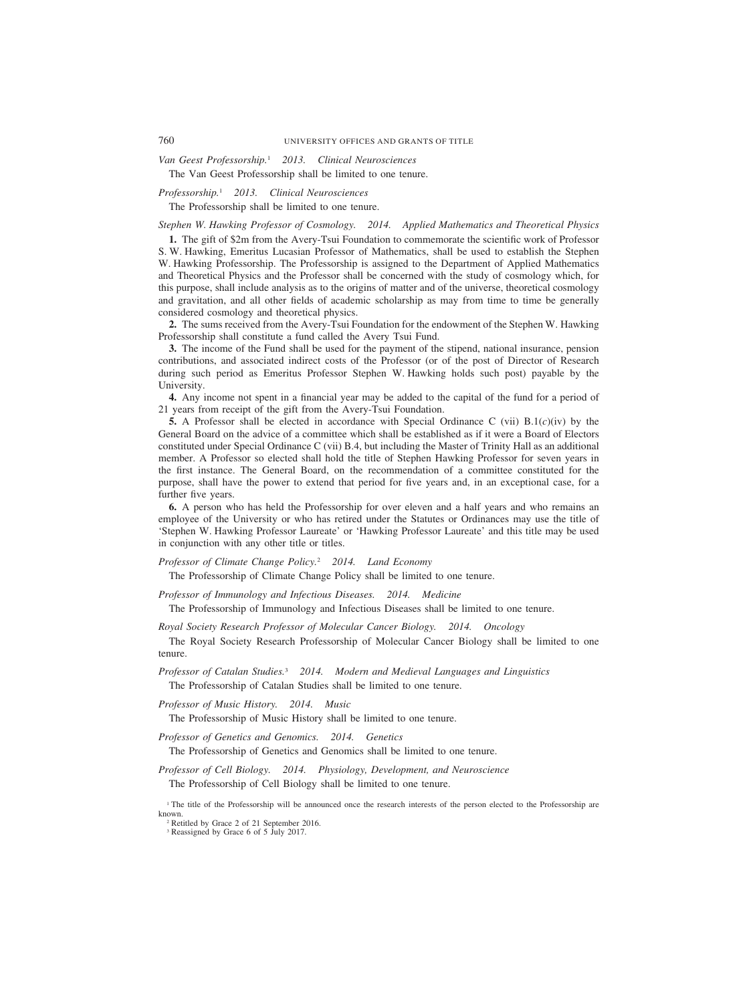760 UNIVERSITY OFFICES AND GRANTS OF TITLE

*Van Geest Professorship.*<sup>1</sup> *2013. Clinical Neurosciences*

The Van Geest Professorship shall be limited to one tenure.

*Professorship.*<sup>1</sup> *2013. Clinical Neurosciences*

The Professorship shall be limited to one tenure.

*Stephen W. Hawking Professor of Cosmology. 2014. Applied Mathematics and Theoretical Physics*

**1.** The gift of \$2m from the Avery-Tsui Foundation to commemorate the scientific work of Professor S. W. Hawking, Emeritus Lucasian Professor of Mathematics, shall be used to establish the Stephen W. Hawking Professorship. The Professorship is assigned to the Department of Applied Mathematics and Theoretical Physics and the Professor shall be concerned with the study of cosmology which, for this purpose, shall include analysis as to the origins of matter and of the universe, theoretical cosmology and gravitation, and all other fields of academic scholarship as may from time to time be generally considered cosmology and theoretical physics.

**2.** The sums received from the Avery-Tsui Foundation for the endowment of the Stephen W. Hawking Professorship shall constitute a fund called the Avery Tsui Fund.

**3.** The income of the Fund shall be used for the payment of the stipend, national insurance, pension contributions, and associated indirect costs of the Professor (or of the post of Director of Research during such period as Emeritus Professor Stephen W. Hawking holds such post) payable by the University.

**4.** Any income not spent in a financial year may be added to the capital of the fund for a period of 21 years from receipt of the gift from the Avery-Tsui Foundation.

**5.** A Professor shall be elected in accordance with Special Ordinance C (vii) B.1(*c*)(iv) by the General Board on the advice of a committee which shall be established as if it were a Board of Electors constituted under Special Ordinance C (vii) B.4, but including the Master of Trinity Hall as an additional member. A Professor so elected shall hold the title of Stephen Hawking Professor for seven years in the first instance. The General Board, on the recommendation of a committee constituted for the purpose, shall have the power to extend that period for five years and, in an exceptional case, for a further five years.

**6.** A person who has held the Professorship for over eleven and a half years and who remains an employee of the University or who has retired under the Statutes or Ordinances may use the title of 'Stephen W. Hawking Professor Laureate' or 'Hawking Professor Laureate' and this title may be used in conjunction with any other title or titles.

*Professor of Climate Change Policy.*<sup>2</sup> *2014. Land Economy*

The Professorship of Climate Change Policy shall be limited to one tenure.

*Professor of Immunology and Infectious Diseases. 2014. Medicine*

The Professorship of Immunology and Infectious Diseases shall be limited to one tenure.

*Royal Society Research Professor of Molecular Cancer Biology. 2014. Oncology*

The Royal Society Research Professorship of Molecular Cancer Biology shall be limited to one tenure.

*Professor of Catalan Studies.*<sup>3</sup> *2014. Modern and Medieval Languages and Linguistics* The Professorship of Catalan Studies shall be limited to one tenure.

*Professor of Music History. 2014. Music*

The Professorship of Music History shall be limited to one tenure.

*Professor of Genetics and Genomics. 2014. Genetics*

The Professorship of Genetics and Genomics shall be limited to one tenure.

*Professor of Cell Biology. 2014. Physiology, Development, and Neuroscience* The Professorship of Cell Biology shall be limited to one tenure.

<sup>1</sup> The title of the Professorship will be announced once the research interests of the person elected to the Professorship are known.

<sup>2</sup> Retitled by Grace 2 of 21 September 2016. <sup>3</sup> Reassigned by Grace 6 of 5 July 2017.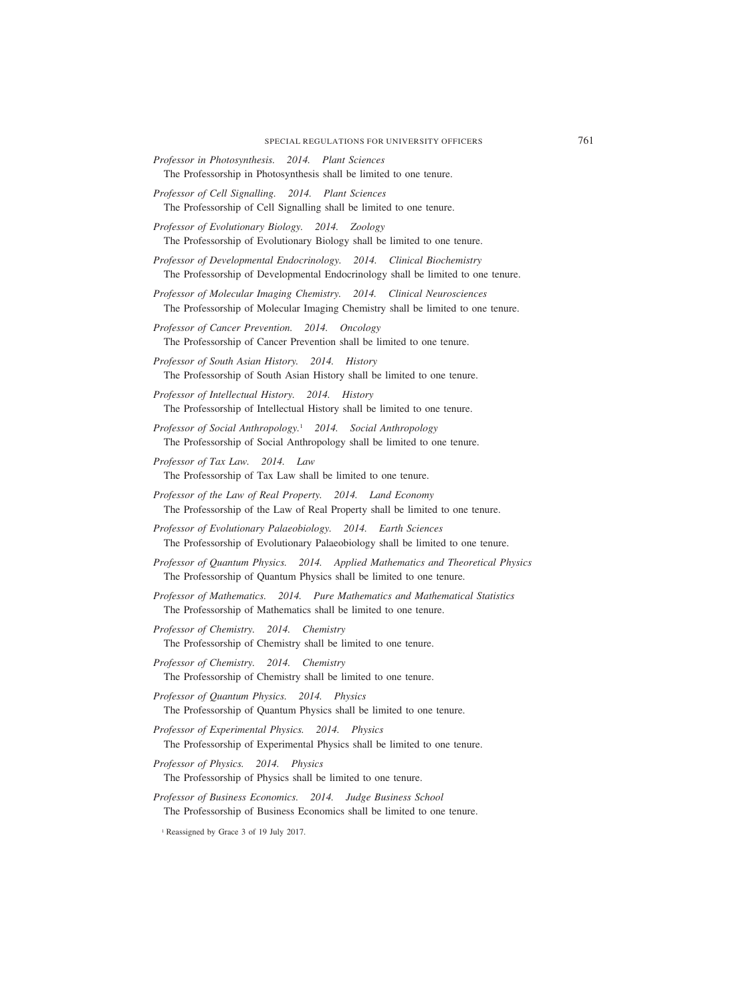- *Professor in Photosynthesis. 2014. Plant Sciences* The Professorship in Photosynthesis shall be limited to one tenure.
- *Professor of Cell Signalling. 2014. Plant Sciences* The Professorship of Cell Signalling shall be limited to one tenure.
- *Professor of Evolutionary Biology. 2014. Zoology* The Professorship of Evolutionary Biology shall be limited to one tenure.
- *Professor of Developmental Endocrinology. 2014. Clinical Biochemistry* The Professorship of Developmental Endocrinology shall be limited to one tenure.
- *Professor of Molecular Imaging Chemistry. 2014. Clinical Neurosciences* The Professorship of Molecular Imaging Chemistry shall be limited to one tenure.
- *Professor of Cancer Prevention. 2014. Oncology* The Professorship of Cancer Prevention shall be limited to one tenure.
- *Professor of South Asian History. 2014. History* The Professorship of South Asian History shall be limited to one tenure.
- *Professor of Intellectual History. 2014. History* The Professorship of Intellectual History shall be limited to one tenure.
- *Professor of Social Anthropology.*<sup>1</sup> *2014. Social Anthropology* The Professorship of Social Anthropology shall be limited to one tenure.
- *Professor of Tax Law. 2014. Law* The Professorship of Tax Law shall be limited to one tenure.
- *Professor of the Law of Real Property. 2014. Land Economy* The Professorship of the Law of Real Property shall be limited to one tenure.
- *Professor of Evolutionary Palaeobiology. 2014. Earth Sciences* The Professorship of Evolutionary Palaeobiology shall be limited to one tenure.
- *Professor of Quantum Physics. 2014. Applied Mathematics and Theoretical Physics* The Professorship of Quantum Physics shall be limited to one tenure.
- *Professor of Mathematics. 2014. Pure Mathematics and Mathematical Statistics* The Professorship of Mathematics shall be limited to one tenure.
- *Professor of Chemistry. 2014. Chemistry* The Professorship of Chemistry shall be limited to one tenure.
- *Professor of Chemistry. 2014. Chemistry* The Professorship of Chemistry shall be limited to one tenure.
- *Professor of Quantum Physics. 2014. Physics* The Professorship of Quantum Physics shall be limited to one tenure.
- *Professor of Experimental Physics. 2014. Physics* The Professorship of Experimental Physics shall be limited to one tenure.
- *Professor of Physics. 2014. Physics*
	- The Professorship of Physics shall be limited to one tenure.
- *Professor of Business Economics. 2014. Judge Business School* The Professorship of Business Economics shall be limited to one tenure.
	- <sup>1</sup> Reassigned by Grace 3 of 19 July 2017.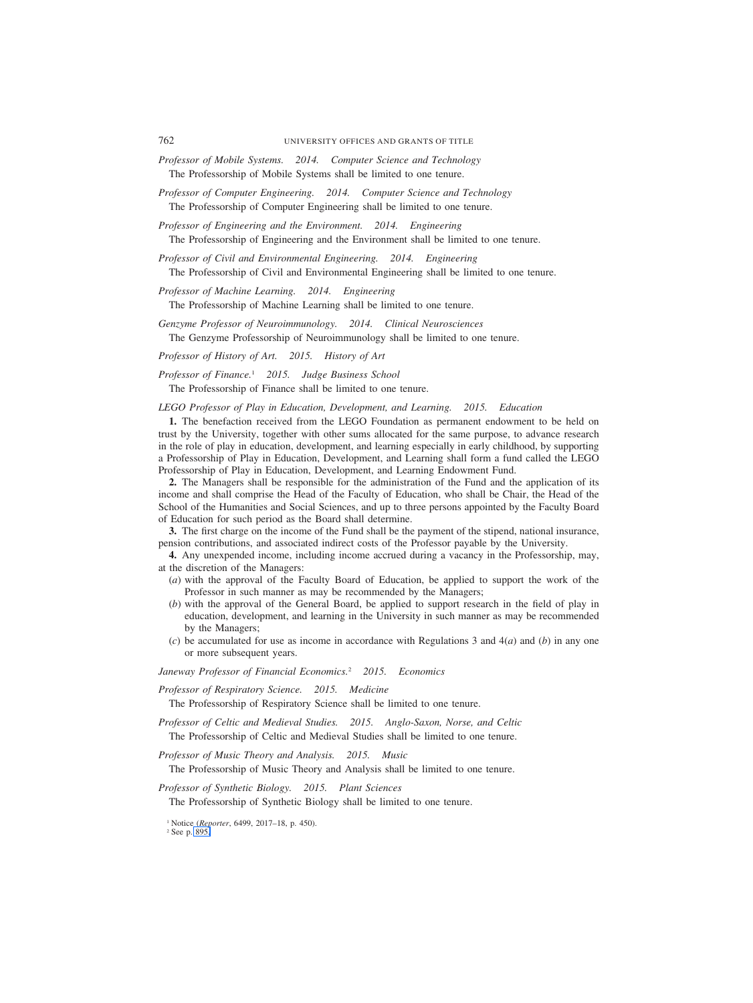- *Professor of Mobile Systems. 2014. Computer Science and Technology* The Professorship of Mobile Systems shall be limited to one tenure.
- *Professor of Computer Engineering. 2014. Computer Science and Technology* The Professorship of Computer Engineering shall be limited to one tenure.
- *Professor of Engineering and the Environment. 2014. Engineering* The Professorship of Engineering and the Environment shall be limited to one tenure.
- *Professor of Civil and Environmental Engineering. 2014. Engineering* The Professorship of Civil and Environmental Engineering shall be limited to one tenure.

*Professor of Machine Learning. 2014. Engineering* The Professorship of Machine Learning shall be limited to one tenure.

*Genzyme Professor of Neuroimmunology. 2014. Clinical Neurosciences* The Genzyme Professorship of Neuroimmunology shall be limited to one tenure.

*Professor of History of Art. 2015. History of Art*

*Professor of Finance.*<sup>1</sup> *2015. Judge Business School*

The Professorship of Finance shall be limited to one tenure.

*LEGO Professor of Play in Education, Development, and Learning. 2015. Education*

**1.** The benefaction received from the LEGO Foundation as permanent endowment to be held on trust by the University, together with other sums allocated for the same purpose, to advance research in the role of play in education, development, and learning especially in early childhood, by supporting a Professorship of Play in Education, Development, and Learning shall form a fund called the LEGO Professorship of Play in Education, Development, and Learning Endowment Fund.

**2.** The Managers shall be responsible for the administration of the Fund and the application of its income and shall comprise the Head of the Faculty of Education, who shall be Chair, the Head of the School of the Humanities and Social Sciences, and up to three persons appointed by the Faculty Board of Education for such period as the Board shall determine.

**3.** The first charge on the income of the Fund shall be the payment of the stipend, national insurance, pension contributions, and associated indirect costs of the Professor payable by the University.

**4.** Any unexpended income, including income accrued during a vacancy in the Professorship, may, at the discretion of the Managers:

- (*a*) with the approval of the Faculty Board of Education, be applied to support the work of the Professor in such manner as may be recommended by the Managers;
- (*b*) with the approval of the General Board, be applied to support research in the field of play in education, development, and learning in the University in such manner as may be recommended by the Managers;
- (*c*) be accumulated for use as income in accordance with Regulations 3 and 4(*a*) and (*b*) in any one or more subsequent years.

*Janeway Professor of Financial Economics.*<sup>2</sup> *2015. Economics*

*Professor of Respiratory Science. 2015. Medicine*

The Professorship of Respiratory Science shall be limited to one tenure.

*Professor of Celtic and Medieval Studies. 2015. Anglo-Saxon, Norse, and Celtic* The Professorship of Celtic and Medieval Studies shall be limited to one tenure.

*Professor of Music Theory and Analysis. 2015. Music*

The Professorship of Music Theory and Analysis shall be limited to one tenure.

*Professor of Synthetic Biology. 2015. Plant Sciences*

The Professorship of Synthetic Biology shall be limited to one tenure.

<sup>1</sup> Notice (*Reporter*, 6499, 2017–18, p. 450).

<sup>2</sup> See p. 895.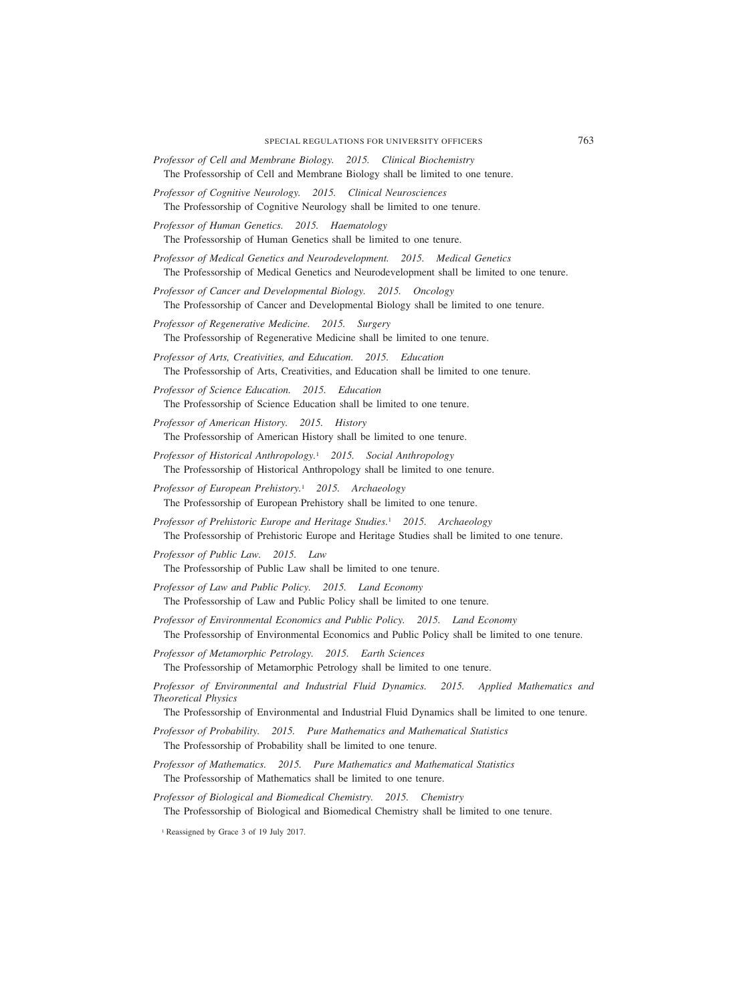- *Professor of Cell and Membrane Biology. 2015. Clinical Biochemistry* The Professorship of Cell and Membrane Biology shall be limited to one tenure.
- *Professor of Cognitive Neurology. 2015. Clinical Neurosciences* The Professorship of Cognitive Neurology shall be limited to one tenure.

*Professor of Human Genetics. 2015. Haematology* The Professorship of Human Genetics shall be limited to one tenure.

- *Professor of Medical Genetics and Neurodevelopment. 2015. Medical Genetics* The Professorship of Medical Genetics and Neurodevelopment shall be limited to one tenure.
- *Professor of Cancer and Developmental Biology. 2015. Oncology* The Professorship of Cancer and Developmental Biology shall be limited to one tenure.
- *Professor of Regenerative Medicine. 2015. Surgery* The Professorship of Regenerative Medicine shall be limited to one tenure.
- *Professor of Arts, Creativities, and Education. 2015. Education* The Professorship of Arts, Creativities, and Education shall be limited to one tenure.
- *Professor of Science Education. 2015. Education* The Professorship of Science Education shall be limited to one tenure.
- *Professor of American History. 2015. History*

The Professorship of American History shall be limited to one tenure.

- *Professor of Historical Anthropology.*<sup>1</sup> *2015. Social Anthropology* The Professorship of Historical Anthropology shall be limited to one tenure.
- *Professor of European Prehistory.*<sup>1</sup> *2015. Archaeology* The Professorship of European Prehistory shall be limited to one tenure.
- *Professor of Prehistoric Europe and Heritage Studies.*<sup>1</sup> *2015. Archaeology* The Professorship of Prehistoric Europe and Heritage Studies shall be limited to one tenure.
- *Professor of Public Law. 2015. Law* The Professorship of Public Law shall be limited to one tenure.
- *Professor of Law and Public Policy. 2015. Land Economy* The Professorship of Law and Public Policy shall be limited to one tenure.
- *Professor of Environmental Economics and Public Policy. 2015. Land Economy* The Professorship of Environmental Economics and Public Policy shall be limited to one tenure.
- *Professor of Metamorphic Petrology. 2015. Earth Sciences* The Professorship of Metamorphic Petrology shall be limited to one tenure.
- *Professor of Environmental and Industrial Fluid Dynamics. 2015. Applied Mathematics and Theoretical Physics*

The Professorship of Environmental and Industrial Fluid Dynamics shall be limited to one tenure.

- *Professor of Probability. 2015. Pure Mathematics and Mathematical Statistics* The Professorship of Probability shall be limited to one tenure.
- *Professor of Mathematics. 2015. Pure Mathematics and Mathematical Statistics* The Professorship of Mathematics shall be limited to one tenure.
- *Professor of Biological and Biomedical Chemistry. 2015. Chemistry* The Professorship of Biological and Biomedical Chemistry shall be limited to one tenure.
	- <sup>1</sup> Reassigned by Grace 3 of 19 July 2017.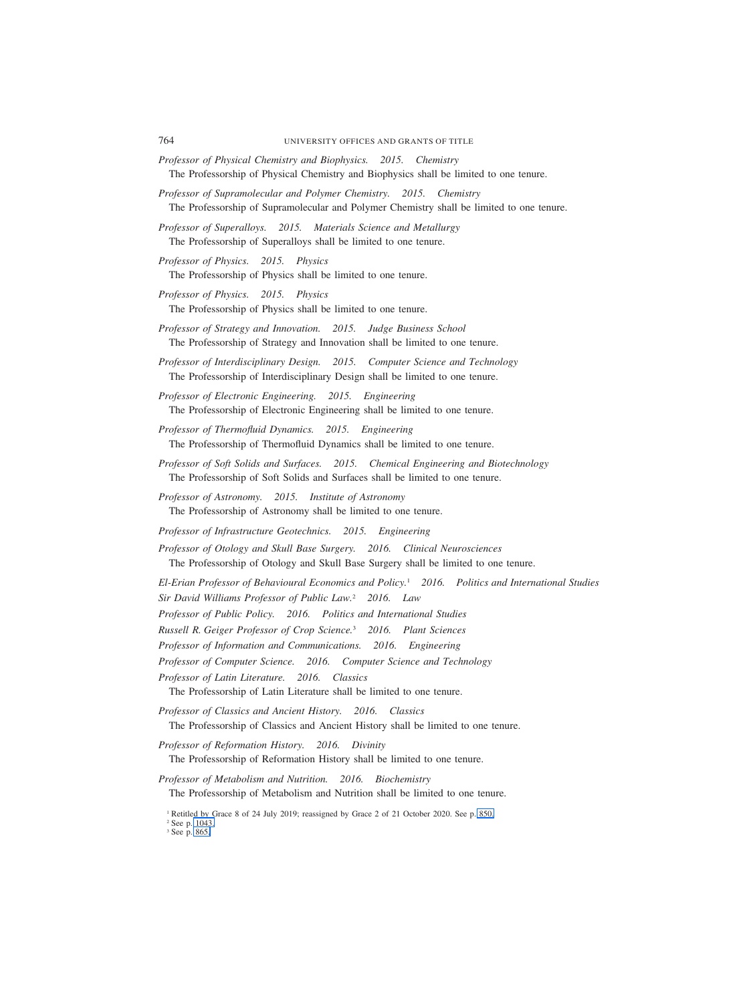- *Professor of Physical Chemistry and Biophysics. 2015. Chemistry* The Professorship of Physical Chemistry and Biophysics shall be limited to one tenure.
- *Professor of Supramolecular and Polymer Chemistry. 2015. Chemistry* The Professorship of Supramolecular and Polymer Chemistry shall be limited to one tenure.
- *Professor of Superalloys. 2015. Materials Science and Metallurgy* The Professorship of Superalloys shall be limited to one tenure.
- *Professor of Physics. 2015. Physics* The Professorship of Physics shall be limited to one tenure.
- *Professor of Physics. 2015. Physics* The Professorship of Physics shall be limited to one tenure.
- *Professor of Strategy and Innovation. 2015. Judge Business School* The Professorship of Strategy and Innovation shall be limited to one tenure.
- *Professor of Interdisciplinary Design. 2015. Computer Science and Technology* The Professorship of Interdisciplinary Design shall be limited to one tenure.

*Professor of Electronic Engineering. 2015. Engineering* The Professorship of Electronic Engineering shall be limited to one tenure.

- *Professor of Thermofluid Dynamics. 2015. Engineering* The Professorship of Thermofluid Dynamics shall be limited to one tenure.
- *Professor of Soft Solids and Surfaces. 2015. Chemical Engineering and Biotechnology* The Professorship of Soft Solids and Surfaces shall be limited to one tenure.
- *Professor of Astronomy. 2015. Institute of Astronomy* The Professorship of Astronomy shall be limited to one tenure.
- *Professor of Infrastructure Geotechnics. 2015. Engineering*

*Professor of Otology and Skull Base Surgery. 2016. Clinical Neurosciences* The Professorship of Otology and Skull Base Surgery shall be limited to one tenure.

*El-Erian Professor of Behavioural Economics and Policy.*<sup>1</sup> *2016. Politics and International Studies Sir David Williams Professor of Public Law.*<sup>2</sup> *2016. Law*

- *Professor of Public Policy. 2016. Politics and International Studies*
- *Russell R. Geiger Professor of Crop Science.*<sup>3</sup> *2016. Plant Sciences*
- *Professor of Information and Communications. 2016. Engineering*

*Professor of Computer Science. 2016. Computer Science and Technology*

*Professor of Latin Literature. 2016. Classics*

The Professorship of Latin Literature shall be limited to one tenure.

*Professor of Classics and Ancient History. 2016. Classics* The Professorship of Classics and Ancient History shall be limited to one tenure.

*Professor of Reformation History. 2016. Divinity*

The Professorship of Reformation History shall be limited to one tenure.

*Professor of Metabolism and Nutrition. 2016. Biochemistry* The Professorship of Metabolism and Nutrition shall be limited to one tenure.

<sup>2</sup> See p. 1043. <sup>3</sup> See p. 865.

<sup>&</sup>lt;sup>1</sup> Retitled by Grace 8 of 24 July 2019; reassigned by Grace 2 of 21 October 2020. See p. 850.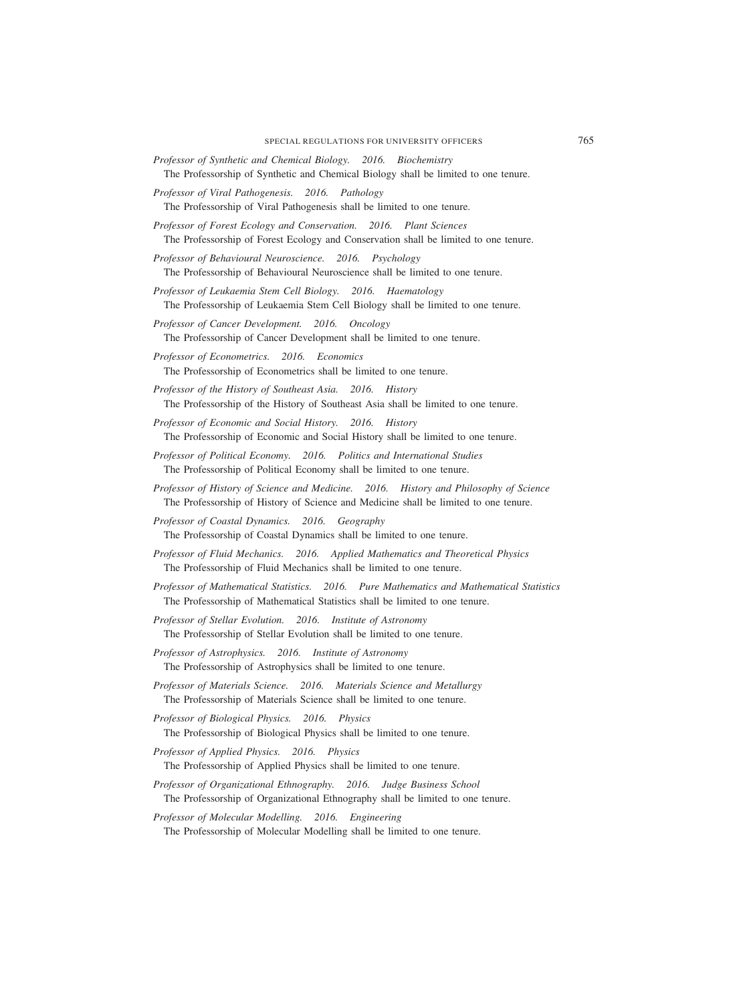- *Professor of Synthetic and Chemical Biology. 2016. Biochemistry* The Professorship of Synthetic and Chemical Biology shall be limited to one tenure.
- *Professor of Viral Pathogenesis. 2016. Pathology* The Professorship of Viral Pathogenesis shall be limited to one tenure.
- *Professor of Forest Ecology and Conservation. 2016. Plant Sciences* The Professorship of Forest Ecology and Conservation shall be limited to one tenure.

*Professor of Behavioural Neuroscience. 2016. Psychology* The Professorship of Behavioural Neuroscience shall be limited to one tenure.

- *Professor of Leukaemia Stem Cell Biology. 2016. Haematology* The Professorship of Leukaemia Stem Cell Biology shall be limited to one tenure.
- *Professor of Cancer Development. 2016. Oncology* The Professorship of Cancer Development shall be limited to one tenure.
- *Professor of Econometrics. 2016. Economics* The Professorship of Econometrics shall be limited to one tenure.
- *Professor of the History of Southeast Asia. 2016. History* The Professorship of the History of Southeast Asia shall be limited to one tenure.
- *Professor of Economic and Social History. 2016. History* The Professorship of Economic and Social History shall be limited to one tenure.
- *Professor of Political Economy. 2016. Politics and International Studies* The Professorship of Political Economy shall be limited to one tenure.
- *Professor of History of Science and Medicine. 2016. History and Philosophy of Science* The Professorship of History of Science and Medicine shall be limited to one tenure.
- *Professor of Coastal Dynamics. 2016. Geography* The Professorship of Coastal Dynamics shall be limited to one tenure.
- *Professor of Fluid Mechanics. 2016. Applied Mathematics and Theoretical Physics* The Professorship of Fluid Mechanics shall be limited to one tenure.
- *Professor of Mathematical Statistics. 2016. Pure Mathematics and Mathematical Statistics* The Professorship of Mathematical Statistics shall be limited to one tenure.
- *Professor of Stellar Evolution. 2016. Institute of Astronomy* The Professorship of Stellar Evolution shall be limited to one tenure.
- *Professor of Astrophysics. 2016. Institute of Astronomy* The Professorship of Astrophysics shall be limited to one tenure.
- *Professor of Materials Science. 2016. Materials Science and Metallurgy* The Professorship of Materials Science shall be limited to one tenure.
- *Professor of Biological Physics. 2016. Physics* The Professorship of Biological Physics shall be limited to one tenure.
- *Professor of Applied Physics. 2016. Physics* The Professorship of Applied Physics shall be limited to one tenure.
- *Professor of Organizational Ethnography. 2016. Judge Business School* The Professorship of Organizational Ethnography shall be limited to one tenure.
- *Professor of Molecular Modelling. 2016. Engineering*

The Professorship of Molecular Modelling shall be limited to one tenure.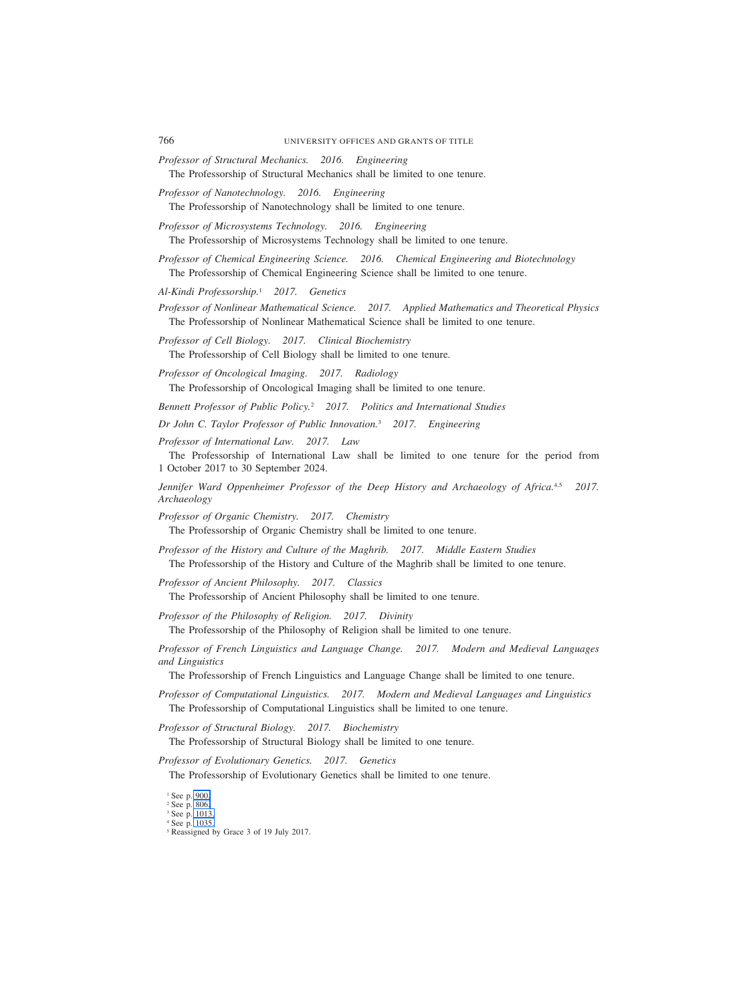- *Professor of Structural Mechanics. 2016. Engineering* The Professorship of Structural Mechanics shall be limited to one tenure.
- *Professor of Nanotechnology. 2016. Engineering* The Professorship of Nanotechnology shall be limited to one tenure.
- *Professor of Microsystems Technology. 2016. Engineering* The Professorship of Microsystems Technology shall be limited to one tenure.
- *Professor of Chemical Engineering Science. 2016. Chemical Engineering and Biotechnology* The Professorship of Chemical Engineering Science shall be limited to one tenure.
- *Al-Kindi Professorship.*<sup>1</sup> *2017. Genetics*
- *Professor of Nonlinear Mathematical Science. 2017. Applied Mathematics and Theoretical Physics* The Professorship of Nonlinear Mathematical Science shall be limited to one tenure.
- *Professor of Cell Biology. 2017. Clinical Biochemistry* The Professorship of Cell Biology shall be limited to one tenure.
- *Professor of Oncological Imaging. 2017. Radiology* The Professorship of Oncological Imaging shall be limited to one tenure.
- *Bennett Professor of Public Policy.*<sup>2</sup> *2017. Politics and International Studies*
- *Dr John C. Taylor Professor of Public Innovation.*<sup>3</sup> *2017. Engineering*
- *Professor of International Law. 2017. Law*

The Professorship of International Law shall be limited to one tenure for the period from 1 October 2017 to 30 September 2024.

*Jennifer Ward Oppenheimer Professor of the Deep History and Archaeology of Africa.*4,5 *2017. Archaeology*

*Professor of Organic Chemistry. 2017. Chemistry* The Professorship of Organic Chemistry shall be limited to one tenure.

*Professor of the History and Culture of the Maghrib. 2017. Middle Eastern Studies* The Professorship of the History and Culture of the Maghrib shall be limited to one tenure.

*Professor of Ancient Philosophy. 2017. Classics*

The Professorship of Ancient Philosophy shall be limited to one tenure.

- *Professor of the Philosophy of Religion. 2017. Divinity* The Professorship of the Philosophy of Religion shall be limited to one tenure.
- *Professor of French Linguistics and Language Change. 2017. Modern and Medieval Languages and Linguistics*

The Professorship of French Linguistics and Language Change shall be limited to one tenure.

*Professor of Computational Linguistics. 2017. Modern and Medieval Languages and Linguistics* The Professorship of Computational Linguistics shall be limited to one tenure.

*Professor of Structural Biology. 2017. Biochemistry*

The Professorship of Structural Biology shall be limited to one tenure.

*Professor of Evolutionary Genetics. 2017. Genetics*

The Professorship of Evolutionary Genetics shall be limited to one tenure.

<sup>1</sup> See p. 900.

<sup>2</sup> See p. 806.

<sup>3</sup> See p. 1013.

<sup>4</sup> See p. 1035.

<sup>5</sup> Reassigned by Grace 3 of 19 July 2017.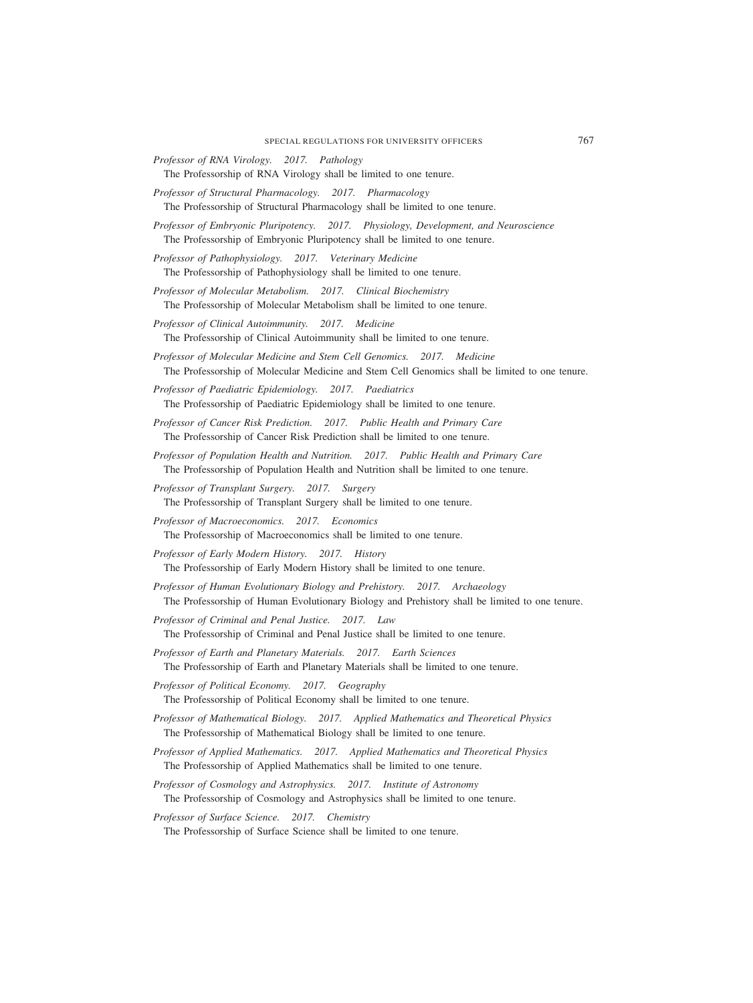- *Professor of RNA Virology. 2017. Pathology*
- The Professorship of RNA Virology shall be limited to one tenure.
- *Professor of Structural Pharmacology. 2017. Pharmacology* The Professorship of Structural Pharmacology shall be limited to one tenure.
- *Professor of Embryonic Pluripotency. 2017. Physiology, Development, and Neuroscience* The Professorship of Embryonic Pluripotency shall be limited to one tenure.

*Professor of Pathophysiology. 2017. Veterinary Medicine* The Professorship of Pathophysiology shall be limited to one tenure.

- *Professor of Molecular Metabolism. 2017. Clinical Biochemistry* The Professorship of Molecular Metabolism shall be limited to one tenure.
- *Professor of Clinical Autoimmunity. 2017. Medicine* The Professorship of Clinical Autoimmunity shall be limited to one tenure.
- *Professor of Molecular Medicine and Stem Cell Genomics. 2017. Medicine* The Professorship of Molecular Medicine and Stem Cell Genomics shall be limited to one tenure.
- *Professor of Paediatric Epidemiology. 2017. Paediatrics* The Professorship of Paediatric Epidemiology shall be limited to one tenure.
- *Professor of Cancer Risk Prediction. 2017. Public Health and Primary Care* The Professorship of Cancer Risk Prediction shall be limited to one tenure.
- *Professor of Population Health and Nutrition. 2017. Public Health and Primary Care* The Professorship of Population Health and Nutrition shall be limited to one tenure.
- *Professor of Transplant Surgery. 2017. Surgery* The Professorship of Transplant Surgery shall be limited to one tenure.
- *Professor of Macroeconomics. 2017. Economics* The Professorship of Macroeconomics shall be limited to one tenure.
- *Professor of Early Modern History. 2017. History* The Professorship of Early Modern History shall be limited to one tenure.
- *Professor of Human Evolutionary Biology and Prehistory. 2017. Archaeology* The Professorship of Human Evolutionary Biology and Prehistory shall be limited to one tenure.
- *Professor of Criminal and Penal Justice. 2017. Law* The Professorship of Criminal and Penal Justice shall be limited to one tenure.
- *Professor of Earth and Planetary Materials. 2017. Earth Sciences* The Professorship of Earth and Planetary Materials shall be limited to one tenure.
- *Professor of Political Economy. 2017. Geography*

The Professorship of Political Economy shall be limited to one tenure.

- *Professor of Mathematical Biology. 2017. Applied Mathematics and Theoretical Physics* The Professorship of Mathematical Biology shall be limited to one tenure.
- *Professor of Applied Mathematics. 2017. Applied Mathematics and Theoretical Physics* The Professorship of Applied Mathematics shall be limited to one tenure.
- *Professor of Cosmology and Astrophysics. 2017. Institute of Astronomy* The Professorship of Cosmology and Astrophysics shall be limited to one tenure.

*Professor of Surface Science. 2017. Chemistry*

The Professorship of Surface Science shall be limited to one tenure.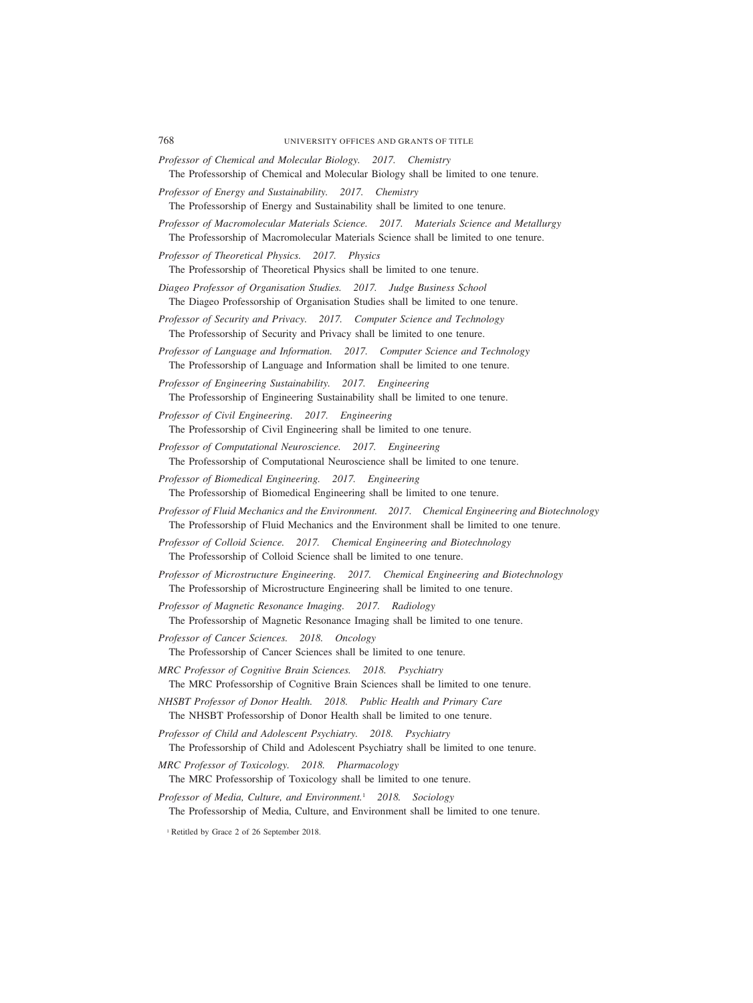- *Professor of Chemical and Molecular Biology. 2017. Chemistry* The Professorship of Chemical and Molecular Biology shall be limited to one tenure.
- *Professor of Energy and Sustainability. 2017. Chemistry*

The Professorship of Energy and Sustainability shall be limited to one tenure.

- *Professor of Macromolecular Materials Science. 2017. Materials Science and Metallurgy* The Professorship of Macromolecular Materials Science shall be limited to one tenure.
- *Professor of Theoretical Physics. 2017. Physics*

The Professorship of Theoretical Physics shall be limited to one tenure.

- *Diageo Professor of Organisation Studies. 2017. Judge Business School* The Diageo Professorship of Organisation Studies shall be limited to one tenure.
- *Professor of Security and Privacy. 2017. Computer Science and Technology* The Professorship of Security and Privacy shall be limited to one tenure.
- *Professor of Language and Information. 2017. Computer Science and Technology* The Professorship of Language and Information shall be limited to one tenure.

*Professor of Engineering Sustainability. 2017. Engineering* The Professorship of Engineering Sustainability shall be limited to one tenure.

- *Professor of Civil Engineering. 2017. Engineering* The Professorship of Civil Engineering shall be limited to one tenure.
- *Professor of Computational Neuroscience. 2017. Engineering* The Professorship of Computational Neuroscience shall be limited to one tenure.
- *Professor of Biomedical Engineering. 2017. Engineering* The Professorship of Biomedical Engineering shall be limited to one tenure.
- *Professor of Fluid Mechanics and the Environment. 2017. Chemical Engineering and Biotechnology* The Professorship of Fluid Mechanics and the Environment shall be limited to one tenure.
- *Professor of Colloid Science. 2017. Chemical Engineering and Biotechnology* The Professorship of Colloid Science shall be limited to one tenure.
- *Professor of Microstructure Engineering. 2017. Chemical Engineering and Biotechnology* The Professorship of Microstructure Engineering shall be limited to one tenure.

*Professor of Magnetic Resonance Imaging. 2017. Radiology* The Professorship of Magnetic Resonance Imaging shall be limited to one tenure.

- *Professor of Cancer Sciences. 2018. Oncology* The Professorship of Cancer Sciences shall be limited to one tenure.
- *MRC Professor of Cognitive Brain Sciences. 2018. Psychiatry* The MRC Professorship of Cognitive Brain Sciences shall be limited to one tenure.

*NHSBT Professor of Donor Health. 2018. Public Health and Primary Care* The NHSBT Professorship of Donor Health shall be limited to one tenure.

- *Professor of Child and Adolescent Psychiatry. 2018. Psychiatry* The Professorship of Child and Adolescent Psychiatry shall be limited to one tenure.
- *MRC Professor of Toxicology. 2018. Pharmacology* The MRC Professorship of Toxicology shall be limited to one tenure.
- *Professor of Media, Culture, and Environment.*<sup>1</sup> *2018. Sociology* The Professorship of Media, Culture, and Environment shall be limited to one tenure.

<sup>1</sup> Retitled by Grace 2 of 26 September 2018.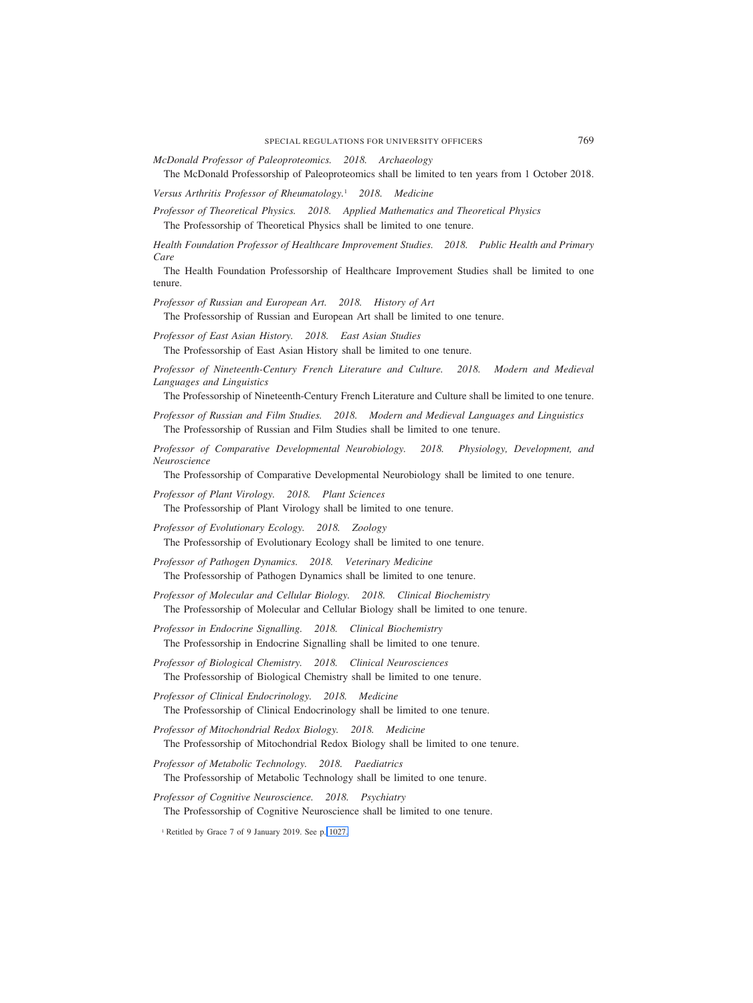*McDonald Professor of Paleoproteomics. 2018. Archaeology*

The McDonald Professorship of Paleoproteomics shall be limited to ten years from 1 October 2018.

*Versus Arthritis Professor of Rheumatology.*<sup>1</sup> *2018. Medicine*

*Professor of Theoretical Physics. 2018. Applied Mathematics and Theoretical Physics* The Professorship of Theoretical Physics shall be limited to one tenure.

*Health Foundation Professor of Healthcare Improvement Studies. 2018. Public Health and Primary Care*

The Health Foundation Professorship of Healthcare Improvement Studies shall be limited to one tenure.

*Professor of Russian and European Art. 2018. History of Art*

The Professorship of Russian and European Art shall be limited to one tenure.

*Professor of East Asian History. 2018. East Asian Studies*

The Professorship of East Asian History shall be limited to one tenure.

*Professor of Nineteenth-Century French Literature and Culture. 2018. Modern and Medieval Languages and Linguistics*

The Professorship of Nineteenth-Century French Literature and Culture shall be limited to one tenure.

*Professor of Russian and Film Studies. 2018. Modern and Medieval Languages and Linguistics* The Professorship of Russian and Film Studies shall be limited to one tenure.

*Professor of Comparative Developmental Neurobiology. 2018. Physiology, Development, and Neuroscience*

The Professorship of Comparative Developmental Neurobiology shall be limited to one tenure.

- *Professor of Plant Virology. 2018. Plant Sciences* The Professorship of Plant Virology shall be limited to one tenure.
- *Professor of Evolutionary Ecology. 2018. Zoology* The Professorship of Evolutionary Ecology shall be limited to one tenure.
- *Professor of Pathogen Dynamics. 2018. Veterinary Medicine* The Professorship of Pathogen Dynamics shall be limited to one tenure.
- *Professor of Molecular and Cellular Biology. 2018. Clinical Biochemistry* The Professorship of Molecular and Cellular Biology shall be limited to one tenure.

*Professor in Endocrine Signalling. 2018. Clinical Biochemistry* The Professorship in Endocrine Signalling shall be limited to one tenure.

*Professor of Biological Chemistry. 2018. Clinical Neurosciences* The Professorship of Biological Chemistry shall be limited to one tenure.

*Professor of Clinical Endocrinology. 2018. Medicine* The Professorship of Clinical Endocrinology shall be limited to one tenure.

*Professor of Mitochondrial Redox Biology. 2018. Medicine* The Professorship of Mitochondrial Redox Biology shall be limited to one tenure.

*Professor of Metabolic Technology. 2018. Paediatrics* The Professorship of Metabolic Technology shall be limited to one tenure.

*Professor of Cognitive Neuroscience. 2018. Psychiatry* The Professorship of Cognitive Neuroscience shall be limited to one tenure.

<sup>1</sup> Retitled by Grace 7 of 9 January 2019. See p. 1027.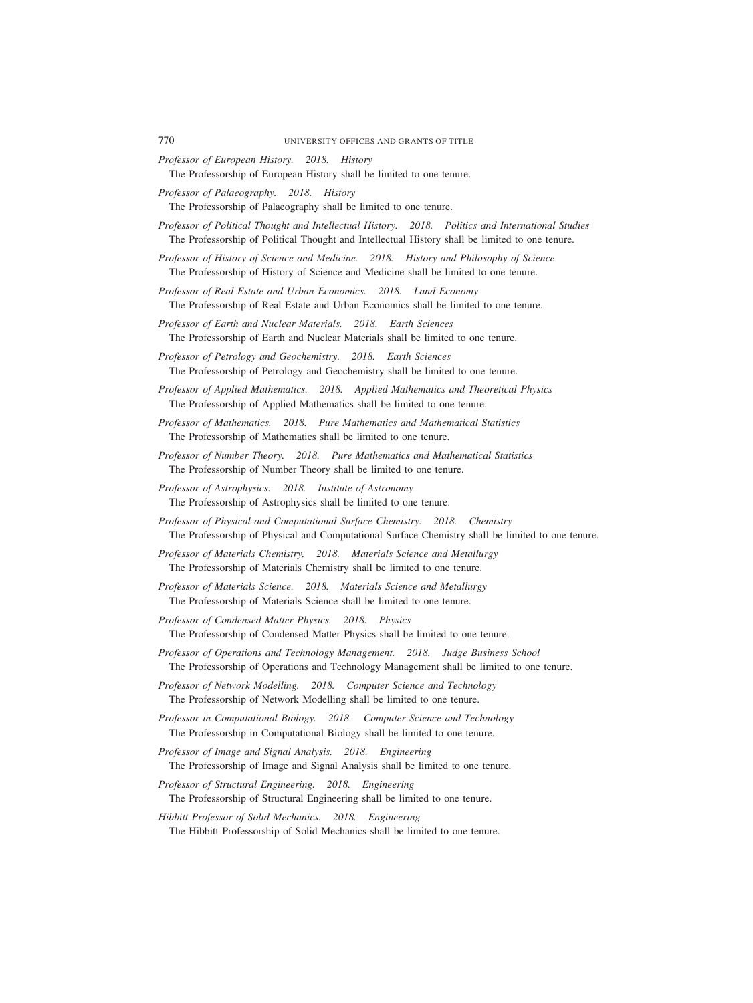- *Professor of European History. 2018. History* The Professorship of European History shall be limited to one tenure.
- *Professor of Palaeography. 2018. History*

The Professorship of Palaeography shall be limited to one tenure.

- *Professor of Political Thought and Intellectual History. 2018. Politics and International Studies* The Professorship of Political Thought and Intellectual History shall be limited to one tenure.
- *Professor of History of Science and Medicine. 2018. History and Philosophy of Science* The Professorship of History of Science and Medicine shall be limited to one tenure.
- *Professor of Real Estate and Urban Economics. 2018. Land Economy* The Professorship of Real Estate and Urban Economics shall be limited to one tenure.
- *Professor of Earth and Nuclear Materials. 2018. Earth Sciences* The Professorship of Earth and Nuclear Materials shall be limited to one tenure.
- *Professor of Petrology and Geochemistry. 2018. Earth Sciences* The Professorship of Petrology and Geochemistry shall be limited to one tenure.
- *Professor of Applied Mathematics. 2018. Applied Mathematics and Theoretical Physics* The Professorship of Applied Mathematics shall be limited to one tenure.
- *Professor of Mathematics. 2018. Pure Mathematics and Mathematical Statistics* The Professorship of Mathematics shall be limited to one tenure.
- *Professor of Number Theory. 2018. Pure Mathematics and Mathematical Statistics* The Professorship of Number Theory shall be limited to one tenure.
- *Professor of Astrophysics. 2018. Institute of Astronomy* The Professorship of Astrophysics shall be limited to one tenure.
- *Professor of Physical and Computational Surface Chemistry. 2018. Chemistry* The Professorship of Physical and Computational Surface Chemistry shall be limited to one tenure.
- *Professor of Materials Chemistry. 2018. Materials Science and Metallurgy* The Professorship of Materials Chemistry shall be limited to one tenure.
- *Professor of Materials Science. 2018. Materials Science and Metallurgy* The Professorship of Materials Science shall be limited to one tenure.
- *Professor of Condensed Matter Physics. 2018. Physics* The Professorship of Condensed Matter Physics shall be limited to one tenure.
- *Professor of Operations and Technology Management. 2018. Judge Business School* The Professorship of Operations and Technology Management shall be limited to one tenure.
- *Professor of Network Modelling. 2018. Computer Science and Technology* The Professorship of Network Modelling shall be limited to one tenure.
- *Professor in Computational Biology. 2018. Computer Science and Technology* The Professorship in Computational Biology shall be limited to one tenure.
- *Professor of Image and Signal Analysis. 2018. Engineering* The Professorship of Image and Signal Analysis shall be limited to one tenure.
- *Professor of Structural Engineering. 2018. Engineering* The Professorship of Structural Engineering shall be limited to one tenure.
- *Hibbitt Professor of Solid Mechanics. 2018. Engineering* The Hibbitt Professorship of Solid Mechanics shall be limited to one tenure.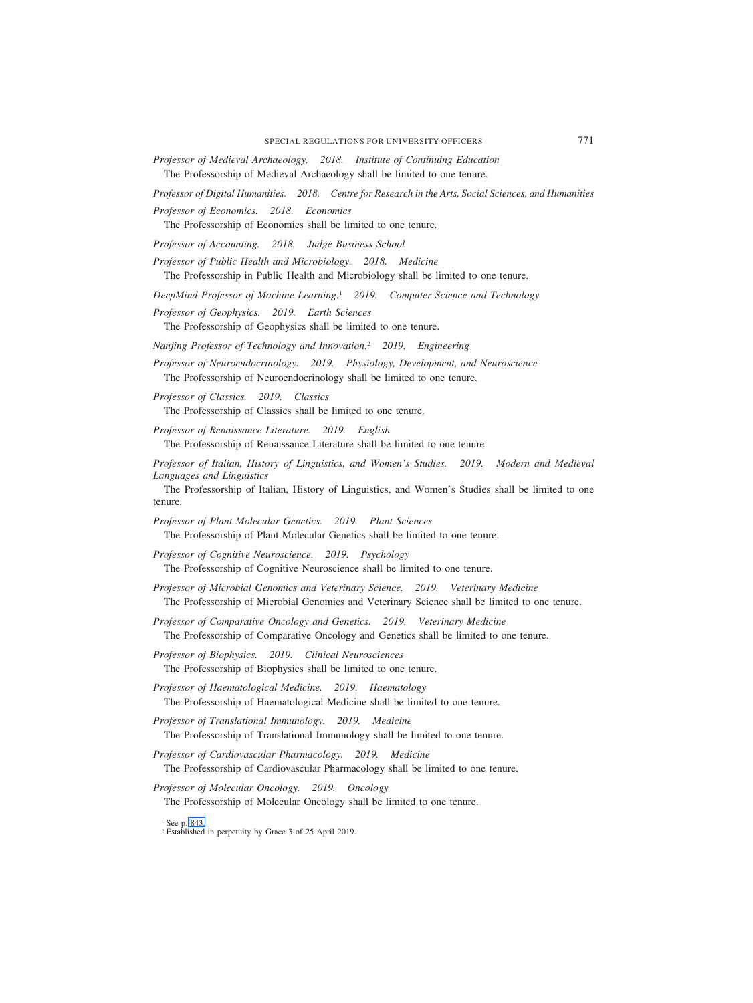*Professor of Medieval Archaeology. 2018. Institute of Continuing Education* The Professorship of Medieval Archaeology shall be limited to one tenure.

*Professor of Digital Humanities. 2018. Centre for Research in the Arts, Social Sciences, and Humanities Professor of Economics. 2018. Economics*

The Professorship of Economics shall be limited to one tenure.

*Professor of Accounting. 2018. Judge Business School*

*Professor of Public Health and Microbiology. 2018. Medicine* The Professorship in Public Health and Microbiology shall be limited to one tenure.

*DeepMind Professor of Machine Learning.*<sup>1</sup> *2019. Computer Science and Technology*

*Professor of Geophysics. 2019. Earth Sciences*

The Professorship of Geophysics shall be limited to one tenure.

*Nanjing Professor of Technology and Innovation.*<sup>2</sup> *2019. Engineering*

*Professor of Neuroendocrinology. 2019. Physiology, Development, and Neuroscience* The Professorship of Neuroendocrinology shall be limited to one tenure.

*Professor of Classics. 2019. Classics* The Professorship of Classics shall be limited to one tenure.

*Professor of Renaissance Literature. 2019. English* The Professorship of Renaissance Literature shall be limited to one tenure.

*Professor of Italian, History of Linguistics, and Women's Studies. 2019. Modern and Medieval Languages and Linguistics*

The Professorship of Italian, History of Linguistics, and Women's Studies shall be limited to one tenure.

*Professor of Plant Molecular Genetics. 2019. Plant Sciences* The Professorship of Plant Molecular Genetics shall be limited to one tenure.

*Professor of Cognitive Neuroscience. 2019. Psychology* The Professorship of Cognitive Neuroscience shall be limited to one tenure.

*Professor of Microbial Genomics and Veterinary Science. 2019. Veterinary Medicine* The Professorship of Microbial Genomics and Veterinary Science shall be limited to one tenure.

*Professor of Comparative Oncology and Genetics. 2019. Veterinary Medicine* The Professorship of Comparative Oncology and Genetics shall be limited to one tenure.

*Professor of Biophysics. 2019. Clinical Neurosciences* The Professorship of Biophysics shall be limited to one tenure.

*Professor of Haematological Medicine. 2019. Haematology* The Professorship of Haematological Medicine shall be limited to one tenure.

*Professor of Translational Immunology. 2019. Medicine* The Professorship of Translational Immunology shall be limited to one tenure.

*Professor of Cardiovascular Pharmacology. 2019. Medicine* The Professorship of Cardiovascular Pharmacology shall be limited to one tenure.

*Professor of Molecular Oncology. 2019. Oncology* The Professorship of Molecular Oncology shall be limited to one tenure.

<sup>1</sup> See p. 843.

<sup>2</sup> Established in perpetuity by Grace 3 of 25 April 2019.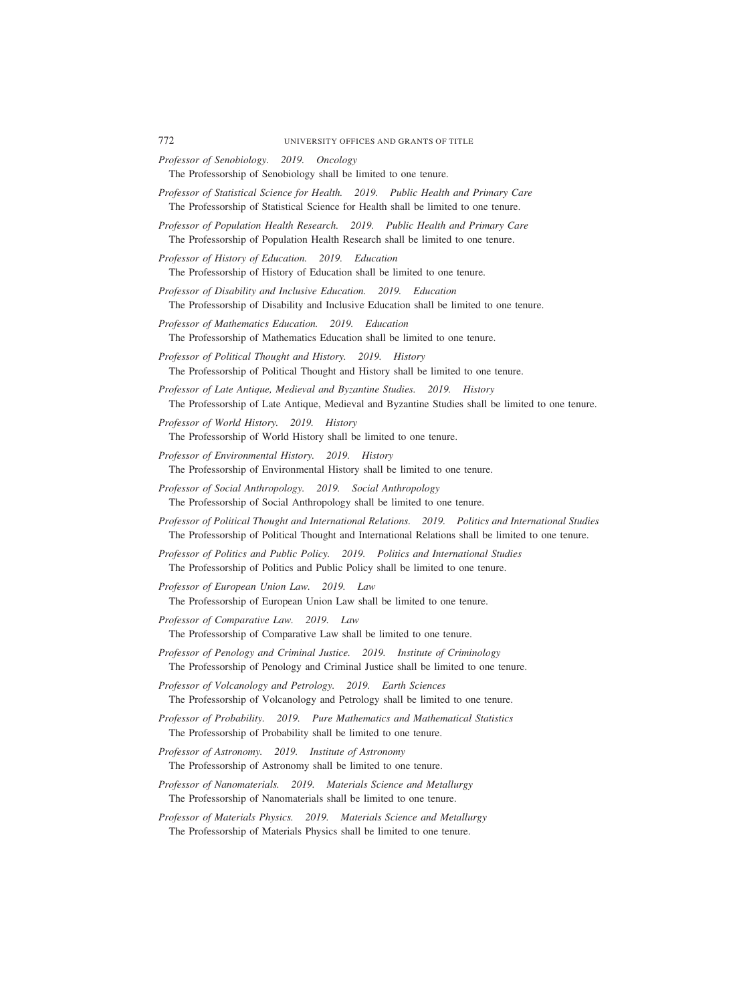- *Professor of Senobiology. 2019. Oncology* The Professorship of Senobiology shall be limited to one tenure.
- *Professor of Statistical Science for Health. 2019. Public Health and Primary Care* The Professorship of Statistical Science for Health shall be limited to one tenure.
- *Professor of Population Health Research. 2019. Public Health and Primary Care* The Professorship of Population Health Research shall be limited to one tenure.
- *Professor of History of Education. 2019. Education* The Professorship of History of Education shall be limited to one tenure.
- *Professor of Disability and Inclusive Education. 2019. Education* The Professorship of Disability and Inclusive Education shall be limited to one tenure.
- *Professor of Mathematics Education. 2019. Education* The Professorship of Mathematics Education shall be limited to one tenure.
- *Professor of Political Thought and History. 2019. History* The Professorship of Political Thought and History shall be limited to one tenure.
- *Professor of Late Antique, Medieval and Byzantine Studies. 2019. History* The Professorship of Late Antique, Medieval and Byzantine Studies shall be limited to one tenure.
- *Professor of World History. 2019. History* The Professorship of World History shall be limited to one tenure.
- *Professor of Environmental History. 2019. History* The Professorship of Environmental History shall be limited to one tenure.
- *Professor of Social Anthropology. 2019. Social Anthropology* The Professorship of Social Anthropology shall be limited to one tenure.
- *Professor of Political Thought and International Relations. 2019. Politics and International Studies* The Professorship of Political Thought and International Relations shall be limited to one tenure.
- *Professor of Politics and Public Policy. 2019. Politics and International Studies* The Professorship of Politics and Public Policy shall be limited to one tenure.
- *Professor of European Union Law. 2019. Law* The Professorship of European Union Law shall be limited to one tenure.
- *Professor of Comparative Law. 2019. Law* The Professorship of Comparative Law shall be limited to one tenure.
- *Professor of Penology and Criminal Justice. 2019. Institute of Criminology* The Professorship of Penology and Criminal Justice shall be limited to one tenure.
- *Professor of Volcanology and Petrology. 2019. Earth Sciences* The Professorship of Volcanology and Petrology shall be limited to one tenure.
- *Professor of Probability. 2019. Pure Mathematics and Mathematical Statistics* The Professorship of Probability shall be limited to one tenure.
- *Professor of Astronomy. 2019. Institute of Astronomy* The Professorship of Astronomy shall be limited to one tenure.
- *Professor of Nanomaterials. 2019. Materials Science and Metallurgy* The Professorship of Nanomaterials shall be limited to one tenure.
- *Professor of Materials Physics. 2019. Materials Science and Metallurgy* The Professorship of Materials Physics shall be limited to one tenure.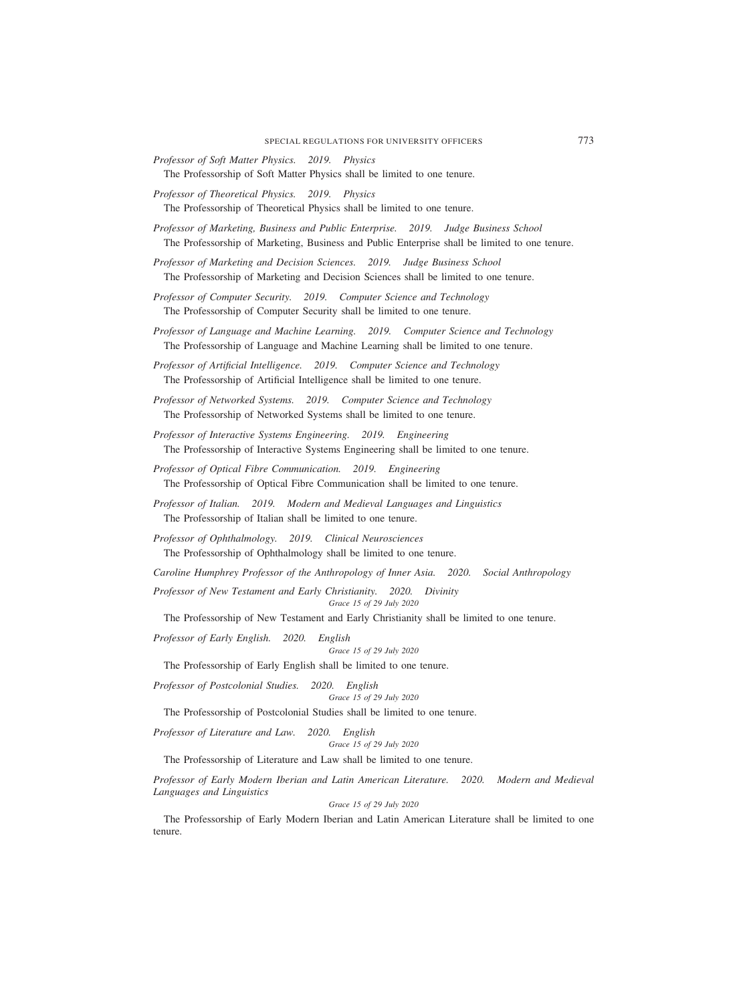- *Professor of Soft Matter Physics. 2019. Physics* The Professorship of Soft Matter Physics shall be limited to one tenure.
- *Professor of Theoretical Physics. 2019. Physics* The Professorship of Theoretical Physics shall be limited to one tenure.
- *Professor of Marketing, Business and Public Enterprise. 2019. Judge Business School* The Professorship of Marketing, Business and Public Enterprise shall be limited to one tenure.

*Professor of Marketing and Decision Sciences. 2019. Judge Business School* The Professorship of Marketing and Decision Sciences shall be limited to one tenure.

*Professor of Computer Security. 2019. Computer Science and Technology* The Professorship of Computer Security shall be limited to one tenure.

*Professor of Language and Machine Learning. 2019. Computer Science and Technology* The Professorship of Language and Machine Learning shall be limited to one tenure.

*Professor of Artificial Intelligence. 2019. Computer Science and Technology* The Professorship of Artificial Intelligence shall be limited to one tenure.

*Professor of Networked Systems. 2019. Computer Science and Technology* The Professorship of Networked Systems shall be limited to one tenure.

*Professor of Interactive Systems Engineering. 2019. Engineering* The Professorship of Interactive Systems Engineering shall be limited to one tenure.

*Professor of Optical Fibre Communication. 2019. Engineering* The Professorship of Optical Fibre Communication shall be limited to one tenure.

*Professor of Italian. 2019. Modern and Medieval Languages and Linguistics* The Professorship of Italian shall be limited to one tenure.

*Professor of Ophthalmology. 2019. Clinical Neurosciences* The Professorship of Ophthalmology shall be limited to one tenure.

*Caroline Humphrey Professor of the Anthropology of Inner Asia. 2020. Social Anthropology Professor of New Testament and Early Christianity. 2020. Divinity*

*Grace 15 of 29 July 2020*

The Professorship of New Testament and Early Christianity shall be limited to one tenure.

*Professor of Early English. 2020. English*

*Grace 15 of 29 July 2020*

The Professorship of Early English shall be limited to one tenure.

*Professor of Postcolonial Studies. 2020. English*

*Grace 15 of 29 July 2020*

The Professorship of Postcolonial Studies shall be limited to one tenure.

*Professor of Literature and Law. 2020. English*

*Grace 15 of 29 July 2020*

The Professorship of Literature and Law shall be limited to one tenure.

*Professor of Early Modern Iberian and Latin American Literature. 2020. Modern and Medieval Languages and Linguistics*

*Grace 15 of 29 July 2020*

The Professorship of Early Modern Iberian and Latin American Literature shall be limited to one tenure.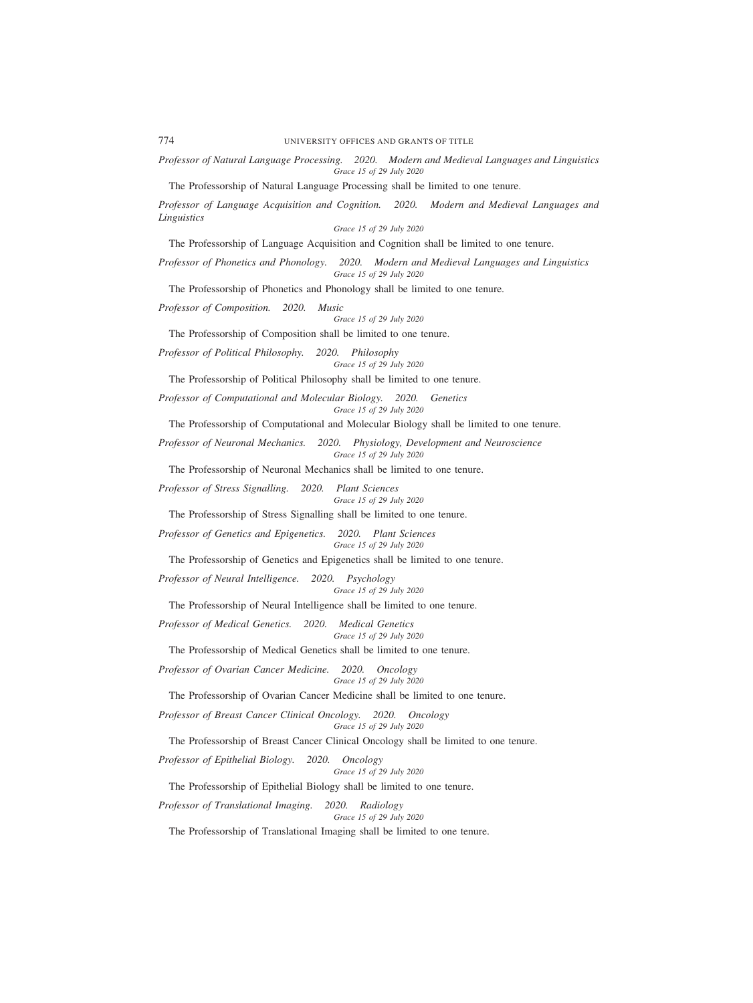*Professor of Natural Language Processing. 2020. Modern and Medieval Languages and Linguistics Grace 15 of 29 July 2020*

The Professorship of Natural Language Processing shall be limited to one tenure.

*Professor of Language Acquisition and Cognition. 2020. Modern and Medieval Languages and Linguistics Grace 15 of 29 July 2020*

The Professorship of Language Acquisition and Cognition shall be limited to one tenure.

*Professor of Phonetics and Phonology. 2020. Modern and Medieval Languages and Linguistics Grace 15 of 29 July 2020*

The Professorship of Phonetics and Phonology shall be limited to one tenure.

*Professor of Composition. 2020. Music*

### *Grace 15 of 29 July 2020*

The Professorship of Composition shall be limited to one tenure.

*Professor of Political Philosophy. 2020. Philosophy Grace 15 of 29 July 2020*

The Professorship of Political Philosophy shall be limited to one tenure.

*Professor of Computational and Molecular Biology. 2020. Genetics Grace 15 of 29 July 2020*

The Professorship of Computational and Molecular Biology shall be limited to one tenure.

*Professor of Neuronal Mechanics. 2020. Physiology, Development and Neuroscience Grace 15 of 29 July 2020*

The Professorship of Neuronal Mechanics shall be limited to one tenure.

*Professor of Stress Signalling. 2020. Plant Sciences Grace 15 of 29 July 2020*

The Professorship of Stress Signalling shall be limited to one tenure.

*Professor of Genetics and Epigenetics. 2020. Plant Sciences Grace 15 of 29 July 2020*

The Professorship of Genetics and Epigenetics shall be limited to one tenure.

*Professor of Neural Intelligence. 2020. Psychology*

*Grace 15 of 29 July 2020*

The Professorship of Neural Intelligence shall be limited to one tenure.

*Professor of Medical Genetics. 2020. Medical Genetics*

*Grace 15 of 29 July 2020*

The Professorship of Medical Genetics shall be limited to one tenure.

*Professor of Ovarian Cancer Medicine. 2020. Oncology Grace 15 of 29 July 2020*

The Professorship of Ovarian Cancer Medicine shall be limited to one tenure.

*Professor of Breast Cancer Clinical Oncology. 2020. Oncology Grace 15 of 29 July 2020*

The Professorship of Breast Cancer Clinical Oncology shall be limited to one tenure.

*Professor of Epithelial Biology. 2020. Oncology*

*Grace 15 of 29 July 2020*

The Professorship of Epithelial Biology shall be limited to one tenure.

*Professor of Translational Imaging. 2020. Radiology*

*Grace 15 of 29 July 2020*

The Professorship of Translational Imaging shall be limited to one tenure.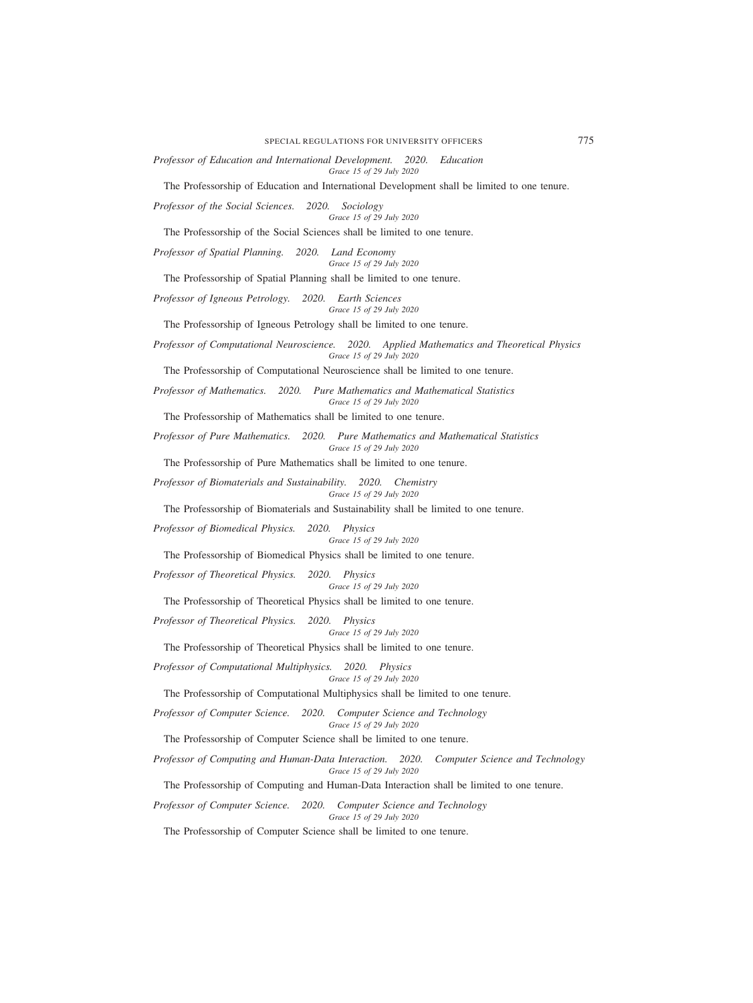SPECIAL REGULATIONS FOR UNIVERSITY OFFICERS 775

*Professor of Education and International Development. 2020. Education Grace 15 of 29 July 2020*

The Professorship of Education and International Development shall be limited to one tenure.

*Professor of the Social Sciences. 2020. Sociology Grace 15 of 29 July 2020*

The Professorship of the Social Sciences shall be limited to one tenure.

*Professor of Spatial Planning. 2020. Land Economy*

*Grace 15 of 29 July 2020*

The Professorship of Spatial Planning shall be limited to one tenure.

*Professor of Igneous Petrology. 2020. Earth Sciences Grace 15 of 29 July 2020*

The Professorship of Igneous Petrology shall be limited to one tenure.

*Professor of Computational Neuroscience. 2020. Applied Mathematics and Theoretical Physics Grace 15 of 29 July 2020*

The Professorship of Computational Neuroscience shall be limited to one tenure.

*Professor of Mathematics. 2020. Pure Mathematics and Mathematical Statistics Grace 15 of 29 July 2020*

The Professorship of Mathematics shall be limited to one tenure.

*Professor of Pure Mathematics. 2020. Pure Mathematics and Mathematical Statistics Grace 15 of 29 July 2020*

The Professorship of Pure Mathematics shall be limited to one tenure.

*Professor of Biomaterials and Sustainability. 2020. Chemistry Grace 15 of 29 July 2020*

The Professorship of Biomaterials and Sustainability shall be limited to one tenure.

*Professor of Biomedical Physics. 2020. Physics Grace 15 of 29 July 2020*

The Professorship of Biomedical Physics shall be limited to one tenure.

*Professor of Theoretical Physics. 2020. Physics*

*Grace 15 of 29 July 2020*

The Professorship of Theoretical Physics shall be limited to one tenure.

*Professor of Theoretical Physics. 2020. Physics*

*Grace 15 of 29 July 2020*

The Professorship of Theoretical Physics shall be limited to one tenure.

*Professor of Computational Multiphysics. 2020. Physics Grace 15 of 29 July 2020*

The Professorship of Computational Multiphysics shall be limited to one tenure.

*Professor of Computer Science. 2020. Computer Science and Technology Grace 15 of 29 July 2020*

The Professorship of Computer Science shall be limited to one tenure.

*Professor of Computing and Human-Data Interaction. 2020. Computer Science and Technology Grace 15 of 29 July 2020*

The Professorship of Computing and Human-Data Interaction shall be limited to one tenure.

*Professor of Computer Science. 2020. Computer Science and Technology Grace 15 of 29 July 2020*

The Professorship of Computer Science shall be limited to one tenure.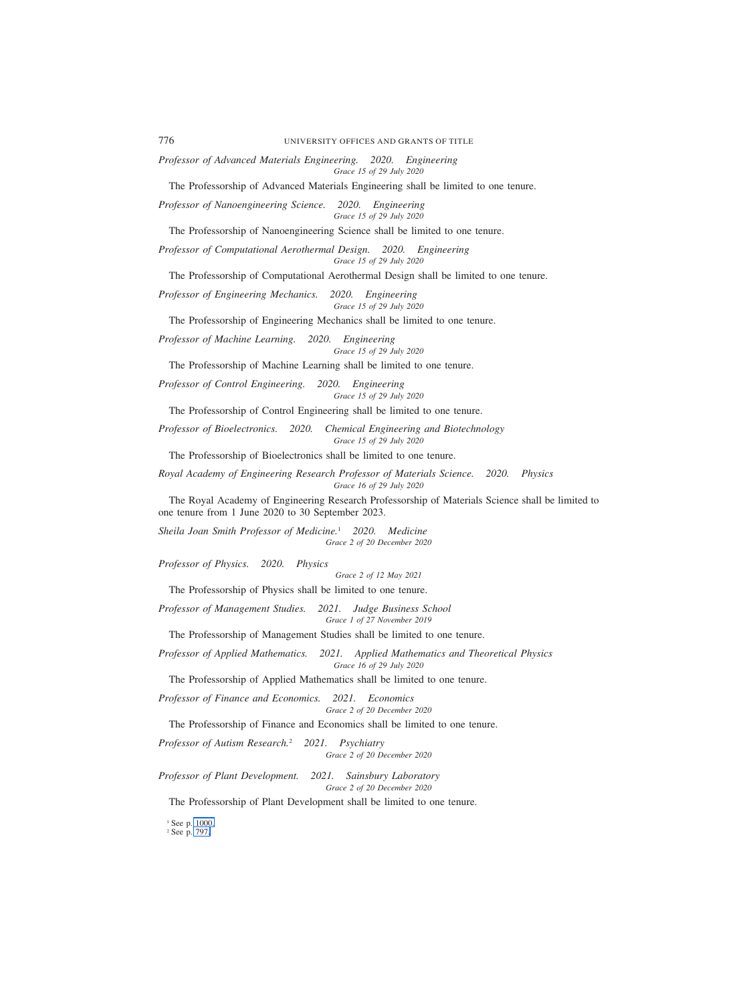*Professor of Advanced Materials Engineering. 2020. Engineering*

*Grace 15 of 29 July 2020*

The Professorship of Advanced Materials Engineering shall be limited to one tenure.

*Professor of Nanoengineering Science. 2020. Engineering Grace 15 of 29 July 2020*

The Professorship of Nanoengineering Science shall be limited to one tenure.

*Professor of Computational Aerothermal Design. 2020. Engineering Grace 15 of 29 July 2020*

The Professorship of Computational Aerothermal Design shall be limited to one tenure.

*Professor of Engineering Mechanics. 2020. Engineering Grace 15 of 29 July 2020*

The Professorship of Engineering Mechanics shall be limited to one tenure.

*Professor of Machine Learning. 2020. Engineering Grace 15 of 29 July 2020*

The Professorship of Machine Learning shall be limited to one tenure.

*Professor of Control Engineering. 2020. Engineering Grace 15 of 29 July 2020*

The Professorship of Control Engineering shall be limited to one tenure.

*Professor of Bioelectronics. 2020. Chemical Engineering and Biotechnology Grace 15 of 29 July 2020*

The Professorship of Bioelectronics shall be limited to one tenure.

*Royal Academy of Engineering Research Professor of Materials Science. 2020. Physics Grace 16 of 29 July 2020*

The Royal Academy of Engineering Research Professorship of Materials Science shall be limited to one tenure from 1 June 2020 to 30 September 2023.

*Sheila Joan Smith Professor of Medicine.*<sup>1</sup> *2020. Medicine Grace 2 of 20 December 2020*

*Professor of Physics. 2020. Physics*

*Grace 2 of 12 May 2021*

The Professorship of Physics shall be limited to one tenure.

*Professor of Management Studies. 2021. Judge Business School Grace 1 of 27 November 2019*

The Professorship of Management Studies shall be limited to one tenure.

*Professor of Applied Mathematics. 2021. Applied Mathematics and Theoretical Physics Grace 16 of 29 July 2020*

The Professorship of Applied Mathematics shall be limited to one tenure.

*Professor of Finance and Economics. 2021. Economics*

*Grace 2 of 20 December 2020*

The Professorship of Finance and Economics shall be limited to one tenure.

*Professor of Autism Research.*<sup>2</sup> *2021. Psychiatry Grace 2 of 20 December 2020*

*Professor of Plant Development. 2021. Sainsbury Laboratory Grace 2 of 20 December 2020*

The Professorship of Plant Development shall be limited to one tenure.

<sup>1</sup> See p. 1000. <sup>2</sup> See p. 797.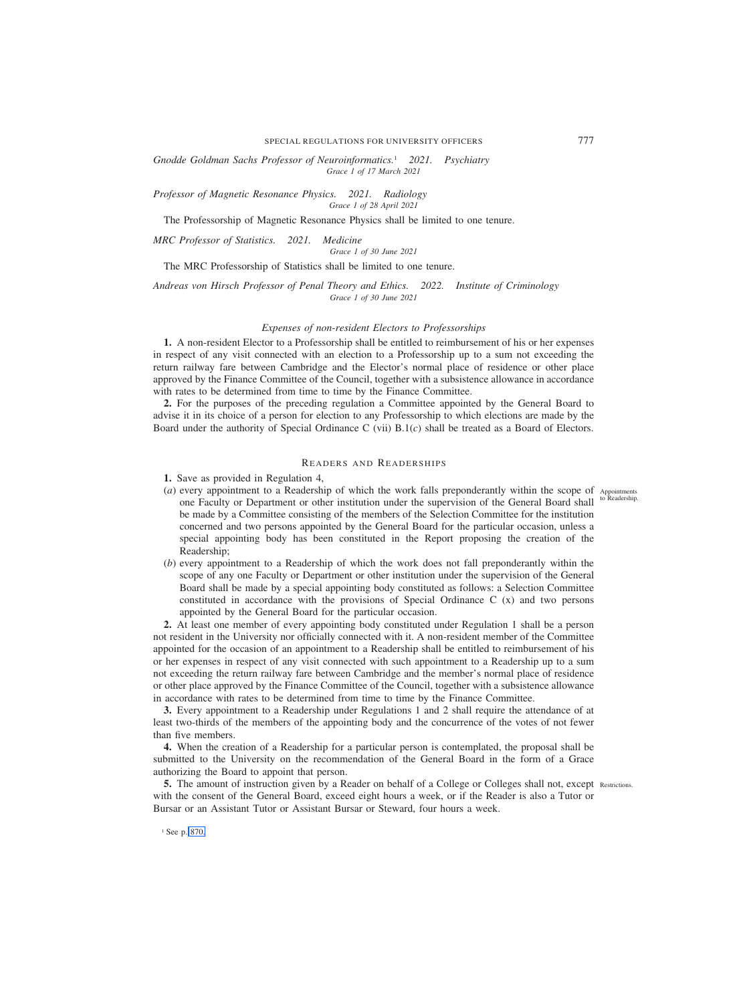SPECIAL REGULATIONS FOR UNIVERSITY OFFICERS 777

*Gnodde Goldman Sachs Professor of Neuroinformatics.*<sup>1</sup> *2021. Psychiatry Grace 1 of 17 March 2021*

*Professor of Magnetic Resonance Physics. 2021. Radiology Grace 1 of 28 April 2021*

The Professorship of Magnetic Resonance Physics shall be limited to one tenure.

*MRC Professor of Statistics. 2021. Medicine*

*Grace 1 of 30 June 2021*

The MRC Professorship of Statistics shall be limited to one tenure.

*Andreas von Hirsch Professor of Penal Theory and Ethics. 2022. Institute of Criminology Grace 1 of 30 June 2021*

## *Expenses of non-resident Electors to Professorships*

**1.** A non-resident Elector to a Professorship shall be entitled to reimbursement of his or her expenses in respect of any visit connected with an election to a Professorship up to a sum not exceeding the return railway fare between Cambridge and the Elector's normal place of residence or other place approved by the Finance Committee of the Council, together with a subsistence allowance in accordance with rates to be determined from time to time by the Finance Committee.

**2.** For the purposes of the preceding regulation a Committee appointed by the General Board to advise it in its choice of a person for election to any Professorship to which elections are made by the Board under the authority of Special Ordinance C (vii) B.1(*c*) shall be treated as a Board of Electors.

# READERS AND READERSHIPS

**1.** Save as provided in Regulation 4,

- (*a*) every appointment to a Readership of which the work falls preponderantly within the scope of Appointments<br>one Enculty or Department or other institution under the supervision of the General Board shall <sup>to Readership</sup> one Faculty or Department or other institution under the supervision of the General Board shall be made by a Committee consisting of the members of the Selection Committee for the institution concerned and two persons appointed by the General Board for the particular occasion, unless a special appointing body has been constituted in the Report proposing the creation of the Readership;
- (*b*) every appointment to a Readership of which the work does not fall preponderantly within the scope of any one Faculty or Department or other institution under the supervision of the General Board shall be made by a special appointing body constituted as follows: a Selection Committee constituted in accordance with the provisions of Special Ordinance C (x) and two persons appointed by the General Board for the particular occasion.

**2.** At least one member of every appointing body constituted under Regulation 1 shall be a person not resident in the University nor officially connected with it. A non-resident member of the Committee appointed for the occasion of an appointment to a Readership shall be entitled to reimbursement of his or her expenses in respect of any visit connected with such appointment to a Readership up to a sum not exceeding the return railway fare between Cambridge and the member's normal place of residence or other place approved by the Finance Committee of the Council, together with a subsistence allowance in accordance with rates to be determined from time to time by the Finance Committee.

**3.** Every appointment to a Readership under Regulations 1 and 2 shall require the attendance of at least two-thirds of the members of the appointing body and the concurrence of the votes of not fewer than five members.

**4.** When the creation of a Readership for a particular person is contemplated, the proposal shall be submitted to the University on the recommendation of the General Board in the form of a Grace authorizing the Board to appoint that person.

**5.** The amount of instruction given by a Reader on behalf of a College or Colleges shall not, except Restrictions. with the consent of the General Board, exceed eight hours a week, or if the Reader is also a Tutor or Bursar or an Assistant Tutor or Assistant Bursar or Steward, four hours a week.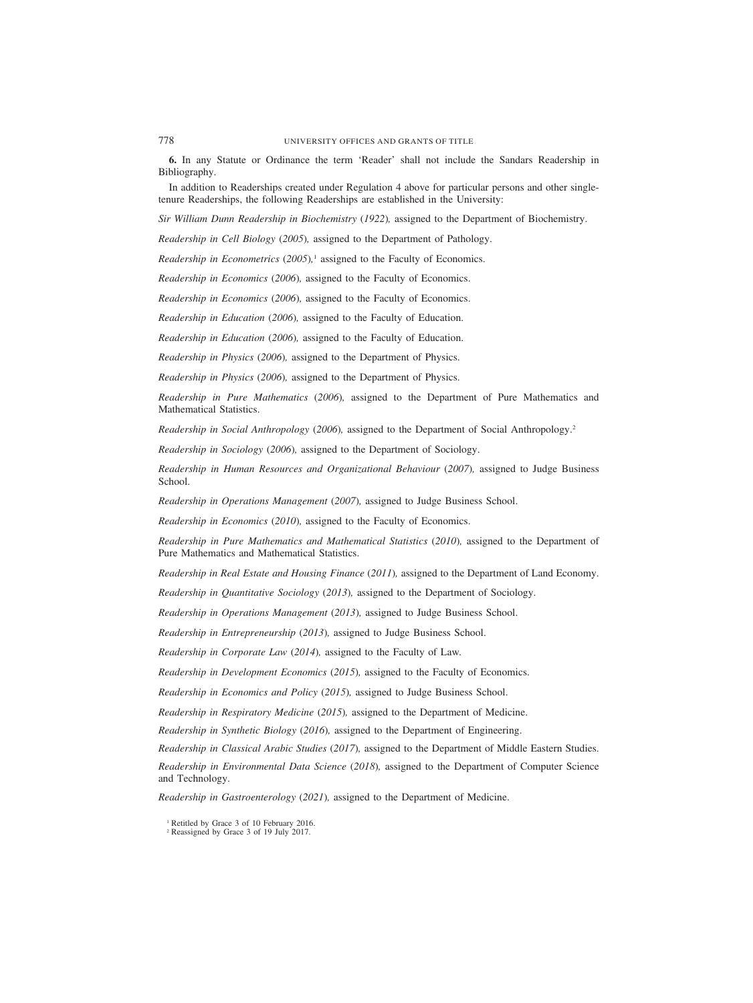**6.** In any Statute or Ordinance the term 'Reader' shall not include the Sandars Readership in Bibliography.

In addition to Readerships created under Regulation 4 above for particular persons and other singletenure Readerships, the following Readerships are established in the University:

*Sir William Dunn Readership in Biochemistry (1922),* assigned to the Department of Biochemistry.

*Readership in Cell Biology (2005),* assigned to the Department of Pathology.

*Readership in Econometrics (2005),*<sup>1</sup> assigned to the Faculty of Economics.

*Readership in Economics (2006),* assigned to the Faculty of Economics.

*Readership in Economics (2006),* assigned to the Faculty of Economics.

*Readership in Education (2006),* assigned to the Faculty of Education.

*Readership in Education (2006),* assigned to the Faculty of Education.

*Readership in Physics (2006),* assigned to the Department of Physics.

*Readership in Physics (2006),* assigned to the Department of Physics.

*Readership in Pure Mathematics (2006),* assigned to the Department of Pure Mathematics and Mathematical Statistics.

*Readership in Social Anthropology (2006),* assigned to the Department of Social Anthropology.2

*Readership in Sociology (2006),* assigned to the Department of Sociology.

*Readership in Human Resources and Organizational Behaviour (2007),* assigned to Judge Business School.

*Readership in Operations Management (2007),* assigned to Judge Business School.

*Readership in Economics (2010),* assigned to the Faculty of Economics.

*Readership in Pure Mathematics and Mathematical Statistics (2010),* assigned to the Department of Pure Mathematics and Mathematical Statistics.

*Readership in Real Estate and Housing Finance (2011),* assigned to the Department of Land Economy.

*Readership in Quantitative Sociology (2013),* assigned to the Department of Sociology.

*Readership in Operations Management (2013),* assigned to Judge Business School.

*Readership in Entrepreneurship (2013),* assigned to Judge Business School.

*Readership in Corporate Law (2014),* assigned to the Faculty of Law*.*

*Readership in Development Economics (2015),* assigned to the Faculty of Economics.

*Readership in Economics and Policy (2015),* assigned to Judge Business School.

*Readership in Respiratory Medicine (2015),* assigned to the Department of Medicine.

*Readership in Synthetic Biology (2016),* assigned to the Department of Engineering.

*Readership in Classical Arabic Studies (2017),* assigned to the Department of Middle Eastern Studies.

*Readership in Environmental Data Science (2018),* assigned to the Department of Computer Science and Technology.

*Readership in Gastroenterology (2021),* assigned to the Department of Medicine.

<sup>1</sup> Retitled by Grace 3 of 10 February 2016.

<sup>2</sup> Reassigned by Grace 3 of 19 July 2017.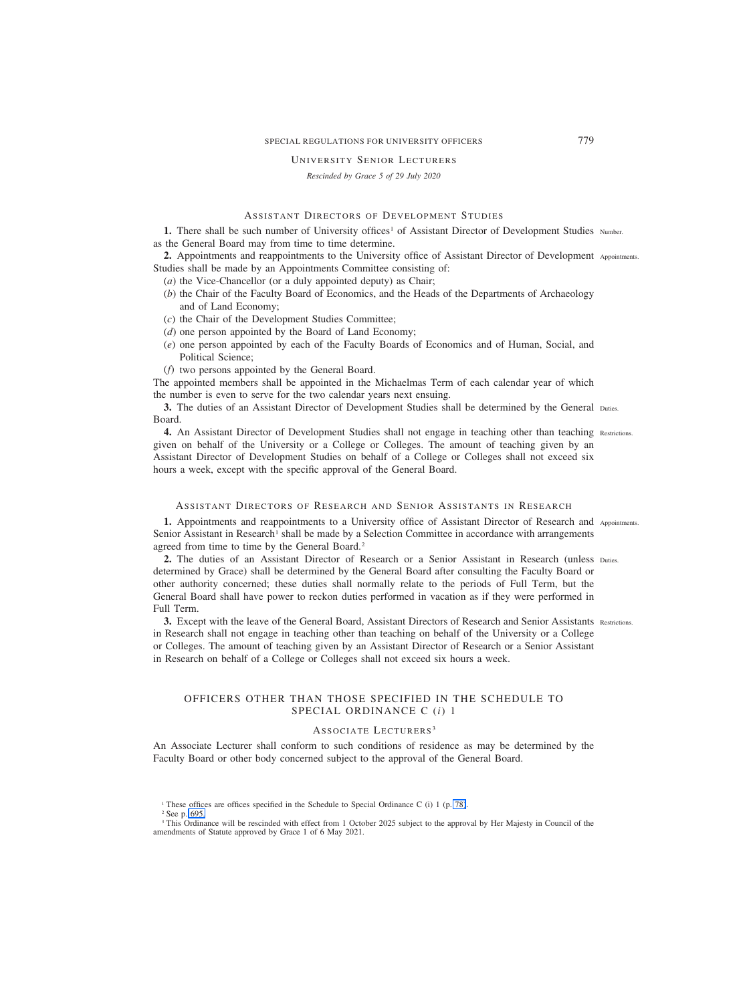## SPECIAL REGULATIONS FOR UNIVERSITY OFFICERS 779

## UNIVERSITY SENIOR LECTURERS

*Rescinded by Grace 5 of 29 July 2020*

# ASSISTANT DIRECTORS OF DEVELOPMENT STUDIES

**1.** There shall be such number of University offices<sup>1</sup> of Assistant Director of Development Studies Number. as the General Board may from time to time determine.

**2.** Appointments and reappointments to the University office of Assistant Director of Development Appointments. Studies shall be made by an Appointments Committee consisting of:

(*a*) the Vice-Chancellor (or a duly appointed deputy) as Chair;

- (*b*) the Chair of the Faculty Board of Economics, and the Heads of the Departments of Archaeology and of Land Economy;
- (*c*) the Chair of the Development Studies Committee;
- (*d*) one person appointed by the Board of Land Economy;
- (*e*) one person appointed by each of the Faculty Boards of Economics and of Human, Social, and Political Science;
- (*f*) two persons appointed by the General Board.

The appointed members shall be appointed in the Michaelmas Term of each calendar year of which the number is even to serve for the two calendar years next ensuing.

**3.** The duties of an Assistant Director of Development Studies shall be determined by the General Duties. Board.

4. An Assistant Director of Development Studies shall not engage in teaching other than teaching Restrictions. given on behalf of the University or a College or Colleges. The amount of teaching given by an Assistant Director of Development Studies on behalf of a College or Colleges shall not exceed six hours a week, except with the specific approval of the General Board.

#### ASSISTANT DIRECTORS OF RESEARCH AND SENIOR ASSISTANTS IN RESEARCH

1. Appointments and reappointments to a University office of Assistant Director of Research and Appointments. Senior Assistant in Research<sup>1</sup> shall be made by a Selection Committee in accordance with arrangements agreed from time to time by the General Board.<sup>2</sup>

2. The duties of an Assistant Director of Research or a Senior Assistant in Research (unless Duties. determined by Grace) shall be determined by the General Board after consulting the Faculty Board or other authority concerned; these duties shall normally relate to the periods of Full Term, but the General Board shall have power to reckon duties performed in vacation as if they were performed in Full Term.

3. Except with the leave of the General Board, Assistant Directors of Research and Senior Assistants Restrictions. in Research shall not engage in teaching other than teaching on behalf of the University or a College or Colleges. The amount of teaching given by an Assistant Director of Research or a Senior Assistant in Research on behalf of a College or Colleges shall not exceed six hours a week.

# OFFICERS OTHER THAN THOSE SPECIFIED IN THE SCHEDULE TO SPECIAL ORDINANCE C (*i*) 1

#### ASSOCIATE LECTURERS<sup>3</sup>

An Associate Lecturer shall conform to such conditions of residence as may be determined by the Faculty Board or other body concerned subject to the approval of the General Board.

<sup>2</sup> See p. [695.](#page-4-0)

<sup>&</sup>lt;sup>1</sup> These offices are offices specified in the Schedule to Special Ordinance C (i) 1 (p. 78).

<sup>&</sup>lt;sup>3</sup> This Ordinance will be rescinded with effect from 1 October 2025 subject to the approval by Her Majesty in Council of the amendments of Statute approved by Grace 1 of 6 May 2021.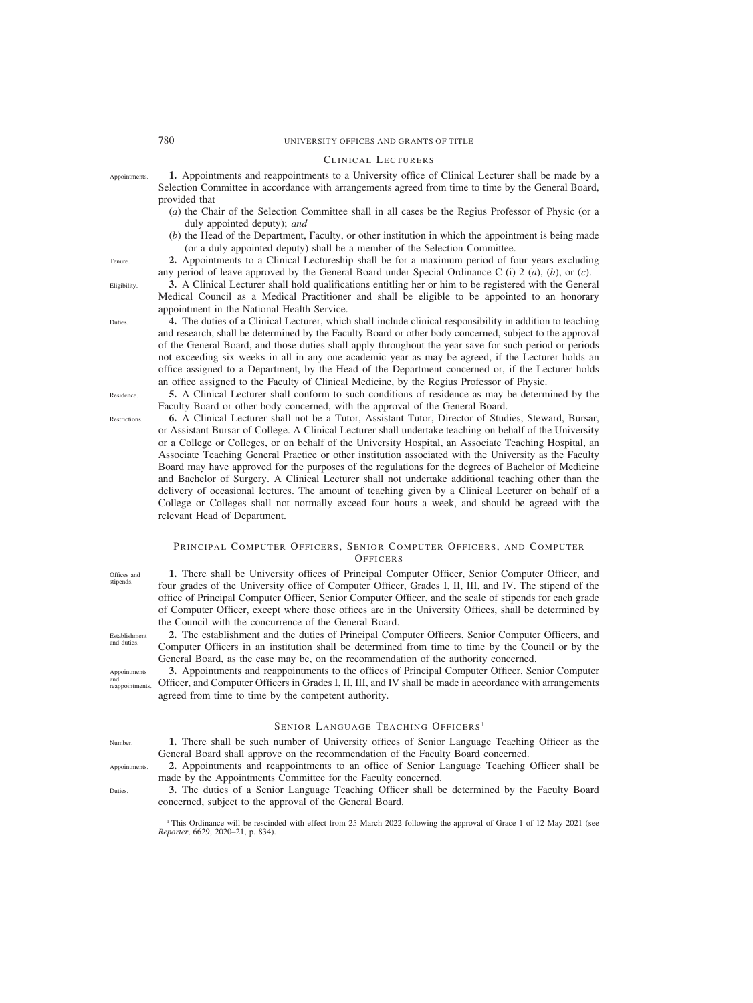#### CLINICAL LECTURERS

- **1.** Appointments and reappointments to a University office of Clinical Lecturer shall be made by a Selection Committee in accordance with arrangements agreed from time to time by the General Board, provided that Appointments.
	- (*a*) the Chair of the Selection Committee shall in all cases be the Regius Professor of Physic (or a duly appointed deputy); *and*
	- (*b*) the Head of the Department, Faculty, or other institution in which the appointment is being made (or a duly appointed deputy) shall be a member of the Selection Committee.
	- **2.** Appointments to a Clinical Lectureship shall be for a maximum period of four years excluding any period of leave approved by the General Board under Special Ordinance C (i) 2 (*a*), (*b*), or (*c*).

**3.** A Clinical Lecturer shall hold qualifications entitling her or him to be registered with the General Medical Council as a Medical Practitioner and shall be eligible to be appointed to an honorary appointment in the National Health Service.

**4.** The duties of a Clinical Lecturer, which shall include clinical responsibility in addition to teaching and research, shall be determined by the Faculty Board or other body concerned, subject to the approval of the General Board, and those duties shall apply throughout the year save for such period or periods not exceeding six weeks in all in any one academic year as may be agreed, if the Lecturer holds an office assigned to a Department, by the Head of the Department concerned or, if the Lecturer holds an office assigned to the Faculty of Clinical Medicine, by the Regius Professor of Physic.

**5.** A Clinical Lecturer shall conform to such conditions of residence as may be determined by the Faculty Board or other body concerned, with the approval of the General Board.

**6.** A Clinical Lecturer shall not be a Tutor, Assistant Tutor, Director of Studies, Steward, Bursar, or Assistant Bursar of College. A Clinical Lecturer shall undertake teaching on behalf of the University or a College or Colleges, or on behalf of the University Hospital, an Associate Teaching Hospital, an Associate Teaching General Practice or other institution associated with the University as the Faculty Board may have approved for the purposes of the regulations for the degrees of Bachelor of Medicine and Bachelor of Surgery. A Clinical Lecturer shall not undertake additional teaching other than the delivery of occasional lectures. The amount of teaching given by a Clinical Lecturer on behalf of a College or Colleges shall not normally exceed four hours a week, and should be agreed with the relevant Head of Department.

# PRINCIPAL COMPUTER OFFICERS, SENIOR COMPUTER OFFICERS, AND COMPUTER **OFFICERS**

**1.** There shall be University offices of Principal Computer Officer, Senior Computer Officer, and four grades of the University office of Computer Officer, Grades I, II, III, and IV. The stipend of the office of Principal Computer Officer, Senior Computer Officer, and the scale of stipends for each grade of Computer Officer, except where those offices are in the University Offices, shall be determined by the Council with the concurrence of the General Board.

**2.** The establishment and the duties of Principal Computer Officers, Senior Computer Officers, and Computer Officers in an institution shall be determined from time to time by the Council or by the General Board, as the case may be, on the recommendation of the authority concerned.

**3.** Appointments and reappointments to the offices of Principal Computer Officer, Senior Computer Officer, and Computer Officers in Grades I, II, III, and IV shall be made in accordance with arrangements agreed from time to time by the competent authority.

## SENIOR LANGUAGE TEACHING OFFICERS<sup>1</sup>

**1.** There shall be such number of University offices of Senior Language Teaching Officer as the General Board shall approve on the recommendation of the Faculty Board concerned.

- **2.** Appointments and reappointments to an office of Senior Language Teaching Officer shall be made by the Appointments Committee for the Faculty concerned.
- **3.** The duties of a Senior Language Teaching Officer shall be determined by the Faculty Board concerned, subject to the approval of the General Board.

<sup>1</sup> This Ordinance will be rescinded with effect from 25 March 2022 following the approval of Grace 1 of 12 May 2021 (see *Reporter*, 6629, 2020–21, p. 834).

Tenure.

Eligibility.

**Duties** 

Residence. Restrictions.

Offices and stipends.

Establishment and duties.

Appointments and reappointments.

Number.

Appointments.

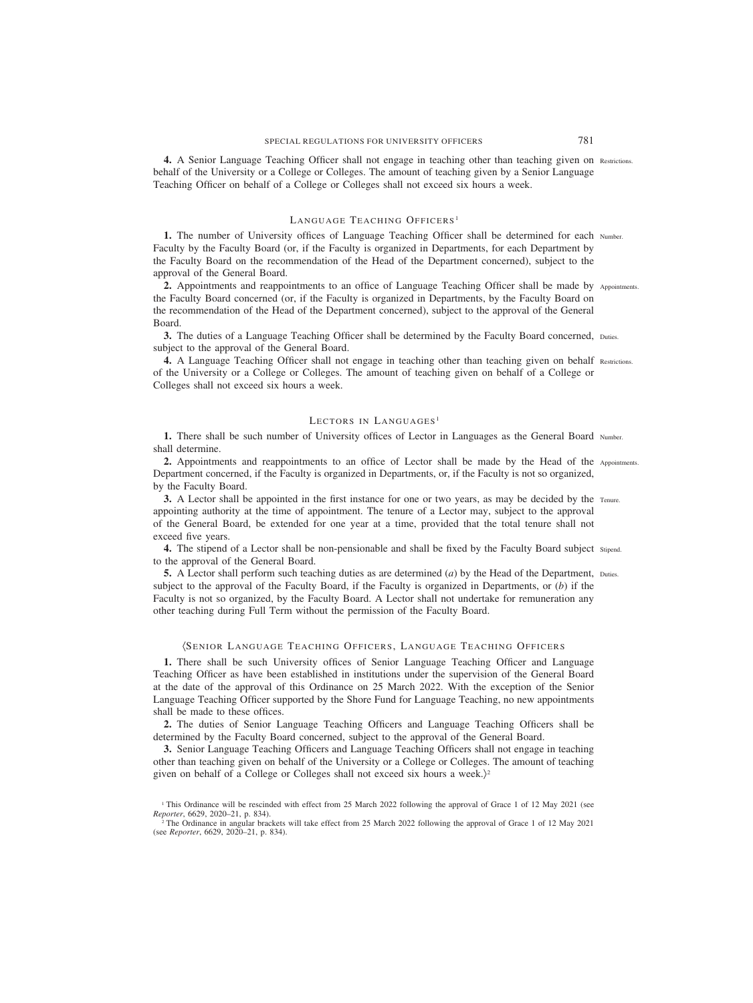**4.** A Senior Language Teaching Officer shall not engage in teaching other than teaching given on Restrictions. behalf of the University or a College or Colleges. The amount of teaching given by a Senior Language Teaching Officer on behalf of a College or Colleges shall not exceed six hours a week.

## LANGUAGE TEACHING OFFICERS<sup>1</sup>

**1.** The number of University offices of Language Teaching Officer shall be determined for each Number. Faculty by the Faculty Board (or, if the Faculty is organized in Departments, for each Department by the Faculty Board on the recommendation of the Head of the Department concerned), subject to the approval of the General Board.

2. Appointments and reappointments to an office of Language Teaching Officer shall be made by Appointments. the Faculty Board concerned (or, if the Faculty is organized in Departments, by the Faculty Board on the recommendation of the Head of the Department concerned), subject to the approval of the General Board.

**3.** The duties of a Language Teaching Officer shall be determined by the Faculty Board concerned, Duties. subject to the approval of the General Board.

**4.** A Language Teaching Officer shall not engage in teaching other than teaching given on behalf Restrictions. of the University or a College or Colleges. The amount of teaching given on behalf of a College or Colleges shall not exceed six hours a week.

#### LECTORS IN LANGUAGES<sup>1</sup>

**1.** There shall be such number of University offices of Lector in Languages as the General Board Number. shall determine.

2. Appointments and reappointments to an office of Lector shall be made by the Head of the Appointments. Department concerned, if the Faculty is organized in Departments, or, if the Faculty is not so organized, by the Faculty Board.

**3.** A Lector shall be appointed in the first instance for one or two years, as may be decided by the Tenure. appointing authority at the time of appointment. The tenure of a Lector may, subject to the approval of the General Board, be extended for one year at a time, provided that the total tenure shall not exceed five years.

**4.** The stipend of a Lector shall be non-pensionable and shall be fixed by the Faculty Board subject Stipend. to the approval of the General Board.

**5.** A Lector shall perform such teaching duties as are determined (*a*) by the Head of the Department, Duties. subject to the approval of the Faculty Board, if the Faculty is organized in Departments, or (*b*) if the Faculty is not so organized, by the Faculty Board. A Lector shall not undertake for remuneration any other teaching during Full Term without the permission of the Faculty Board.

#### (SENIOR LANGUAGE TEACHING OFFICERS, LANGUAGE TEACHING OFFICERS

**1.** There shall be such University offices of Senior Language Teaching Officer and Language Teaching Officer as have been established in institutions under the supervision of the General Board at the date of the approval of this Ordinance on 25 March 2022. With the exception of the Senior Language Teaching Officer supported by the Shore Fund for Language Teaching, no new appointments shall be made to these offices.

**2.** The duties of Senior Language Teaching Officers and Language Teaching Officers shall be determined by the Faculty Board concerned, subject to the approval of the General Board.

**3.** Senior Language Teaching Officers and Language Teaching Officers shall not engage in teaching other than teaching given on behalf of the University or a College or Colleges. The amount of teaching given on behalf of a College or Colleges shall not exceed six hours a week.)<sup>2</sup>

<sup>1</sup> This Ordinance will be rescinded with effect from 25 March 2022 following the approval of Grace 1 of 12 May 2021 (see *Reporter*, 6629, 2020–21, p. 834).

<sup>&</sup>lt;sup>2</sup> The Ordinance in angular brackets will take effect from 25 March 2022 following the approval of Grace 1 of 12 May 2021 (see *Reporter*, 6629, 2020–21, p. 834).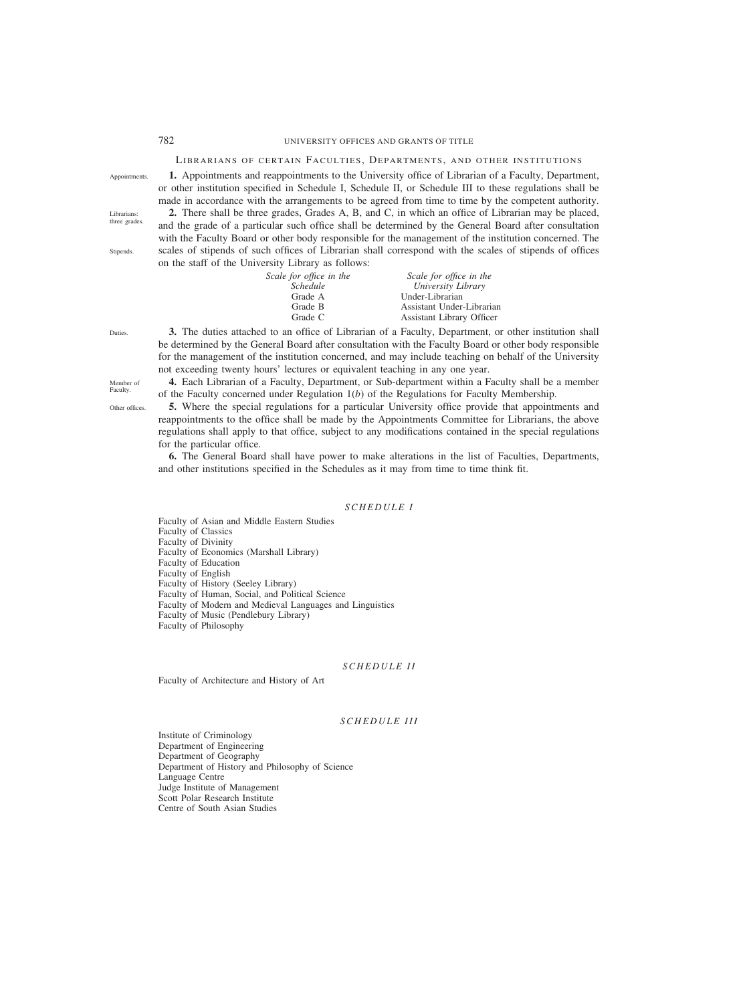# LIBRARIANS OF CERTAIN FACULTIES, DEPARTMENTS, AND OTHER INSTITUTIONS **1.** Appointments and reappointments to the University office of Librarian of a Faculty, Department,

Appointments.

Librarians: three grades

**Stinends** 

or other institution specified in Schedule I, Schedule II, or Schedule III to these regulations shall be made in accordance with the arrangements to be agreed from time to time by the competent authority. **2.** There shall be three grades, Grades A, B, and C, in which an office of Librarian may be placed, and the grade of a particular such office shall be determined by the General Board after consultation with the Faculty Board or other body responsible for the management of the institution concerned. The scales of stipends of such offices of Librarian shall correspond with the scales of stipends of offices on the staff of the University Library as follows:

| Scale for office in the | Scale for office in the   |
|-------------------------|---------------------------|
| <i>Schedule</i>         | University Library        |
| Grade A                 | Under-Librarian           |
| Grade B                 | Assistant Under-Librarian |
| Grade C                 | Assistant Library Officer |
|                         |                           |

Duties.

Member of Other offices.

**Faculty** 

**3.** The duties attached to an office of Librarian of a Faculty, Department, or other institution shall be determined by the General Board after consultation with the Faculty Board or other body responsible for the management of the institution concerned, and may include teaching on behalf of the University not exceeding twenty hours' lectures or equivalent teaching in any one year.

**4.** Each Librarian of a Faculty, Department, or Sub-department within a Faculty shall be a member of the Faculty concerned under Regulation 1(*b*) of the Regulations for Faculty Membership.

**5.** Where the special regulations for a particular University office provide that appointments and reappointments to the office shall be made by the Appointments Committee for Librarians, the above regulations shall apply to that office, subject to any modifications contained in the special regulations for the particular office.

**6.** The General Board shall have power to make alterations in the list of Faculties, Departments, and other institutions specified in the Schedules as it may from time to time think fit.

## *SCHEDULE I*

Faculty of Asian and Middle Eastern Studies Faculty of Classics Faculty of Divinity Faculty of Economics (Marshall Library) Faculty of Education Faculty of English Faculty of History (Seeley Library) Faculty of Human, Social, and Political Science Faculty of Modern and Medieval Languages and Linguistics Faculty of Music (Pendlebury Library) Faculty of Philosophy

### *SCHEDULE II*

Faculty of Architecture and History of Art

#### *SCHEDULE III*

Institute of Criminology Department of Engineering Department of Geography Department of History and Philosophy of Science Language Centre Judge Institute of Management Scott Polar Research Institute Centre of South Asian Studies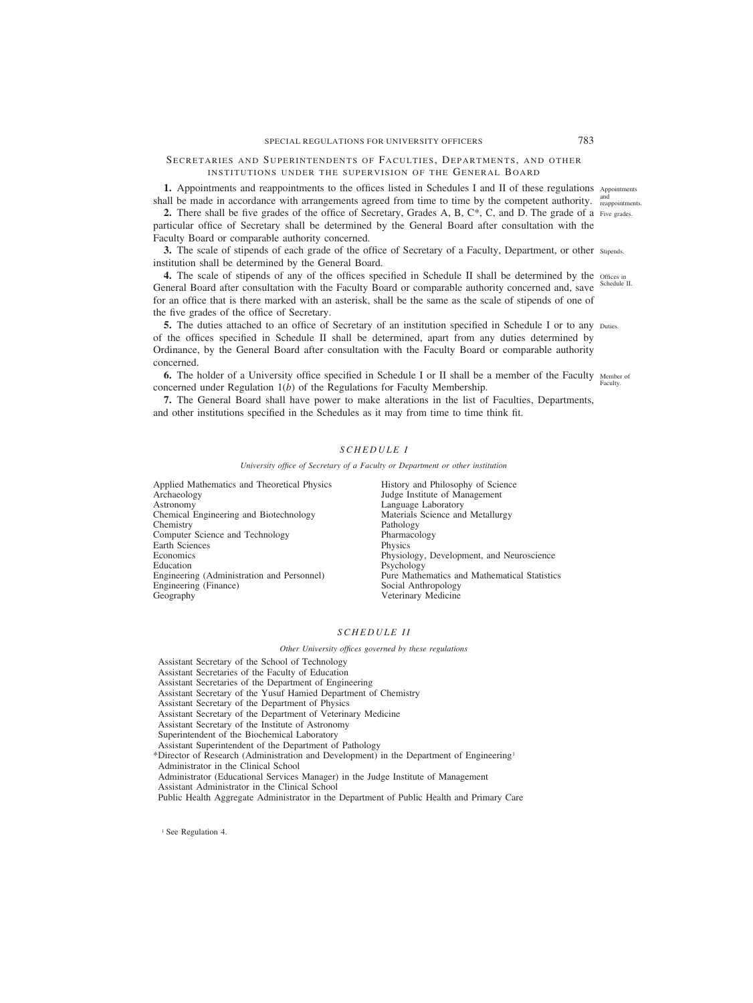# SECRETARIES AND SUPERINTENDENTS OF FACULTIES, DEPARTMENTS, AND OTHER INSTITUTIONS UNDER THE SUPERVISION OF THE GENERAL BOARD

1. Appointments and reappointments to the offices listed in Schedules I and II of these regulations Appointments shall be made in accordance with arrangements agreed from time to time by the competent authority. <sup>and</sup> reappointments.

**2.** There shall be five grades of the office of Secretary, Grades A, B, C\*, C, and D. The grade of a Five grades. particular office of Secretary shall be determined by the General Board after consultation with the Faculty Board or comparable authority concerned.

**3.** The scale of stipends of each grade of the office of Secretary of a Faculty, Department, or other stipends. institution shall be determined by the General Board.

**4.** The scale of stipends of any of the offices specified in Schedule II shall be determined by the offices in General Board after consultation with the Faculty Board or comparable authority concerned and, save for an office that is there marked with an asterisk, shall be the same as the scale of stipends of one of the five grades of the office of Secretary. Schedule II.

**5.** The duties attached to an office of Secretary of an institution specified in Schedule I or to any Duties. of the offices specified in Schedule II shall be determined, apart from any duties determined by Ordinance, by the General Board after consultation with the Faculty Board or comparable authority concerned.

**6.** The holder of a University office specified in Schedule I or II shall be a member of the Faculty Member of concerned under Regulation 1(*b*) of the Regulations for Faculty Membership. Faculty.

**7.** The General Board shall have power to make alterations in the list of Faculties, Departments, and other institutions specified in the Schedules as it may from time to time think fit.

## *SCHEDULE I*

*University office of Secretary of a Faculty or Department or other institution*

Applied Mathematics and Theoretical Physics Archaeology Astronomy Chemical Engineering and Biotechnology Chemistry Computer Science and Technology Earth Sciences **Economics** Education Engineering (Administration and Personnel) Engineering (Finance) Geography

History and Philosophy of Science Judge Institute of Management Language Laboratory Materials Science and Metallurgy Pathology Pharmacology Physics Physiology, Development, and Neuroscience Psychology Pure Mathematics and Mathematical Statistics Social Anthropology Veterinary Medicine

### *SCHEDULE II*

*Other University offices governed by these regulations*

Assistant Secretary of the School of Technology Assistant Secretaries of the Faculty of Education Assistant Secretaries of the Department of Engineering Assistant Secretary of the Yusuf Hamied Department of Chemistry Assistant Secretary of the Department of Physics Assistant Secretary of the Department of Veterinary Medicine Assistant Secretary of the Institute of Astronomy Superintendent of the Biochemical Laboratory Assistant Superintendent of the Department of Pathology \*Director of Research (Administration and Development) in the Department of Engineering1 Administrator in the Clinical School Administrator (Educational Services Manager) in the Judge Institute of Management Assistant Administrator in the Clinical School Public Health Aggregate Administrator in the Department of Public Health and Primary Care

<sup>1</sup> See Regulation 4.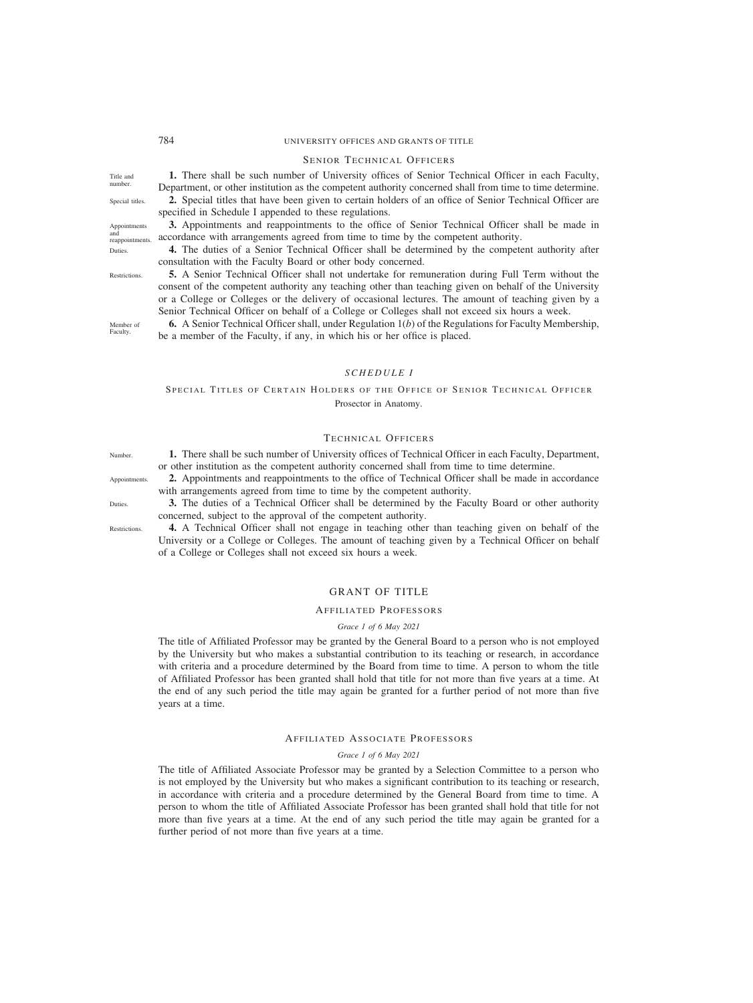Title and number. Special titles.

Appointments and reappointments. Duties.

Restrictions.

Member of **Faculty** 

## 784 UNIVERSITY OFFICES AND GRANTS OF TITLE

#### SENIOR TECHNICAL OFFICERS

**1.** There shall be such number of University offices of Senior Technical Officer in each Faculty, Department, or other institution as the competent authority concerned shall from time to time determine. **2.** Special titles that have been given to certain holders of an office of Senior Technical Officer are

specified in Schedule I appended to these regulations.

**3.** Appointments and reappointments to the office of Senior Technical Officer shall be made in accordance with arrangements agreed from time to time by the competent authority.

**4.** The duties of a Senior Technical Officer shall be determined by the competent authority after consultation with the Faculty Board or other body concerned.

**5.** A Senior Technical Officer shall not undertake for remuneration during Full Term without the consent of the competent authority any teaching other than teaching given on behalf of the University or a College or Colleges or the delivery of occasional lectures. The amount of teaching given by a Senior Technical Officer on behalf of a College or Colleges shall not exceed six hours a week.

**6.** A Senior Technical Officer shall, under Regulation 1(*b*) of the Regulations for Faculty Membership, be a member of the Faculty, if any, in which his or her office is placed.

## *SCHEDULE I*

SPECIAL TITLES OF CERTAIN HOLDERS OF THE OFFICE OF SENIOR TECHNICAL OFFICER Prosector in Anatomy.

## TECHNICAL OFFICERS

**1.** There shall be such number of University offices of Technical Officer in each Faculty, Department, or other institution as the competent authority concerned shall from time to time determine.

- **2.** Appointments and reappointments to the office of Technical Officer shall be made in accordance with arrangements agreed from time to time by the competent authority.
- **3.** The duties of a Technical Officer shall be determined by the Faculty Board or other authority concerned, subject to the approval of the competent authority.

**4.** A Technical Officer shall not engage in teaching other than teaching given on behalf of the University or a College or Colleges. The amount of teaching given by a Technical Officer on behalf of a College or Colleges shall not exceed six hours a week.

## GRANT OF TITLE

#### AFFILIATED PROFESSORS

#### *Grace 1 of 6 May 2021*

The title of Affiliated Professor may be granted by the General Board to a person who is not employed by the University but who makes a substantial contribution to its teaching or research, in accordance with criteria and a procedure determined by the Board from time to time. A person to whom the title of Affiliated Professor has been granted shall hold that title for not more than five years at a time. At the end of any such period the title may again be granted for a further period of not more than five years at a time.

#### AFFILIATED ASSOCIATE PROFESSORS

*Grace 1 of 6 May 2021*

The title of Affiliated Associate Professor may be granted by a Selection Committee to a person who is not employed by the University but who makes a significant contribution to its teaching or research, in accordance with criteria and a procedure determined by the General Board from time to time. A person to whom the title of Affiliated Associate Professor has been granted shall hold that title for not more than five years at a time. At the end of any such period the title may again be granted for a further period of not more than five years at a time.

Number.

**Duties** 

**Restrictions**.

Appointments.